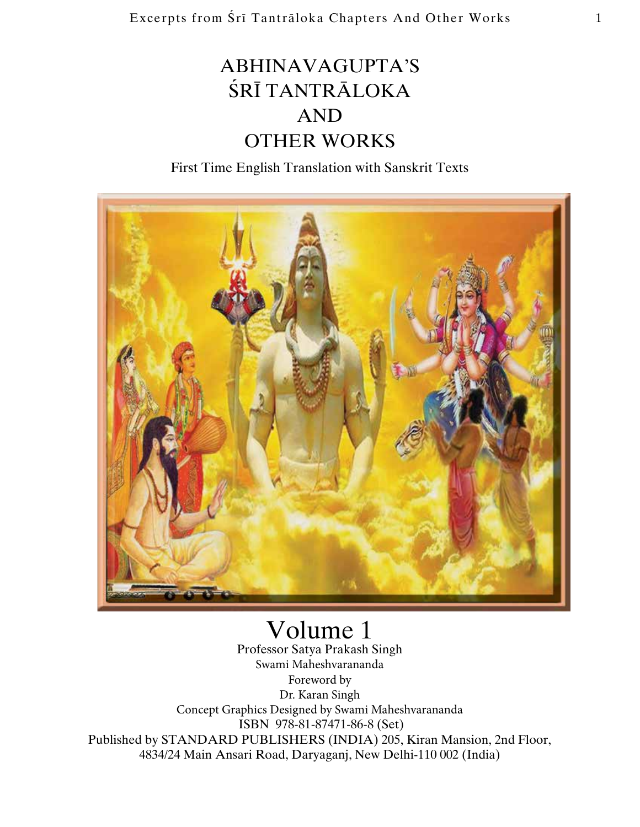## ABHINAVAGUPTA'S ŚRĪ TANTRĀLOKA AND OTHER WORKS

#### First Time English Translation with Sanskrit Texts



# Volume 1

Professor Satya Prakash Singh Swami Maheshvarananda Foreword by Dr. Karan Singh Concept Graphics Designed by Swami Maheshvarananda ISBN 978-81-87471-86-8 (Set) Published by STANDARD PUBLISHERS (INDIA) 205, Kiran Mansion, 2nd Floor, 4834/24 Main Ansari Road, Daryaganj, New Delhi-110 002 (India)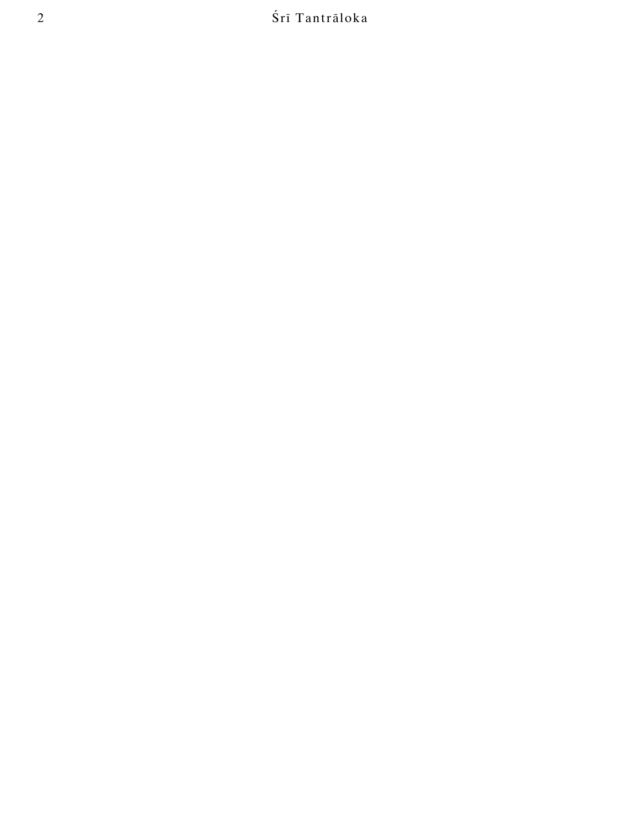## .<br>Śrī Tantrāloka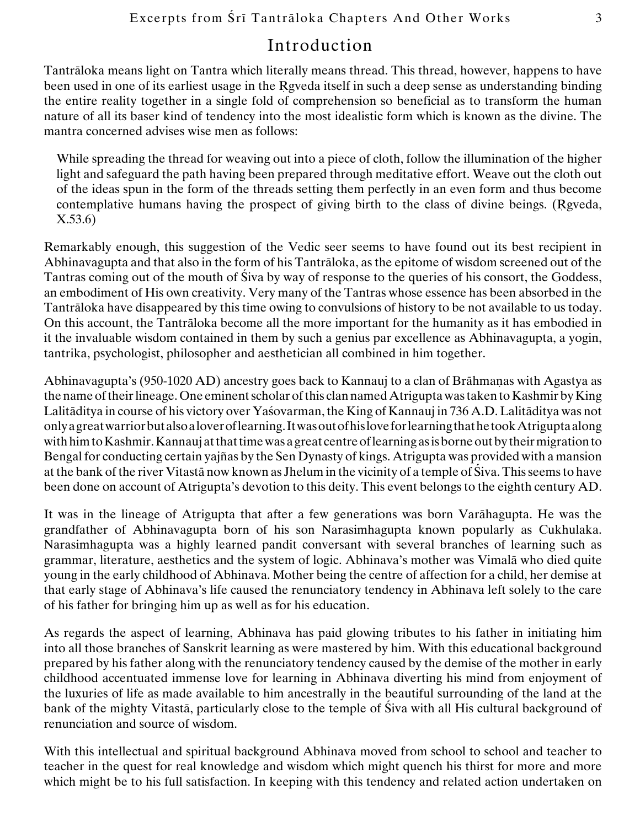### Introduction

Tanträloka means light on Tantra which literally means thread. This thread, however, happens to have been used in one of its earliest usage in the Rgveda itself in such a deep sense as understanding binding the entire reality together in a single fold of comprehension so beneficial as to transform the human nature of all its baser kind of tendency into the most idealistic form which is known as the divine. The mantra concerned advises wise men as follows:

While spreading the thread for weaving out into a piece of cloth, follow the illumination of the higher light and safeguard the path having been prepared through meditative effort. Weave out the cloth out of the ideas spun in the form of the threads setting them perfectly in an even form and thus become contemplative humans having the prospect of giving birth to the class of divine beings. (Rgveda, X.53.6)

Remarkably enough, this suggestion of the Vedic seer seems to have found out its best recipient in Abhinavagupta and that also in the form of his Tanträloka, as the epitome of wisdom screened out of the Tantras coming out of the mouth of Siva by way of response to the queries of his consort, the Goddess, an embodiment of His own creativity. Very many of the Tantras whose essence has been absorbed in the Tanträloka have disappeared by this time owing to convulsions of history to be not available to us today. On this account, the Tanträloka become all the more important for the humanity as it has embodied in it the invaluable wisdom contained in them by such a genius par excellence as Abhinavagupta, a yogin, tantrika, psychologist, philosopher and aesthetician all combined in him together.

Abhinavagupta's (950-1020 AD) ancestry goes back to Kannauj to a clan of Brāhmaņas with Agastya as the name of their lineage. One eminent scholar of this clan named Atrigupta was taken to Kashmir by King Lalitāditya in course of his victory over Yasovarman, the King of Kannauj in 736 A.D. Lalitāditya was not only a great warrior but also a lover of learning. It was out of his love for learning that he took Atrigupta along with him to Kashmir. Kannauj at that time was a great centre of learning as is borne out by their migration to Bengal for conducting certain yajñas by the Sen Dynasty of kings. Atrigupta was provided with a mansion at the bank of the river Vitasta now known as Jhelum in the vicinity of a temple of Siva. This seems to have been done on account of Atrigupta's devotion to this deity. This event belongs to the eighth century AD.

It was in the lineage of Atrigupta that after a few generations was born Varähagupta. He was the grandfather of Abhinavagupta born of his son Narasimhagupta known popularly as Cukhulaka. Narasimhagupta was a highly learned pandit conversant with several branches of learning such as grammar, literature, aesthetics and the system of logic. Abhinava's mother was Vimalä who died quite young in the early childhood of Abhinava. Mother being the centre of affection for a child, her demise at that early stage of Abhinava's life caused the renunciatory tendency in Abhinava left solely to the care of his father for bringing him up as well as for his education.

As regards the aspect of learning, Abhinava has paid glowing tributes to his father in initiating him into all those branches of Sanskrit learning as were mastered by him. With this educational background prepared by his father along with the renunciatory tendency caused by the demise of the mother in early childhood accentuated immense love for learning in Abhinava diverting his mind from enjoyment of the luxuries of life as made available to him ancestrally in the beautiful surrounding of the land at the bank of the mighty Vitasta, particularly close to the temple of Siva with all His cultural background of renunciation and source of wisdom.

With this intellectual and spiritual background Abhinava moved from school to school and teacher to teacher in the quest for real knowledge and wisdom which might quench his thirst for more and more which might be to his full satisfaction. In keeping with this tendency and related action undertaken on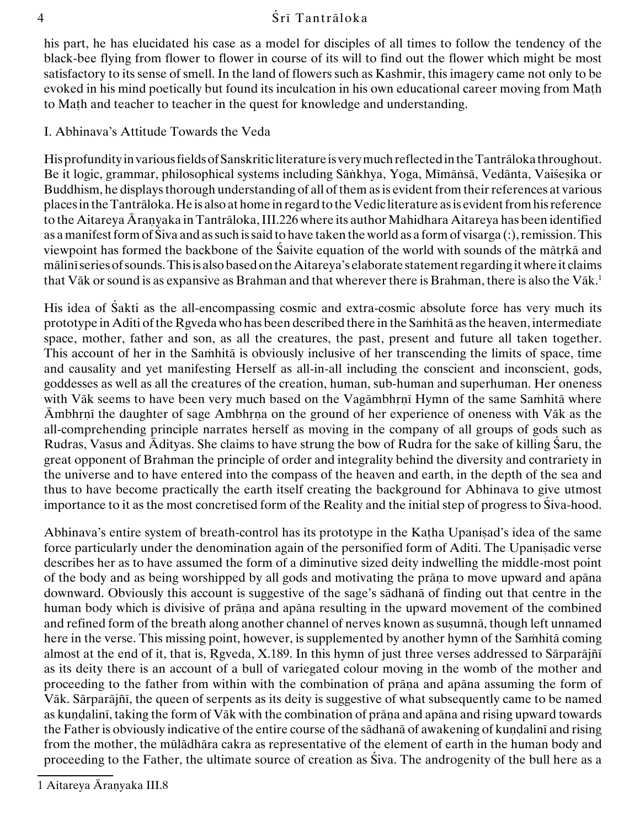#### 4 Sri Tanträloka

his part, he has elucidated his case as a model for disciples of all times to follow the tendency of the black-bee flying from flower to flower in course of its will to find out the flower which might be most satisfactory to its sense of smell. In the land of flowers such as Kashmir, this imagery came not only to be evoked in his mind poetically but found its inculcation in his own educational career moving from Math to Math and teacher to teacher in the quest for knowledge and understanding.

#### I. Abhinava's Attitude Towards the Veda

His profundity in various fields of Sanskritic literature is very much reflected in the Tanträloka throughout. Be it logic, grammar, philosophical systems including Sānkhya, Yoga, Mīmānsā, Vedānta, Vaisesika or Buddhism, he displays thorough understanding of all of them as is evident from their references at various places in the Tanträloka. He is also at home in regard to the Vedic literature as is evident from his reference to the Aitareya Āranyaka in Tantrāloka, III.226 where its author Mahidhara Aitareya has been identified as a manifest form of Çiva and as such is said to have taken the world as a form of visarga (:), remission. This viewpoint has formed the backbone of the Saivite equation of the world with sounds of the mātrkā and mālinī series of sounds. This is also based on the Aitareya's elaborate statement regarding it where it claims that Väk or sound is as expansive as Brahman and that wherever there is Brahman, there is also the Väk.1

His idea of Çakti as the all-encompassing cosmic and extra-cosmic absolute force has very much its prototype in Aditi of the Rgveda who has been described there in the Samhita as the heaven, intermediate space, mother, father and son, as all the creatures, the past, present and future all taken together. This account of her in the Samhita is obviously inclusive of her transcending the limits of space, time and causality and yet manifesting Herself as all-in-all including the conscient and inconscient, gods, goddesses as well as all the creatures of the creation, human, sub-human and superhuman. Her oneness with Vāk seems to have been very much based on the Vagambhrni Hymn of the same Samhita where Ambhrni the daughter of sage Ambhrna on the ground of her experience of oneness with Väk as the all-comprehending principle narrates herself as moving in the company of all groups of gods such as Rudras, Vasus and Ādityas. She claims to have strung the bow of Rudra for the sake of killing Saru, the great opponent of Brahman the principle of order and integrality behind the diversity and contrariety in the universe and to have entered into the compass of the heaven and earth, in the depth of the sea and thus to have become practically the earth itself creating the background for Abhinava to give utmost importance to it as the most concretised form of the Reality and the initial step of progress to Siva-hood.

Abhinava's entire system of breath-control has its prototype in the Katha Upanisad's idea of the same force particularly under the denomination again of the personified form of Aditi. The Upanisadic verse describes her as to have assumed the form of a diminutive sized deity indwelling the middle-most point of the body and as being worshipped by all gods and motivating the prāna to move upward and apāna downward. Obviously this account is suggestive of the sage's sädhanä of finding out that centre in the human body which is divisive of prāņa and apāna resulting in the upward movement of the combined and refined form of the breath along another channel of nerves known as susumnä, though left unnamed here in the verse. This missing point, however, is supplemented by another hymn of the Samhita coming almost at the end of it, that is, Rgveda, X.189. In this hymn of just three verses addressed to Sārparājñī as its deity there is an account of a bull of variegated colour moving in the womb of the mother and proceeding to the father from within with the combination of prāna and apāna assuming the form of Vāk. Sārparājnī, the queen of serpents as its deity is suggestive of what subsequently came to be named as kundalini, taking the form of Väk with the combination of präna and apäna and rising upward towards the Father is obviously indicative of the entire course of the sadhana of awakening of kundalini and rising from the mother, the mülädhära cakra as representative of the element of earth in the human body and proceeding to the Father, the ultimate source of creation as Siva. The androgenity of the bull here as a

<sup>1</sup> Aitareya Āraņyaka III.8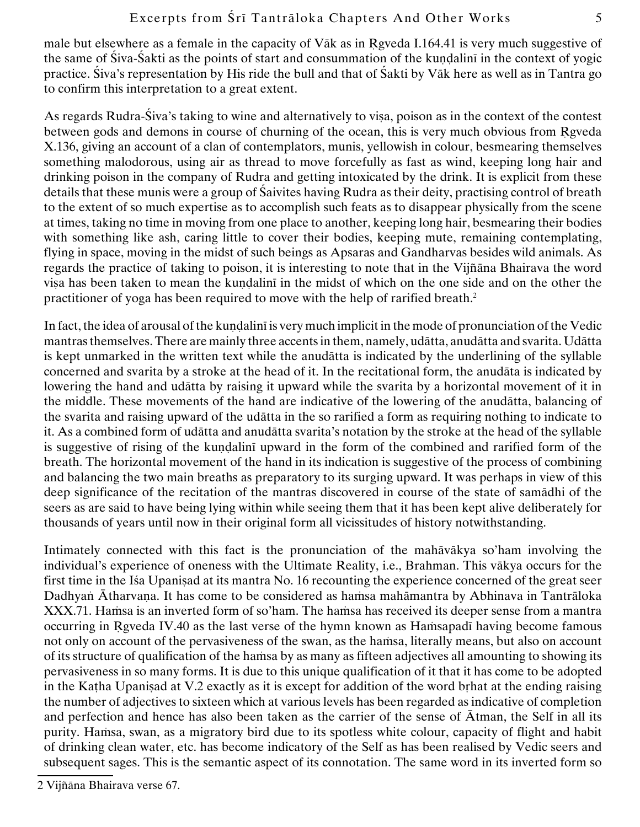male but elsewhere as a female in the capacity of Vāk as in Rgveda I.164.41 is very much suggestive of the same of Siva-Sakti as the points of start and consummation of the kundalini in the context of yogic practice. Çiva's representation by His ride the bull and that of Çakti by Väk here as well as in Tantra go to confirm this interpretation to a great extent.

As regards Rudra-Siva's taking to wine and alternatively to visa, poison as in the context of the contest between gods and demons in course of churning of the ocean, this is very much obvious from Rgveda X.136, giving an account of a clan of contemplators, munis, yellowish in colour, besmearing themselves something malodorous, using air as thread to move forcefully as fast as wind, keeping long hair and drinking poison in the company of Rudra and getting intoxicated by the drink. It is explicit from these details that these munis were a group of Saivites having Rudra as their deity, practising control of breath to the extent of so much expertise as to accomplish such feats as to disappear physically from the scene at times, taking no time in moving from one place to another, keeping long hair, besmearing their bodies with something like ash, caring little to cover their bodies, keeping mute, remaining contemplating, flying in space, moving in the midst of such beings as Apsaras and Gandharvas besides wild animals. As regards the practice of taking to poison, it is interesting to note that in the Vijñana Bhairava the word visa has been taken to mean the kundalini in the midst of which on the one side and on the other the practitioner of yoga has been required to move with the help of rarified breath.2

In fact, the idea of arousal of the kundalini is very much implicit in the mode of pronunciation of the Vedic mantras themselves. There are mainly three accents in them, namely, udätta, anudätta and svarita. Udätta is kept unmarked in the written text while the anudätta is indicated by the underlining of the syllable concerned and svarita by a stroke at the head of it. In the recitational form, the anudäta is indicated by lowering the hand and udätta by raising it upward while the svarita by a horizontal movement of it in the middle. These movements of the hand are indicative of the lowering of the anudätta, balancing of the svarita and raising upward of the udätta in the so rarified a form as requiring nothing to indicate to it. As a combined form of udätta and anudätta svarita's notation by the stroke at the head of the syllable is suggestive of rising of the kundalini upward in the form of the combined and rarified form of the breath. The horizontal movement of the hand in its indication is suggestive of the process of combining and balancing the two main breaths as preparatory to its surging upward. It was perhaps in view of this deep significance of the recitation of the mantras discovered in course of the state of samädhi of the seers as are said to have being lying within while seeing them that it has been kept alive deliberately for thousands of years until now in their original form all vicissitudes of history notwithstanding.

Intimately connected with this fact is the pronunciation of the mahäväkya so'ham involving the individual's experience of oneness with the Ultimate Reality, i.e., Brahman. This väkya occurs for the first time in the Isa Upanisad at its mantra No. 16 recounting the experience concerned of the great seer Dadhyan Ātharvaņa. It has come to be considered as hamsa mahāmantra by Abhinava in Tantrāloka XXX.71. Hamsa is an inverted form of so'ham. The hamsa has received its deeper sense from a mantra occurring in Rgveda IV.40 as the last verse of the hymn known as Hamasapadi having become famous not only on account of the pervasiveness of the swan, as the hamsa, literally means, but also on account of its structure of qualification of the hamsa by as many as fifteen adjectives all amounting to showing its pervasiveness in so many forms. It is due to this unique qualification of it that it has come to be adopted in the Katha Upanisad at V.2 exactly as it is except for addition of the word brhat at the ending raising the number of adjectives to sixteen which at various levels has been regarded as indicative of completion and perfection and hence has also been taken as the carrier of the sense of Ätman, the Self in all its purity. Hamsa, swan, as a migratory bird due to its spotless white colour, capacity of flight and habit of drinking clean water, etc. has become indicatory of the Self as has been realised by Vedic seers and subsequent sages. This is the semantic aspect of its connotation. The same word in its inverted form so

<sup>2</sup> Vijïäna Bhairava verse 67.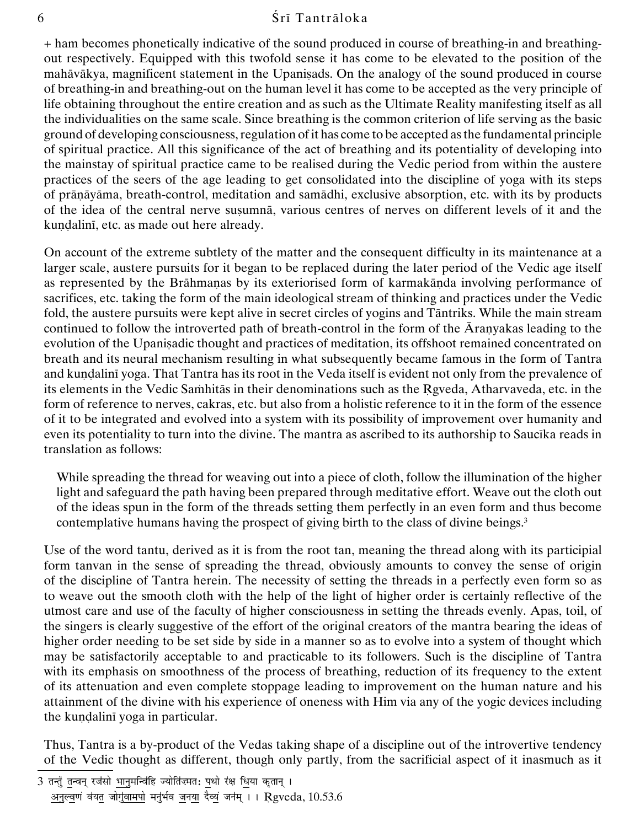#### 6 Sri Tantrāloka

+ ham becomes phonetically indicative of the sound produced in course of breathing-in and breathingout respectively. Equipped with this twofold sense it has come to be elevated to the position of the mahāvākya, magnificent statement in the Upanisads. On the analogy of the sound produced in course of breathing-in and breathing-out on the human level it has come to be accepted as the very principle of life obtaining throughout the entire creation and as such as the Ultimate Reality manifesting itself as all the individualities on the same scale. Since breathing is the common criterion of life serving as the basic ground of developing consciousness, regulation of it has come to be accepted as the fundamental principle of spiritual practice. All this significance of the act of breathing and its potentiality of developing into the mainstay of spiritual practice came to be realised during the Vedic period from within the austere practices of the seers of the age leading to get consolidated into the discipline of yoga with its steps of präëäyäma, breath-control, meditation and samädhi, exclusive absorption, etc. with its by products of the idea of the central nerve susumna, various centres of nerves on different levels of it and the kundalini, etc. as made out here already.

On account of the extreme subtlety of the matter and the consequent difficulty in its maintenance at a larger scale, austere pursuits for it began to be replaced during the later period of the Vedic age itself as represented by the Brāhmanas by its exteriorised form of karmakānda involving performance of sacrifices, etc. taking the form of the main ideological stream of thinking and practices under the Vedic fold, the austere pursuits were kept alive in secret circles of yogins and Täntriks. While the main stream continued to follow the introverted path of breath-control in the form of the  $\bar{A}$ ranyakas leading to the evolution of the Upanisadic thought and practices of meditation, its offshoot remained concentrated on breath and its neural mechanism resulting in what subsequently became famous in the form of Tantra and kundalini yoga. That Tantra has its root in the Veda itself is evident not only from the prevalence of its elements in the Vedic Samhitās in their denominations such as the Reveda, Atharvaveda, etc. in the form of reference to nerves, cakras, etc. but also from a holistic reference to it in the form of the essence of it to be integrated and evolved into a system with its possibility of improvement over humanity and even its potentiality to turn into the divine. The mantra as ascribed to its authorship to Saucika reads in translation as follows:

While spreading the thread for weaving out into a piece of cloth, follow the illumination of the higher light and safeguard the path having been prepared through meditative effort. Weave out the cloth out of the ideas spun in the form of the threads setting them perfectly in an even form and thus become contemplative humans having the prospect of giving birth to the class of divine beings.<sup>3</sup>

Use of the word tantu, derived as it is from the root tan, meaning the thread along with its participial form tanvan in the sense of spreading the thread, obviously amounts to convey the sense of origin of the discipline of Tantra herein. The necessity of setting the threads in a perfectly even form so as to weave out the smooth cloth with the help of the light of higher order is certainly reflective of the utmost care and use of the faculty of higher consciousness in setting the threads evenly. Apas, toil, of the singers is clearly suggestive of the effort of the original creators of the mantra bearing the ideas of higher order needing to be set side by side in a manner so as to evolve into a system of thought which may be satisfactorily acceptable to and practicable to its followers. Such is the discipline of Tantra with its emphasis on smoothness of the process of breathing, reduction of its frequency to the extent of its attenuation and even complete stoppage leading to improvement on the human nature and his attainment of the divine with his experience of oneness with Him via any of the yogic devices including the kundalini yoga in particular.

Thus, Tantra is a by-product of the Vedas taking shape of a discipline out of the introvertive tendency of the Vedic thought as different, though only partly, from the sacrificial aspect of it inasmuch as it

<sup>3</sup> तन्तुं तन्वन् रजसो भानुमन्विहि ज्योतिज़्मत: पथो रंक्ष धिया कृतान् । अनुल्वणं वेयत जोगुंवामपो मनुर्भव जनया दैव्यं जनम् । । Rgveda,  $10.53.6$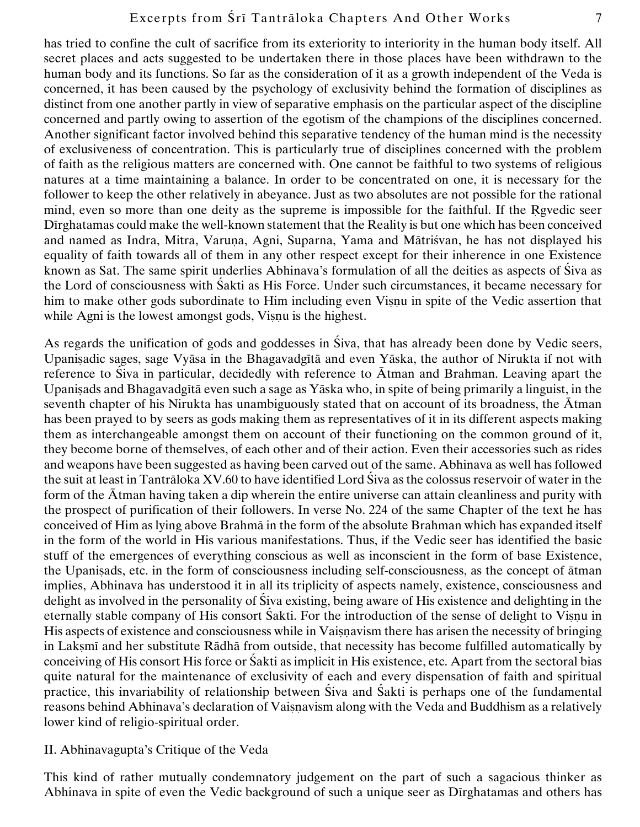has tried to confine the cult of sacrifice from its exteriority to interiority in the human body itself. All secret places and acts suggested to be undertaken there in those places have been withdrawn to the human body and its functions. So far as the consideration of it as a growth independent of the Veda is concerned, it has been caused by the psychology of exclusivity behind the formation of disciplines as distinct from one another partly in view of separative emphasis on the particular aspect of the discipline concerned and partly owing to assertion of the egotism of the champions of the disciplines concerned. Another significant factor involved behind this separative tendency of the human mind is the necessity of exclusiveness of concentration. This is particularly true of disciplines concerned with the problem of faith as the religious matters are concerned with. One cannot be faithful to two systems of religious natures at a time maintaining a balance. In order to be concentrated on one, it is necessary for the follower to keep the other relatively in abeyance. Just as two absolutes are not possible for the rational mind, even so more than one deity as the supreme is impossible for the faithful. If the Rgvedic seer Dirghatamas could make the well-known statement that the Reality is but one which has been conceived and named as Indra, Mitra, Varuņa, Agni, Suparna, Yama and Mātrisvan, he has not displayed his equality of faith towards all of them in any other respect except for their inherence in one Existence known as Sat. The same spirit underlies Abhinava's formulation of all the deities as aspects of Çiva as the Lord of consciousness with Çakti as His Force. Under such circumstances, it became necessary for him to make other gods subordinate to Him including even Visnu in spite of the Vedic assertion that while Agni is the lowest amongst gods, Visnu is the highest.

As regards the unification of gods and goddesses in Siva, that has already been done by Vedic seers, Upanisadic sages, sage Vyāsa in the Bhagavadgītā and even Yāska, the author of Nirukta if not with reference to Çiva in particular, decidedly with reference to Ätman and Brahman. Leaving apart the Upanisads and Bhagavadgītā even such a sage as Yāska who, in spite of being primarily a linguist, in the seventh chapter of his Nirukta has unambiguously stated that on account of its broadness, the Ätman has been prayed to by seers as gods making them as representatives of it in its different aspects making them as interchangeable amongst them on account of their functioning on the common ground of it, they become borne of themselves, of each other and of their action. Even their accessories such as rides and weapons have been suggested as having been carved out of the same. Abhinava as well has followed the suit at least in Tanträloka XV.60 to have identified Lord Çiva as the colossus reservoir of water in the form of the Ätman having taken a dip wherein the entire universe can attain cleanliness and purity with the prospect of purification of their followers. In verse No. 224 of the same Chapter of the text he has conceived of Him as lying above Brahmä in the form of the absolute Brahman which has expanded itself in the form of the world in His various manifestations. Thus, if the Vedic seer has identified the basic stuff of the emergences of everything conscious as well as inconscient in the form of base Existence, the Upaniñads, etc. in the form of consciousness including self-consciousness, as the concept of ätman implies, Abhinava has understood it in all its triplicity of aspects namely, existence, consciousness and delight as involved in the personality of Siva existing, being aware of His existence and delighting in the eternally stable company of His consort Sakti. For the introduction of the sense of delight to Visnu in His aspects of existence and consciousness while in Vaisnavism there has arisen the necessity of bringing in Laksmi and her substitute Rädhä from outside, that necessity has become fulfilled automatically by conceiving of His consort His force or Çakti as implicit in His existence, etc. Apart from the sectoral bias quite natural for the maintenance of exclusivity of each and every dispensation of faith and spiritual practice, this invariability of relationship between Çiva and Çakti is perhaps one of the fundamental reasons behind Abhinava's declaration of Vaiṣṇavism along with the Veda and Buddhism as a relatively lower kind of religio-spiritual order.

#### II. Abhinavagupta's Critique of the Veda

This kind of rather mutually condemnatory judgement on the part of such a sagacious thinker as Abhinava in spite of even the Vedic background of such a unique seer as Dirghatamas and others has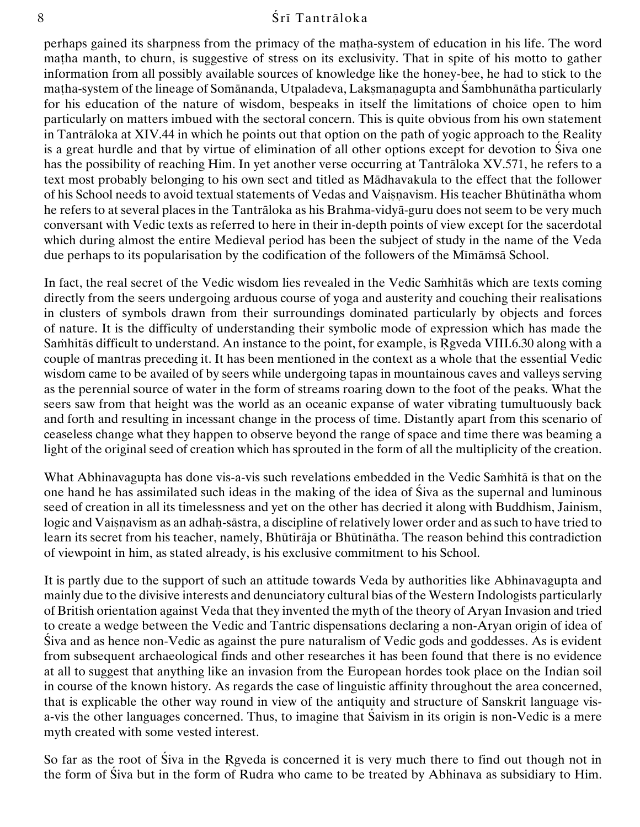#### 8 Srī Tantrāloka

perhaps gained its sharpness from the primacy of the matha-system of education in his life. The word matha manth, to churn, is suggestive of stress on its exclusivity. That in spite of his motto to gather information from all possibly available sources of knowledge like the honey-bee, he had to stick to the matha-system of the lineage of Somänanda, Utpaladeva, Laksmanagupta and Sambhunätha particularly for his education of the nature of wisdom, bespeaks in itself the limitations of choice open to him particularly on matters imbued with the sectoral concern. This is quite obvious from his own statement in Tanträloka at XIV.44 in which he points out that option on the path of yogic approach to the Reality is a great hurdle and that by virtue of elimination of all other options except for devotion to Çiva one has the possibility of reaching Him. In yet another verse occurring at Tanträloka XV.571, he refers to a text most probably belonging to his own sect and titled as Mädhavakula to the effect that the follower of his School needs to avoid textual statements of Vedas and Vaisnavism. His teacher Bhūtinātha whom he refers to at several places in the Tanträloka as his Brahma-vidyä-guru does not seem to be very much conversant with Vedic texts as referred to here in their in-depth points of view except for the sacerdotal which during almost the entire Medieval period has been the subject of study in the name of the Veda due perhaps to its popularisation by the codification of the followers of the Mimamsa School.

In fact, the real secret of the Vedic wisdom lies revealed in the Vedic Samhitas which are texts coming directly from the seers undergoing arduous course of yoga and austerity and couching their realisations in clusters of symbols drawn from their surroundings dominated particularly by objects and forces of nature. It is the difficulty of understanding their symbolic mode of expression which has made the Samhitās difficult to understand. An instance to the point, for example, is Rgveda VIII.6.30 along with a couple of mantras preceding it. It has been mentioned in the context as a whole that the essential Vedic wisdom came to be availed of by seers while undergoing tapas in mountainous caves and valleys serving as the perennial source of water in the form of streams roaring down to the foot of the peaks. What the seers saw from that height was the world as an oceanic expanse of water vibrating tumultuously back and forth and resulting in incessant change in the process of time. Distantly apart from this scenario of ceaseless change what they happen to observe beyond the range of space and time there was beaming a light of the original seed of creation which has sprouted in the form of all the multiplicity of the creation.

What Abhinavagupta has done vis-a-vis such revelations embedded in the Vedic Samhita is that on the one hand he has assimilated such ideas in the making of the idea of Çiva as the supernal and luminous seed of creation in all its timelessness and yet on the other has decried it along with Buddhism, Jainism, logic and Vaisnavism as an adhah-sästra, a discipline of relatively lower order and as such to have tried to learn its secret from his teacher, namely, Bhütiräja or Bhütinätha. The reason behind this contradiction of viewpoint in him, as stated already, is his exclusive commitment to his School.

It is partly due to the support of such an attitude towards Veda by authorities like Abhinavagupta and mainly due to the divisive interests and denunciatory cultural bias of the Western Indologists particularly of British orientation against Veda that they invented the myth of the theory of Aryan Invasion and tried to create a wedge between the Vedic and Tantric dispensations declaring a non-Aryan origin of idea of Siva and as hence non-Vedic as against the pure naturalism of Vedic gods and goddesses. As is evident from subsequent archaeological finds and other researches it has been found that there is no evidence at all to suggest that anything like an invasion from the European hordes took place on the Indian soil in course of the known history. As regards the case of linguistic affinity throughout the area concerned, that is explicable the other way round in view of the antiquity and structure of Sanskrit language visa-vis the other languages concerned. Thus, to imagine that Çaivism in its origin is non-Vedic is a mere myth created with some vested interest.

So far as the root of Siva in the Rgveda is concerned it is very much there to find out though not in the form of Çiva but in the form of Rudra who came to be treated by Abhinava as subsidiary to Him.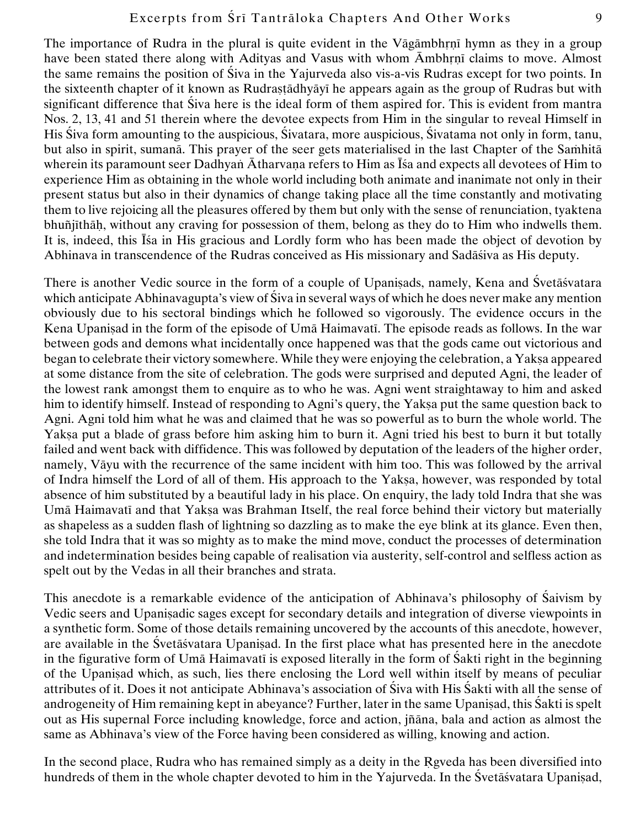The importance of Rudra in the plural is quite evident in the Vägämbhrni hymn as they in a group have been stated there along with Adityas and Vasus with whom Ambhrni claims to move. Almost the same remains the position of Çiva in the Yajurveda also vis-a-vis Rudras except for two points. In the sixteenth chapter of it known as Rudrastadhyayi he appears again as the group of Rudras but with significant difference that Siva here is the ideal form of them aspired for. This is evident from mantra Nos. 2, 13, 41 and 51 therein where the devotee expects from Him in the singular to reveal Himself in His Siva form amounting to the auspicious, Sivatara, more auspicious, Sivatama not only in form, tanu, but also in spirit, sumanā. This prayer of the seer gets materialised in the last Chapter of the Samhitā wherein its paramount seer Dadhyan  $\bar{A}$ tharvana refers to Him as Isa and expects all devotees of Him to experience Him as obtaining in the whole world including both animate and inanimate not only in their present status but also in their dynamics of change taking place all the time constantly and motivating them to live rejoicing all the pleasures offered by them but only with the sense of renunciation, tyaktena bhunijthāḥ, without any craving for possession of them, belong as they do to Him who indwells them. It is, indeed, this Isa in His gracious and Lordly form who has been made the object of devotion by Abhinava in transcendence of the Rudras conceived as His missionary and Sadäçiva as His deputy.

There is another Vedic source in the form of a couple of Upanisads, namely, Kena and Śvetāśvatara which anticipate Abhinavagupta's view of Siva in several ways of which he does never make any mention obviously due to his sectoral bindings which he followed so vigorously. The evidence occurs in the Kena Upanisad in the form of the episode of Umā Haimavatī. The episode reads as follows. In the war between gods and demons what incidentally once happened was that the gods came out victorious and began to celebrate their victory somewhere. While they were enjoying the celebration, a Yaksa appeared at some distance from the site of celebration. The gods were surprised and deputed Agni, the leader of the lowest rank amongst them to enquire as to who he was. Agni went straightaway to him and asked him to identify himself. Instead of responding to Agni's query, the Yakṣa put the same question back to Agni. Agni told him what he was and claimed that he was so powerful as to burn the whole world. The Yakṣa put a blade of grass before him asking him to burn it. Agni tried his best to burn it but totally failed and went back with diffidence. This was followed by deputation of the leaders of the higher order, namely, Väyu with the recurrence of the same incident with him too. This was followed by the arrival of Indra himself the Lord of all of them. His approach to the Yakṣa, however, was responded by total absence of him substituted by a beautiful lady in his place. On enquiry, the lady told Indra that she was Umā Haimavatī and that Yakṣa was Brahman Itself, the real force behind their victory but materially as shapeless as a sudden flash of lightning so dazzling as to make the eye blink at its glance. Even then, she told Indra that it was so mighty as to make the mind move, conduct the processes of determination and indetermination besides being capable of realisation via austerity, self-control and selfless action as spelt out by the Vedas in all their branches and strata.

This anecdote is a remarkable evidence of the anticipation of Abhinava's philosophy of Saivism by Vedic seers and Upanisadic sages except for secondary details and integration of diverse viewpoints in a synthetic form. Some of those details remaining uncovered by the accounts of this anecdote, however, are available in the Sveta svatara Upanisad. In the first place what has presented here in the anecdote in the figurative form of Umā Haimavatī is exposed literally in the form of Sakti right in the beginning of the Upanisad which, as such, lies there enclosing the Lord well within itself by means of peculiar attributes of it. Does it not anticipate Abhinava's association of Siva with His Sakti with all the sense of androgeneity of Him remaining kept in abeyance? Further, later in the same Upanisad, this Sakti is spelt out as His supernal Force including knowledge, force and action, jïäna, bala and action as almost the same as Abhinava's view of the Force having been considered as willing, knowing and action.

In the second place, Rudra who has remained simply as a deity in the Rgveda has been diversified into hundreds of them in the whole chapter devoted to him in the Yajurveda. In the Śvetāśvatara Upanisad,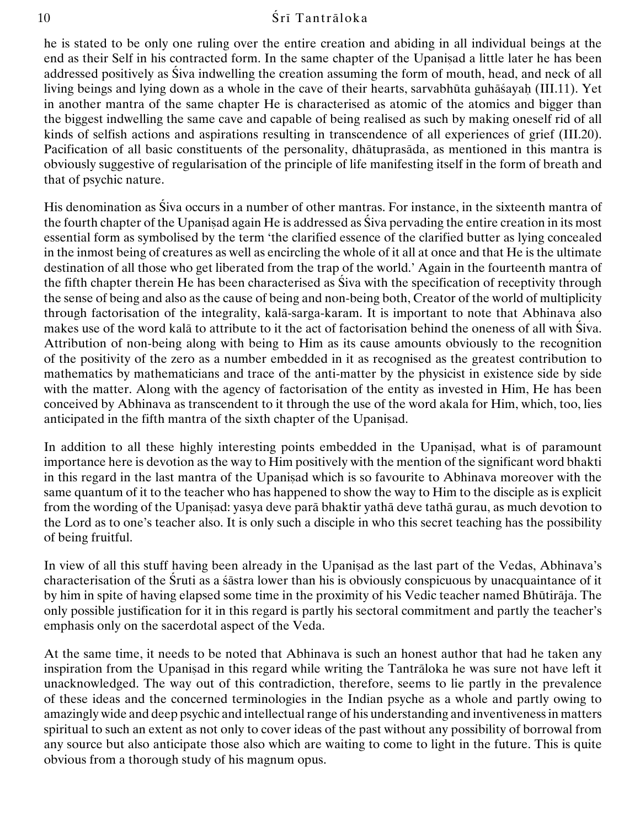#### 10 Srī Tantrāloka

he is stated to be only one ruling over the entire creation and abiding in all individual beings at the end as their Self in his contracted form. In the same chapter of the Upanisad a little later he has been addressed positively as Çiva indwelling the creation assuming the form of mouth, head, and neck of all living beings and lying down as a whole in the cave of their hearts, sarvabhüta guhäçayaù (III.11). Yet in another mantra of the same chapter He is characterised as atomic of the atomics and bigger than the biggest indwelling the same cave and capable of being realised as such by making oneself rid of all kinds of selfish actions and aspirations resulting in transcendence of all experiences of grief (III.20). Pacification of all basic constituents of the personality, dhätuprasäda, as mentioned in this mantra is obviously suggestive of regularisation of the principle of life manifesting itself in the form of breath and that of psychic nature.

His denomination as Siva occurs in a number of other mantras. For instance, in the sixteenth mantra of the fourth chapter of the Upanisad again He is addressed as Siva pervading the entire creation in its most essential form as symbolised by the term 'the clarified essence of the clarified butter as lying concealed in the inmost being of creatures as well as encircling the whole of it all at once and that He is the ultimate destination of all those who get liberated from the trap of the world.' Again in the fourteenth mantra of the fifth chapter therein He has been characterised as Çiva with the specification of receptivity through the sense of being and also as the cause of being and non-being both, Creator of the world of multiplicity through factorisation of the integrality, kalä-sarga-karam. It is important to note that Abhinava also makes use of the word kalā to attribute to it the act of factorisation behind the oneness of all with Siva. Attribution of non-being along with being to Him as its cause amounts obviously to the recognition of the positivity of the zero as a number embedded in it as recognised as the greatest contribution to mathematics by mathematicians and trace of the anti-matter by the physicist in existence side by side with the matter. Along with the agency of factorisation of the entity as invested in Him, He has been conceived by Abhinava as transcendent to it through the use of the word akala for Him, which, too, lies anticipated in the fifth mantra of the sixth chapter of the Upanisad.

In addition to all these highly interesting points embedded in the Upanisad, what is of paramount importance here is devotion as the way to Him positively with the mention of the significant word bhakti in this regard in the last mantra of the Upanisad which is so favourite to Abhinava moreover with the same quantum of it to the teacher who has happened to show the way to Him to the disciple as is explicit from the wording of the Upanisad: yasya deve parā bhaktir yathā deve tathā gurau, as much devotion to the Lord as to one's teacher also. It is only such a disciple in who this secret teaching has the possibility of being fruitful.

In view of all this stuff having been already in the Upanisad as the last part of the Vedas, Abhinava's characterisation of the Çruti as a çästra lower than his is obviously conspicuous by unacquaintance of it by him in spite of having elapsed some time in the proximity of his Vedic teacher named Bhütiräja. The only possible justification for it in this regard is partly his sectoral commitment and partly the teacher's emphasis only on the sacerdotal aspect of the Veda.

At the same time, it needs to be noted that Abhinava is such an honest author that had he taken any inspiration from the Upanisad in this regard while writing the Tantrāloka he was sure not have left it unacknowledged. The way out of this contradiction, therefore, seems to lie partly in the prevalence of these ideas and the concerned terminologies in the Indian psyche as a whole and partly owing to amazingly wide and deep psychic and intellectual range of his understanding and inventiveness in matters spiritual to such an extent as not only to cover ideas of the past without any possibility of borrowal from any source but also anticipate those also which are waiting to come to light in the future. This is quite obvious from a thorough study of his magnum opus.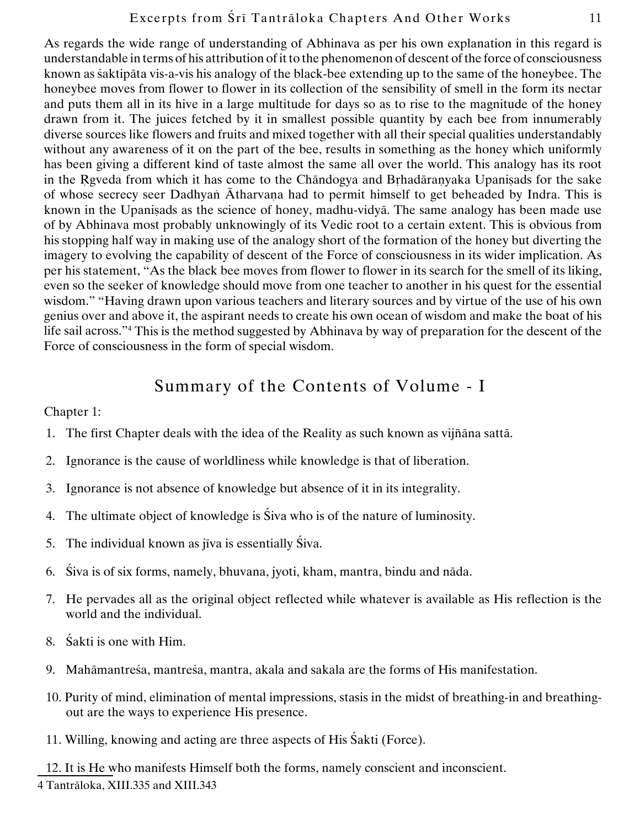As regards the wide range of understanding of Abhinava as per his own explanation in this regard is understandable in terms of his attribution of it to the phenomenon of descent of the force of consciousness known as saktipāta vis-a-vis his analogy of the black-bee extending up to the same of the honeybee. The honeybee moves from flower to flower in its collection of the sensibility of smell in the form its nectar and puts them all in its hive in a large multitude for days so as to rise to the magnitude of the honey drawn from it. The juices fetched by it in smallest possible quantity by each bee from innumerably diverse sources like flowers and fruits and mixed together with all their special qualities understandably without any awareness of it on the part of the bee, results in something as the honey which uniformly has been giving a different kind of taste almost the same all over the world. This analogy has its root in the Reveda from which it has come to the Chandogya and Brhadaranyaka Upanisads for the sake of whose secrecy seer Dadhyan Atharvana had to permit himself to get beheaded by Indra. This is known in the Upanisads as the science of honey, madhu-vidya. The same analogy has been made use of by Abhinava most probably unknowingly of its Vedic root to a certain extent. This is obvious from his stopping half way in making use of the analogy short of the formation of the honey but diverting the imagery to evolving the capability of descent of the Force of consciousness in its wider implication. As per his statement, "As the black bee moves from flower to flower in its search for the smell of its liking, even so the seeker of knowledge should move from one teacher to another in his quest for the essential wisdom." "Having drawn upon various teachers and literary sources and by virtue of the use of his own genius over and above it, the aspirant needs to create his own ocean of wisdom and make the boat of his life sail across."4 This is the method suggested by Abhinava by way of preparation for the descent of the Force of consciousness in the form of special wisdom.

### Summary of the Contents of Volume - I

Chapter 1:

- 1. The first Chapter deals with the idea of the Reality as such known as vijñana satta.
- 2. Ignorance is the cause of worldliness while knowledge is that of liberation.
- 3. Ignorance is not absence of knowledge but absence of it in its integrality.
- 4. The ultimate object of knowledge is Çiva who is of the nature of luminosity.
- 5. The individual known as jīva is essentially Siva.
- 6. Çiva is of six forms, namely, bhuvana, jyoti, kham, mantra, bindu and näda.
- 7. He pervades all as the original object reflected while whatever is available as His reflection is the world and the individual.
- 8. Çakti is one with Him.
- 9. Mahämantreça, mantreça, mantra, akala and sakala are the forms of His manifestation.
- 10. Purity of mind, elimination of mental impressions, stasis in the midst of breathing-in and breathingout are the ways to experience His presence.
- 11. Willing, knowing and acting are three aspects of His Çakti (Force).

12. It is He who manifests Himself both the forms, namely conscient and inconscient.

4 Tanträloka, XIII.335 and XIII.343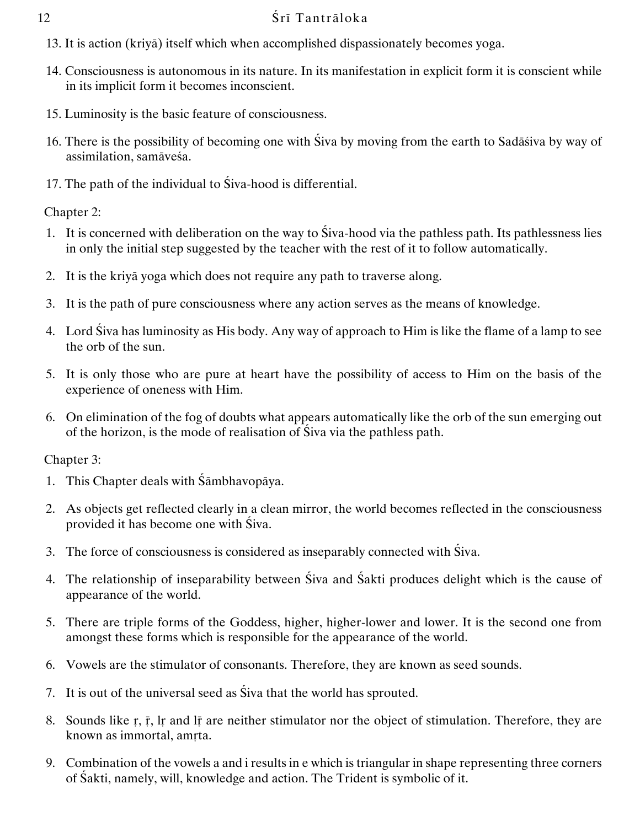#### 12 Sri Tanträloka

- 13. It is action (kriyä) itself which when accomplished dispassionately becomes yoga.
- 14. Consciousness is autonomous in its nature. In its manifestation in explicit form it is conscient while in its implicit form it becomes inconscient.
- 15. Luminosity is the basic feature of consciousness.
- 16. There is the possibility of becoming one with Siva by moving from the earth to Sadāsiva by way of assimilation, samäveça.
- 17. The path of the individual to Siva-hood is differential.

#### Chapter 2:

- 1. It is concerned with deliberation on the way to Çiva-hood via the pathless path. Its pathlessness lies in only the initial step suggested by the teacher with the rest of it to follow automatically.
- 2. It is the kriyä yoga which does not require any path to traverse along.
- 3. It is the path of pure consciousness where any action serves as the means of knowledge.
- 4. Lord Çiva has luminosity as His body. Any way of approach to Him is like the flame of a lamp to see the orb of the sun.
- 5. It is only those who are pure at heart have the possibility of access to Him on the basis of the experience of oneness with Him.
- 6. On elimination of the fog of doubts what appears automatically like the orb of the sun emerging out of the horizon, is the mode of realisation of Çiva via the pathless path.

#### Chapter 3:

- 1. This Chapter deals with Çämbhavopäya.
- 2. As objects get reflected clearly in a clean mirror, the world becomes reflected in the consciousness provided it has become one with Çiva.
- 3. The force of consciousness is considered as inseparably connected with Çiva.
- 4. The relationship of inseparability between Siva and Sakti produces delight which is the cause of appearance of the world.
- 5. There are triple forms of the Goddess, higher, higher-lower and lower. It is the second one from amongst these forms which is responsible for the appearance of the world.
- 6. Vowels are the stimulator of consonants. Therefore, they are known as seed sounds.
- 7. It is out of the universal seed as Siva that the world has sprouted.
- 8. Sounds like  $r, \bar{r}$ , l $r$  and l $\bar{r}$  are neither stimulator nor the object of stimulation. Therefore, they are known as immortal, amrta.
- 9. Combination of the vowels a and i results in e which is triangular in shape representing three corners of Çakti, namely, will, knowledge and action. The Trident is symbolic of it.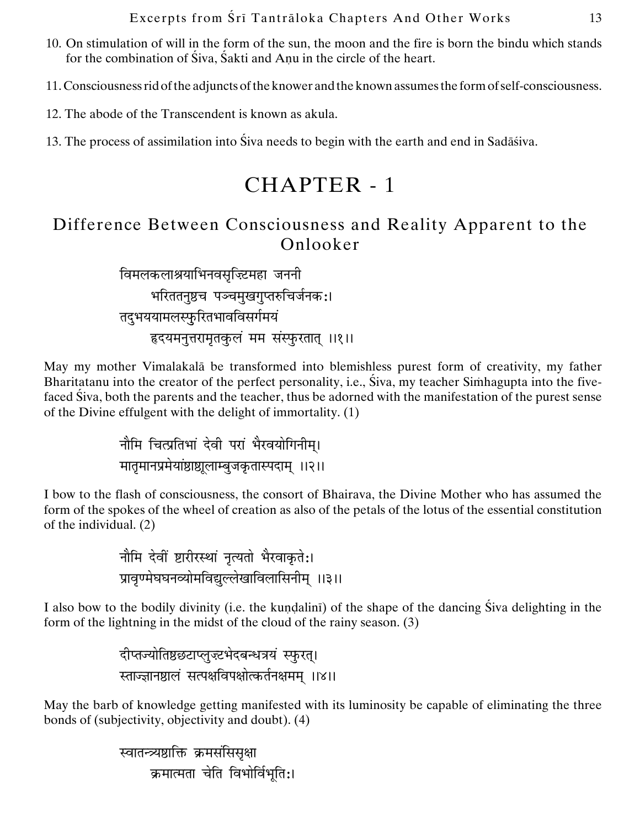- 10. On stimulation of will in the form of the sun, the moon and the fire is born the bindu which stands for the combination of Siva, Sakti and Anu in the circle of the heart.
- 11. Consciousness rid of the adjuncts of the knower and the known assumes the form of self-consciousness.
- 12. The abode of the Transcendent is known as akula.
- 13. The process of assimilation into Siva needs to begin with the earth and end in Sadasiva.

# $CHAPTER - 1$

### Difference Between Consciousness and Reality Apparent to the Onlooker

विमलकलाश्रयाभिनवसृज्टिमहा जननी भरिततनुष्ठच पञ्चमुखगुप्तरुचिर्जनक:। तदुभययामलस्फुरितभावविसर्गमयं हृदयमनुत्तरामृतकुलं मम संस्फुरतात् ॥१॥

May my mother Vimalakala be transformed into blemishless purest form of creativity, my father Bharitatanu into the creator of the perfect personality, i.e., Siva, my teacher Simhagupta into the fivefaced Siva, both the parents and the teacher, thus be adorned with the manifestation of the purest sense of the Divine effulgent with the delight of immortality. (1)

> नौमि चित्प्रतिभां देवी परां भैरवयोगिनीम्। मातमानप्रमेयांष्ठाष्ठालाम्बजकतास्पदाम् ॥२॥

I bow to the flash of consciousness, the consort of Bhairava, the Divine Mother who has assumed the form of the spokes of the wheel of creation as also of the petals of the lotus of the essential constitution of the individual.  $(2)$ 

> नौमि देवीं ष्टारीरस्थां नृत्यतो भैरवाकृते:। प्रावण्मेघघनव्योमविद्यल्लेखाविलासिनीम ॥३॥

I also bow to the bodily divinity (i.e. the kundalini) of the shape of the dancing Siva delighting in the form of the lightning in the midst of the cloud of the rainy season. (3)

> दीप्तज्योतिष्ठछटाप्लुज्टभेदबन्धत्रयं स्फरत। स्ताज्ज्ञानष्ठालं सत्पक्षविपक्षोत्कर्तनक्षमम् ।।४।।

May the barb of knowledge getting manifested with its luminosity be capable of eliminating the three bonds of (subjectivity, objectivity and doubt). (4)

> स्वातन्त्र्यष्ठाक्ति क्रमसंसिसृक्षा क्रमात्मता चेति विभोर्विभूति:।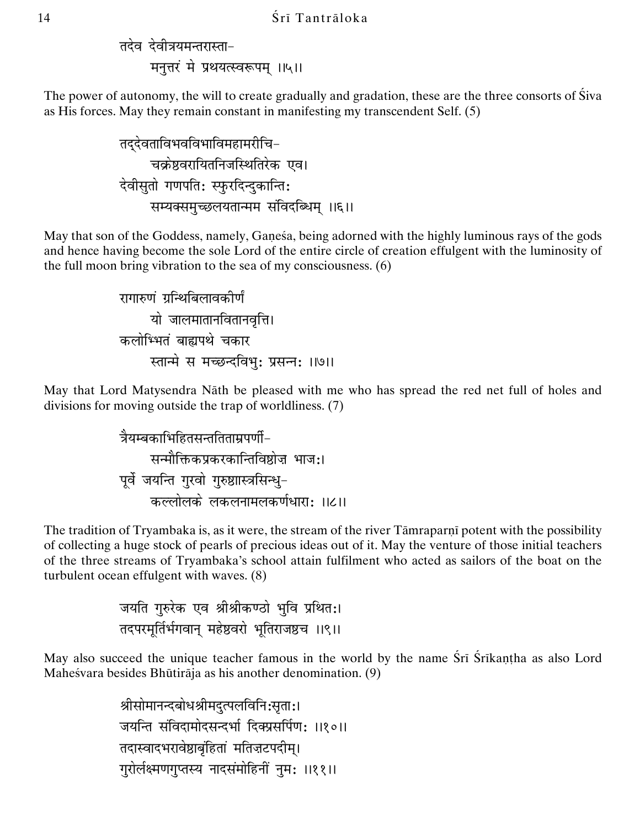तदेव देवीत्रयमन्तरास्ता-मनुत्तरं मे प्रथयत्स्वरूपम् ॥५॥

The power of autonomy, the will to create gradually and gradation, these are the three consorts of Siva as His forces. May they remain constant in manifesting my transcendent Self. (5)

> तदुदेवताविभवविभाविमहामरीचि-चक्रेष्ठवरायितनिजस्थितिरेक एव। देवीसतो गणपति: स्फरदिन्दकान्ति: सम्यक्समच्छलयतान्मम संविदब्धिम ॥६॥

May that son of the Goddess, namely, Ganesa, being adorned with the highly luminous rays of the gods and hence having become the sole Lord of the entire circle of creation effulgent with the luminosity of the full moon bring vibration to the sea of my consciousness.  $(6)$ 

> रागारुणं ग्रन्थिबिलावकीर्णं यो जालमातानवितानवत्ति। कलोभ्भितं बाह्यपथे चकार स्तान्मे स मच्छन्दविभ: प्रसन्न: ॥७॥

May that Lord Matysendra Nath be pleased with me who has spread the red net full of holes and divisions for moving outside the trap of worldliness. (7)

> त्रैयम्बकाभिहितसन्ततिताम्रपर्णी-सन्मौक्तिकप्रकरकान्तिविष्ठोज भाज:। पूर्वे जयन्ति गुरवो गुरुष्ठाास्त्रसिन्धु-कल्लोलके लकलनामलकर्णधाराः ॥८॥

The tradition of Tryambaka is, as it were, the stream of the river Tamraparni potent with the possibility of collecting a huge stock of pearls of precious ideas out of it. May the venture of those initial teachers of the three streams of Tryambaka's school attain fulfilment who acted as sailors of the boat on the turbulent ocean effulgent with waves. (8)

> जयति गरुरेक एव श्रीश्रीकण्ठो भवि प्रथित:। तदपरमूर्तिर्भगवान् महेष्ठवरो भूतिराजष्ठच ।।९।।

May also succeed the unique teacher famous in the world by the name Srī Srīkantha as also Lord Mahesvara besides Bhūtirāja as his another denomination. (9)

> श्रीसोमानन्दबोधश्रीमदुत्पलविनि:सृता:। जयन्ति संविदामोदसन्दर्भा दिक्प्रसर्पिण: ॥१०॥ तदास्वादभरावेष्ठाबुंहितां मतिजटपदीम्। गुरोर्लक्ष्मणगुप्तस्य नादसंमोहिनीं नुम: ॥११॥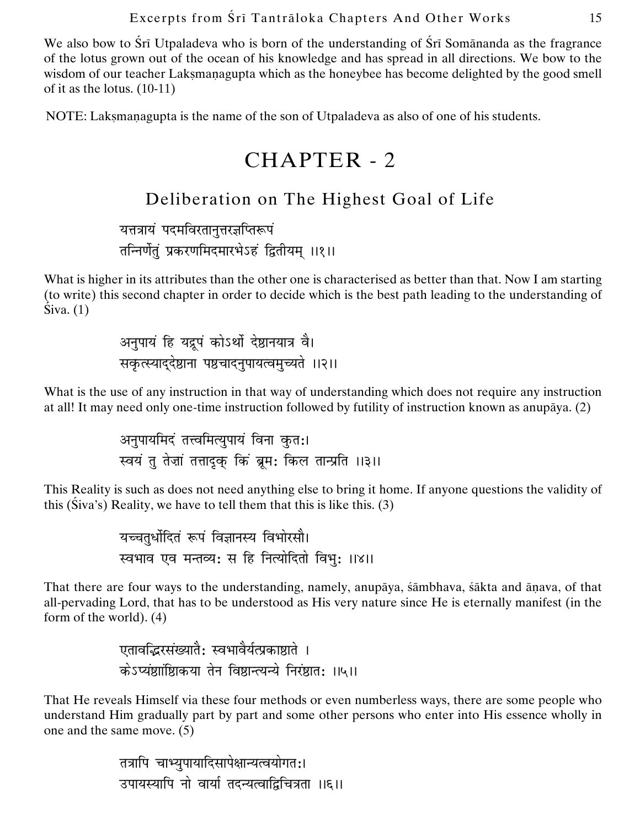We also bow to Sri Utpaladeva who is born of the understanding of Sri Somananda as the fragrance of the lotus grown out of the ocean of his knowledge and has spread in all directions. We bow to the wisdom of our teacher Laksmanagupta which as the honeybee has become delighted by the good smell of it as the lotus. (10-11)

NOTE: Lakṣmaṇagupta is the name of the son of Utpaladeva as also of one of his students.

# CHAPTER - 2

## Deliberation on The Highest Goal of Life

यत्तत्रायं पदमविरतानत्तरज्ञप्तिरूपं तन्निर्णेतुं प्रकरणमिदमारभेऽहं द्वितीयम् ॥१॥

What is higher in its attributes than the other one is characterised as better than that. Now I am starting (to write) this second chapter in order to decide which is the best path leading to the understanding of Siva.  $(1)$ 

> अनुपायं हि यद्रूपं कोऽर्थो देष्ठानयात्र वै। सकत्स्याददेष्ठाना पष्ठचादनपायत्वमच्यते ॥२॥

What is the use of any instruction in that way of understanding which does not require any instruction at all! It may need only one-time instruction followed by futility of instruction known as anupäya. (2)

> अनुपायमिदं तत्त्वमित्युपायं विना कृत:। स्वयं त तेज़ां तत्तादक किं ब्रम: किल तान्प्रति ।।३।।

This Reality is such as does not need anything else to bring it home. If anyone questions the validity of this (Çiva's) Reality, we have to tell them that this is like this. (3)

> यच्चतर्धोदितं रूपं विज्ञानस्य विभोरसौ। स्वभाव एव मन्तव्य: स हि नित्योदितो विभ: ।।४।।

That there are four ways to the understanding, namely, anupäya, sämbhava, säkta and änava, of that all-pervading Lord, that has to be understood as His very nature since He is eternally manifest (in the form of the world). (4)

,rkof�jla[;krS% LoHkkoS;ZRizdk'krs A ds¿I;a'kkaf'kd;k rsu fo'kUR;U;s fuja'kr% AAÿAA

That He reveals Himself via these four methods or even numberless ways, there are some people who understand Him gradually part by part and some other persons who enter into His essence wholly in one and the same move. (5)

> तत्रापि चाभ्युपायादिसापेक्षान्यत्वयोगत:। उपायस्यापि नो वार्या तदन्यत्वाद्विचित्रता ।।६।।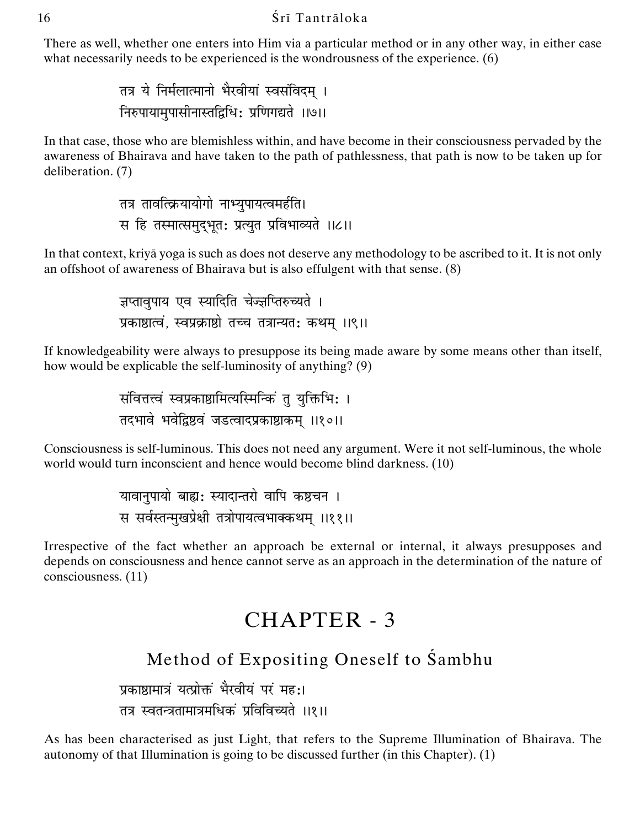There as well, whether one enters into Him via a particular method or in any other way, in either case what necessarily needs to be experienced is the wondrousness of the experience. (6)

> तत्र ये निर्मलात्मानो भैरवीयां स्वसंविदम् । निरुपायामुपासीनास्तद्विधि: प्रणिगद्यते ।।७।।

In that case, those who are blemishless within, and have become in their consciousness pervaded by the awareness of Bhairava and have taken to the path of pathlessness, that path is now to be taken up for deliberation.  $(7)$ 

> तत्र तावत्क्रियायोगो नाभ्युपायत्वमर्हति। स हि तस्मात्समदभत: प्रत्यत प्रविभाव्यते ॥८॥

In that context, kriya yoga is such as does not deserve any methodology to be ascribed to it. It is not only an offshoot of awareness of Bhairava but is also effulgent with that sense. (8)

> ज्ञप्तावपाय एव स्यादिति चेन्ज्ञप्तिरुच्यते । प्रकाष्ठात्वं, स्वप्रक्राष्ठो तच्च तत्रान्यत: कथम् ॥९॥

If knowledgeability were always to presuppose its being made aware by some means other than itself, how would be explicable the self-luminosity of anything? (9)

> संवित्तत्वं स्वप्रकाष्ठामित्यस्मिन्किं त यक्तिभि: । तदभावे भवेद्गिष्ठवं जडत्वादप्रकाष्ठाकम ॥१०॥

Consciousness is self-luminous. This does not need any argument. Were it not self-luminous, the whole world would turn inconscient and hence would become blind darkness. (10)

> यावानुपायो बाह्य: स्यादान्तरो वापि कष्ठचन । स सर्वस्तन्मखप्रेक्षी तत्रोपायत्वभाक्कथम ॥११॥

Irrespective of the fact whether an approach be external or internal, it always presupposes and depends on consciousness and hence cannot serve as an approach in the determination of the nature of consciousness. (11)

# **CHAPTER - 3**

## Method of Expositing Oneself to Sambhu

प्रकाष्ठामात्रं यत्प्रोक्तं भैरवीयं परं मह:। तत्र स्वतन्त्रतामात्रमधिकं प्रविविच्यते ॥१॥

As has been characterised as just Light, that refers to the Supreme Illumination of Bhairava. The autonomy of that Illumination is going to be discussed further (in this Chapter). (1)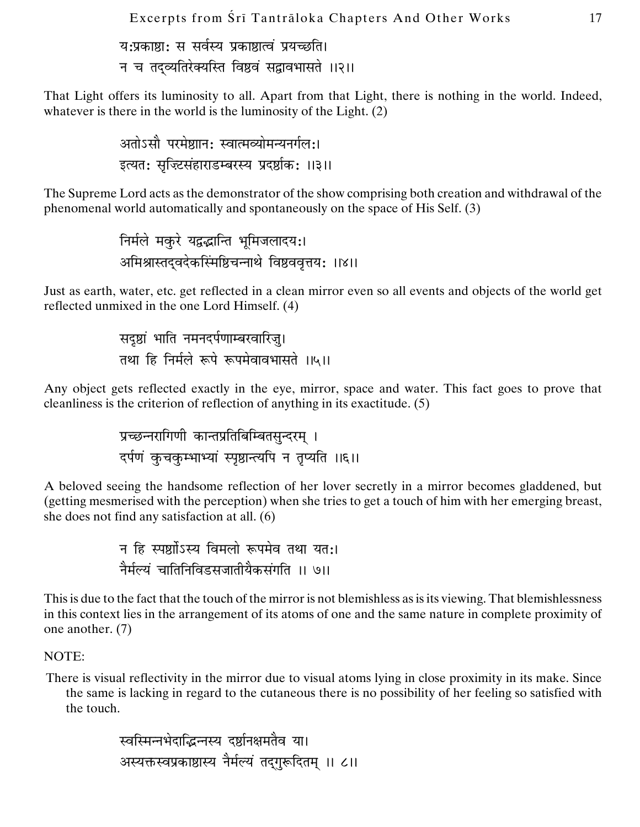य:प्रकाष्ठा: स सर्वस्य प्रकाष्ठात्वं प्रयच्छति। न च तद्व्यतिरेक्यस्ति विष्ठवं सद्वावभासते ॥२॥

That Light offers its luminosity to all. Apart from that Light, there is nothing in the world. Indeed, whatever is there in the world is the luminosity of the Light.  $(2)$ 

> अतोऽसौ परमेष्राान: स्वात्मव्योमन्यनर्गल:। इत्यत: सज्टिसंहाराडम्बरस्य प्रदर्ष्ठाक: ॥३॥

The Supreme Lord acts as the demonstrator of the show comprising both creation and withdrawal of the phenomenal world automatically and spontaneously on the space of His Self. (3)

> निर्मले मकरे यद्वद्धान्ति भूमिजलादय:। अमिश्रास्तद्वदेकस्मिष्ठिचन्नाथे विष्ठववृत्तय: ।।४।।

Just as earth, water, etc. get reflected in a clean mirror even so all events and objects of the world get reflected unmixed in the one Lord Himself. (4)

> सदुष्ठां भाति नमनदर्पणाम्बरवारिजु। तथा हि निर्मले रूपे रूपमेवावभासते ॥५॥

Any object gets reflected exactly in the eye, mirror, space and water. This fact goes to prove that cleanliness is the criterion of reflection of anything in its exactitude. (5)

> प्रच्छन्नरागिणी कान्तप्रतिबिम्बितसुन्दरम् । दर्पणं कुचकुम्भाभ्यां स्पृष्ठान्त्यपि न तृप्यति ॥६॥

A beloved seeing the handsome reflection of her lover secretly in a mirror becomes gladdened, but (getting mesmerised with the perception) when she tries to get a touch of him with her emerging breast, she does not find any satisfaction at all. (6)

> न हि स्पर्शोऽस्य विमलो रूपमेव तथा यत:। नैर्मल्यं चातिनिविडसजातीयैकसंगति ॥ ७॥

This is due to the fact that the touch of the mirror is not blemishless as is its viewing. That blemishlessness in this context lies in the arrangement of its atoms of one and the same nature in complete proximity of one another.  $(7)$ 

NOTE:

There is visual reflectivity in the mirror due to visual atoms lying in close proximity in its make. Since the same is lacking in regard to the cutaneous there is no possibility of her feeling so satisfied with the touch.

> स्वस्मिन्नभेदाद्धिन्नस्य दर्ष्ठानक्षमतैव या। अस्यक्तस्वप्रकाष्ठास्य नैर्मल्यं तद्गुरूदितम् ॥ ८॥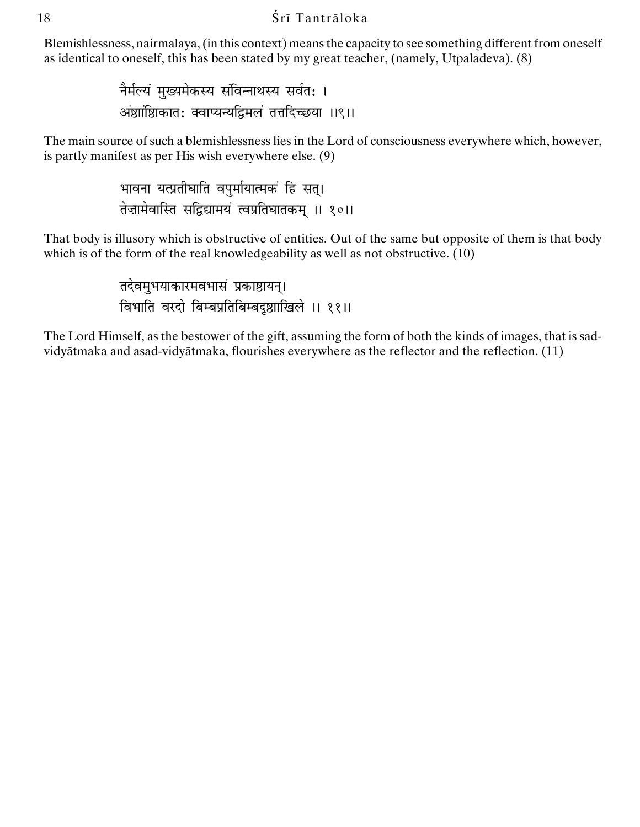Blemishlessness, nairmalaya, (in this context) means the capacity to see something different from oneself as identical to oneself, this has been stated by my great teacher, (namely, Utpaladeva). (8)

> नैर्मल्यं मुख्यमेकस्य संविन्नाथस्य सर्वत: । अंष्ठाांष्ठिाकात: क्वाप्यन्यद्विमलं तत्तदिच्छया ॥९॥

The main source of such a blemishlessness lies in the Lord of consciousness everywhere which, however, is partly manifest as per His wish everywhere else. (9)

> भावना यत्प्रतीघाति वपुर्मायात्मकं हि सत्। तेजामेवास्ति सद्विद्यामयं त्वप्रतिघातकम् ॥ १०॥

That body is illusory which is obstructive of entities. Out of the same but opposite of them is that body which is of the form of the real knowledgeability as well as not obstructive. (10)

> तदेवमुभयाकारमवभासं प्रकाष्ठायन्। विभाति वरदो बिम्बप्रतिबिम्बदुष्ठााखिले ॥ ११॥

The Lord Himself, as the bestower of the gift, assuming the form of both the kinds of images, that is sadvidyātmaka and asad-vidyātmaka, flourishes everywhere as the reflector and the reflection. (11)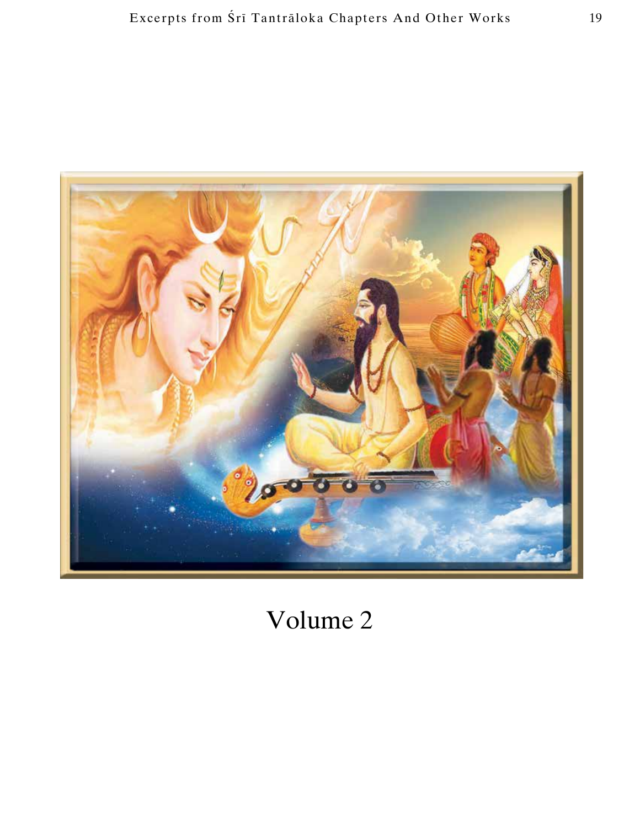

# Volume 2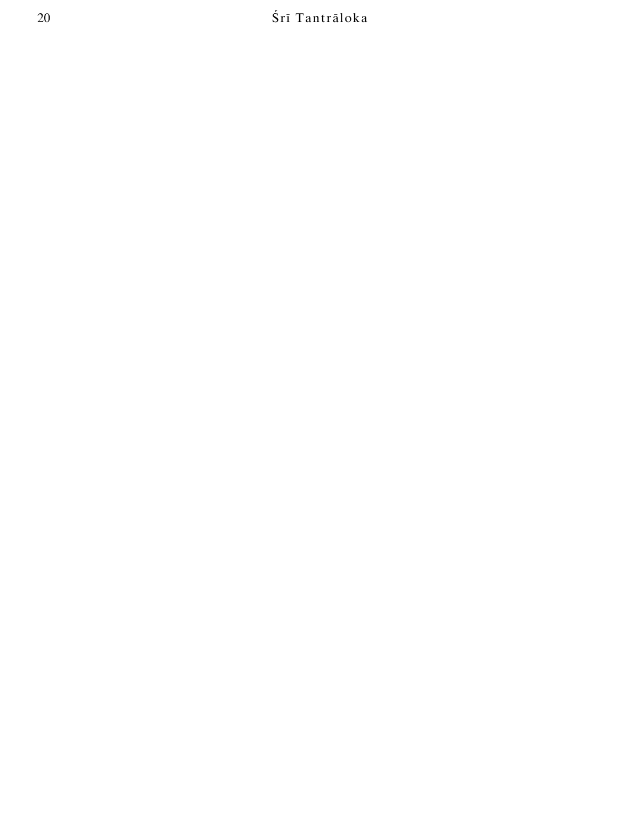## .<br>Śrī Tantrāloka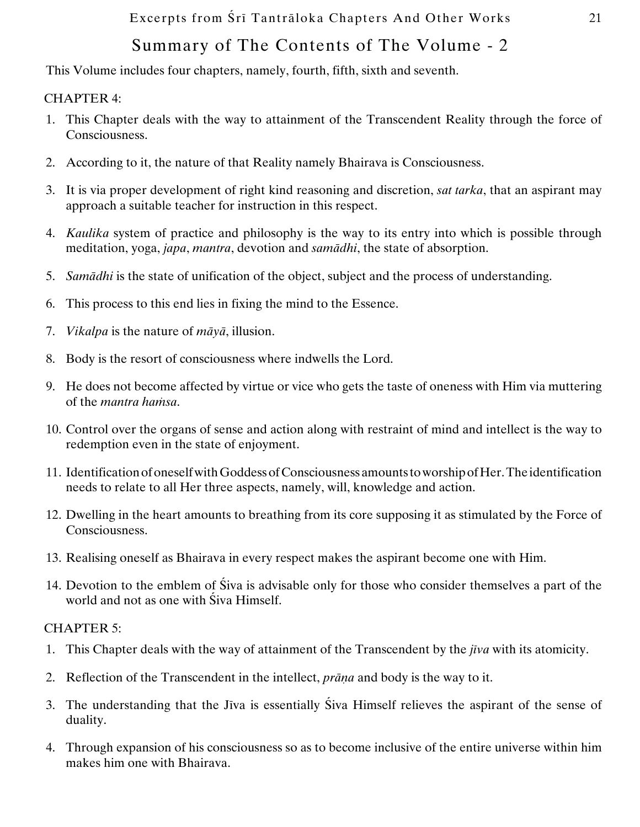### Summary of The Contents of The Volume - 2

This Volume includes four chapters, namely, fourth, fifth, sixth and seventh.

#### CHAPTER 4:

- 1. This Chapter deals with the way to attainment of the Transcendent Reality through the force of Consciousness.
- 2. According to it, the nature of that Reality namely Bhairava is Consciousness.
- 3. It is via proper development of right kind reasoning and discretion, *sat tarka*, that an aspirant may approach a suitable teacher for instruction in this respect.
- 4. *Kaulika* system of practice and philosophy is the way to its entry into which is possible through meditation, yoga, *japa*, *mantra*, devotion and *samädhi*, the state of absorption.
- 5. *Samädhi* is the state of unification of the object, subject and the process of understanding.
- 6. This process to this end lies in fixing the mind to the Essence.
- 7. *Vikalpa* is the nature of *mäyä*, illusion.
- 8. Body is the resort of consciousness where indwells the Lord.
- 9. He does not become affected by virtue or vice who gets the taste of oneness with Him via muttering of the *mantra haàsa*.
- 10. Control over the organs of sense and action along with restraint of mind and intellect is the way to redemption even in the state of enjoyment.
- 11. Identification of oneself with Goddess of Consciousness amounts to worship of Her. The identification needs to relate to all Her three aspects, namely, will, knowledge and action.
- 12. Dwelling in the heart amounts to breathing from its core supposing it as stimulated by the Force of Consciousness.
- 13. Realising oneself as Bhairava in every respect makes the aspirant become one with Him.
- 14. Devotion to the emblem of Çiva is advisable only for those who consider themselves a part of the world and not as one with Siva Himself.

#### CHAPTER 5:

- 1. This Chapter deals with the way of attainment of the Transcendent by the *jéva* with its atomicity.
- 2. Reflection of the Transcendent in the intellect, *prāna* and body is the way to it.
- 3. The understanding that the Jiva is essentially Siva Himself relieves the aspirant of the sense of duality.
- 4. Through expansion of his consciousness so as to become inclusive of the entire universe within him makes him one with Bhairava.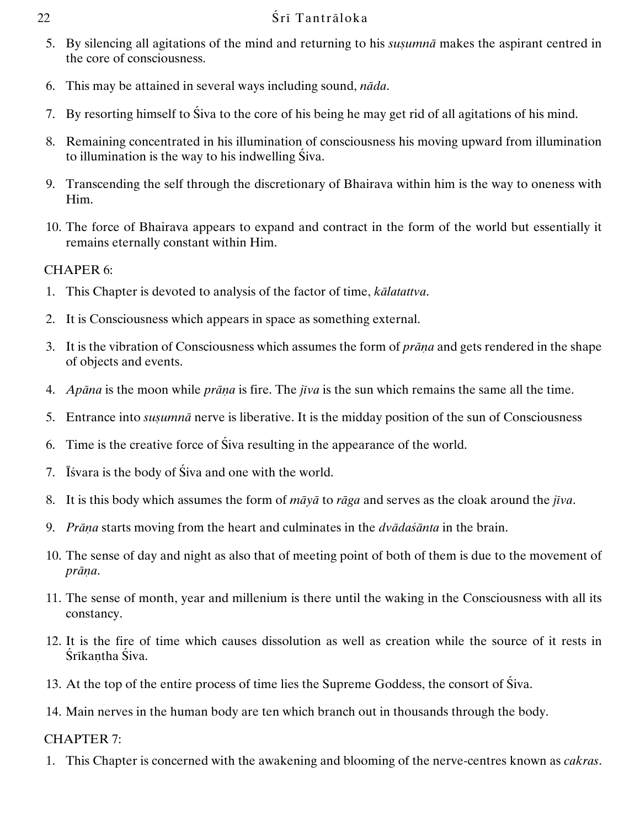#### 22 Šrī Tantrāloka

- 5. By silencing all agitations of the mind and returning to his *susumna* makes the aspirant centred in the core of consciousness.
- 6. This may be attained in several ways including sound, *näda*.
- 7. By resorting himself to Çiva to the core of his being he may get rid of all agitations of his mind.
- 8. Remaining concentrated in his illumination of consciousness his moving upward from illumination to illumination is the way to his indwelling Siva.
- 9. Transcending the self through the discretionary of Bhairava within him is the way to oneness with Him.
- 10. The force of Bhairava appears to expand and contract in the form of the world but essentially it remains eternally constant within Him.

#### CHAPER 6:

- 1. This Chapter is devoted to analysis of the factor of time, *kälatattva*.
- 2. It is Consciousness which appears in space as something external.
- 3. It is the vibration of Consciousness which assumes the form of *präëa* and gets rendered in the shape of objects and events.
- 4. *Apāna* is the moon while *prāņa* is fire. The *jīva* is the sun which remains the same all the time.
- 5. Entrance into *sușumnā* nerve is liberative. It is the midday position of the sun of Consciousness
- 6. Time is the creative force of Çiva resulting in the appearance of the world.
- 7. Éçvara is the body of Çiva and one with the world.
- 8. It is this body which assumes the form of *mäyä* to *räga* and serves as the cloak around the *jéva*.
- 9. *Prāņa* starts moving from the heart and culminates in the *dvādasānta* in the brain.
- 10. The sense of day and night as also that of meeting point of both of them is due to the movement of prāņa.
- 11. The sense of month, year and millenium is there until the waking in the Consciousness with all its constancy.
- 12. It is the fire of time which causes dissolution as well as creation while the source of it rests in Śrīkantha Śiva.
- 13. At the top of the entire process of time lies the Supreme Goddess, the consort of Siva.
- 14. Main nerves in the human body are ten which branch out in thousands through the body.

#### CHAPTER 7:

1. This Chapter is concerned with the awakening and blooming of the nerve-centres known as *cakras*.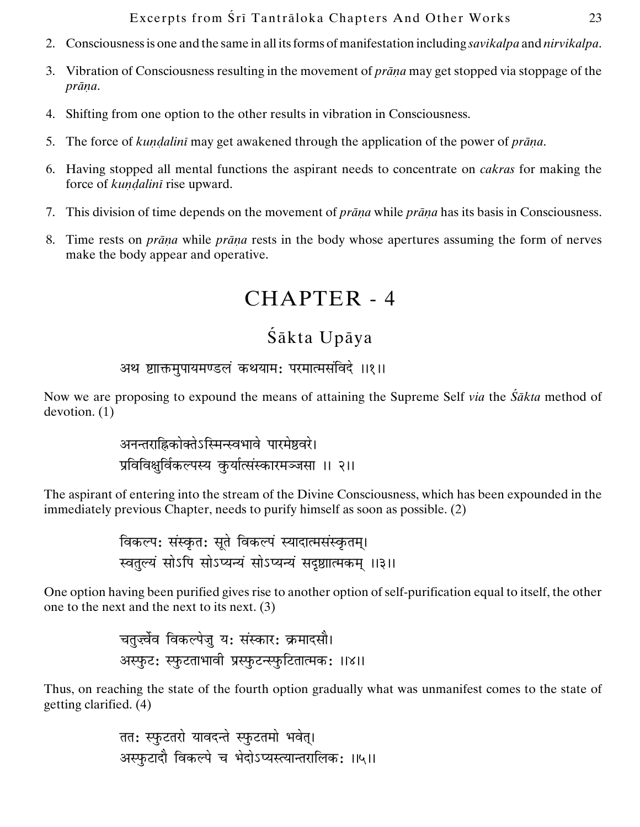- 2. Consciousness is one and the same in all its forms of manifestation including *savikalpa* and *nirvikalpa*.
- 3. Vibration of Consciousness resulting in the movement of *prāna* may get stopped via stoppage of the prāņa.
- 4. Shifting from one option to the other results in vibration in Consciousness.
- 5. The force of kundalini may get awakened through the application of the power of prana.
- 6. Having stopped all mental functions the aspirant needs to concentrate on *cakras* for making the force of *kundalini* rise upward.
- 7. This division of time depends on the movement of *prāņa* while *prāņa* has its basis in Consciousness.
- 8. Time rests on *prāņa* while *prāņa* rests in the body whose apertures assuming the form of nerves make the body appear and operative.

# $CHAPTER - 4$

## Śākta Upāya

#### अथ ष्ट्राक्तमपायमण्डलं कथयाम: परमात्मसंविदे ॥१॥

Now we are proposing to expound the means of attaining the Supreme Self via the Sakta method of devotion.  $(1)$ 

> अनन्तराह्निकोक्तेऽस्मिन्स्वभावे पारमेष्ठवरे। प्रविविक्षुर्विकल्पस्य कुर्यात्संस्कारमञ्जसा ॥ २॥

The aspirant of entering into the stream of the Divine Consciousness, which has been expounded in the immediately previous Chapter, needs to purify himself as soon as possible. (2)

> विकल्प: संस्कृत: सूते विकल्पं स्यादात्मसंस्कृतम्। स्वतुल्यं सोऽपि सोऽप्यन्यं सोऽप्यन्यं सदृष्ठाात्मकम् ॥३॥

One option having been purified gives rise to another option of self-purification equal to itself, the other one to the next and the next to its next. (3)

> चतज्जेव विकल्पेज़ य: संस्कार: क्रमादसौ। अस्फुट: स्फुटताभावी प्रस्फुटन्स्फुटितात्मक: ।।४।।

Thus, on reaching the state of the fourth option gradually what was unmanifest comes to the state of getting clarified. (4)

> तत: स्फुटतरो यावदन्ते स्फुटतमो भवेत्। अस्फुटादौ विकल्पे च भेदोऽप्यस्त्यान्तरालिक: ।।५।।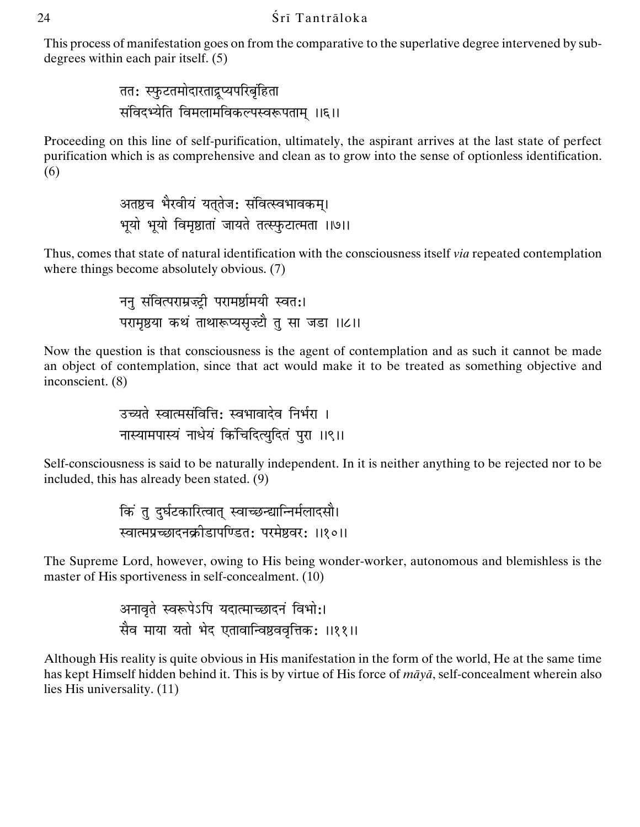This process of manifestation goes on from the comparative to the superlative degree intervened by subdegrees within each pair itself. (5)

```
तत: स्फुटतमोदारताद्रप्यपरिबृंहिता
संविदभ्येति विमलामविकल्पस्वरूपताम् ॥६॥
```
Proceeding on this line of self-purification, ultimately, the aspirant arrives at the last state of perfect purification which is as comprehensive and clean as to grow into the sense of optionless identification.  $(6)$ 

> अतष्ठच भैरवीयं यतृतेज: संवित्स्वभावकम्। भूयो भूयो विमृष्ठातां जायते तत्स्फुटात्मता ।।७।।

Thus, comes that state of natural identification with the consciousness itself via repeated contemplation where things become absolutely obvious. (7)

> नन संवित्पराम्रज्टी परामर्ष्ठामयी स्वत:। परामष्ठया कथं ताथारूप्यसज्टौ त सा जड़ा ॥८॥

Now the question is that consciousness is the agent of contemplation and as such it cannot be made an object of contemplation, since that act would make it to be treated as something objective and inconscient.  $(8)$ 

> उच्यते स्वात्मसंवित्तिः स्वभावादेव निर्भरा । नास्यामपास्यं नाधेयं किंचिदित्यदितं पुरा ।।९।।

Self-consciousness is said to be naturally independent. In it is neither anything to be rejected nor to be included, this has already been stated. (9)

> किं त दर्घटकारित्वात स्वाच्छन्द्यान्निर्मलादसौ। स्वात्मप्रच्छादनक्रीडापण्डित: परमेष्ठवर: ॥१०॥

The Supreme Lord, however, owing to His being wonder-worker, autonomous and blemishless is the master of His sportiveness in self-concealment. (10)

> अनावते स्वरूपेऽपि यदात्माच्छादनं विभो:। सैव माया यतो भेद एतावान्विष्ठववृत्तिक: ॥११॥

Although His reality is quite obvious in His manifestation in the form of the world, He at the same time has kept Himself hidden behind it. This is by virtue of His force of maya, self-concealment wherein also lies His universality. (11)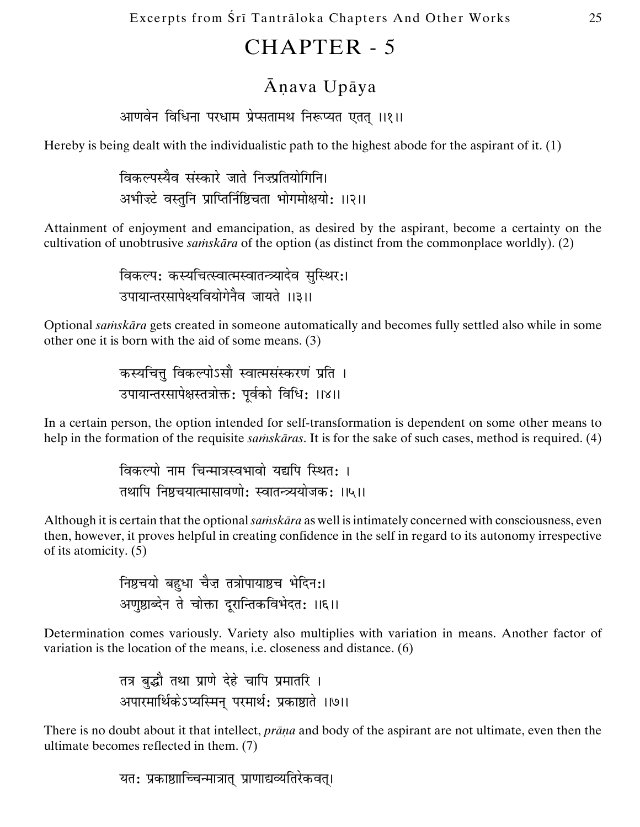# **CHAPTER - 5**

## Anava Upāya

### आणवेन विधिना परधाम प्रेप्सतामथ निरूप्यत एतत् ॥१॥

Hereby is being dealt with the individualistic path to the highest abode for the aspirant of it.  $(1)$ 

विकल्पस्यैव संस्कारे जाते निज्यतियोगिनि। अभीज़्टे वस्तनि प्राप्तिर्निष्ठिचता भोगमोक्षयो: ।।२।।

Attainment of enjoyment and emancipation, as desired by the aspirant, become a certainty on the cultivation of unobtrusive *samskara* of the option (as distinct from the commonplace worldly). (2)

> विकल्प: कस्यचित्स्वात्मस्वातन्त्र्यादेव सुस्थिर:। उपायान्तरसापेक्ष्यवियोगेनैव जायते ॥३॥

Optional *samskāra* gets created in someone automatically and becomes fully settled also while in some other one it is born with the aid of some means. (3)

> कस्यचित्त विकल्पोऽसौ स्वात्मसंस्करणं प्रति । उपायान्तरसापेक्षस्तत्रोक्त: पूर्वको विधि: ।।४।।

In a certain person, the option intended for self-transformation is dependent on some other means to help in the formation of the requisite *samskāras*. It is for the sake of such cases, method is required. (4)

> विकल्पो नाम चिन्मात्रस्वभावो यद्यपि स्थित: । तथापि निष्ठचयात्मासावणो: स्वातन्त्र्ययोजक: ।।५।।

Although it is certain that the optional *samskara* as well is intimately concerned with consciousness, even then, however, it proves helpful in creating confidence in the self in regard to its autonomy irrespective of its atomicity. (5)

> निष्ठचयो बहुधा चैज़ तत्रोपायाष्ठच भेदिन:। अणुष्ठाब्देन ते चोक्ता दुरान्तिकविभेदत: ॥६॥

Determination comes variously. Variety also multiplies with variation in means. Another factor of variation is the location of the means, i.e. closeness and distance.  $(6)$ 

```
तत्र बुद्धौ तथा प्राणे देहे चापि प्रमातरि ।
अपारमार्थिकेऽप्यस्मिन परमार्थ: प्रकाष्ठाते ।।७।।
```
There is no doubt about it that intellect, *prāna* and body of the aspirant are not ultimate, even then the ultimate becomes reflected in them. (7)

यत: प्रकाष्ठााच्चिन्मात्रात् प्राणाद्यव्यतिरेकवत्।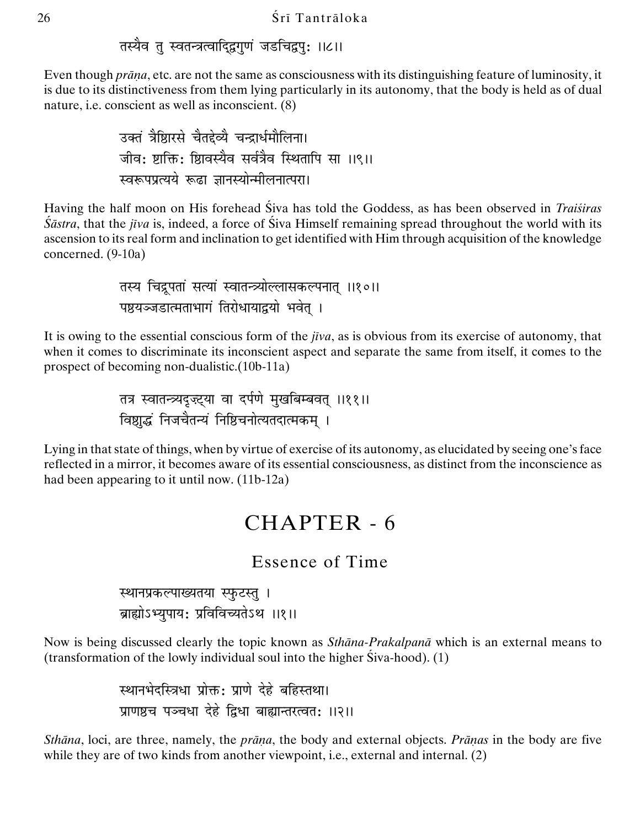तस्यैव तु स्वतन्त्रत्वादिद्वगुणं जडचिद्वपु: ॥८॥

Even though *prāna*, etc. are not the same as consciousness with its distinguishing feature of luminosity, it is due to its distinctiveness from them lying particularly in its autonomy, that the body is held as of dual nature, i.e. conscient as well as inconscient. (8)

> उक्तं त्रैष्ठारसे चैतद्देव्यै चन्द्रार्धमौलिना। जीव: ष्राक्ति: ष्रिावस्यैव सर्वत्रैव स्थितापि सा ॥९॥ स्वरूपप्रत्यये रूढा ज्ञानस्योन्मीलनात्परा।

Having the half moon on His forehead Siva has told the Goddess, as has been observed in Traisiras Sastra, that the jiva is, indeed, a force of Siva Himself remaining spread throughout the world with its ascension to its real form and inclination to get identified with Him through acquisition of the knowledge concerned. (9-10a)

> तस्य चिद्रूपतां सत्यां स्वातन्त्र्योल्लासकल्पनात् ॥१०॥ पष्ठयञ्जडात्मताभागं तिरोधायाद्वयो भवेत् ।

It is owing to the essential conscious form of the *jiva*, as is obvious from its exercise of autonomy, that when it comes to discriminate its inconscient aspect and separate the same from itself, it comes to the prospect of becoming non-dualistic.(10b-11a)

```
तत्र स्वातन्त्र्यदृज्द्या वा दर्पणे मुखबिम्बवत् ॥११॥
विष्ठाद्धं निजचैतन्यं निष्ठिचनोत्यतदात्मकम ।
```
Lying in that state of things, when by virtue of exercise of its autonomy, as elucidated by seeing one's face reflected in a mirror, it becomes aware of its essential consciousness, as distinct from the inconscience as had been appearing to it until now. (11b-12a)

# $CHAPTER - 6$

Essence of Time

स्थानप्रकल्पाख्यतया स्फुटस्तु । ब्राह्योऽभ्युपाय: प्रविविच्यतेऽथ ।।१।।

Now is being discussed clearly the topic known as *Sthāna-Prakalpanā* which is an external means to (transformation of the lowly individual soul into the higher Siva-hood). (1)

> स्थानभेदस्त्रिधा प्रोक्त: प्राणे देहे बहिस्तथा। प्राणष्ठच पञ्चधा देहे द्विधा बाह्यान्तरत्वत: ॥२॥

Sthāna, loci, are three, namely, the *prāna*, the body and external objects. *Prānas* in the body are five while they are of two kinds from another viewpoint, i.e., external and internal. (2)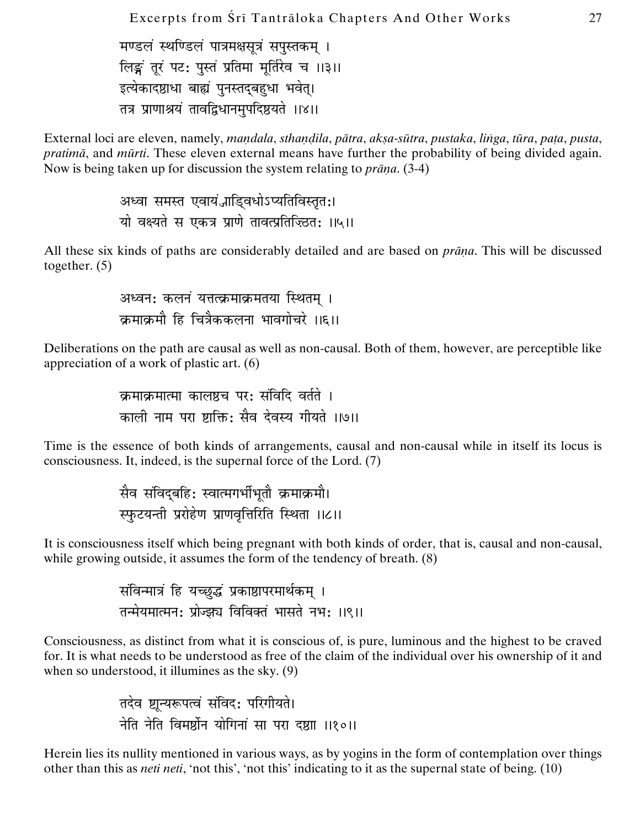मण्डलं स्थण्डिलं पात्रमक्षसूत्रं सपुस्तकम् । लिङ्गं तूरं पट: पुस्तं प्रतिमा मूर्तिरेव च ।।३।। इत्येकादष्ठाधा बाह्यं पुनस्तद्बहुधा भवेत्। तत्र प्राणाश्रयं तावद्विधानमपदिष्ठयते ।।४।।

External loci are eleven, namely, mandala, sthandila, pātra, aksa-sūtra, pustaka, linga, tūra, pata, pusta, *pratima*, and *mūrti*. These eleven external means have further the probability of being divided again. Now is being taken up for discussion the system relating to *prāna*. (3-4)

> अध्वा समस्त एवायं पहिवधोऽप्यतिविस्तृत:। यो वक्ष्यते स एकत्र प्राणे तावत्प्रतिज्ठित: ॥५॥

All these six kinds of paths are considerably detailed and are based on *prāna*. This will be discussed together.  $(5)$ 

> अध्वन: कलनं यत्तत्क्रमाक्रमतया स्थितम । क्रमाक्रमौ हि चित्रैककलना भावगोचरे ।।६।।

Deliberations on the path are causal as well as non-causal. Both of them, however, are perceptible like appreciation of a work of plastic art. (6)

> क्रमाक्रमात्मा कालष्ठच पर: संविदि वर्तते । काली नाम परा ष्राक्तिः सैव देवस्य गीयते ।।७।।

Time is the essence of both kinds of arrangements, causal and non-causal while in itself its locus is consciousness. It, indeed, is the supernal force of the Lord. (7)

> सैव संविद्बहि: स्वात्मगर्भीभूतौ क्रमाक्रमौ। स्फुटयन्ती प्ररोहेण प्राणवृत्तिरिति स्थिता ।।८।।

It is consciousness itself which being pregnant with both kinds of order, that is, causal and non-causal, while growing outside, it assumes the form of the tendency of breath.  $(8)$ 

> संविन्मात्रं हि यच्छुद्धं प्रकाष्ठापरमार्थकम् । तन्मेयमात्मन: प्रोज्झ्य विविक्तं भासते नभ: ॥९॥

Consciousness, as distinct from what it is conscious of, is pure, luminous and the highest to be craved for. It is what needs to be understood as free of the claim of the individual over his ownership of it and when so understood, it illumines as the sky.  $(9)$ 

> तदेव ष्टान्यरूपत्वं संविद: परिगीयते। नेति नेति विमर्ष्रोन योगिनां सा परा दष्टाा ॥१०॥

Herein lies its nullity mentioned in various ways, as by yogins in the form of contemplation over things other than this as *neti neti*, 'not this', 'not this' indicating to it as the supernal state of being. (10)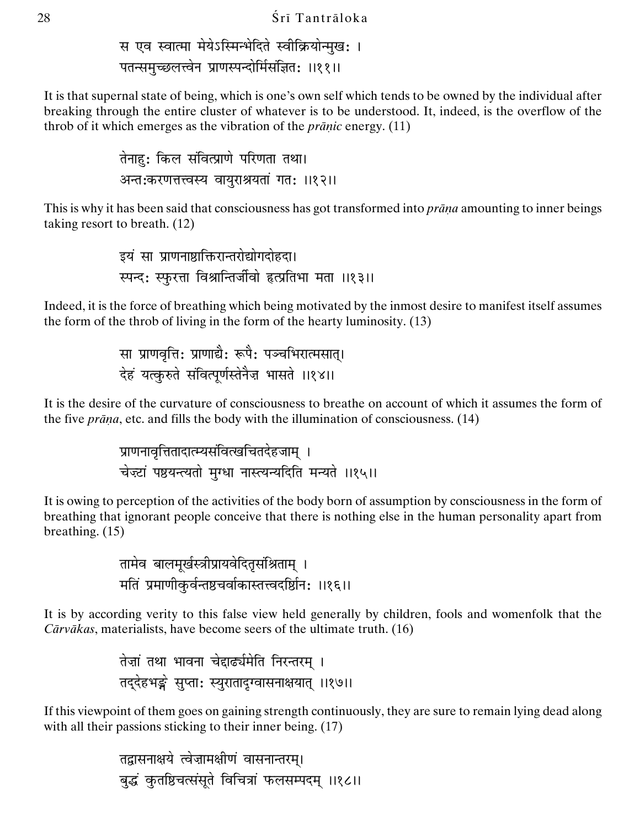स एव स्वात्मा मेयेऽस्मिन्भेदिते स्वीक्रियोन्मुख: । पतन्समुच्छलत्त्वेन प्राणस्पन्दोर्मिसंज्ञित: ॥११॥

It is that supernal state of being, which is one's own self which tends to be owned by the individual after breaking through the entire cluster of whatever is to be understood. It, indeed, is the overflow of the throb of it which emerges as the vibration of the *pranic* energy.  $(11)$ 

```
तेनाह: किल संवित्प्राणे परिणता तथा।
अन्त:करणत्तत्त्वस्य वायराश्रयतां गत: ॥१२॥
```
This is why it has been said that consciousness has got transformed into *prāņa* amounting to inner beings taking resort to breath. (12)

> इयं सा प्राणनाष्ठाक्तिरान्तरोद्योगदोहदा। स्पन्द: स्फरत्ता विश्रान्तिर्जीवो हृत्प्रतिभा मता ॥१३॥

Indeed, it is the force of breathing which being motivated by the inmost desire to manifest itself assumes the form of the throb of living in the form of the hearty luminosity. (13)

> सा प्राणवृत्ति: प्राणाद्यै: रूपै: पञ्चभिरात्मसात्। देहं यत्कुरुते संवित्पूर्णस्तेनैज भासते ॥१४॥

It is the desire of the curvature of consciousness to breathe on account of which it assumes the form of the five prāņa, etc. and fills the body with the illumination of consciousness. (14)

> प्राणनावत्तितादात्म्यसंवित्खचितदेहजाम । चेज्टां पष्ठयन्त्यतो मग्धा नास्त्यन्यदिति मन्यते ॥१५॥

It is owing to perception of the activities of the body born of assumption by consciousness in the form of breathing that ignorant people conceive that there is nothing else in the human personality apart from breathing.  $(15)$ 

> तामेव बालमर्खस्त्रीप्रायवेदितसंश्रिताम । मतिं प्रमाणीकुर्वन्तष्ठचर्वाकास्तत्त्वदर्ष्ठिान: ॥१६॥

It is by according verity to this false view held generally by children, fools and womenfolk that the *Cārvākas*, materialists, have become seers of the ultimate truth. (16)

> तेज़ां तथा भावना चेहार्ढ्यमेति निरन्तरम । तदुदेहभङ्गे सुप्ता: स्युरातादुग्वासनाक्षयात् ॥१७॥

If this viewpoint of them goes on gaining strength continuously, they are sure to remain lying dead along with all their passions sticking to their inner being. (17)

> तद्वासनाक्षये त्वेजामक्षीणं वासनान्तरम। बद्धं कृतष्ठिचत्संसुते विचित्रां फलसम्पदम् ॥१८॥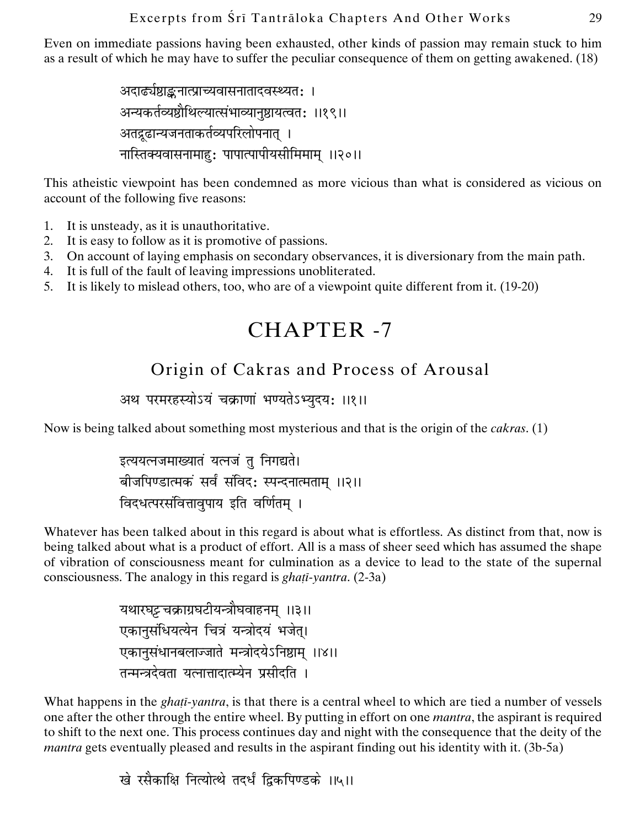Even on immediate passions having been exhausted, other kinds of passion may remain stuck to him as a result of which he may have to suffer the peculiar consequence of them on getting awakened. (18)

> अदार्ढ्यधाङ्कनात्प्राच्यवासनातादवस्थ्यत: । अन्यकर्तव्यष्ठौथिल्यात्संभाव्यानष्ठायत्वत: ॥१९॥ अतद्रुढान्यजनताकर्तव्यपरिलोपनात् । नास्तिक्यवासनामाहु: पापात्पापीयसीमिमाम् ॥२०॥

This atheistic viewpoint has been condemned as more vicious than what is considered as vicious on account of the following five reasons:

- 1. It is unsteady, as it is unauthoritative.
- 2. It is easy to follow as it is promotive of passions.
- 3. On account of laying emphasis on secondary observances, it is diversionary from the main path.
- 4. It is full of the fault of leaving impressions unobliterated.
- 5. It is likely to mislead others, too, who are of a viewpoint quite different from it. (19-20)

# CHAPTER -7

### Origin of Cakras and Process of Arousal

अथ परमरहस्योऽयं चक्राणां भण्यतेऽभ्युदय: ॥१॥

Now is being talked about something most mysterious and that is the origin of the *cakras*. (1)

इत्ययत्नजमाख्यातं यत्नजं त निगद्यते। बीजपिण्डात्मकं सर्वं संविद: स्पन्दनात्मताम् ॥२॥ विदधत्परसंवित्तावुपाय इति वर्णितम् ।

Whatever has been talked about in this regard is about what is effortless. As distinct from that, now is being talked about what is a product of effort. All is a mass of sheer seed which has assumed the shape of vibration of consciousness meant for culmination as a device to lead to the state of the supernal consciousness. The analogy in this regard is *ghati-yantra*. (2-3a)

> यथारघट्टचक्राग्रघटीयन्त्रौघवाहनम् ।।३।। एकानुसंधियत्येन चित्रं यन्त्रोदयं भजेत्। एकानुसंधानबलाज्जाते मन्त्रोदयेऽनिष्ठाम् ।।४।। तन्मन्त्रदेवता यत्नात्तादात्म्येन प्रसीदति ।

What happens in the *ghati-yantra*, is that there is a central wheel to which are tied a number of vessels one after the other through the entire wheel. By putting in effort on one *mantra*, the aspirant is required to shift to the next one. This process continues day and night with the consequence that the deity of the *mantra* gets eventually pleased and results in the aspirant finding out his identity with it. (3b-5a)

खे रसैकाक्षि नित्योत्थे तदर्धं द्विकपिण्डके ।।५।।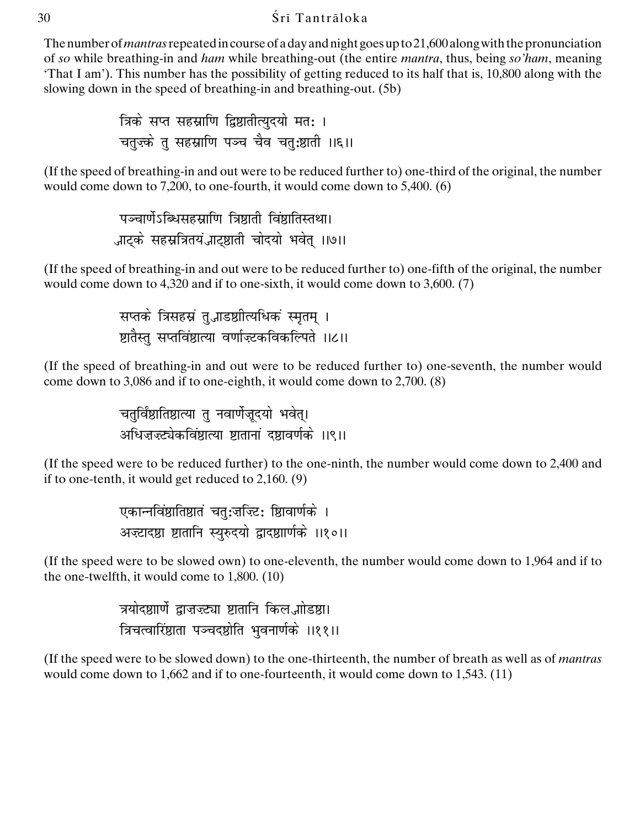The number of *mantras* repeated in course of a day and night goes up to  $21,600$  along with the pronunciation of so while breathing-in and ham while breathing-out (the entire mantra, thus, being so'ham, meaning That I am'). This number has the possibility of getting reduced to its half that is, 10,800 along with the slowing down in the speed of breathing-in and breathing-out. (5b)

> त्रिके सप्त सहस्राणि द्विष्ठातीत्युदयो मत: । चतुज़्के तु सहस्राणि पञ्च चैव चतुःष्ठाती ॥६॥

(If the speed of breathing-in and out were to be reduced further to) one-third of the original, the number would come down to  $7,200$ , to one-fourth, it would come down to  $5,400$ . (6)

> पञ्चार्णेऽब्धिसहस्राणि त्रिष्ठाती विष्ठातिस्तथा। जाट्के सहस्रत्रितयंजाट्ष्ठाती चोदयो भवेत् ।।७।।

(If the speed of breathing-in and out were to be reduced further to) one-fifth of the original, the number would come down to 4,320 and if to one-sixth, it would come down to 3,600. (7)

> सप्तके त्रिसहस्रं तुजाडष्ठाीत्यधिकं स्मृतम् । ष्टातैस्तु सप्तविष्ठात्या वर्णाज्टकविकल्पिते ॥८॥

(If the speed of breathing-in and out were to be reduced further to) one-seventh, the number would come down to 3,086 and if to one-eighth, it would come down to 2,700. (8)

> चतर्विष्ठातिष्ठात्या त नवार्णेजदयो भवेत। अधिजज्ट्येकविंष्ठात्या ष्टातानां दष्ठावर्णके ॥९॥

(If the speed were to be reduced further) to the one-ninth, the number would come down to 2,400 and if to one-tenth, it would get reduced to  $2,160.$  (9)

> एकान्नविंष्ठातिष्ठातं चतःज़ज्टिः ष्ठिावार्णके । अज्टादष्ठा ष्टातानि स्युरुदयो द्वादष्ठाार्णके ।।१०।।

(If the speed were to be slowed own) to one-eleventh, the number would come down to 1,964 and if to the one-twelfth, it would come to  $1,800, (10)$ 

> त्रयोदष्ठाार्णे द्वाजुज्ट्या ष्टातानि किल गोडष्ठा। त्रिचत्वारिंष्ठाता पञ्चदष्ठोति भवनार्णके ॥११॥

(If the speed were to be slowed down) to the one-thirteenth, the number of breath as well as of *mantras* would come down to 1,662 and if to one-fourteenth, it would come down to 1,543. (11)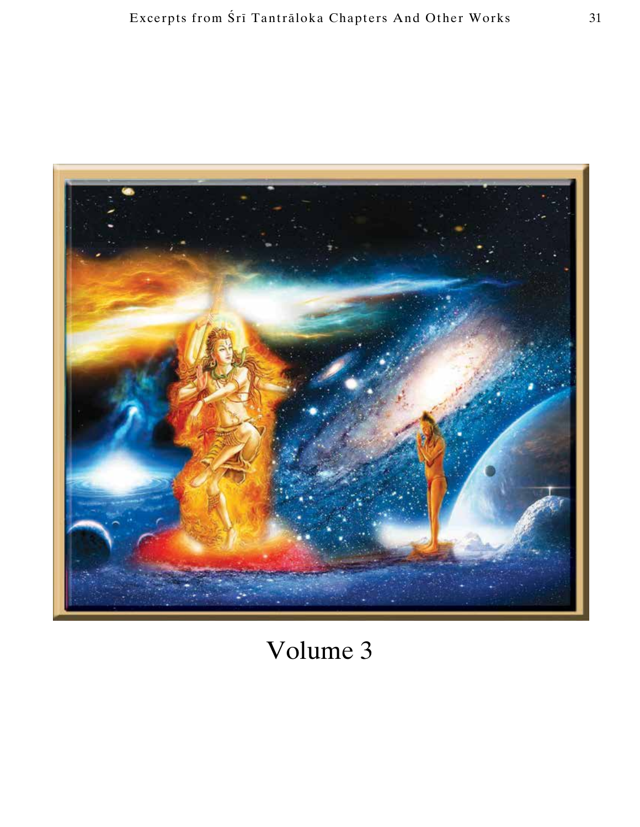

# Volume 3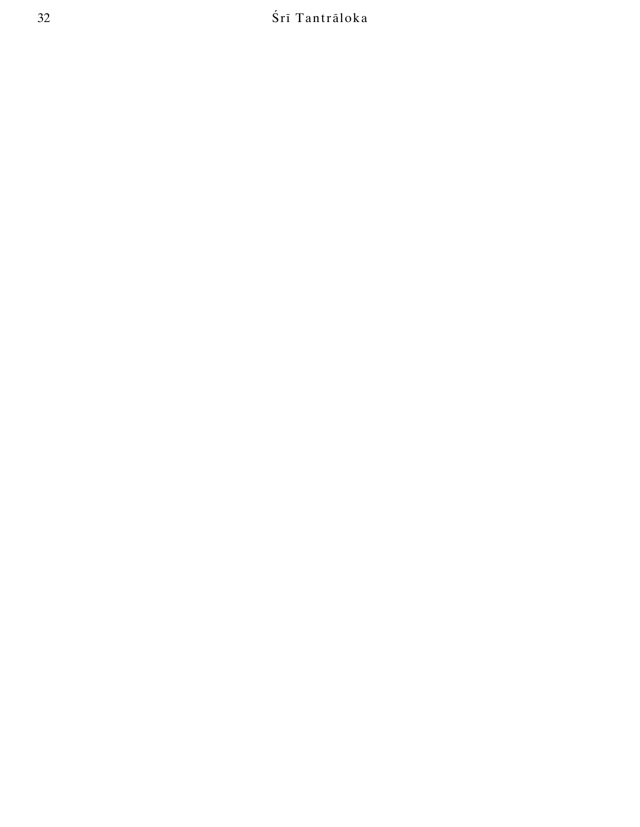## .<br>Śrī Tantrāloka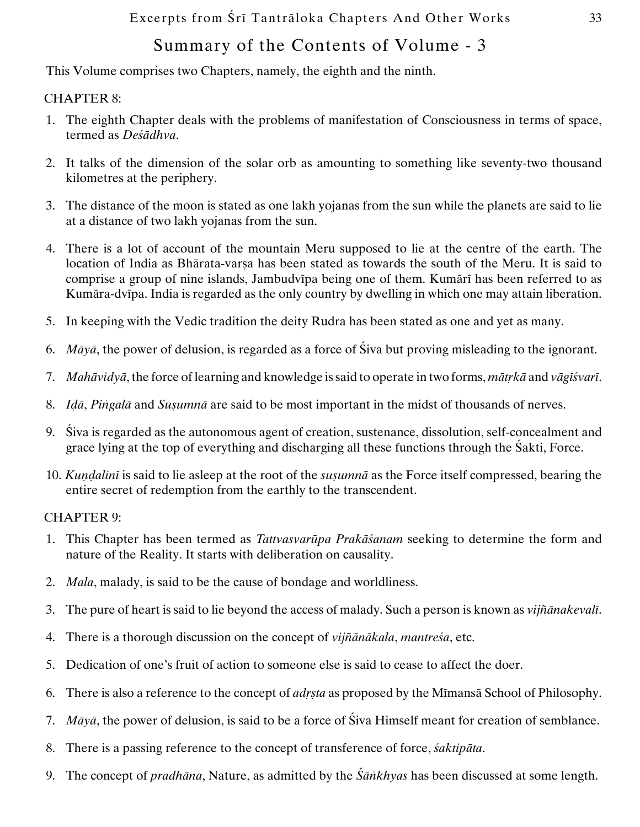### Summary of the Contents of Volume - 3

This Volume comprises two Chapters, namely, the eighth and the ninth.

#### CHAPTER 8:

- 1. The eighth Chapter deals with the problems of manifestation of Consciousness in terms of space, termed as *Deçädhva*.
- 2. It talks of the dimension of the solar orb as amounting to something like seventy-two thousand kilometres at the periphery.
- 3. The distance of the moon is stated as one lakh yojanas from the sun while the planets are said to lie at a distance of two lakh yojanas from the sun.
- 4. There is a lot of account of the mountain Meru supposed to lie at the centre of the earth. The location of India as Bhārata-varsa has been stated as towards the south of the Meru. It is said to comprise a group of nine islands, Jambudvīpa being one of them. Kumārī has been referred to as Kumāra-dvīpa. India is regarded as the only country by dwelling in which one may attain liberation.
- 5. In keeping with the Vedic tradition the deity Rudra has been stated as one and yet as many.
- 6. *Mäyä*, the power of delusion, is regarded as a force of Çiva but proving misleading to the ignorant.
- 7. *Mahāvidyā*, the force of learning and knowledge is said to operate in two forms, *mātrkā* and *vāgīśvarī*.
- 8. *Idā*, *Pingalā* and *Susumnā* are said to be most important in the midst of thousands of nerves.
- 9. Çiva is regarded as the autonomous agent of creation, sustenance, dissolution, self-concealment and grace lying at the top of everything and discharging all these functions through the Çakti, Force.
- 10. *Kundalini* is said to lie asleep at the root of the *sușumna* as the Force itself compressed, bearing the entire secret of redemption from the earthly to the transcendent.

#### CHAPTER 9:

- 1. This Chapter has been termed as *Tattvasvarüpa Prakäçanam* seeking to determine the form and nature of the Reality. It starts with deliberation on causality.
- 2. *Mala*, malady, is said to be the cause of bondage and worldliness.
- 3. The pure of heart is said to lie beyond the access of malady. Such a person is known as *vijïänakevalé*.
- 4. There is a thorough discussion on the concept of *vijïänäkala*, *mantreça*, etc.
- 5. Dedication of one's fruit of action to someone else is said to cease to affect the doer.
- 6. There is also a reference to the concept of *adrsta* as proposed by the Mimansä School of Philosophy.
- 7. *Mäyä*, the power of delusion, is said to be a force of Çiva Himself meant for creation of semblance.
- 8. There is a passing reference to the concept of transference of force, *çaktipäta*.
- 9. The concept of *pradhäna*, Nature, as admitted by the *Çäìkhyas* has been discussed at some length.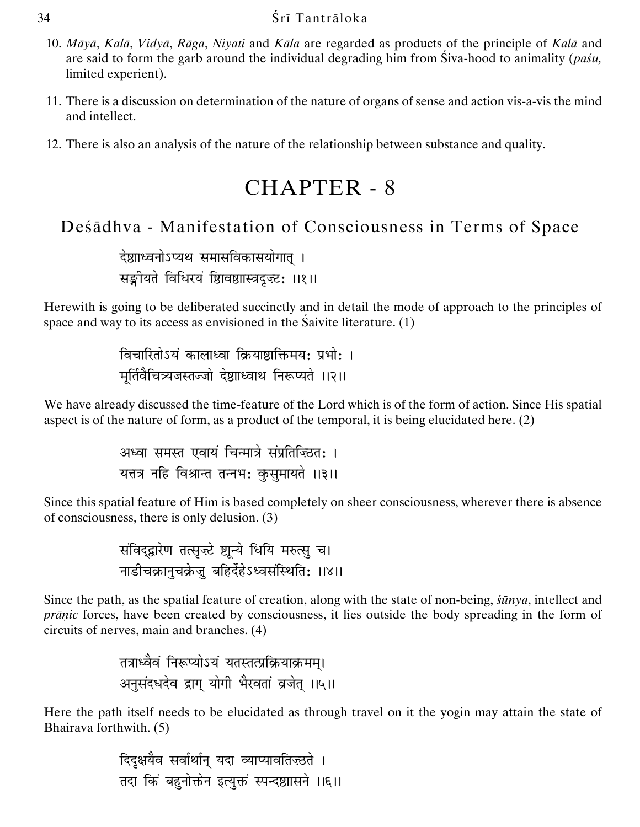#### Śrī Tantrāloka

- 10. Māyā, Kalā, Vidyā, Rāga, Niyati and Kāla are regarded as products of the principle of Kalā and are said to form the garb around the individual degrading him from Siva-hood to animality (pasu, limited experient).
- 11. There is a discussion on determination of the nature of organs of sense and action vis-a-vis the mind and intellect.
- 12. There is also an analysis of the nature of the relationship between substance and quality.

## **CHAPTER - 8**

### Desadhva - Manifestation of Consciousness in Terms of Space

देष्ठाध्वनोऽप्यथ समासविकासयोगात ।

सङ्गीयते विधिरयं ष्ठिावष्ठाास्त्रदुज्ट: ॥१॥

Herewith is going to be deliberated succinctly and in detail the mode of approach to the principles of space and way to its access as envisioned in the Saivite literature.  $(1)$ 

> विचारितोऽयं कालाध्वा कियाष्राक्तिमय: प्रभो: । मर्तिवैचित्र्यजस्तज्जो देष्ठााध्वाथ निरूप्यते ॥२॥

We have already discussed the time-feature of the Lord which is of the form of action. Since His spatial aspect is of the nature of form, as a product of the temporal, it is being elucidated here. (2)

> अध्वा समस्त एवायं चिन्मात्रे संप्रतिज्ञ्ति: । यत्तत्र नहि विश्रान्त तन्नभ: कसमायते ॥३॥

Since this spatial feature of Him is based completely on sheer consciousness, wherever there is absence of consciousness, there is only delusion. (3)

> संविद्द्वारेण तत्सुज़्टे ष्टान्ये धियि मरुत्सु च। नाडीचक्रानचक्रेज बहिर्देहेऽध्वसंस्थिति: ।।४।।

Since the path, as the spatial feature of creation, along with the state of non-being, sūnya, intellect and *prānic* forces, have been created by consciousness, it lies outside the body spreading in the form of circuits of nerves, main and branches. (4)

> तत्राध्वैवं निरूप्योऽयं यतस्तत्प्रक्रियाक्रमम। अनुसंदधदेव द्राग योगी भैरवतां व्रजेतु ।।५।।

Here the path itself needs to be elucidated as through travel on it the yogin may attain the state of Bhairava forthwith. (5)

> दिदक्षयैव सर्वार्थान् यदा व्याप्यावतिज्ठते । तदा किं बहनोक्तेन इत्यक्तं स्पन्दष्ठाासने ।।६।।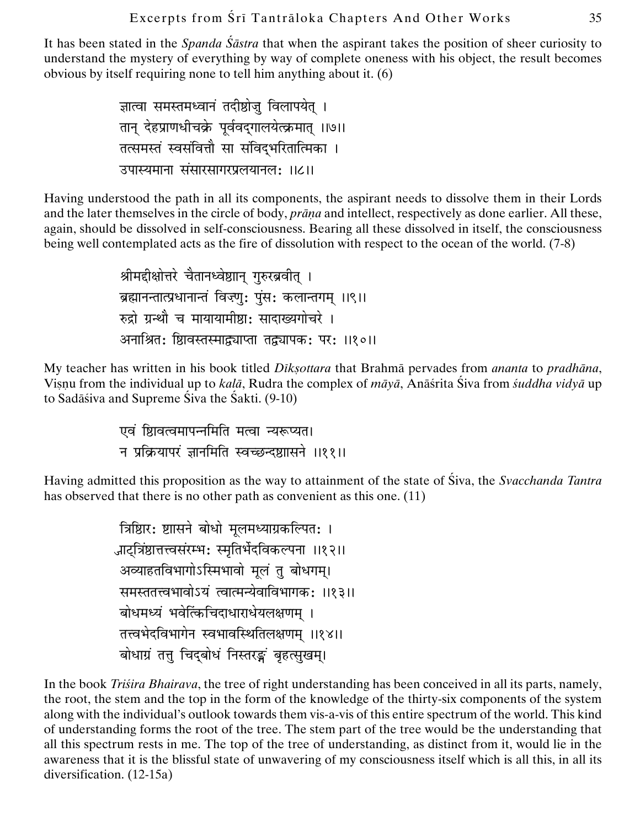It has been stated in the *Spanda Sastra* that when the aspirant takes the position of sheer curiosity to understand the mystery of everything by way of complete oneness with his object, the result becomes obvious by itself requiring none to tell him anything about it. (6)

> ज्ञात्वा समस्तमध्वानं तदीष्ठोजु विलापयेतु । तान् देहप्राणधीचक्रे पूर्ववद्गालयेत्क्रमात् ।।७।। तत्समस्तं स्वसंवित्तौ सा संविद्भरितात्मिका । उपास्यमाना संसारसागरप्रलयानल: ॥८॥

Having understood the path in all its components, the aspirant needs to dissolve them in their Lords and the later themselves in the circle of body, *prāna* and intellect, respectively as done earlier. All these, again, should be dissolved in self-consciousness. Bearing all these dissolved in itself, the consciousness being well contemplated acts as the fire of dissolution with respect to the ocean of the world. (7-8)

> श्रीमद्दीक्षोत्तरे चैतानध्वेष्ठाान गुरुरब्रवीत् । ब्रह्मानन्तात्प्रधानान्तं विज्णु: पुंस: कलान्तगम् ॥९॥ रुद्रो ग्रन्थौ च मायायामीष्ठा: सादाख्यगोचरे । अनाश्रित: ष्ठिावस्तस्माद्ग्याप्ता तद्ग्यापक: पर: ॥१०॥

My teacher has written in his book titled Diksottara that Brahma pervades from ananta to pradhana, Visnu from the individual up to kalā, Rudra the complex of māyā, Anāśrita Śiva from *śuddha vidyā* up to Sadāśiva and Supreme Śiva the Śakti. (9-10)

> एवं ष्ठिावत्वमापन्नमिति मत्वा न्यरूप्यत। न प्रक्रियापरं ज्ञानमिति स्वच्छन्दष्ठाासने ॥११॥

Having admitted this proposition as the way to attainment of the state of Siva, the Svacchanda Tantra has observed that there is no other path as convenient as this one. (11)

> त्रिष्ठार: ष्टाासने बोधो मूलमध्याग्रकल्पित: । जाट्त्रिंष्ठात्तत्त्वसंरम्भ: स्मृतिर्भेदविकल्पना ॥१२॥ अव्याहतविभागोऽस्मिभावो मूलं तु बोधगम्। समस्ततत्त्वभावोऽयं त्वात्मन्येवाविभागक: ॥१३॥ बोधमध्यं भवेत्किंचिदाधाराधेयलक्षणम् । तत्त्वभेदविभागेन स्वभावस्थितिलक्षणम ॥१४॥ बोधाग्रं तत्तु चिद्बोधं निस्तरङ्गं बृहत्सखम्।

In the book Tristian Bhairava, the tree of right understanding has been conceived in all its parts, namely, the root, the stem and the top in the form of the knowledge of the thirty-six components of the system along with the individual's outlook towards them vis-a-vis of this entire spectrum of the world. This kind of understanding forms the root of the tree. The stem part of the tree would be the understanding that all this spectrum rests in me. The top of the tree of understanding, as distinct from it, would lie in the awareness that it is the blissful state of unwavering of my consciousness itself which is all this, in all its diversification. (12-15a)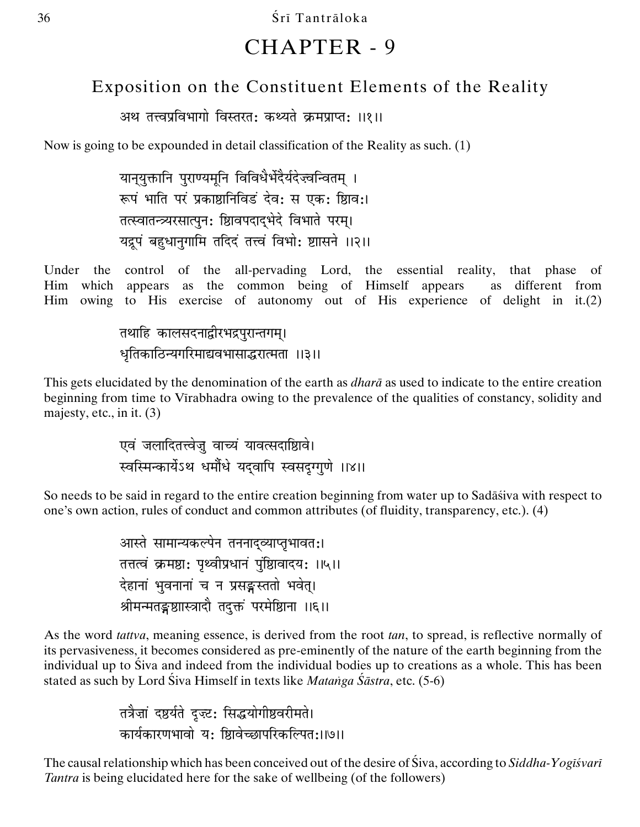## **CHAPTER - 9**

### Exposition on the Constituent Elements of the Reality

अथ तत्त्वप्रविभागो विस्तरत: कथ्यते क्रमप्राप्त: ॥१॥

Now is going to be expounded in detail classification of the Reality as such. (1)

यानयक्तानि पराण्यमनि विविधैर्भेर्दैर्यदेज्वन्वितम । रूपं भाति परं प्रकाष्ठानिविडं देव: स एक: ष्ठिाव:। तत्स्वातन्त्र्यरसात्पुन: ष्ठिावपदाद्भेदे विभाते परम्। यद्रूपं बहुधानुगामि तदिदं तत्त्वं विभो: ष्टासिने ।।२।।

Under the control of the all-pervading Lord, the essential reality, that phase of Him which appears as the common being of Himself appears as different from Him owing to His exercise of autonomy out of His experience of delight in it.(2)

> तथाहि कालसदनाद्वीरभद्रपुरान्तगम्। धतिकाठिन्यगरिमाद्यवभासाद्धरात्मता ।।३।।

This gets elucidated by the denomination of the earth as *dhara* as used to indicate to the entire creation beginning from time to Virabhadra owing to the prevalence of the qualities of constancy, solidity and majesty, etc., in it.  $(3)$ 

> एवं जलादितत्त्वेज़ु वाच्यं यावत्सदाष्ठिावे। स्वस्मिन्कार्येऽथ धर्मौधे यदवापि स्वसदग्गणे ॥४॥

So needs to be said in regard to the entire creation beginning from water up to Sadāsiva with respect to one's own action, rules of conduct and common attributes (of fluidity, transparency, etc.). (4)

> आस्ते सामान्यकल्पेन तननादव्याप्तभावत:। तत्तत्वं क्रमष्ठाः पथ्वीप्रधानं पंष्ठिावादय: ।।५।। देहानां भुवनानां च न प्रसङ्गस्ततो भवेत्। श्रीमन्मतङ्गष्ठाास्त्रादौ तदुक्तं परमेष्ठाना ॥६॥

As the word *tattva*, meaning essence, is derived from the root *tan*, to spread, is reflective normally of its pervasiveness, it becomes considered as pre-eminently of the nature of the earth beginning from the individual up to Siva and indeed from the individual bodies up to creations as a whole. This has been stated as such by Lord Siva Himself in texts like *Matanga Sāstra*, etc. (5-6)

> तत्रैजां दष्ठर्यते दज्ट: सिद्धयोगीष्ठवरीमते। कार्यकारणभावो य: शिवेच्छापरिकल्पित:॥७॥

The causal relationship which has been conceived out of the desire of Siva, according to Siddha-Yogisvari *Tantra* is being elucidated here for the sake of wellbeing (of the followers)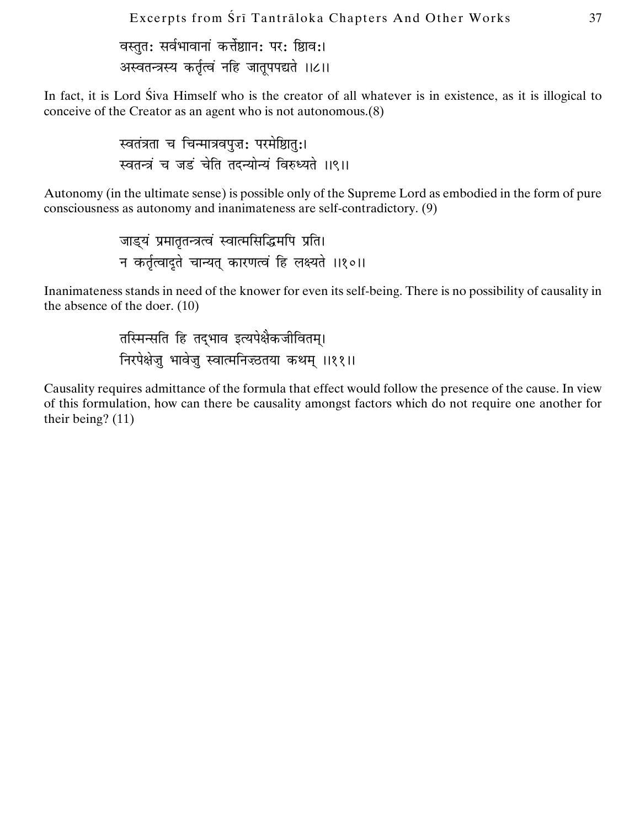वस्तुत: सर्वभावानां कर्त्तेष्ठाान: पर: ष्ठिाव:। अस्वतन्त्रस्य कर्तृत्वं नहि जातूपपद्यते ॥८॥

In fact, it is Lord Siva Himself who is the creator of all whatever is in existence, as it is illogical to conceive of the Creator as an agent who is not autonomous.(8)

> स्वतंत्रता च चिन्मात्रवपुज: परमेष्ठिातु:। स्वतन्त्रं च जडं चेति तदन्योन्यं विरुध्यते ॥९॥

Autonomy (in the ultimate sense) is possible only of the Supreme Lord as embodied in the form of pure consciousness as autonomy and inanimateness are self-contradictory. (9)

> जाड्यं प्रमातृतन्त्रत्वं स्वात्मसिद्धिमपि प्रति। न कर्तृत्वादूते चान्यत् कारणत्वं हि लक्ष्यते ॥१०॥

Inanimateness stands in need of the knower for even its self-being. There is no possibility of causality in the absence of the doer.  $(10)$ 

Causality requires admittance of the formula that effect would follow the presence of the cause. In view of this formulation, how can there be causality amongst factors which do not require one another for their being?  $(11)$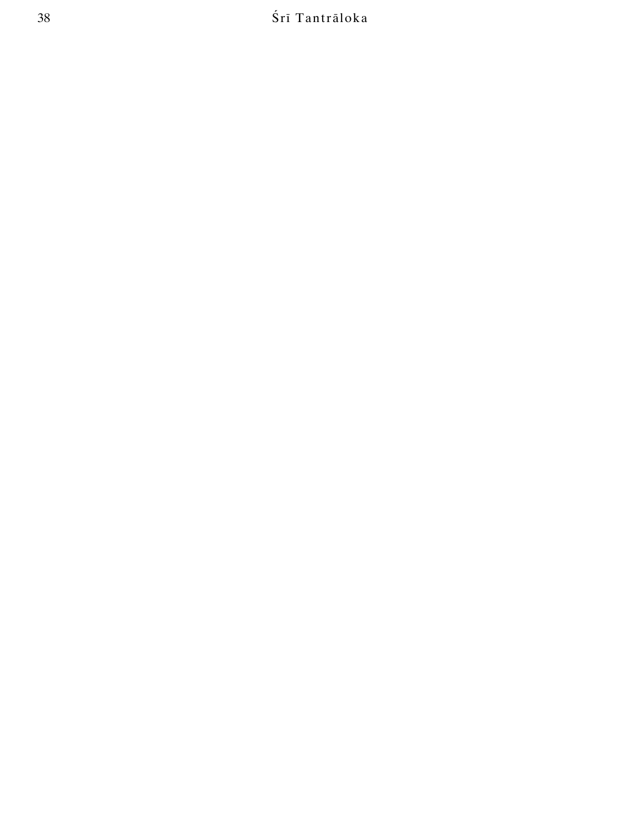.<br>Śrī Tantrāloka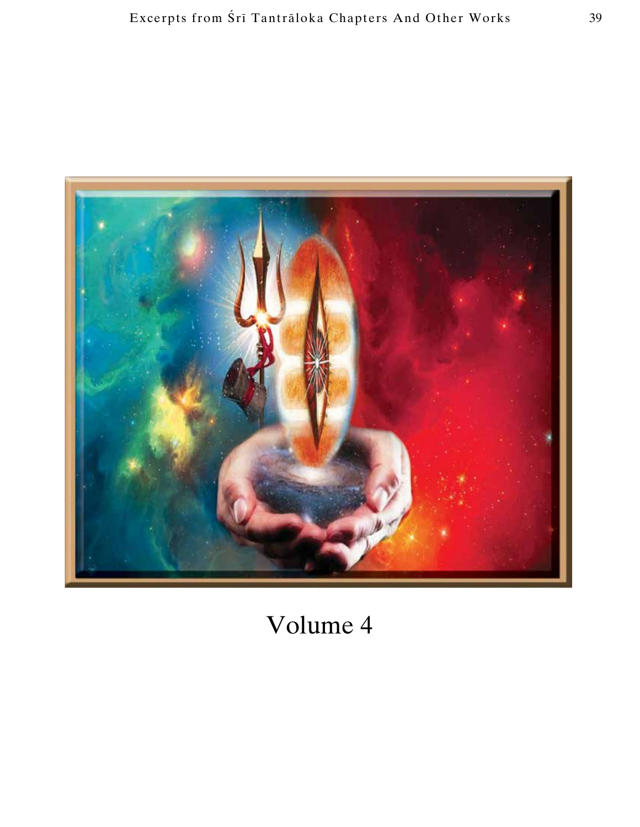

# Volume 4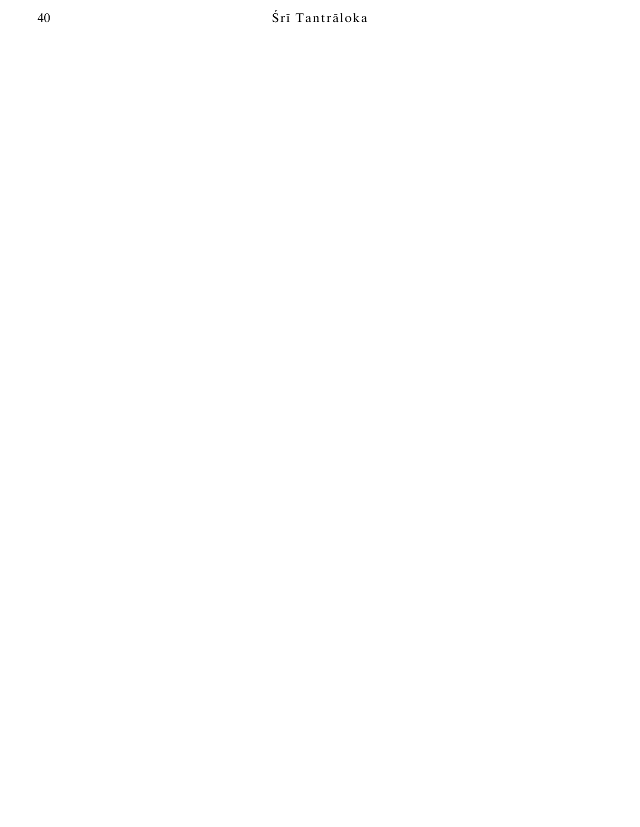## .<br>Śrī Tantrāloka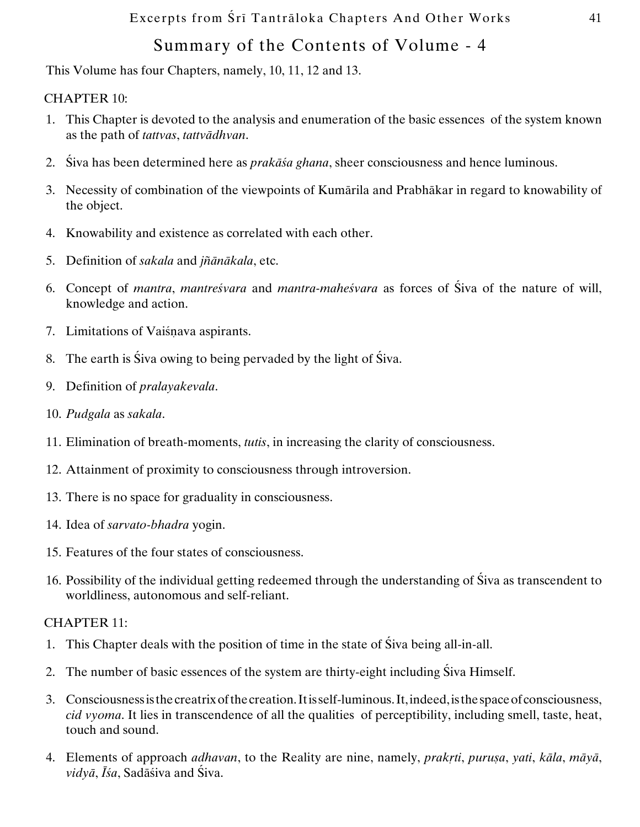### Summary of the Contents of Volume - 4

This Volume has four Chapters, namely, 10, 11, 12 and 13.

#### CHAPTER 10:

- 1. This Chapter is devoted to the analysis and enumeration of the basic essences of the system known as the path of *tattvas*, *tattvädhvan*.
- 2. Çiva has been determined here as *prakäça ghana*, sheer consciousness and hence luminous.
- 3. Necessity of combination of the viewpoints of Kumärila and Prabhäkar in regard to knowability of the object.
- 4. Knowability and existence as correlated with each other.
- 5. Definition of *sakala* and *jïänäkala*, etc.
- 6. Concept of *mantra*, *mantreçvara* and *mantra-maheçvara* as forces of Çiva of the nature of will, knowledge and action.
- 7. Limitations of Vaisnava aspirants.
- 8. The earth is Siva owing to being pervaded by the light of Siva.
- 9. Definition of *pralayakevala*.
- 10. *Pudgala* as *sakala*.
- 11. Elimination of breath-moments, *tutis*, in increasing the clarity of consciousness.
- 12. Attainment of proximity to consciousness through introversion.
- 13. There is no space for graduality in consciousness.
- 14. Idea of *sarvato-bhadra* yogin.
- 15. Features of the four states of consciousness.
- 16. Possibility of the individual getting redeemed through the understanding of Çiva as transcendent to worldliness, autonomous and self-reliant.

#### CHAPTER 11:

- 1. This Chapter deals with the position of time in the state of Çiva being all-in-all.
- 2. The number of basic essences of the system are thirty-eight including Siva Himself.
- 3. Consciousness is the creatrix of the creation. It is self-luminous. It, indeed, is the space of consciousness, *cid vyoma*. It lies in transcendence of all the qualities of perceptibility, including smell, taste, heat, touch and sound.
- 4. Elements of approach *adhavan*, to the Reality are nine, namely, *prakrti*, *purusa*, *yati*, *kāla*, *māyā*, *vidyä*, *Éça*, Sadäçiva and Çiva.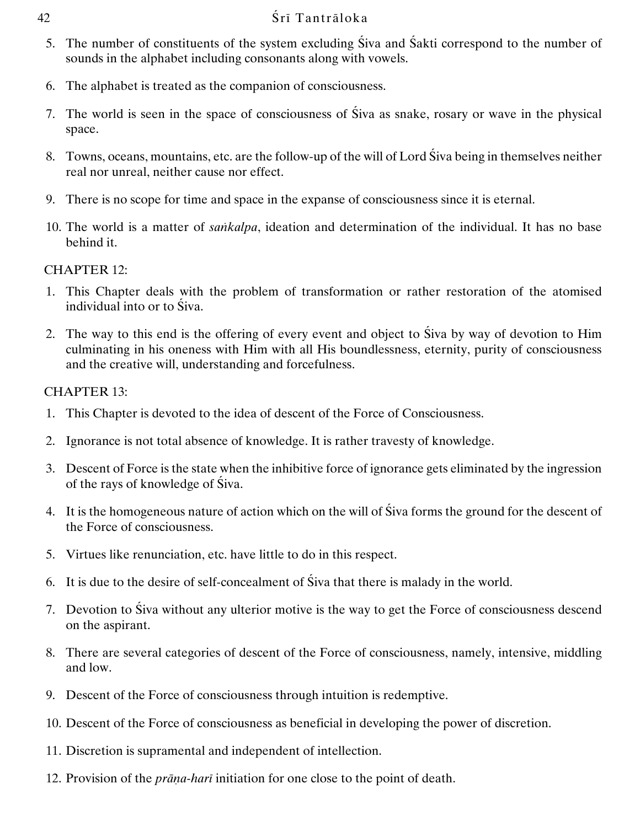#### 42 Sri Tanträloka

- 5. The number of constituents of the system excluding Çiva and Çakti correspond to the number of sounds in the alphabet including consonants along with vowels.
- 6. The alphabet is treated as the companion of consciousness.
- 7. The world is seen in the space of consciousness of Çiva as snake, rosary or wave in the physical space.
- 8. Towns, oceans, mountains, etc. are the follow-up of the will of Lord Çiva being in themselves neither real nor unreal, neither cause nor effect.
- 9. There is no scope for time and space in the expanse of consciousness since it is eternal.
- 10. The world is a matter of *saìkalpa*, ideation and determination of the individual. It has no base behind it.

#### CHAPTER 12:

- 1. This Chapter deals with the problem of transformation or rather restoration of the atomised individual into or to Siva.
- 2. The way to this end is the offering of every event and object to Siva by way of devotion to Him culminating in his oneness with Him with all His boundlessness, eternity, purity of consciousness and the creative will, understanding and forcefulness.

#### CHAPTER 13:

- 1. This Chapter is devoted to the idea of descent of the Force of Consciousness.
- 2. Ignorance is not total absence of knowledge. It is rather travesty of knowledge.
- 3. Descent of Force is the state when the inhibitive force of ignorance gets eliminated by the ingression of the rays of knowledge of Çiva.
- 4. It is the homogeneous nature of action which on the will of Siva forms the ground for the descent of the Force of consciousness.
- 5. Virtues like renunciation, etc. have little to do in this respect.
- 6. It is due to the desire of self-concealment of Çiva that there is malady in the world.
- 7. Devotion to Siva without any ulterior motive is the way to get the Force of consciousness descend on the aspirant.
- 8. There are several categories of descent of the Force of consciousness, namely, intensive, middling and low.
- 9. Descent of the Force of consciousness through intuition is redemptive.
- 10. Descent of the Force of consciousness as beneficial in developing the power of discretion.
- 11. Discretion is supramental and independent of intellection.
- 12. Provision of the *prāna-harī* initiation for one close to the point of death.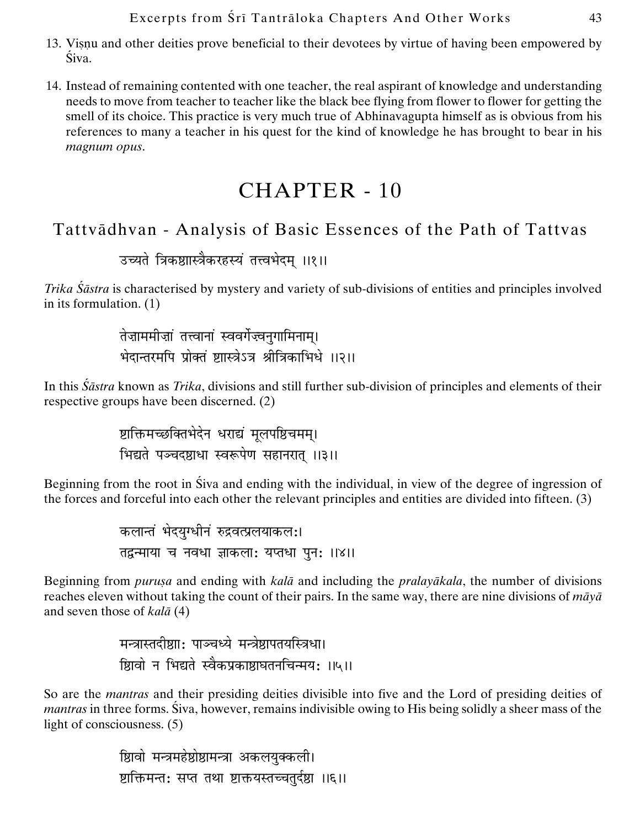- 13. Visnu and other deities prove beneficial to their devotees by virtue of having been empowered by Śiva.
- 14. Instead of remaining contented with one teacher, the real aspirant of knowledge and understanding needs to move from teacher to teacher like the black bee flying from flower to flower for getting the smell of its choice. This practice is very much true of Abhinavagupta himself as is obvious from his references to many a teacher in his quest for the kind of knowledge he has brought to bear in his *magnum opus*.

## CHAPTER - 10

## Tattvädhvan - Analysis of Basic Essences of the Path of Tattvas

## उच्यते त्रिकष्ठास्त्रैकरहस्यं तत्त्वभेदम् ॥१॥

*Trika Çästra* is characterised by mystery and variety of sub-divisions of entities and principles involved in its formulation. (1)

> तेजाममीजां तत्त्वानां स्ववर्गेज्वनगामिनाम्। भेदान्तरमपि प्रोक्तं ष्ट्रास्त्रेऽत्र श्रीत्रिकाभिधे ॥२॥

In this *Çästra* known as *Trika*, divisions and still further sub-division of principles and elements of their respective groups have been discerned. (2)

> ष्टाक्तिमच्छक्तिभेदेन धराद्यं मूलपष्ठिचमम्। भिद्यते पञ्चदष्ठाधा स्वरूपेण सहानरात् ॥३॥

Beginning from the root in Siva and ending with the individual, in view of the degree of ingression of the forces and forceful into each other the relevant principles and entities are divided into fifteen. (3)

> कलान्तं भेदयग्धीनं रुद्रवत्प्रलयाकल:। तद्वन्माया च नवधा ज्ञाकला: यप्तधा पुन: ।।४।।

Beginning from *purusa* and ending with *kalā* and including the *pralayākala*, the number of divisions reaches eleven without taking the count of their pairs. In the same way, there are nine divisions of *mäyä* and seven those of *kalä* (4)

> मन्त्रास्तदीष्ठाा: पाञ्चध्ये मन्त्रेष्ठापतयस्त्रिधा। <u>शिवो न भिद्यते स्वैकप्रकाष्ठाघतनचिन्मय: ॥५॥</u>

So are the *mantras* and their presiding deities divisible into five and the Lord of presiding deities of *mantras* in three forms. Siva, however, remains indivisible owing to His being solidly a sheer mass of the light of consciousness. (5)

> ष्ठिावो मन्त्रमहेष्ठोष्ठामन्त्रा अकलयुक्कली। ष्टाक्तिमन्त: सप्त तथा ष्टाक्तयस्तच्चतुर्दष्ठा ॥६॥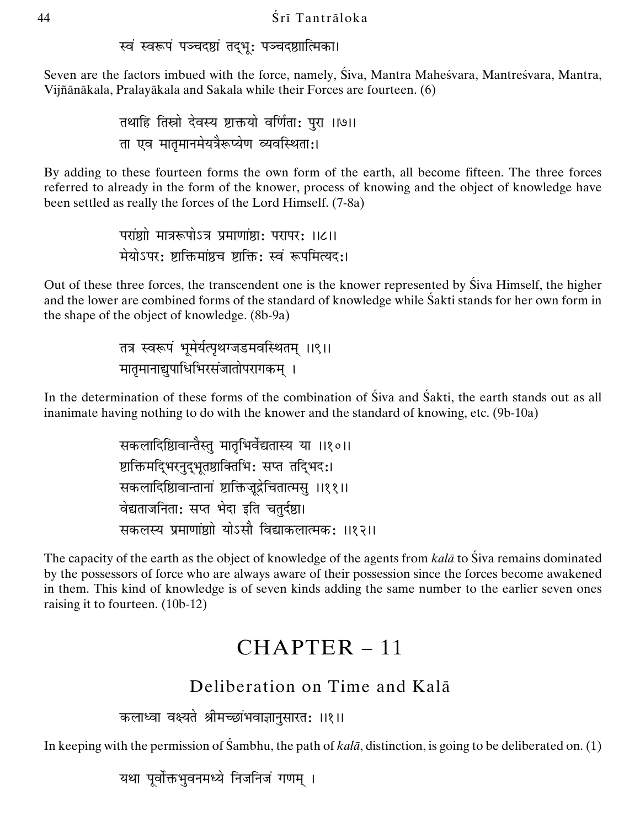स्वं स्वरूपं पञ्चदष्ठां तद्भू: पञ्चदष्ठाात्मिका।

Seven are the factors imbued with the force, namely, Siva, Mantra Mahesvara, Mantresvara, Mantra, Vijñānākala, Pralayākala and Sakala while their Forces are fourteen. (6)

> तथाहि तिस्रो देवस्य ष्टाक्तयो वर्णिता: परा ।।७।। ता एव मातृमानमेयत्रैरूप्येण व्यवस्थिता:।

By adding to these fourteen forms the own form of the earth, all become fifteen. The three forces referred to already in the form of the knower, process of knowing and the object of knowledge have been settled as really the forces of the Lord Himself. (7-8a)

> परांष्ठाो मात्ररूपोऽत्र प्रमाणांष्ठा: परापर: ॥८॥ मेयोऽपर: ष्टाक्तिमांष्ठच ष्टाक्ति: स्वं रूपमित्यद:।

Out of these three forces, the transcendent one is the knower represented by Siva Himself, the higher and the lower are combined forms of the standard of knowledge while Sakti stands for her own form in the shape of the object of knowledge. (8b-9a)

```
तत्र स्वरूपं भूमेर्यत्पृथग्जडमवस्थितम् ॥९॥
मातृमानाद्युपाधिभिरसंजातोपरागकम् ।
```
In the determination of these forms of the combination of Siva and Sakti, the earth stands out as all inanimate having nothing to do with the knower and the standard of knowing, etc. (9b-10a)

> सकलादिष्ठिावान्तैस्तु मातृभिर्वेद्यतास्य या ॥१०॥ ष्टाक्तिमदिभरनदभुतष्ठाक्तिभि: सप्त तदिभद:। सकलादिष्ठिावान्तानां ष्टाक्तिजुद्रेचितात्मस् ॥११॥ वेद्यताजनिता: सप्त भेदा इति चतुर्दष्ठा। सकलस्य प्रमाणांश्रो योऽसौ विद्याकलात्मक: ॥१२॥

The capacity of the earth as the object of knowledge of the agents from kala to Siva remains dominated by the possessors of force who are always aware of their possession since the forces become awakened in them. This kind of knowledge is of seven kinds adding the same number to the earlier seven ones raising it to fourteen. (10b-12)

## CHAPTER-11

### Deliberation on Time and Kala

कलाध्वा वक्ष्यते श्रीमच्छांभवाज्ञानसारत: ॥१॥

In keeping with the permission of Sambhu, the path of kala, distinction, is going to be deliberated on. (1)

यथा पूर्वोक्तभुवनमध्ये निजनिजं गणम् ।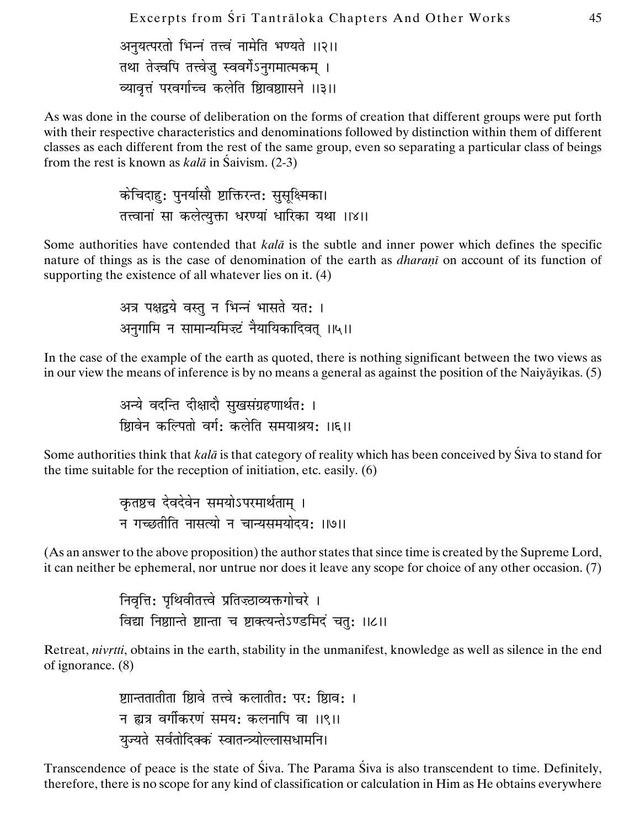अनुयत्परतो भिन्नं तत्त्वं नामेति भण्यते ॥२॥ तथा तेज्वपि तत्त्वेज़ु स्ववर्गेऽनुगमात्मकम् । व्यावत्तं परवर्गाच्च कलेति ष्ठिावष्ठाासने ।।३।।

As was done in the course of deliberation on the forms of creation that different groups were put forth with their respective characteristics and denominations followed by distinction within them of different classes as each different from the rest of the same group, even so separating a particular class of beings from the rest is known as  $kala$  in Saivism. (2-3)

> केचिदाहु: पुनर्यासौ ष्टाक्तिरन्त: सुसूक्ष्मिका। तत्त्वानां सा कलेत्युक्ता धरण्यां धारिका यथा ।।४।।

Some authorities have contended that kalā is the subtle and inner power which defines the specific nature of things as is the case of denomination of the earth as *dharani* on account of its function of supporting the existence of all whatever lies on it. (4)

> अत्र पक्षद्वये वस्तु न भिन्नं भासते यत: । अनुगामि न सामान्यमिज्टं नैयायिकादिवत् ।।५।।

In the case of the example of the earth as quoted, there is nothing significant between the two views as in our view the means of inference is by no means a general as against the position of the Naiyayikas. (5)

> अन्ये वदन्ति दीक्षादौ सखसंग्रहणार्थत: । ष्ठिावेन कल्पितो वर्ग: कलेति समयाश्रय: ॥६॥

Some authorities think that kalā is that category of reality which has been conceived by Siva to stand for the time suitable for the reception of initiation, etc. easily.  $(6)$ 

> कृतष्ठच देवदेवेन समयोऽपरमार्थताम् । न गच्छतीति नासत्यो न चान्यसमयोदय: ।।७।।

(As an answer to the above proposition) the author states that since time is created by the Supreme Lord, it can neither be ephemeral, nor untrue nor does it leave any scope for choice of any other occasion. (7)

> निवत्ति: पथिवीतत्त्वे प्रतिज्ठाव्यक्तगोचरे । विद्या निष्ठान्ते ष्टान्ता च ष्टाक्त्यन्तेऽण्डमिदं चत: ।।८।।

Retreat, nivrtti, obtains in the earth, stability in the unmanifest, knowledge as well as silence in the end of ignorance. (8)

> ष्ट्रान्ततातीता ष्ठिावे तत्त्वे कलातीत: पर: ष्ठिाव: । न ह्यत्र वर्गीकरणं समय: कलनापि वा ॥९॥ युज्यते सर्वतोदिक्कं स्वातन्त्र्योल्लासधामनि।

Transcendence of peace is the state of Siva. The Parama Siva is also transcendent to time. Definitely, therefore, there is no scope for any kind of classification or calculation in Him as He obtains everywhere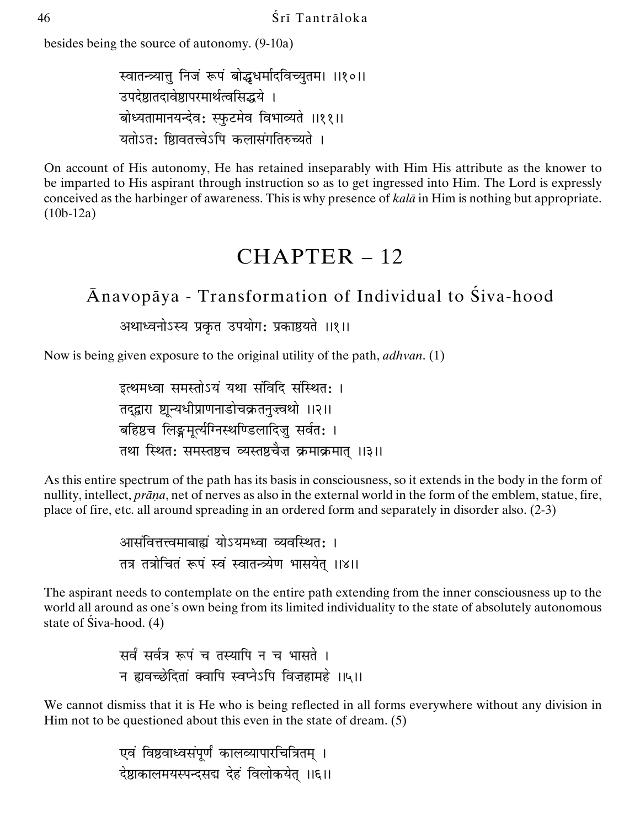besides being the source of autonomy. (9-10a)

स्वातन्त्र्यात् निजं रूपं बोद्धधर्मादविच्युतम। ॥१०॥ उपदेष्ठातदावेष्ठापरमार्थत्वसिद्धये । बोध्यतामानयन्देव: स्फुटमेव विभाव्यते ॥११॥ यतोऽत: ष्रिावतत्त्वेऽपि कलासंगतिरुच्यते ।

On account of His autonomy, He has retained inseparably with Him His attribute as the knower to be imparted to His aspirant through instruction so as to get ingressed into Him. The Lord is expressly conceived as the harbinger of awareness. This is why presence of *kala* in Him is nothing but appropriate.  $(10b-12a)$ 

## $CHAPTER - 12$

## Anavopāya - Transformation of Individual to Śiva-hood

अथाध्वनोऽस्य प्रकृत उपयोग: प्रकाष्ठयते ॥१॥

Now is being given exposure to the original utility of the path, *adhvan*. (1)

इत्थमध्वा समस्तोऽयं यथा संविदि संस्थित: । तदद्वारा ष्टा्न्यधीप्राणनाडोचक्रतनुज्वथो ॥२॥ बहिष्ठच लिङ्गमूर्त्यग्निस्थण्डिलादिज़ु सर्वत: । तथा स्थित: समस्तष्ठच व्यस्तष्ठचैज़ क्रमाक्रमात ॥३॥

As this entire spectrum of the path has its basis in consciousness, so it extends in the body in the form of nullity, intellect, *prāņa*, net of nerves as also in the external world in the form of the emblem, statue, fire, place of fire, etc. all around spreading in an ordered form and separately in disorder also. (2-3)

> आसंवित्तत्त्वमाबाह्यं योऽयमध्वा व्यवस्थित: । तत्र तत्रोचितं रूपं स्वं स्वातन्त्र्येण भासयेत् ।।४।।

The aspirant needs to contemplate on the entire path extending from the inner consciousness up to the world all around as one's own being from its limited individuality to the state of absolutely autonomous state of  $\text{Siva-hood.}$  (4)

> सर्वं सर्वत्र रूपं च तस्यापि न च भासते । न ह्यवच्छेदितां क्वापि स्वप्नेऽपि विज़हामहे ।।५।।

We cannot dismiss that it is He who is being reflected in all forms everywhere without any division in Him not to be questioned about this even in the state of dream.  $(5)$ 

> एवं विष्ठवाध्वसंपूर्णं कालव्यापारचित्रितम् । देष्ठाकालमयस्पन्दसद्म देहं विलोकयेत् ।।६।।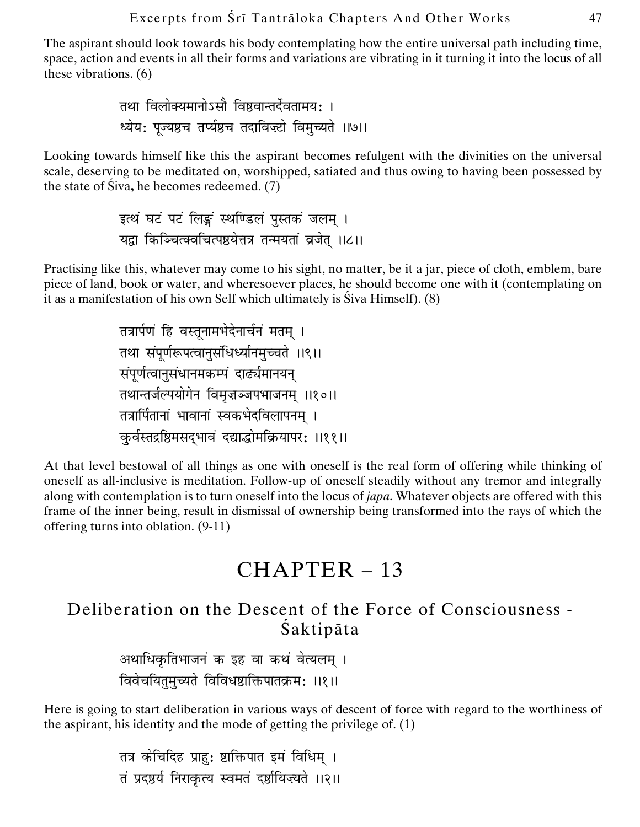The aspirant should look towards his body contemplating how the entire universal path including time, space, action and events in all their forms and variations are vibrating in it turning it into the locus of all these vibrations.  $(6)$ 

> तथा विलोक्यमानोऽसौ विष्ठवान्तर्देवतामय: । ध्येय: पूज्यष्ठच तर्प्यष्ठच तदाविज्टो विमुच्यते ।।७।।

Looking towards himself like this the aspirant becomes refulgent with the divinities on the universal scale, deserving to be meditated on, worshipped, satiated and thus owing to having been possessed by the state of Siva, he becomes redeemed. (7)

> इत्थं घटं पटं लिङ्गं स्थण्डिलं पस्तकं जलम । यद्वा किञ्चित्क्वचित्पष्ठयेत्तत्र तन्मयतां व्रजेत् ।।८।।

Practising like this, whatever may come to his sight, no matter, be it a jar, piece of cloth, emblem, bare piece of land, book or water, and wheresoever places, he should become one with it (contemplating on it as a manifestation of his own Self which ultimately is Siva Himself). (8)

> तत्रार्पणं हि वस्तुनामभेदेनार्चनं मतम् । तथा संपूर्णरूपत्वानुसंधिर्ध्यानमुच्चते ॥९॥ संपूर्णत्वानुसंधानमकम्पं दार्ढ्यमानयन् तथान्तर्जल्पयोगेन विमृजञ्जपभाजनम् ॥१०॥ तत्रार्पितानां भावानां स्वकभेदविलापनम् । कुर्वस्तद्रष्ठिमसद्भावं दद्याद्धोमक्रियापर: ॥११॥

At that level bestowal of all things as one with oneself is the real form of offering while thinking of oneself as all-inclusive is meditation. Follow-up of oneself steadily without any tremor and integrally along with contemplation is to turn oneself into the locus of *japa*. Whatever objects are offered with this frame of the inner being, result in dismissal of ownership being transformed into the rays of which the offering turns into oblation. (9-11)

## $CHAPTER - 13$

## Deliberation on the Descent of the Force of Consciousness -**Saktipāta**

अथाधिकृतिभाजनं क इह वा कथं वेत्यलम् । विवेचयित्मुच्यते विविधष्ठाक्तिपातक्रम: ॥१॥

Here is going to start deliberation in various ways of descent of force with regard to the worthiness of the aspirant, his identity and the mode of getting the privilege of.  $(1)$ 

> तत्र केचिदिह प्राह: ष्टाक्तिपात इमं विधिम् । तं प्रदष्ठर्य निराकत्य स्वमतं दर्ष्ठायिज्यते ॥२॥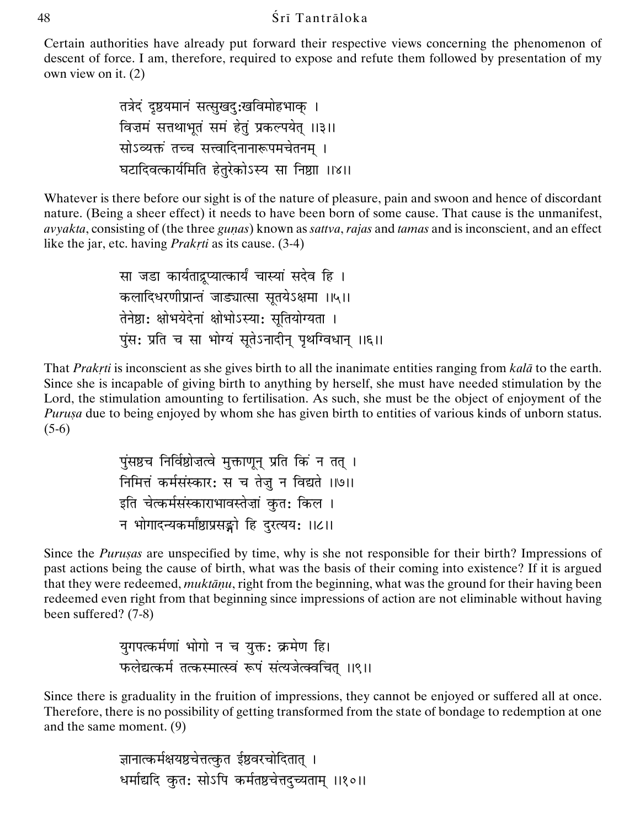Certain authorities have already put forward their respective views concerning the phenomenon of descent of force. I am, therefore, required to expose and refute them followed by presentation of my own view on it. (2)

> तत्रेदं दृष्ठयमानं सत्सुखद्:खविमोहभाक् । विजमं सत्तथाभतं समं हेतं प्रकल्पयेत ॥३॥ सोऽव्यक्तं तच्च सत्त्वादिनानारूपमचेतनम् । घटादिवत्कार्यमिति हेतुरेकोऽस्य सा निष्ठाा ।।४।।

Whatever is there before our sight is of the nature of pleasure, pain and swoon and hence of discordant nature. (Being a sheer effect) it needs to have been born of some cause. That cause is the unmanifest, avyakta, consisting of (the three gunas) known as sattva, rajas and tamas and is inconscient, and an effect like the jar, etc. having *Prakrti* as its cause. (3-4)

> सा जडा कार्यताद्रप्यात्कार्यं चास्यां सदेव हि । कलादिधरणीप्रान्तं जाड्यात्सा सूतयेऽक्षमा ।।५।। तेनेष्ठा: क्षोभयेदेनां क्षोभोऽस्या: सतियोग्यता । पुंस: प्रति च सा भोग्यं सूतेऽनादीन् पृथग्विधान् ॥६॥

That *Prakrti* is inconscient as she gives birth to all the inanimate entities ranging from *kala* to the earth. Since she is incapable of giving birth to anything by herself, she must have needed stimulation by the Lord, the stimulation amounting to fertilisation. As such, she must be the object of enjoyment of the *Purusa* due to being enjoyed by whom she has given birth to entities of various kinds of unborn status.  $(5-6)$ 

> पुंसष्ठच निर्विष्ठोजत्वे मुक्ताणून् प्रति किं न तत् । निमित्तं कर्मसंस्कार: स च तेज़ न विद्यते ।।७।। इति चेत्कर्मसंस्काराभावस्तेज़ां कुत: किल । न भोगादन्यकर्माष्ठाप्रसङ्गो हि दुरत्यय: ।।८।।

Since the *Purusas* are unspecified by time, why is she not responsible for their birth? Impressions of past actions being the cause of birth, what was the basis of their coming into existence? If it is argued that they were redeemed, muktanu, right from the beginning, what was the ground for their having been redeemed even right from that beginning since impressions of action are not eliminable without having been suffered? (7-8)

> यगपत्कर्मणां भोगो न च युक्त: क्रमेण हि। फलेद्यत्कर्म तत्कस्मात्स्वं रूपं संत्यजेत्क्वचित् ॥९॥

Since there is graduality in the fruition of impressions, they cannot be enjoyed or suffered all at once. Therefore, there is no possibility of getting transformed from the state of bondage to redemption at one and the same moment.  $(9)$ 

> ज्ञानात्कर्मक्षयष्ठचेत्तत्कत ईष्ठवरचोदितात । धर्माद्यदि कुत: सोऽपि कर्मतष्ठचेत्तदुच्यताम् ॥१०॥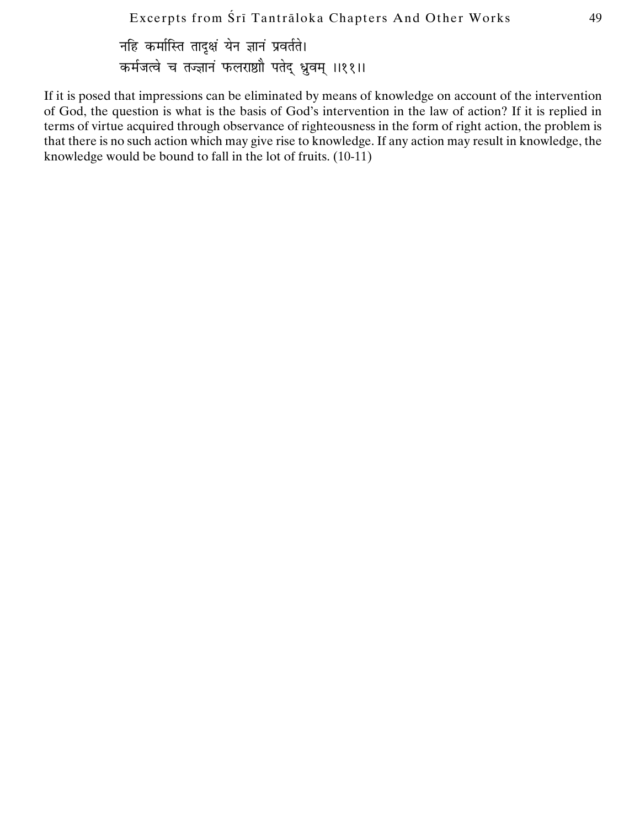नहि कर्मास्ति तादृक्षं येन ज्ञानं प्रवर्तते। कर्मजत्वे च तज्ज्ञानं फलराष्ठाौ पतेद् ध्रुवम् ॥११॥

If it is posed that impressions can be eliminated by means of knowledge on account of the intervention of God, the question is what is the basis of God's intervention in the law of action? If it is replied in terms of virtue acquired through observance of righteousness in the form of right action, the problem is that there is no such action which may give rise to knowledge. If any action may result in knowledge, the knowledge would be bound to fall in the lot of fruits. (10-11)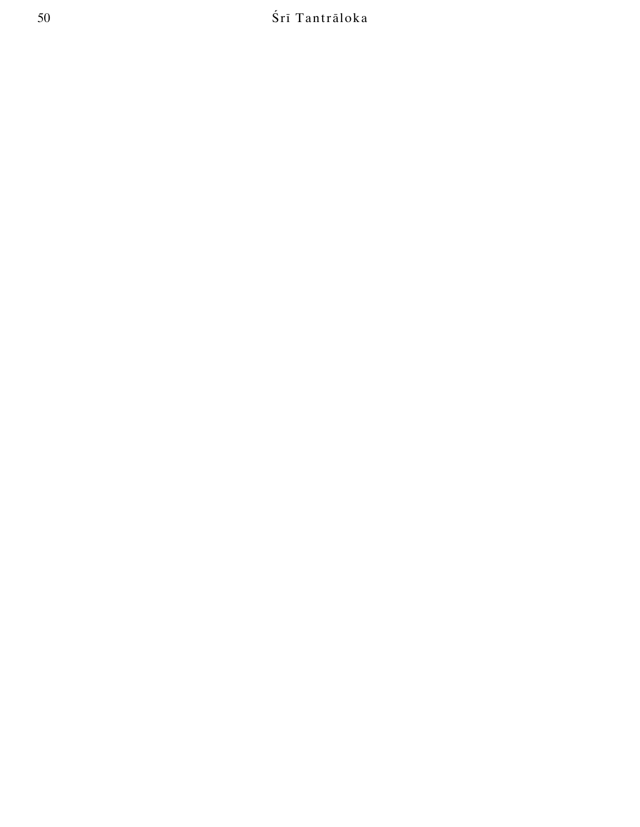## .<br>Śrī Tantrāloka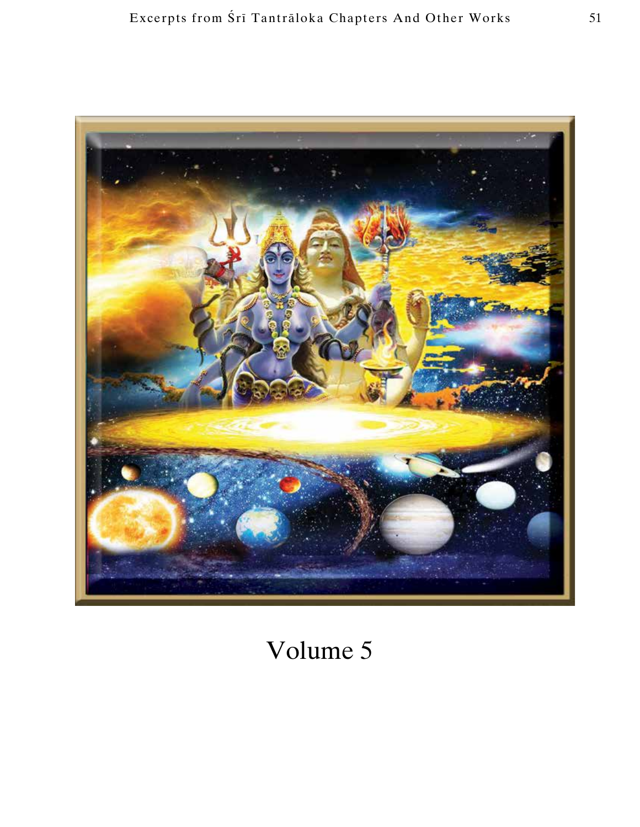

## Volume 5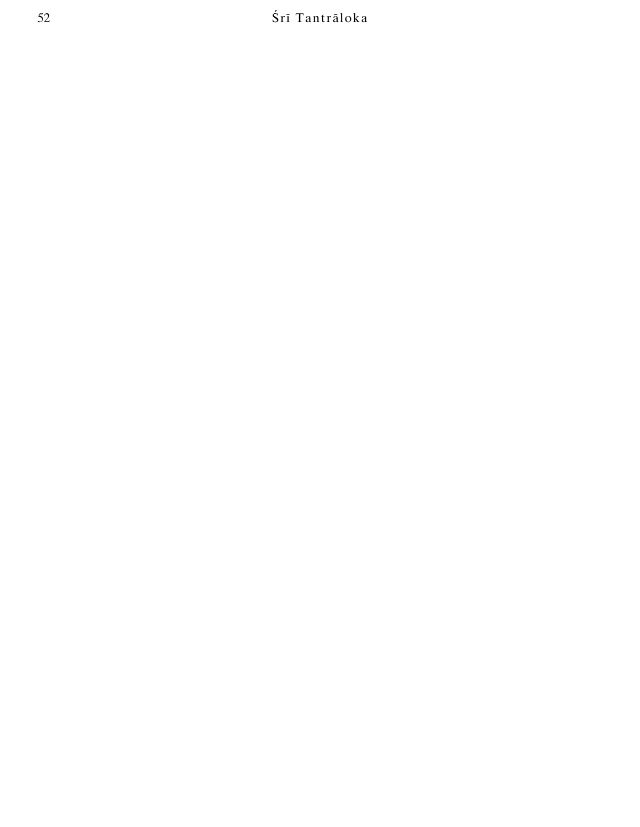## .<br>Śrī Tantrāloka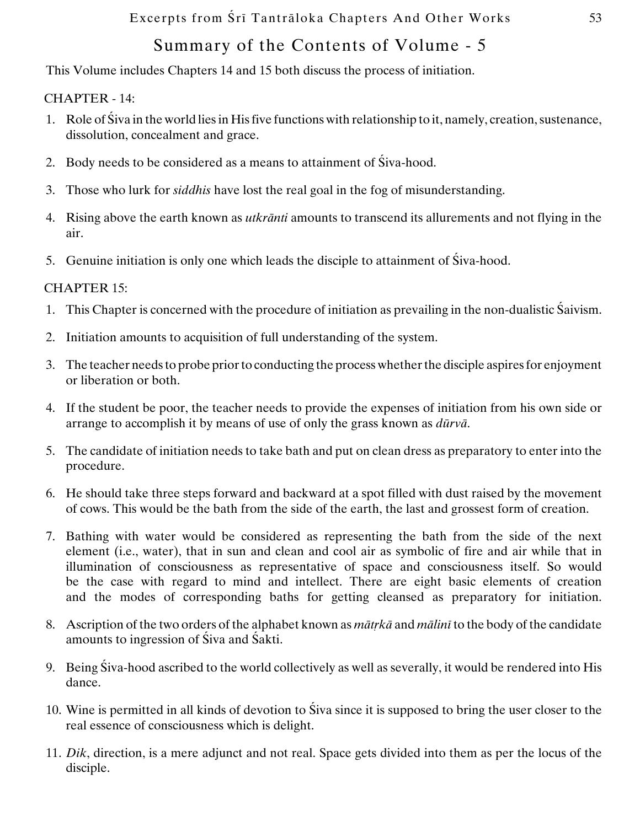## Summary of the Contents of Volume - 5

This Volume includes Chapters 14 and 15 both discuss the process of initiation.

#### CHAPTER - 14:

- 1. Role of Çiva in the world lies in His five functions with relationship to it, namely, creation, sustenance, dissolution, concealment and grace.
- 2. Body needs to be considered as a means to attainment of Siva-hood.
- 3. Those who lurk for *siddhis* have lost the real goal in the fog of misunderstanding.
- 4. Rising above the earth known as *utkränti* amounts to transcend its allurements and not flying in the air.
- 5. Genuine initiation is only one which leads the disciple to attainment of Siva-hood.

#### CHAPTER 15:

- 1. This Chapter is concerned with the procedure of initiation as prevailing in the non-dualistic Çaivism.
- 2. Initiation amounts to acquisition of full understanding of the system.
- 3. The teacher needs to probe prior to conducting the process whether the disciple aspires for enjoyment or liberation or both.
- 4. If the student be poor, the teacher needs to provide the expenses of initiation from his own side or arrange to accomplish it by means of use of only the grass known as *dürvä*.
- 5. The candidate of initiation needs to take bath and put on clean dress as preparatory to enter into the procedure.
- 6. He should take three steps forward and backward at a spot filled with dust raised by the movement of cows. This would be the bath from the side of the earth, the last and grossest form of creation.
- 7. Bathing with water would be considered as representing the bath from the side of the next element (i.e., water), that in sun and clean and cool air as symbolic of fire and air while that in illumination of consciousness as representative of space and consciousness itself. So would be the case with regard to mind and intellect. There are eight basic elements of creation and the modes of corresponding baths for getting cleansed as preparatory for initiation.
- 8. Ascription of the two orders of the alphabet known as *mātrkā* and *mālini* to the body of the candidate amounts to ingression of Siva and Sakti.
- 9. Being Çiva-hood ascribed to the world collectively as well as severally, it would be rendered into His dance.
- 10. Wine is permitted in all kinds of devotion to Çiva since it is supposed to bring the user closer to the real essence of consciousness which is delight.
- 11. *Dik*, direction, is a mere adjunct and not real. Space gets divided into them as per the locus of the disciple.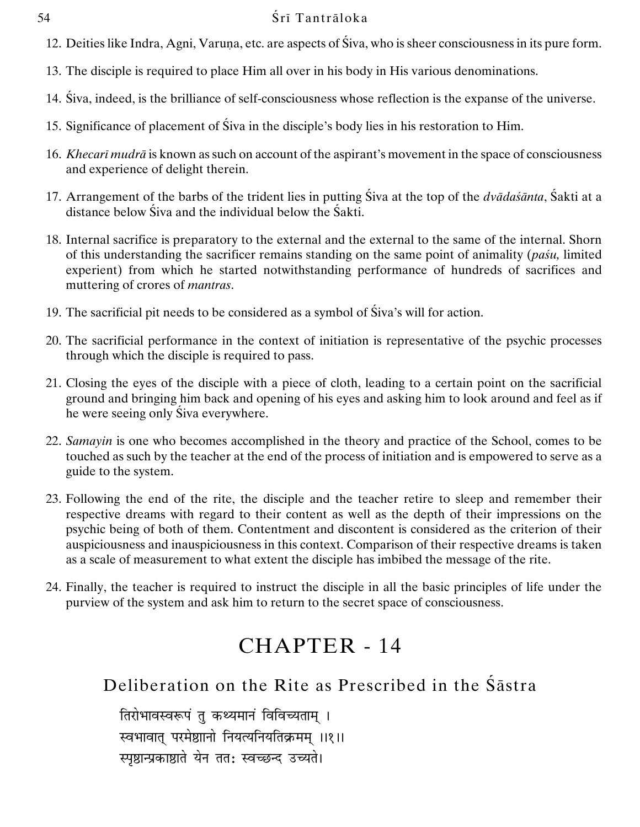#### 54 Sri Tanträloka

- 12. Deities like Indra, Agni, Varuna, etc. are aspects of Śiva, who is sheer consciousness in its pure form.
- 13. The disciple is required to place Him all over in his body in His various denominations.
- 14. Çiva, indeed, is the brilliance of self-consciousness whose reflection is the expanse of the universe.
- 15. Significance of placement of Çiva in the disciple's body lies in his restoration to Him.
- 16. *Khecaré mudrä* is known as such on account of the aspirant's movement in the space of consciousness and experience of delight therein.
- 17. Arrangement of the barbs of the trident lies in putting Çiva at the top of the *dvädaçänta*, Çakti at a distance below Siva and the individual below the Sakti.
- 18. Internal sacrifice is preparatory to the external and the external to the same of the internal. Shorn of this understanding the sacrificer remains standing on the same point of animality (*paçu,* limited experient) from which he started notwithstanding performance of hundreds of sacrifices and muttering of crores of *mantras*.
- 19. The sacrificial pit needs to be considered as a symbol of Çiva's will for action.
- 20. The sacrificial performance in the context of initiation is representative of the psychic processes through which the disciple is required to pass.
- 21. Closing the eyes of the disciple with a piece of cloth, leading to a certain point on the sacrificial ground and bringing him back and opening of his eyes and asking him to look around and feel as if he were seeing only Siva everywhere.
- 22. *Samayin* is one who becomes accomplished in the theory and practice of the School, comes to be touched as such by the teacher at the end of the process of initiation and is empowered to serve as a guide to the system.
- 23. Following the end of the rite, the disciple and the teacher retire to sleep and remember their respective dreams with regard to their content as well as the depth of their impressions on the psychic being of both of them. Contentment and discontent is considered as the criterion of their auspiciousness and inauspiciousness in this context. Comparison of their respective dreams is taken as a scale of measurement to what extent the disciple has imbibed the message of the rite.
- 24. Finally, the teacher is required to instruct the disciple in all the basic principles of life under the purview of the system and ask him to return to the secret space of consciousness.

## CHAPTER - 14

Deliberation on the Rite as Prescribed in the Sastra

तिरोभावस्वरूपं तु कथ्यमानं विविच्यताम् । स्वभावात् परमेष्ठाानो नियत्यनियतिक्रमम् ॥१॥ स्पृष्ठान्प्रकाष्ठाते येन तत: स्वच्छन्द उच्यते।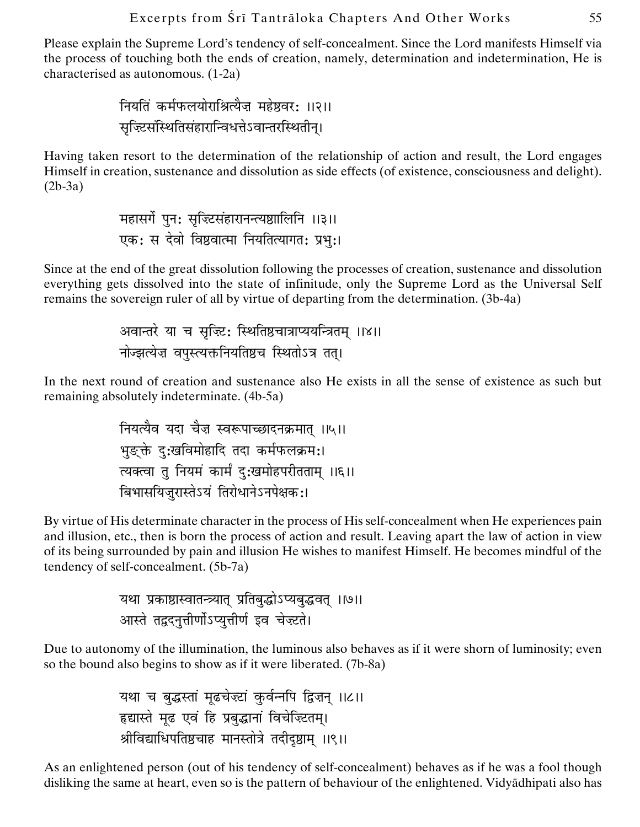Please explain the Supreme Lord's tendency of self-concealment. Since the Lord manifests Himself via the process of touching both the ends of creation, namely, determination and indetermination, He is characterised as autonomous. (1-2a)

```
नियतिं कर्मफलयोराश्रित्यैज महेष्ठवर: ॥२॥
सज्टिसंस्थितिसंहारान्विधत्तेऽवान्तरस्थितीन।
```
Having taken resort to the determination of the relationship of action and result, the Lord engages Himself in creation, sustenance and dissolution as side effects (of existence, consciousness and delight).  $(2b-3a)$ 

> महासर्गे पन: सज्टिसंहारानन्त्यष्ठालिनि ॥३॥ एक: स देवो विष्ठवात्मा नियतित्यागत: प्रभु:।

Since at the end of the great dissolution following the processes of creation, sustenance and dissolution everything gets dissolved into the state of infinitude, only the Supreme Lord as the Universal Self remains the sovereign ruler of all by virtue of departing from the determination. (3b-4a)

> अवान्तरे या च सृज्टि: स्थितिष्ठचात्राप्ययन्त्रितम् ।।४।। नोज्झत्येज़ वपस्त्यक्तनियतिष्ठच स्थितोऽत्र तत।

In the next round of creation and sustenance also He exists in all the sense of existence as such but remaining absolutely indeterminate. (4b-5a)

> नियत्यैव यदा चैज़ स्वरूपाच्छादनक्रमात् ।।५।। भङ्क्ते दु:खविमोहादि तदा कर्मफलक्रम:। त्यक्त्वा तु नियमं कार्मं दु:खमोहपरीतताम् ॥६॥ बिभासयिजरास्तेऽयं तिरोधानेऽनपेक्षक:।

By virtue of His determinate character in the process of His self-concealment when He experiences pain and illusion, etc., then is born the process of action and result. Leaving apart the law of action in view of its being surrounded by pain and illusion He wishes to manifest Himself. He becomes mindful of the tendency of self-concealment. (5b-7a)

> यथा प्रकाष्ठास्वातन्त्र्यात् प्रतिबुद्धोऽप्यबुद्धवत् ।।७।। आस्ते तद्वदनत्तीर्णोऽप्युत्तीर्ण इव चेज्र्टते।

Due to autonomy of the illumination, the luminous also behaves as if it were shorn of luminosity; even so the bound also begins to show as if it were liberated. (7b-8a)

```
यथा च बद्धस्तां मुढचेज्टां कुर्वन्नपि द्विजन् ॥८॥
हृद्यास्ते मढ एवं हि प्रबद्धानां विचेज़्टितम।
श्रीविद्याधिपतिष्ठचाह मानस्तोत्रे तदीदृष्ठाम् ॥९॥
```
As an enlightened person (out of his tendency of self-concealment) behaves as if he was a fool though disliking the same at heart, even so is the pattern of behaviour of the enlightened. Vidyadhipati also has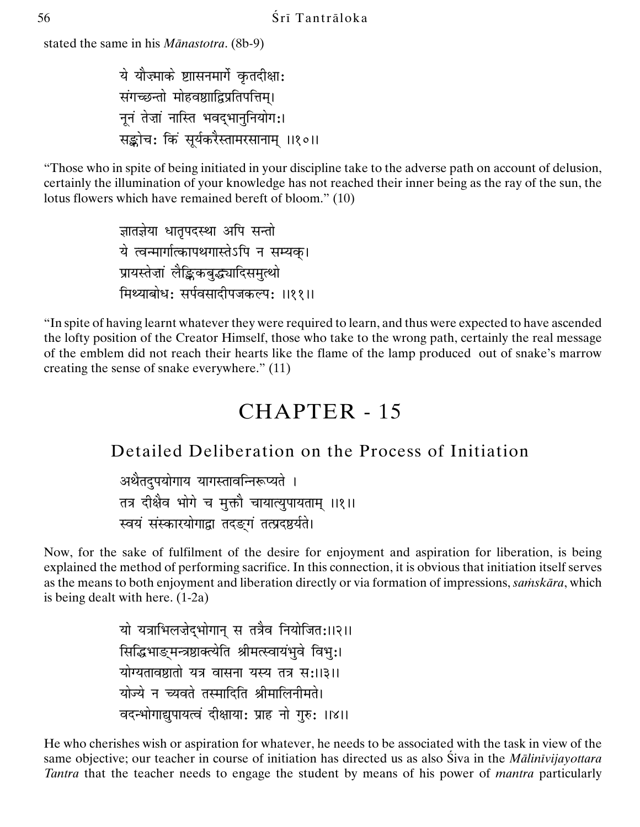stated the same in his *Mānastotra*. (8b-9)

```
ये यौज़्माके ष्टाासनमार्गे कृतदीक्षा:
संगच्छन्तो मोहवष्ठााद्विप्रतिपत्तिम्।
नूनं तेजां नास्ति भवद्भानुनियोग:।
सङ्कोच: किं सूर्यकरैस्तामरसानाम् ॥१०॥
```
"Those who in spite of being initiated in your discipline take to the adverse path on account of delusion, certainly the illumination of your knowledge has not reached their inner being as the ray of the sun, the lotus flowers which have remained bereft of bloom." (10)

> ज्ञातज्ञेया धातपदस्था अपि सन्तो ये त्वन्मार्गात्कापथगास्तेऽपि न सम्यक। प्रायस्तेजां लैद्भिकबद्ध्यादिसमत्थो मिथ्याबोध: सर्पवसादीपजकल्प: ॥११॥

"In spite of having learnt whatever they were required to learn, and thus were expected to have ascended the lofty position of the Creator Himself, those who take to the wrong path, certainly the real message of the emblem did not reach their hearts like the flame of the lamp produced out of snake's marrow creating the sense of snake everywhere." (11)

## $CHAPTER - 15$

Detailed Deliberation on the Process of Initiation

अथैतदुपयोगाय यागस्तावन्निरूप्यते । तत्र दीक्षेव भोगे च मक्तौ चायात्यपायताम ॥१॥ स्वयं संस्कारयोगाद्रा तदङगं तत्प्रदष्ठर्यते।

Now, for the sake of fulfilment of the desire for enjoyment and aspiration for liberation, is being explained the method of performing sacrifice. In this connection, it is obvious that initiation itself serves as the means to both enjoyment and liberation directly or via formation of impressions, *samskara*, which is being dealt with here. (1-2a)

> यो यत्राभिलज़ेद्भोगान् स तत्रैव नियोजित:।।२।। सिद्धिभाङ्मन्त्रष्ठाक्त्येति श्रीमत्स्वायंभुवे विभु:। योग्यतावष्ठातो यत्र वासना यस्य तत्र स:।।३।। योज्ये न च्यवते तस्मादिति श्रीमालिनीमते। वदन्भोगाद्यपायत्वं दीक्षाया: प्राह नो गरु: ।।४।।

He who cherishes wish or aspiration for whatever, he needs to be associated with the task in view of the same objective; our teacher in course of initiation has directed us as also Siva in the *Mālinīvijayottara* Tantra that the teacher needs to engage the student by means of his power of *mantra* particularly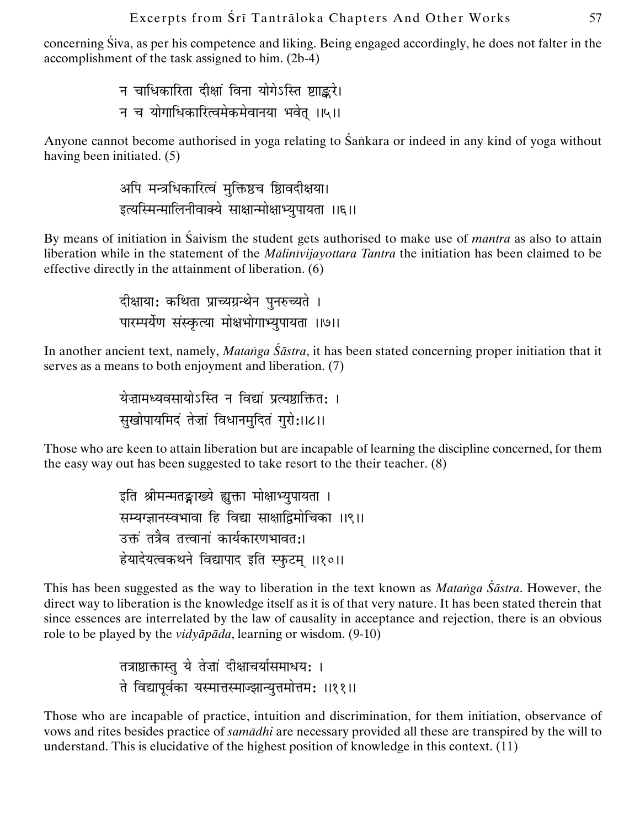concerning Çiva, as per his competence and liking. Being engaged accordingly, he does not falter in the accomplishment of the task assigned to him. (2b-4)

u pkf/dkfjrk nh{kka fouk ;ksxs¿fLr 'kkÄïjsA u p ;ksxkf/dkfjRoesdesoku;k Hkosr~ AAÿAA

Anyone cannot become authorised in yoga relating to Sankara or indeed in any kind of yoga without having been initiated. (5)

> अपि मन्त्रधिकारित्वं मुक्तिष्ठच ष्ठिावदीक्षया। इत्यस्मिन्मालिनीवाक्ये साक्षान्मोक्षाभ्युपायता ॥६॥

By means of initiation in Çaivism the student gets authorised to make use of *mantra* as also to attain liberation while in the statement of the *Mālinīvijayottara Tantra* the initiation has been claimed to be effective directly in the attainment of liberation. (6)

> दीक्षाया: कथिता प्राच्यग्रन्थेन पनरुच्यते । पारम्पर्येण संस्कत्या मोक्षभोगाभ्यपायता ।।७।।

In another ancient text, namely, *Mataìga Çästra*, it has been stated concerning proper initiation that it serves as a means to both enjoyment and liberation. (7)

> येजामध्यवसायोऽस्ति न विद्यां प्रत्यष्ठाक्तित: । सुखोपायमिदं तेज़ां विधानमुदितं गुरो:।।८।।

Those who are keen to attain liberation but are incapable of learning the discipline concerned, for them the easy way out has been suggested to take resort to the their teacher. (8)

> इति श्रीमन्मतङ्गाख्ये ह्यक्ता मोक्षाभ्युपायता । सम्यग्जानस्वभावा हि विद्या साक्षाद्विमोचिका ॥९॥ उक्तं तत्रैव तत्त्वानां कार्यकारणभावत $\cdot$ । हेयादेयत्वकथने विद्यापाद इति स्फुटम् ॥१०॥

This has been suggested as the way to liberation in the text known as *Mataìga Çästra*. However, the direct way to liberation is the knowledge itself as it is of that very nature. It has been stated therein that since essences are interrelated by the law of causality in acceptance and rejection, there is an obvious role to be played by the *vidyäpäda*, learning or wisdom. (9-10)

```
तत्राष्ठाक्तास्तु ये तेजां दीक्षाचर्यासमाधय: ।
ते विद्यापूर्वका यस्मात्तस्माज्झान्युत्तमोत्तम: ॥११॥
```
Those who are incapable of practice, intuition and discrimination, for them initiation, observance of vows and rites besides practice of *samädhi* are necessary provided all these are transpired by the will to understand. This is elucidative of the highest position of knowledge in this context. (11)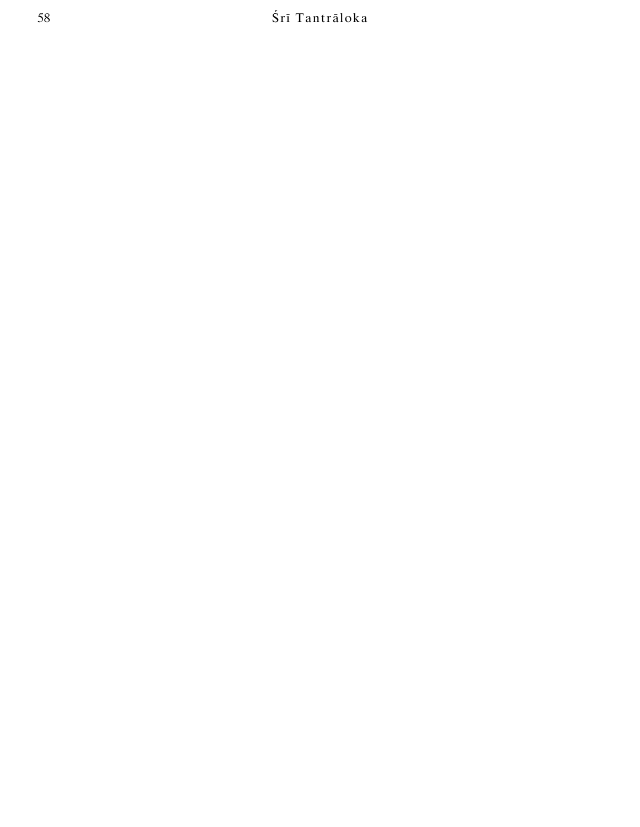## .<br>Śrī Tantrāloka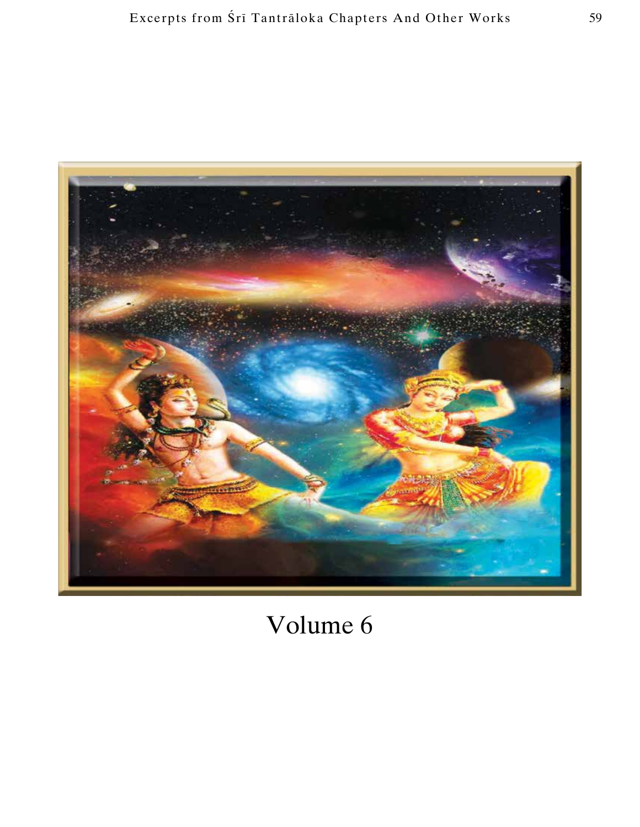

# Volume 6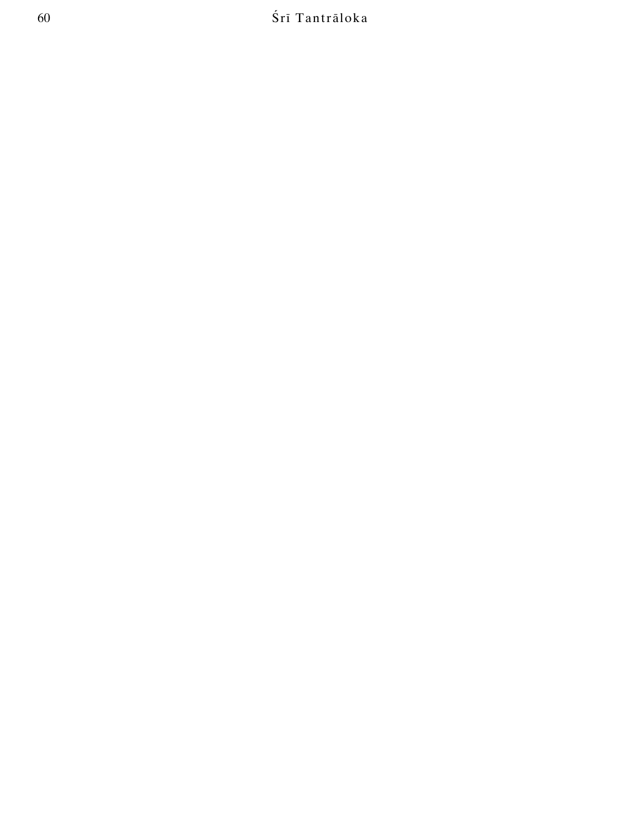## .<br>Śrī Tantrāloka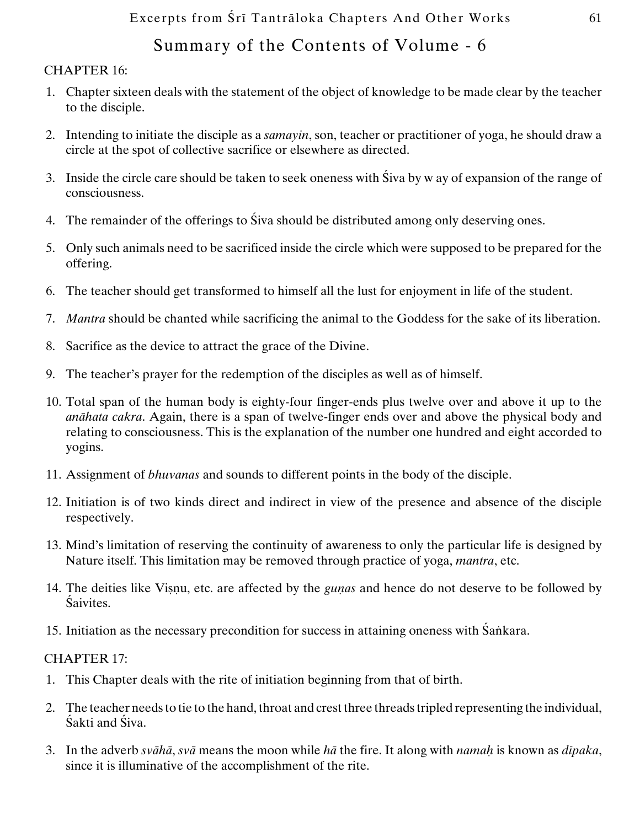### Summary of the Contents of Volume - 6

#### CHAPTER 16:

- 1. Chapter sixteen deals with the statement of the object of knowledge to be made clear by the teacher to the disciple.
- 2. Intending to initiate the disciple as a *samayin*, son, teacher or practitioner of yoga, he should draw a circle at the spot of collective sacrifice or elsewhere as directed.
- 3. Inside the circle care should be taken to seek oneness with Çiva by w ay of expansion of the range of consciousness.
- 4. The remainder of the offerings to Siva should be distributed among only deserving ones.
- 5. Only such animals need to be sacrificed inside the circle which were supposed to be prepared for the offering.
- 6. The teacher should get transformed to himself all the lust for enjoyment in life of the student.
- 7. *Mantra* should be chanted while sacrificing the animal to the Goddess for the sake of its liberation.
- 8. Sacrifice as the device to attract the grace of the Divine.
- 9. The teacher's prayer for the redemption of the disciples as well as of himself.
- 10. Total span of the human body is eighty-four finger-ends plus twelve over and above it up to the *anähata cakra*. Again, there is a span of twelve-finger ends over and above the physical body and relating to consciousness. This is the explanation of the number one hundred and eight accorded to yogins.
- 11. Assignment of *bhuvanas* and sounds to different points in the body of the disciple.
- 12. Initiation is of two kinds direct and indirect in view of the presence and absence of the disciple respectively.
- 13. Mind's limitation of reserving the continuity of awareness to only the particular life is designed by Nature itself. This limitation may be removed through practice of yoga, *mantra*, etc.
- 14. The deities like Visnu, etc. are affected by the *gunas* and hence do not deserve to be followed by Çaivites.
- 15. Initiation as the necessary precondition for success in attaining oneness with Sankara.

#### CHAPTER 17:

- 1. This Chapter deals with the rite of initiation beginning from that of birth.
- 2. The teacher needs to tie to the hand, throat and crest three threads tripled representing the individual, Çakti and Çiva.
- 3. In the adverb *svähä*, *svä* means the moon while *hä* the fire. It along with *namaù* is known as *dépaka*, since it is illuminative of the accomplishment of the rite.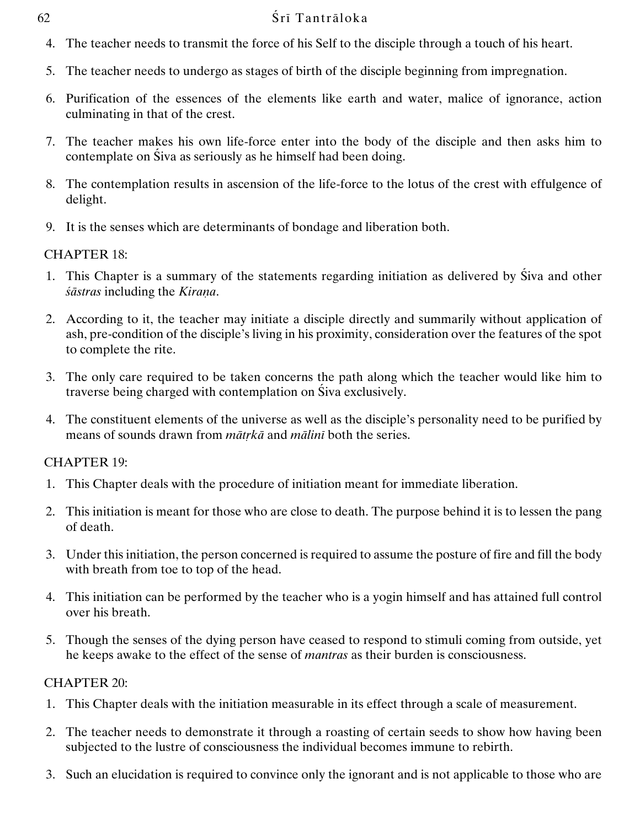#### 62 Sri Tanträloka

- 4. The teacher needs to transmit the force of his Self to the disciple through a touch of his heart.
- 5. The teacher needs to undergo as stages of birth of the disciple beginning from impregnation.
- 6. Purification of the essences of the elements like earth and water, malice of ignorance, action culminating in that of the crest.
- 7. The teacher makes his own life-force enter into the body of the disciple and then asks him to contemplate on Siva as seriously as he himself had been doing.
- 8. The contemplation results in ascension of the life-force to the lotus of the crest with effulgence of delight.
- 9. It is the senses which are determinants of bondage and liberation both.

#### CHAPTER 18:

- 1. This Chapter is a summary of the statements regarding initiation as delivered by Çiva and other *<i>śāstras* including the *Kiraņa*.
- 2. According to it, the teacher may initiate a disciple directly and summarily without application of ash, pre-condition of the disciple's living in his proximity, consideration over the features of the spot to complete the rite.
- 3. The only care required to be taken concerns the path along which the teacher would like him to traverse being charged with contemplation on Siva exclusively.
- 4. The constituent elements of the universe as well as the disciple's personality need to be purified by means of sounds drawn from *mātrkā* and *mālinī* both the series.

#### CHAPTER 19:

- 1. This Chapter deals with the procedure of initiation meant for immediate liberation.
- 2. This initiation is meant for those who are close to death. The purpose behind it is to lessen the pang of death.
- 3. Under this initiation, the person concerned is required to assume the posture of fire and fill the body with breath from toe to top of the head.
- 4. This initiation can be performed by the teacher who is a yogin himself and has attained full control over his breath.
- 5. Though the senses of the dying person have ceased to respond to stimuli coming from outside, yet he keeps awake to the effect of the sense of *mantras* as their burden is consciousness.

#### CHAPTER 20:

- 1. This Chapter deals with the initiation measurable in its effect through a scale of measurement.
- 2. The teacher needs to demonstrate it through a roasting of certain seeds to show how having been subjected to the lustre of consciousness the individual becomes immune to rebirth.
- 3. Such an elucidation is required to convince only the ignorant and is not applicable to those who are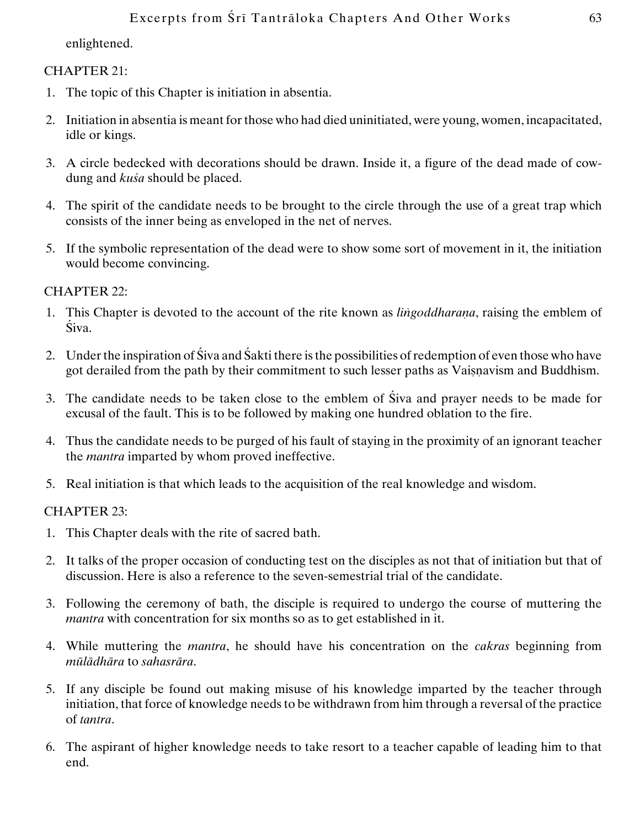#### Excerpts from Śri Tantrāloka Chapters And Other Works 63

enlightened.

#### CHAPTER 21:

- 1. The topic of this Chapter is initiation in absentia.
- 2. Initiation in absentia is meant for those who had died uninitiated, were young, women, incapacitated, idle or kings.
- 3. A circle bedecked with decorations should be drawn. Inside it, a figure of the dead made of cowdung and *kuça* should be placed.
- 4. The spirit of the candidate needs to be brought to the circle through the use of a great trap which consists of the inner being as enveloped in the net of nerves.
- 5. If the symbolic representation of the dead were to show some sort of movement in it, the initiation would become convincing.

#### CHAPTER 22:

- 1. This Chapter is devoted to the account of the rite known as *lingoddharana*, raising the emblem of Śiva.
- 2. Under the inspiration of Siva and Sakti there is the possibilities of redemption of even those who have got derailed from the path by their commitment to such lesser paths as Vaisnavism and Buddhism.
- 3. The candidate needs to be taken close to the emblem of Çiva and prayer needs to be made for excusal of the fault. This is to be followed by making one hundred oblation to the fire.
- 4. Thus the candidate needs to be purged of his fault of staying in the proximity of an ignorant teacher the *mantra* imparted by whom proved ineffective.
- 5. Real initiation is that which leads to the acquisition of the real knowledge and wisdom.

#### CHAPTER 23:

- 1. This Chapter deals with the rite of sacred bath.
- 2. It talks of the proper occasion of conducting test on the disciples as not that of initiation but that of discussion. Here is also a reference to the seven-semestrial trial of the candidate.
- 3. Following the ceremony of bath, the disciple is required to undergo the course of muttering the *mantra* with concentration for six months so as to get established in it.
- 4. While muttering the *mantra*, he should have his concentration on the *cakras* beginning from *mülädhära* to *sahasrära*.
- 5. If any disciple be found out making misuse of his knowledge imparted by the teacher through initiation, that force of knowledge needs to be withdrawn from him through a reversal of the practice of *tantra*.
- 6. The aspirant of higher knowledge needs to take resort to a teacher capable of leading him to that end.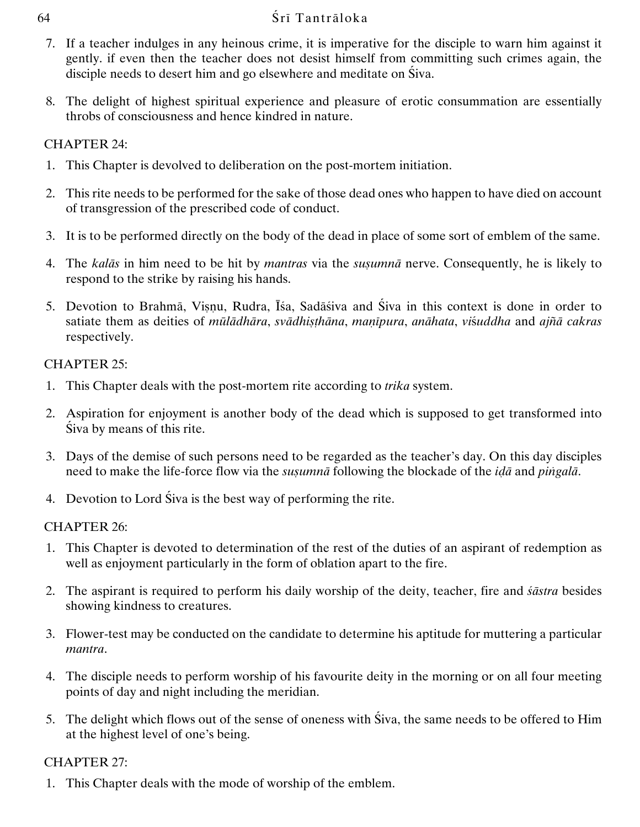#### 64 Sri Tanträloka

- 7. If a teacher indulges in any heinous crime, it is imperative for the disciple to warn him against it gently. if even then the teacher does not desist himself from committing such crimes again, the disciple needs to desert him and go elsewhere and meditate on Siva.
- 8. The delight of highest spiritual experience and pleasure of erotic consummation are essentially throbs of consciousness and hence kindred in nature.

#### CHAPTER 24:

- 1. This Chapter is devolved to deliberation on the post-mortem initiation.
- 2. This rite needs to be performed for the sake of those dead ones who happen to have died on account of transgression of the prescribed code of conduct.
- 3. It is to be performed directly on the body of the dead in place of some sort of emblem of the same.
- 4. The *kalās* in him need to be hit by *mantras* via the *sușumnā* nerve. Consequently, he is likely to respond to the strike by raising his hands.
- 5. Devotion to Brahmā, Visnu, Rudra, Īša, Sadāśiva and Šiva in this context is done in order to satiate them as deities of *mūlādhāra*, *svādhiṣṭhāna*, *maṇīpura*, *anāhata*, *viśuddha* and *ajñā cakras* respectively.

#### CHAPTER 25:

- 1. This Chapter deals with the post-mortem rite according to *trika* system.
- 2. Aspiration for enjoyment is another body of the dead which is supposed to get transformed into Siva by means of this rite.
- 3. Days of the demise of such persons need to be regarded as the teacher's day. On this day disciples need to make the life-force flow via the *susumna* following the blockade of the *ida* and *pingala*.
- 4. Devotion to Lord Çiva is the best way of performing the rite.

#### CHAPTER 26:

- 1. This Chapter is devoted to determination of the rest of the duties of an aspirant of redemption as well as enjoyment particularly in the form of oblation apart to the fire.
- 2. The aspirant is required to perform his daily worship of the deity, teacher, fire and *çästra* besides showing kindness to creatures.
- 3. Flower-test may be conducted on the candidate to determine his aptitude for muttering a particular *mantra*.
- 4. The disciple needs to perform worship of his favourite deity in the morning or on all four meeting points of day and night including the meridian.
- 5. The delight which flows out of the sense of oneness with Çiva, the same needs to be offered to Him at the highest level of one's being.

#### CHAPTER 27:

1. This Chapter deals with the mode of worship of the emblem.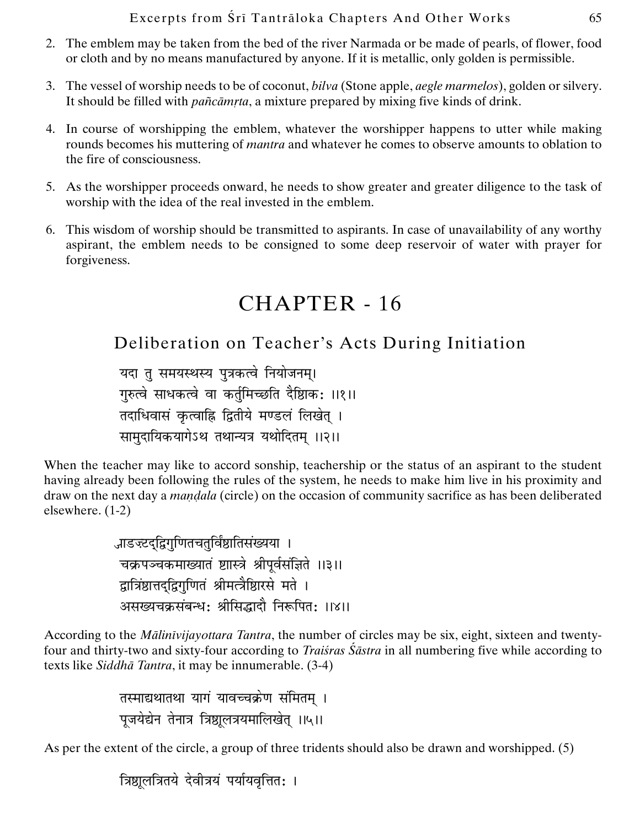- 2. The emblem may be taken from the bed of the river Narmada or be made of pearls, of flower, food or cloth and by no means manufactured by anyone. If it is metallic, only golden is permissible.
- 3. The vessel of worship needs to be of coconut, *bilva* (Stone apple, *aegle marmelos*), golden or silvery. It should be filled with *pañcāmrta*, a mixture prepared by mixing five kinds of drink.
- 4. In course of worshipping the emblem, whatever the worshipper happens to utter while making rounds becomes his muttering of *mantra* and whatever he comes to observe amounts to oblation to the fire of consciousness.
- 5. As the worshipper proceeds onward, he needs to show greater and greater diligence to the task of worship with the idea of the real invested in the emblem.
- 6. This wisdom of worship should be transmitted to aspirants. In case of unavailability of any worthy aspirant, the emblem needs to be consigned to some deep reservoir of water with prayer for forgiveness.

## CHAPTER - 16

Deliberation on Teacher's Acts During Initiation

यदा त समयस्थस्य पत्रकत्वे नियोजनम। गुरुत्वे साधकत्वे वा कर्तुमिच्छति दैष्ठिाक: ॥१॥ तदाधिवासं कृत्वाहि द्वितीये मण्डलं लिखेत् । सामदायिकयागेऽथ तथान्यत्र यथोदितम ।।२।।

When the teacher may like to accord sonship, teachership or the status of an aspirant to the student having already been following the rules of the system, he needs to make him live in his proximity and draw on the next day a *mandala* (circle) on the occasion of community sacrifice as has been deliberated elsewhere. (1-2)

> जाडज्टदद्विगुणितचतुर्विष्ठातिसंख्यया । चक्रपञ्चकमाख्यातं ष्टास्त्रे श्रीपूर्वसंज्ञिते ॥३॥ द्वात्रिंष्ठात्तदुद्विगुणितं श्रीमत्त्रैष्ठिारसे मते । असख्यचक्रसंबन्ध: श्रीसिद्धादौ निरूपित: ।।४।।

According to the *Mālinīvijayottara Tantra*, the number of circles may be six, eight, sixteen and twentyfour and thirty-two and sixty-four according to *Traiçras Çästra* in all numbering five while according to texts like *Siddhä Tantra*, it may be innumerable. (3-4)

> तस्माद्यथातथा यागं यावच्चक्रेण संमितम् । पूजयेद्येन तेनात्र त्रिष्ठालत्रयमालिखेत् ॥५॥

As per the extent of the circle, a group of three tridents should also be drawn and worshipped. (5)

त्रिष्ठालत्रितये देवीत्रयं पर्यायवृत्तित: ।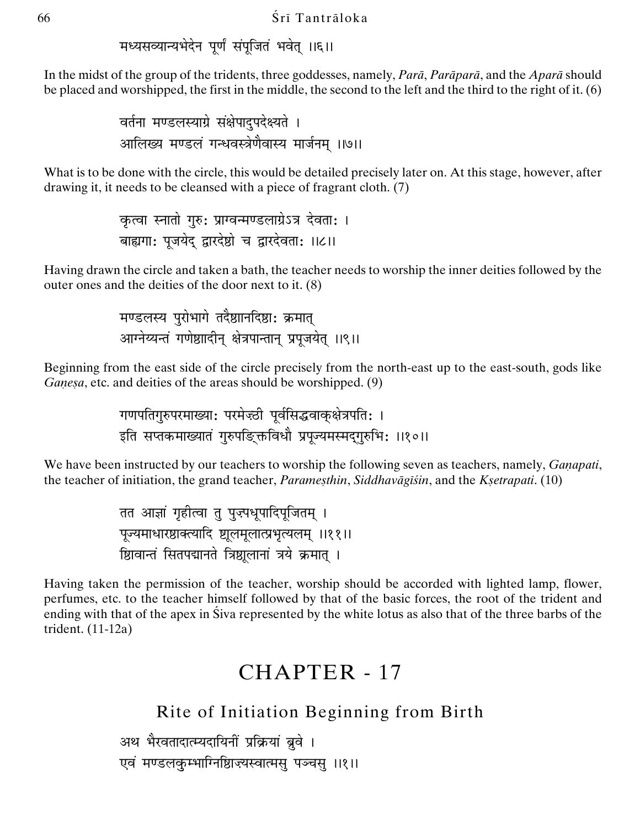मध्यसव्यान्यभेदेन पूर्णं संपूजितं भवेत् ।।६।।

In the midst of the group of the tridents, three goddesses, namely, *Parā, Parāparā*, and the *Aparā* should be placed and worshipped, the first in the middle, the second to the left and the third to the right of it. (6)

> वर्तना मण्डलस्याग्रे संक्षेपादुपदेक्ष्यते । आलिख्य मण्डलं गन्धवस्त्रेणैवास्य मार्जनम ।।७।।

What is to be done with the circle, this would be detailed precisely later on. At this stage, however, after drawing it, it needs to be cleansed with a piece of fragrant cloth. (7)

> कृत्वा स्नातो गुरु: प्राग्वन्मण्डलाग्रेऽत्र देवता: । बाह्यगा: पूजयेद् द्वारदेष्ठो च द्वारदेवता: ।।८।।

Having drawn the circle and taken a bath, the teacher needs to worship the inner deities followed by the outer ones and the deities of the door next to it. (8)

> मण्डलस्य परोभागे तदैष्ठाानदिष्ठा: क्रमात आग्नेय्यन्तं गणेष्ठाादीन् क्षेत्रपान्तान् प्रपूजयेत् ।।९।।

Beginning from the east side of the circle precisely from the north-east up to the east-south, gods like *Ganesa*, etc. and deities of the areas should be worshipped. (9)

> गणपतिगरुपरमाख्या: परमेज्ठी पर्वसिद्धवाकक्षेत्रपति: । इति सप्तकमाख्यातं गुरुपङ्क्तिविधौ प्रपूज्यमस्मद्गुरुभि: ॥१०॥

We have been instructed by our teachers to worship the following seven as teachers, namely, Ganapati, the teacher of initiation, the grand teacher, *Paramesthin*, *Siddhavāgīsin*, and the *Ksetrapati*. (10)

> तत आज्ञां गृहीत्वा तु पुज़्पधुपादिपुजितम् । पुज्यमाधारष्ठाक्त्यादि ष्टालमुलात्प्रभृत्यलम् ॥११॥ ष्ठिावान्तं सितपद्मानते त्रिष्ठालानां त्रये क्रमात् ।

Having taken the permission of the teacher, worship should be accorded with lighted lamp, flower, perfumes, etc. to the teacher himself followed by that of the basic forces, the root of the trident and ending with that of the apex in Siva represented by the white lotus as also that of the three barbs of the trident.  $(11-12a)$ 

## CHAPTER - 17

Rite of Initiation Beginning from Birth

अथ भैरवतादात्म्यदायिनीं प्रक्रियां ब्रवे । एवं मण्डलकम्भाग्निष्ठाज्यस्वात्मस् पञ्चस् ॥१॥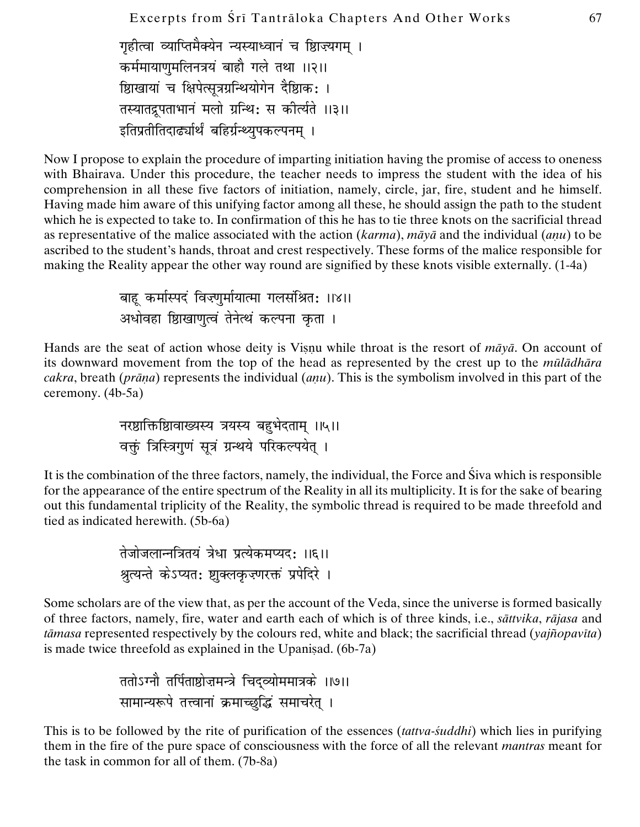गृहीत्वा व्याप्तिमैक्येन न्यस्याध्वानं च ष्ठाज्यगम् । कर्ममायाणमलिनत्रयं बाहौ गले तथा ।।२।। ष्ठाखायां च क्षिपेत्सूत्रग्रन्थियोगेन दैष्ठाक: । तस्यातद्रपताभानं मलो ग्रन्थि: स कोर्त्यते ॥३॥ इतिप्रतीतिदाढ्यार्थं बहिर्ग्रन्थ्युपकल्पनम् ।

Now I propose to explain the procedure of imparting initiation having the promise of access to oneness with Bhairava. Under this procedure, the teacher needs to impress the student with the idea of his comprehension in all these five factors of initiation, namely, circle, jar, fire, student and he himself. Having made him aware of this unifying factor among all these, he should assign the path to the student which he is expected to take to. In confirmation of this he has to tie three knots on the sacrificial thread as representative of the malice associated with the action (*karma*), *māyā* and the individual (*anu*) to be ascribed to the student's hands, throat and crest respectively. These forms of the malice responsible for making the Reality appear the other way round are signified by these knots visible externally. (1-4a)

> बाह कर्मास्पदं विज़्णुर्मायात्मा गलसंश्रित: ।।४।। अधोवहा ष्ठिाखाणत्वं तेनेत्थं कल्पना कता ।

Hands are the seat of action whose deity is Visnu while throat is the resort of *mäyä*. On account of its downward movement from the top of the head as represented by the crest up to the *mülädhära cakra*, breath (*prāņa*) represents the individual (*anu*). This is the symbolism involved in this part of the ceremony. (4b-5a)

> नरष्ठाक्तिष्ठिावाख्यस्य त्रयस्य बहुभेदताम् ॥५॥ वक्तं त्रिस्त्रिगुणं सूत्रं ग्रन्थये परिकल्पयेत् ।

It is the combination of the three factors, namely, the individual, the Force and Siva which is responsible for the appearance of the entire spectrum of the Reality in all its multiplicity. It is for the sake of bearing out this fundamental triplicity of the Reality, the symbolic thread is required to be made threefold and tied as indicated herewith. (5b-6a)

```
तेजोजलान्तत्रितयं त्रेधा प्रत्येकमप्यद: ॥६॥
श्रत्यन्ते केऽप्यत: ष्टाक्लकज़्णरक्तं प्रपेदिरे ।
```
Some scholars are of the view that, as per the account of the Veda, since the universe is formed basically of three factors, namely, fire, water and earth each of which is of three kinds, i.e., *sättvika*, *räjasa* and *tämasa* represented respectively by the colours red, white and black; the sacrificial thread (*yajïopavéta*) is made twice threefold as explained in the Upanisad. (6b-7a)

```
ततोऽग्नौ तर्पिताष्ठोजमन्त्रे चिद्व्योममात्रके ।।७।।
सामान्यरूपे तत्त्वानां क्रमाच्छुद्धिं समाचरेत् ।
```
This is to be followed by the rite of purification of the essences (*tattva-çuddhi*) which lies in purifying them in the fire of the pure space of consciousness with the force of all the relevant *mantras* meant for the task in common for all of them. (7b-8a)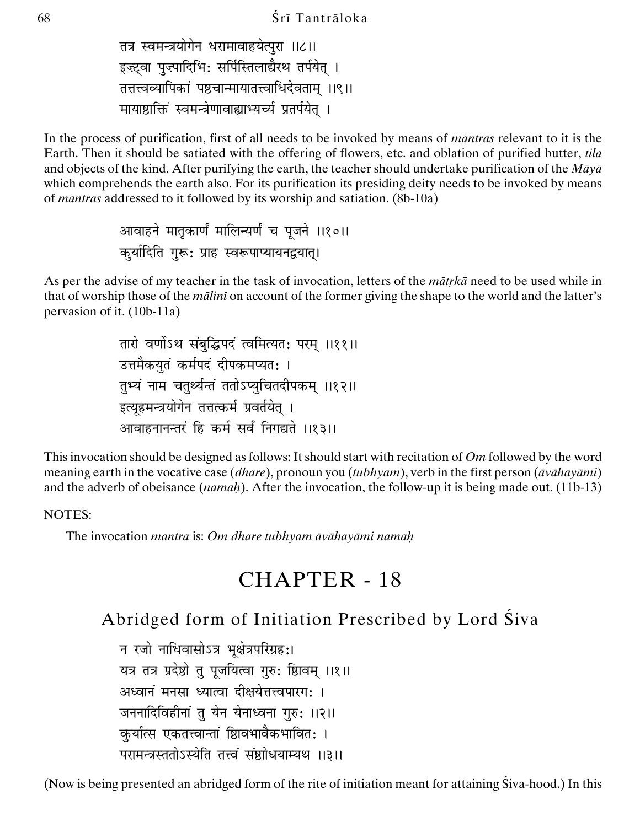तत्र स्वमन्त्रयोगेन धरामावाहयेत्पुरा ॥८॥ इज्ट्वा पुज़्पादिभि: सर्पिस्तिलाद्यैरथ तर्पयेत् । तत्तत्त्वव्यापिकां पष्ठचान्मायातत्त्वाधिदेवताम् ॥९॥ मायाष्ठाक्तिं स्वमन्त्रेणावाह्याभ्यर्च्य प्रतर्पयेत् ।

In the process of purification, first of all needs to be invoked by means of *mantras* relevant to it is the Earth. Then it should be satiated with the offering of flowers, etc. and oblation of purified butter, *tila* and objects of the kind. After purifying the earth, the teacher should undertake purification of the  $M\bar{a}y\bar{a}$ which comprehends the earth also. For its purification its presiding deity needs to be invoked by means of *mantras* addressed to it followed by its worship and satiation. (8b-10a)

```
आवाहने मातृकार्णं मालिन्यर्णं च पूजने ॥१०॥
कुर्यादिति गुरू: प्राह स्वरूपाप्यायनद्वयात्।
```
As per the advise of my teacher in the task of invocation, letters of the *matrka* need to be used while in that of worship those of the *malini* on account of the former giving the shape to the world and the latter's pervasion of it. (10b-11a)

> तारो वर्णोऽथ संबुद्धिपदं त्वमित्यत: परम् ॥११॥ उत्तमैकयतं कर्मपदं दीपकमप्यत: । तुभ्यं नाम चतुर्थ्यन्तं ततोऽप्युचितदीपकम् ॥१२॥ इत्यूहमन्त्रयोगेन तत्तत्कर्म प्रवर्तयेत् । आवाहनानन्तरं हि कर्म सर्वं निगद्यते ॥१३॥

This invocation should be designed as follows: It should start with recitation of Om followed by the word meaning earth in the vocative case (*dhare*), pronoun you (*tubhyam*), verb in the first person ( $\bar{a}v\bar{a}hay\bar{a}mi$ ) and the adverb of obeisance (namah). After the invocation, the follow-up it is being made out. (11b-13)

#### **NOTES:**

The invocation mantra is: Om dhare tubhyam āvāhayāmi namah

## CHAPTER-18

## Abridged form of Initiation Prescribed by Lord Siva

न रजो नाधिवासोऽत्र भूक्षेत्रपरिग्रह:। यत्र तत्र प्रदेष्ठो तु पूजयित्वा गुरु: ष्ठिावम् ॥१॥ अध्वानं मनसा ध्यात्वा दीक्षयेतत्त्वपारग: । जननादिविहीनां तु येन येनाध्वना गुरु: ॥२॥ कुर्यात्स एकतत्त्वान्तां ष्ठिावभावैकभावित: । परामन्त्रस्ततोऽस्येति तत्त्वं संष्ठाोधयाम्यथ ॥३॥

(Now is being presented an abridged form of the rite of initiation meant for attaining Siva-hood.) In this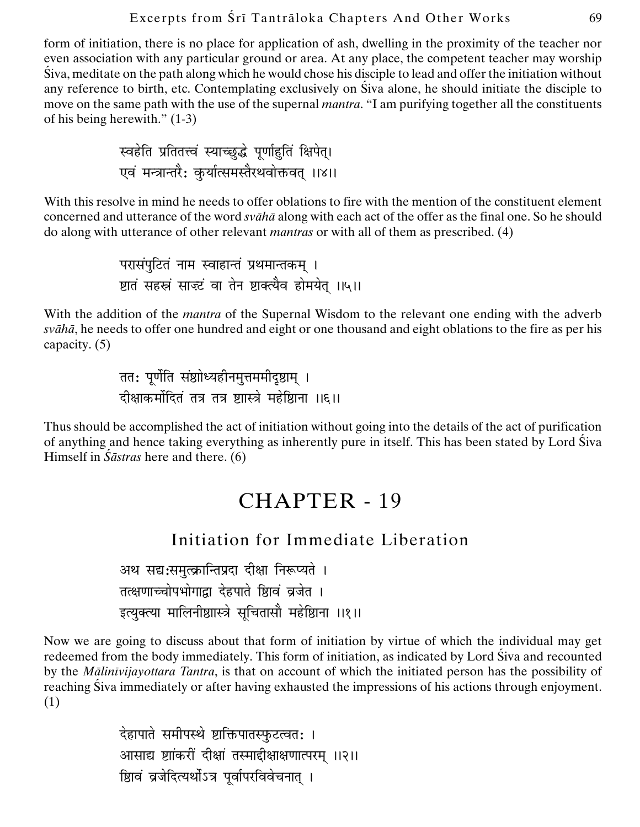form of initiation, there is no place for application of ash, dwelling in the proximity of the teacher nor even association with any particular ground or area. At any place, the competent teacher may worship Siva, meditate on the path along which he would chose his disciple to lead and offer the initiation without any reference to birth, etc. Contemplating exclusively on Siva alone, he should initiate the disciple to move on the same path with the use of the supernal *mantra*. "I am purifying together all the constituents of his being herewith."  $(1-3)$ 

> स्वहेति प्रतितत्त्वं स्याच्छुद्धे पूर्णाहतिं क्षिपेत्। एवं मन्त्रान्तरै: कुर्यात्समस्तैरथवोक्तवत् ।।४।।

With this resolve in mind he needs to offer oblations to fire with the mention of the constituent element concerned and utterance of the word *svaha* along with each act of the offer as the final one. So he should do along with utterance of other relevant *mantras* or with all of them as prescribed. (4)

> परासंपटितं नाम स्वाहान्तं प्रथमान्तकम् । ष्टातं सहस्रं साज्टं वा तेन ष्टाक्त्यैव होमयेत् ।।५।।

With the addition of the *mantra* of the Supernal Wisdom to the relevant one ending with the adverb svāhā, he needs to offer one hundred and eight or one thousand and eight oblations to the fire as per his capacity.  $(5)$ 

Thus should be accomplished the act of initiation without going into the details of the act of purification of anything and hence taking everything as inherently pure in itself. This has been stated by Lord Siva Himself in  $\hat{S}$ *distras* here and there. (6)

## **CHAPTER - 19**

## Initiation for Immediate Liberation

अथ सद्य:समुत्क्रान्तिप्रदा दीक्षा निरूप्यते । तत्क्षणाच्चोपभोगाद्रा देहपाते ष्ठावं व्रजेत । इत्युक्त्या मालिनीष्ठाास्त्रे सूचितासौ महेष्ठिाना ॥१॥

Now we are going to discuss about that form of initiation by virtue of which the individual may get redeemed from the body immediately. This form of initiation, as indicated by Lord Siva and recounted by the Malinivijayottara Tantra, is that on account of which the initiated person has the possibility of reaching Siva immediately or after having exhausted the impressions of his actions through enjoyment.  $(1)$ 

> देहापाते समीपस्थे ष्टाक्तिपातस्फुटत्वत: । आसाद्य ष्टांकरीं दीक्षां तस्माद्दीक्षाक्षणात्परम् ॥२॥ ष्ठिावं व्रजेदित्यर्थोऽत्र पूर्वापरविवेचनात् ।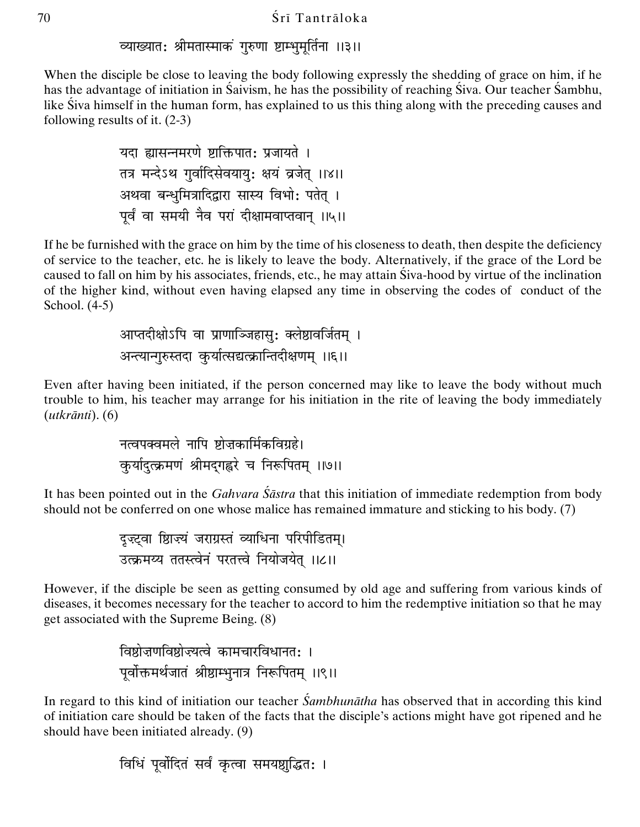व्याख्यात: श्रीमतास्माकं गुरुणा ष्टाम्भुमूर्तिना ॥३॥

When the disciple be close to leaving the body following expressly the shedding of grace on him, if he has the advantage of initiation in Saivism, he has the possibility of reaching Siva. Our teacher Sambhu, like Siva himself in the human form, has explained to us this thing along with the preceding causes and following results of it.  $(2-3)$ 

> यदा ह्यासन्नमरणे ष्टाक्तिपात: प्रजायते । तत्र मन्देऽथ गर्वादिसेवयाय: क्षयं व्रजेत ।।४।। अथवा बन्धमित्रादिद्वारा सास्य विभो: पतेतु । पूर्वं वा समयी नैव परां दीक्षामवाप्तवान् ।।५।।

If he be furnished with the grace on him by the time of his closeness to death, then despite the deficiency of service to the teacher, etc. he is likely to leave the body. Alternatively, if the grace of the Lord be caused to fall on him by his associates, friends, etc., he may attain Siva-hood by virtue of the inclination of the higher kind, without even having elapsed any time in observing the codes of conduct of the School.  $(4-5)$ 

Even after having been initiated, if the person concerned may like to leave the body without much trouble to him, his teacher may arrange for his initiation in the rite of leaving the body immediately  $(\mu \mathit{tkr}\bar{\mathit{a}}\mathit{nti}).$  (6)

> नत्वपक्वमले नापि ष्रोजकार्मिकविग्रहे। कुर्यादुत्क्रमणं श्रीमदगह्वरे च निरूपितम् ।।७।।

It has been pointed out in the *Gahvara* Sastra that this initiation of immediate redemption from body should not be conferred on one whose malice has remained immature and sticking to his body. (7)

```
दुज्ट्वा ष्ठिाज्यं जराग्रस्तं व्याधिना परिपीडितम्।
उत्क्रमय्य ततस्त्वेनं परतत्त्वे नियोजयेत् ।।८।।
```
However, if the disciple be seen as getting consumed by old age and suffering from various kinds of diseases, it becomes necessary for the teacher to accord to him the redemptive initiation so that he may get associated with the Supreme Being. (8)

```
विष्ठोजणविष्ठोज्यत्वे कामचारविधानत: ।
पर्वोक्तमर्थजातं श्रीष्ठाम्भनात्र निरूपितम् ॥९॥
```
In regard to this kind of initiation our teacher Sambhunatha has observed that in according this kind of initiation care should be taken of the facts that the disciple's actions might have got ripened and he should have been initiated already. (9)

विधिं पूर्वोदितं सर्वं कृत्वा समयष्ठाद्धित: ।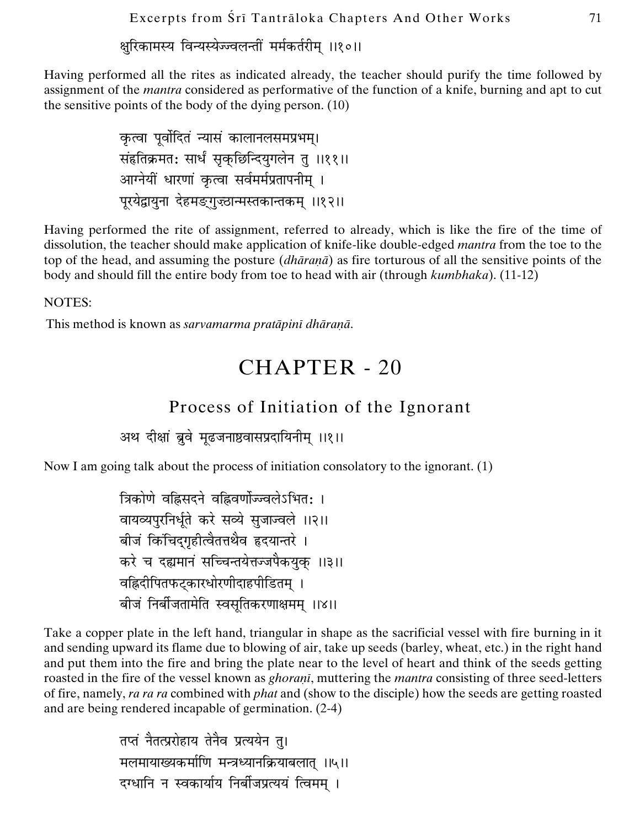#### क्षरिकामस्य विन्यस्येज्ज्वलन्तीं मर्मकर्तरीम् ॥१०॥

Having performed all the rites as indicated already, the teacher should purify the time followed by assignment of the *mantra* considered as performative of the function of a knife, burning and apt to cut the sensitive points of the body of the dying person. (10)

> कृत्वा पूर्वोदितं न्यासं कालानलसमप्रभम्। संहतिक्रमत: सार्धं सृकुछिन्दियुगलेन तु ॥११॥ आग्नेयीं धारणां कत्वा सर्वमर्मप्रतापनीम । परयेद्वायना देहमङ्गुज्ठान्मस्तकान्तकम् ॥१२॥

Having performed the rite of assignment, referred to already, which is like the fire of the time of dissolution, the teacher should make application of knife-like double-edged *mantra* from the toe to the top of the head, and assuming the posture *(dhāranā)* as fire torturous of all the sensitive points of the body and should fill the entire body from toe to head with air (through kumbhaka). (11-12)

**NOTES:** 

This method is known as sarvamarma pratāpinī dhāraņā.

## $CHAPTER - 20$

## Process of Initiation of the Ignorant

```
अथ दीक्षां ब्रुवे मृढजनाष्ठवासप्रदायिनीम् ॥१॥
```
Now I am going talk about the process of initiation consolatory to the ignorant. (1)

त्रिकोणे वह्निसदने वह्निवर्णोज्ज्वलेऽभित: । वायव्यपरनिर्धते करे सव्ये सजाज्वले ॥२॥ बीजं किंचिदगहीत्वैतत्तथैव हृदयान्तरे । करे च दह्यमानं सच्चिन्तयेत्तज्जपैकयुक् ॥३॥ वह्निदीपितफट्कारधोरणीदाहपीडितम् । बीजं निर्बीजतामेति स्वसतिकरणाक्षमम ।।४।।

Take a copper plate in the left hand, triangular in shape as the sacrificial vessel with fire burning in it and sending upward its flame due to blowing of air, take up seeds (barley, wheat, etc.) in the right hand and put them into the fire and bring the plate near to the level of heart and think of the seeds getting roasted in the fire of the vessel known as *ghorani*, muttering the *mantra* consisting of three seed-letters of fire, namely, ra ra ra combined with *phat* and (show to the disciple) how the seeds are getting roasted and are being rendered incapable of germination. (2-4)

> तप्तं नैतत्प्ररोहाय तेनैव प्रत्ययेन त। मलमायाख्यकर्माणि मन्त्रध्यानक्रियाबलात् ।।५।। दग्धानि न स्वकार्याय निर्बीजप्रत्ययं त्विमम् ।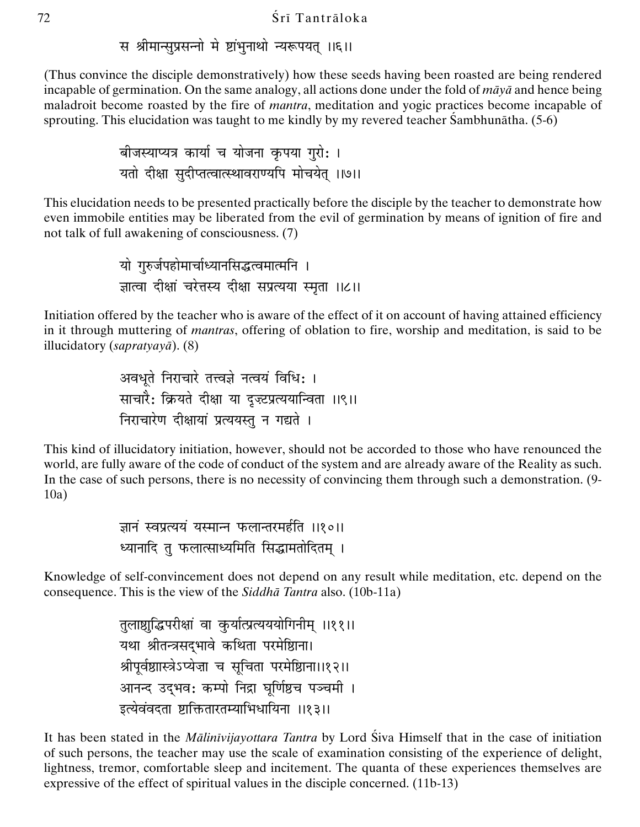स श्रीमान्सुप्रसन्नो मे ष्टांभुनाथो न्यरूपयत् ॥६॥

(Thus convince the disciple demonstratively) how these seeds having been roasted are being rendered incapable of germination. On the same analogy, all actions done under the fold of *maya* and hence being maladroit become roasted by the fire of *mantra*, meditation and yogic practices become incapable of sprouting. This elucidation was taught to me kindly by my revered teacher Sambhunātha. (5-6)

> बीजस्याप्यत्र कार्या च योजना कपया गरो: । यतो दीक्षा सदीप्तत्वात्स्थावराण्यपि मोचयेत ।।७।।

This elucidation needs to be presented practically before the disciple by the teacher to demonstrate how even immobile entities may be liberated from the evil of germination by means of ignition of fire and not talk of full awakening of consciousness. (7)

> यो गुरुर्जपहोमार्चाध्यानसिद्धत्वमात्मनि । ज्ञात्वा दीक्षां चरेत्तस्य दीक्षा सप्रत्यया स्मृता ॥८॥

Initiation offered by the teacher who is aware of the effect of it on account of having attained efficiency in it through muttering of *mantras*, offering of oblation to fire, worship and meditation, is said to be illucidatory (sapratyayā).  $(8)$ 

> अवधूते निराचारे तत्त्वज्ञे नत्वयं विधि: । साचारै: क्रियते दीक्षा या दृज्टप्रत्ययान्विता ।।९।। निराचारेण दीक्षायां प्रत्ययस्त न गद्यते ।

This kind of illucidatory initiation, however, should not be accorded to those who have renounced the world, are fully aware of the code of conduct of the system and are already aware of the Reality as such. In the case of such persons, there is no necessity of convincing them through such a demonstration. (9- $10a)$ 

> ज्ञानं स्वप्रत्ययं यस्मान्न फलान्तरमर्हति ॥१०॥ ध्यानादि तु फलात्साध्यमिति सिद्धामतोदितम् ।

Knowledge of self-convincement does not depend on any result while meditation, etc. depend on the consequence. This is the view of the Siddha Tantra also. (10b-11a)

> तुलाष्ठाद्धिपरीक्षां वा कुर्यात्प्रत्यययोगिनीम् ॥११॥ यथा श्रीतन्त्रसद्भावे कथिता परमेष्ठाना। श्रीपूर्वष्ठास्त्रेऽप्येजा च सूचिता परमेष्ठिाना।।१२।। आनन्द उद्भव: कम्पो निद्रा घूर्णिष्ठच पञ्चमी । इत्येवंवदता ष्टाक्तितारतम्याभिधायिना ॥१३॥

It has been stated in the *Mālinīvijayottara Tantra* by Lord Siva Himself that in the case of initiation of such persons, the teacher may use the scale of examination consisting of the experience of delight, lightness, tremor, comfortable sleep and incitement. The quanta of these experiences themselves are expressive of the effect of spiritual values in the disciple concerned. (11b-13)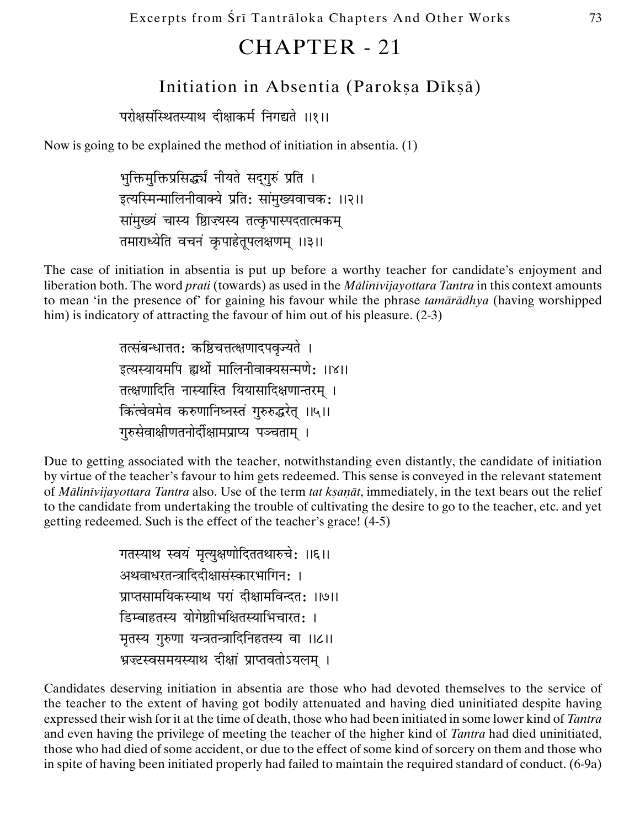## $CHAPTER - 21$

### Initiation in Absentia (Paroksa Dīksā)

परोक्षसंस्थितस्याथ दीक्षाकर्म निगद्यते ॥१॥

Now is going to be explained the method of initiation in absentia. (1)

भक्तिमक्तिप्रसिद्ध्यं नीयते सदगरुं प्रति । इत्यस्मिन्मालिनीवाक्ये प्रति: सांमुख्यवाचक: ॥२॥ सांमुख्यं चास्य ष्ठाज्यस्य तत्कृपास्पदतात्मकम् तमाराध्येति वचनं कपाहेतपलक्षणम ॥३॥

The case of initiation in absentia is put up before a worthy teacher for candidate's enjoyment and liberation both. The word *prati* (towards) as used in the *Mälinévijayottara Tantra* in this context amounts to mean 'in the presence of' for gaining his favour while the phrase *tamärädhya* (having worshipped him) is indicatory of attracting the favour of him out of his pleasure. (2-3)

> तत्संबन्धात्तत: कष्ठिचत्तत्क्षणादपवृज्यते । इत्यस्यायमपि ह्यर्थो मालिनीवाक्यसन्मणे: ।।४।। तत्क्षणादिति नास्यास्ति यियासादिक्षणान्तरम् । कित्वेवमेव करुणानिघ्नस्तं गुरुरुद्धरेत् ॥५॥ गरुसेवाक्षीणतनोर्दीक्षामप्राप्य पञ्चताम ।

Due to getting associated with the teacher, notwithstanding even distantly, the candidate of initiation by virtue of the teacher's favour to him gets redeemed. This sense is conveyed in the relevant statement of *Mālinīvijayottara Tantra* also. Use of the term *tat kṣaṇāt*, immediately, in the text bears out the relief to the candidate from undertaking the trouble of cultivating the desire to go to the teacher, etc. and yet getting redeemed. Such is the effect of the teacher's grace! (4-5)

> गतस्याथ स्वयं मृत्युक्षणोदिततथारुचे: ॥६॥ अथवाधरतन्त्रादिदीक्षासंस्कारभागिन: । प्राप्तसामयिकस्याथ परां दीक्षामविन्दत: ।।७।। हिम्बाहतस्य योगेष्ठाीभक्षितस्याभिचारत: । मृतस्य गुरुणा यन्त्रतन्त्रादिनिहतस्य वा ॥८॥ भ्रज्टस्वसमयस्याथ दीक्षां प्राप्तवतोऽयलम् ।

Candidates deserving initiation in absentia are those who had devoted themselves to the service of the teacher to the extent of having got bodily attenuated and having died uninitiated despite having expressed their wish for it at the time of death, those who had been initiated in some lower kind of *Tantra* and even having the privilege of meeting the teacher of the higher kind of *Tantra* had died uninitiated, those who had died of some accident, or due to the effect of some kind of sorcery on them and those who in spite of having been initiated properly had failed to maintain the required standard of conduct. (6-9a)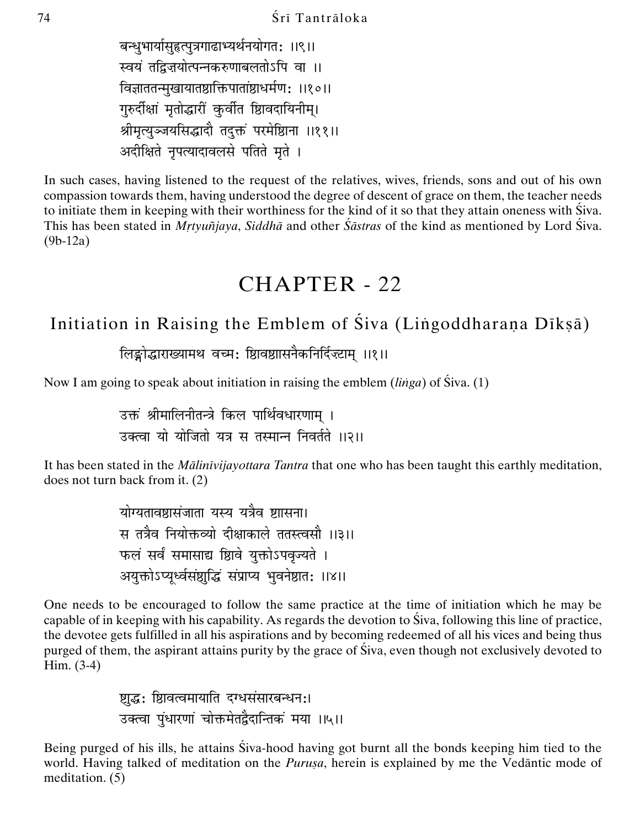बन्धुभार्यासुहृत्पुत्रगाढाभ्यर्थनयोगत: ॥९॥ स्वयं तद्विजयोत्पन्नकरुणाबलतोऽपि वा ।। विज्ञाततन्मुखायातष्ठाक्तिपातांष्ठाधर्मण: ॥१०॥ गुरुर्दीक्षां मृतोद्धारीं कुर्वीत ष्ठिावदायिनीम्। श्रीमृत्युञ्जयसिद्धादौ तदुक्तं परमेष्ठिाना ॥११॥ अदीक्षिते नपत्यादावलसे पतिते मते ।

In such cases, having listened to the request of the relatives, wives, friends, sons and out of his own compassion towards them, having understood the degree of descent of grace on them, the teacher needs to initiate them in keeping with their worthiness for the kind of it so that they attain oneness with Siva. This has been stated in *Mrtyuñjaya*, *Siddhā* and other *Sastras* of the kind as mentioned by Lord Siva.  $(9b-12a)$ 

## $CHAPTER - 22$

Initiation in Raising the Emblem of Siva (Lingoddharana Dīksā)

लिङ्गोद्धाराख्यामथ वच्म: ष्ठिावष्ठाासनैकनिर्दिज्टाम् ॥१॥

Now I am going to speak about initiation in raising the emblem *(linga)* of Siva.  $(1)$ 

उक्तं श्रीमालिनीतन्त्रे किल पार्थिवधारणाम । उक्त्वा यो योजितो यत्र स तस्मान्न निवर्तते ॥२॥

It has been stated in the *Mālinīvijayottara Tantra* that one who has been taught this earthly meditation, does not turn back from it.  $(2)$ 

> योग्यतावष्ठासंजाता यस्य यत्रैव ष्ट्रासना। स तत्रैव नियोक्तव्यो दीक्षाकाले ततस्त्वसौ ।।३।। फलं सर्वं समासाद्य ष्ठिावे युक्तोऽपवृज्यते । अयक्तोऽप्यर्ध्वसंष्ठाद्धिं संप्राप्य भवनेष्ठात: ।।४।।

One needs to be encouraged to follow the same practice at the time of initiation which he may be capable of in keeping with his capability. As regards the devotion to Siva, following this line of practice, the devotee gets fulfilled in all his aspirations and by becoming redeemed of all his vices and being thus purged of them, the aspirant attains purity by the grace of Siva, even though not exclusively devoted to Him.  $(3-4)$ 

> ष्ट्राद्धः ष्ठिावत्वमायाति दग्धसंसारबन्धन:। उक्त्वा पंधारणां चोक्तमेतद्वैदान्तिकं मया ।।५।।

Being purged of his ills, he attains Siva-hood having got burnt all the bonds keeping him tied to the world. Having talked of meditation on the Purusa, herein is explained by me the Vedantic mode of meditation.  $(5)$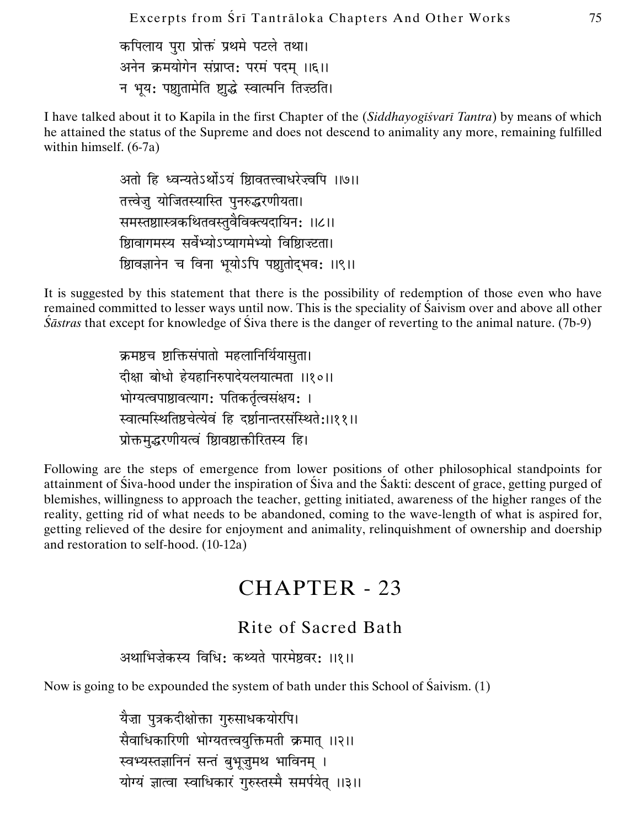कपिलाय पुरा प्रोक्तं प्रथमे पटले तथा। अनेन क्रमयोगेन संप्राप्त: परमं पदम् ॥६॥ न भय: पष्ठातामेति ष्टाद्धे स्वात्मनि तिज्ञ्ठति।

I have talked about it to Kapila in the first Chapter of the *(Siddhayogisvari Tantra)* by means of which he attained the status of the Supreme and does not descend to animality any more, remaining fulfilled within himself.  $(6-7a)$ 

> अतो हि ध्वन्यतेऽर्थोऽयं ष्रिावतत्त्वाधरेज्वपि ।।७।। तत्त्वेज़ योजितस्यास्ति पुनरुद्धरणीयता। समस्तष्ठाास्त्रकथितवस्तुवैविक्त्यदायिन: ।।८।। ष्ठिावागमस्य सर्वेभ्योऽप्यागमेभ्यो विष्ठाज्टता। ष्ठिावज्ञानेन च विना भूयोऽपि पष्ठाुतोद्भव: ।।९।।

It is suggested by this statement that there is the possibility of redemption of those even who have remained committed to lesser ways until now. This is the speciality of Saivism over and above all other *Sastras* that except for knowledge of Siva there is the danger of reverting to the animal nature. (7b-9)

> क्रमष्ठच ष्टाक्तिसंपातो महलानिर्यियासता। दीक्षा बोधो हेयहानिरुपादेयलयात्मता ॥१०॥ भोग्यत्वपाष्ठावत्याग: पतिकर्तृत्वसंक्षय: । स्वात्मस्थितिष्ठचेत्येवं हि दर्ष्ठानान्तरसंस्थिते:॥११॥ प्रोक्तमुद्धरणीयत्वं ष्ठिावष्ठाक्तीरितस्य हि।

Following are the steps of emergence from lower positions of other philosophical standpoints for attainment of Siva-hood under the inspiration of Siva and the Sakti: descent of grace, getting purged of blemishes, willingness to approach the teacher, getting initiated, awareness of the higher ranges of the reality, getting rid of what needs to be abandoned, coming to the wave-length of what is aspired for, getting relieved of the desire for enjoyment and animality, relinquishment of ownership and doership and restoration to self-hood. (10-12a)

# $CHAPTER - 23$

### Rite of Sacred Bath

### अथाभिज़ेकस्य विधि: कथ्यते पारमेष्ठवर: ॥१॥

Now is going to be expounded the system of bath under this School of Saivism. (1)

यैज़ा पुत्रकदीक्षोक्ता गुरुसाधकयोरपि। सैवाधिकारिणी भोग्यतत्त्वयुक्तिमती क्रमात् ।।२।। स्वभ्यस्तज्ञानिनं सन्तं बुभूजुमथ भाविनम् । योग्यं ज्ञात्वा स्वाधिकारं गुरुस्तस्मै समर्पयेत् ॥३॥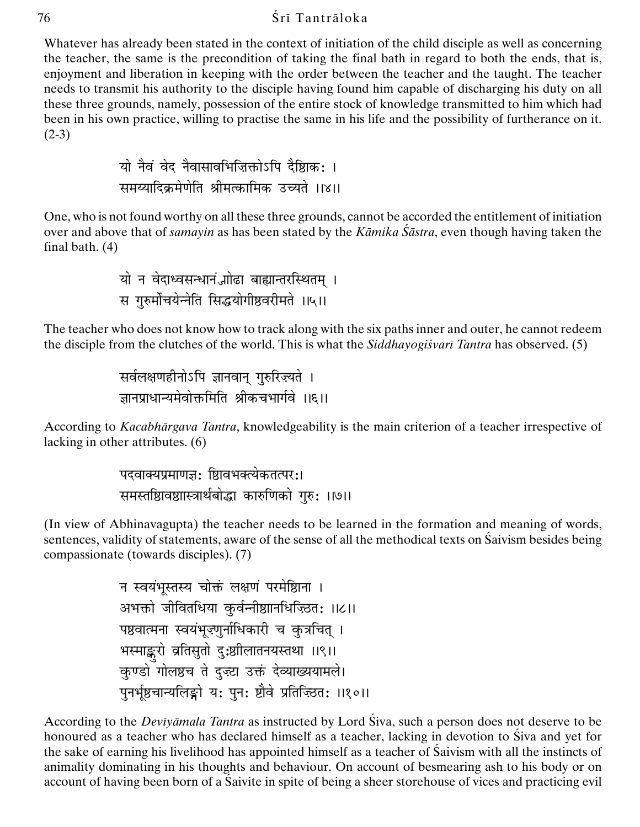### Śrī Tantrāloka

Whatever has already been stated in the context of initiation of the child disciple as well as concerning the teacher, the same is the precondition of taking the final bath in regard to both the ends, that is, enjoyment and liberation in keeping with the order between the teacher and the taught. The teacher needs to transmit his authority to the disciple having found him capable of discharging his duty on all these three grounds, namely, possession of the entire stock of knowledge transmitted to him which had been in his own practice, willing to practise the same in his life and the possibility of furtherance on it.  $(2-3)$ 

```
यो नैवं वेद नैवासावभिजिक्तोऽपि दैष्ठिाक: ।
समय्यादिक्रमेणेति श्रीमत्कामिक उच्यते ॥४॥
```
One, who is not found worthy on all these three grounds, cannot be accorded the entitlement of initiation over and above that of samayin as has been stated by the Kāmika Śāstra, even though having taken the final bath.  $(4)$ 

> यो न वेदाध्वसन्धानं जोढा बाह्यान्तरस्थितम् । स गुरुर्मोचयेन्नेति सिद्धयोगीष्ठवरीमते ॥५॥

The teacher who does not know how to track along with the six paths inner and outer, he cannot redeem the disciple from the clutches of the world. This is what the Siddhayogisvari Tantra has observed. (5)

> सर्वलक्षणहीनोऽपि ज्ञानवान् गुरुरिज्यते । ज्ञानप्राधान्यमेवोक्तमिति श्रीकचभार्गवे ॥६॥

According to Kacabhargava Tantra, knowledgeability is the main criterion of a teacher irrespective of lacking in other attributes.  $(6)$ 

```
पदवाक्यप्रमाणज्ञ: ष्ठिावभक्त्येकतत्पर:।
समस्तष्ठिावष्ठाास्त्रार्थबोद्धा कारुणिको गुरु: ।।७।।
```
(In view of Abhinavagupta) the teacher needs to be learned in the formation and meaning of words, sentences, validity of statements, aware of the sense of all the methodical texts on Saivism besides being compassionate (towards disciples). (7)

> न स्वयंभुस्तस्य चोक्तं लक्षणं परमेष्ठिाना । अभक्तो जीवितधिया कुर्वन्नीष्ठाानधिज्ञ्ति: ।।८।। पष्ठवात्मना स्वयंभूज़्णुर्नाधिकारी च कुत्रचित् । भस्माङ्करो व्रतिसुतो दु:ष्ठाीलातनयस्तथा ॥९॥ कुण्डो गोलष्ठच ते दुज़्टा उक्तं देव्याख्ययामले। पुनर्भृष्ठचान्यलिङ्गो य: पुन: ष्टौवे प्रतिज्ठित: ॥१०॥

According to the *Deviyamala Tantra* as instructed by Lord Siva, such a person does not deserve to be honoured as a teacher who has declared himself as a teacher, lacking in devotion to Siva and yet for the sake of earning his livelihood has appointed himself as a teacher of Saivism with all the instincts of animality dominating in his thoughts and behaviour. On account of besmearing ash to his body or on account of having been born of a Saivite in spite of being a sheer storehouse of vices and practicing evil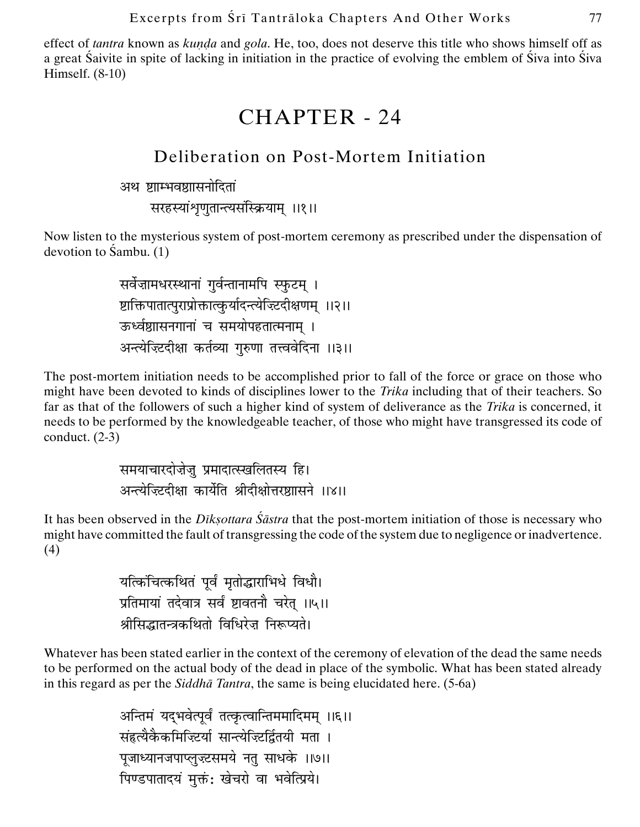effect of tantra known as kunda and gola. He, too, does not deserve this title who shows himself off as a great Saivite in spite of lacking in initiation in the practice of evolving the emblem of Siva into Siva Himself.  $(8-10)$ 

# $CHAPTER - 24$

### Deliberation on Post-Mortem Initiation

```
अथ ष्रााम्भवष्ठाासनोदितां
```
सरहस्यांशणतान्त्यसंस्क्रियाम् ॥१॥

Now listen to the mysterious system of post-mortem ceremony as prescribed under the dispensation of devotion to Sambu. (1)

> सर्वेजामधरस्थानां गुर्वन्तानामपि स्फुटम् । ष्टाक्तिपातात्पुराप्रोक्तात्कुर्यादन्त्येज्टिदीक्षणम् ॥२॥ ऊर्ध्वष्ठाासनगानां च समयोपहतात्मनाम् । अन्त्येज्टिदीक्षा कर्तव्या गुरुणा तत्त्ववेदिना ।।३।।

The post-mortem initiation needs to be accomplished prior to fall of the force or grace on those who might have been devoted to kinds of disciplines lower to the Trika including that of their teachers. So far as that of the followers of such a higher kind of system of deliverance as the Trika is concerned, it needs to be performed by the knowledgeable teacher, of those who might have transgressed its code of conduct.  $(2-3)$ 

> समयाचारदोजेज़ प्रमादात्स्खलितस्य हि। अन्त्येज्टिदीक्षा कार्येति श्रीदीक्षोत्तरष्ठाासने ।।४।।

It has been observed in the Diksottara Sastra that the post-mortem initiation of those is necessary who might have committed the fault of transgressing the code of the system due to negligence or inadvertence.  $(4)$ 

> यत्किंचित्कथितं पूर्वं मृतोद्धाराभिधे विधौ। प्रतिमायां तदेवात्र सर्वं ष्टावतनौ चरेत् ।।५।। श्रीसिद्धातन्त्रकथितो विधिरेज निरूप्यते।

Whatever has been stated earlier in the context of the ceremony of elevation of the dead the same needs to be performed on the actual body of the dead in place of the symbolic. What has been stated already in this regard as per the Siddha Tantra, the same is being elucidated here. (5-6a)

> अन्तिमं यद्भवेत्पूर्वं तत्कृत्वान्तिममादिमम् ।।६।। संह्रत्यैकैकमिज्टिर्या सान्त्येज्टिर्द्वितयी मता । पजाध्यानजपाप्लज्टसमये नत साधके ।।७।। पिण्डपातादयं मुक्तं: खेचरो वा भवेत्प्रिये।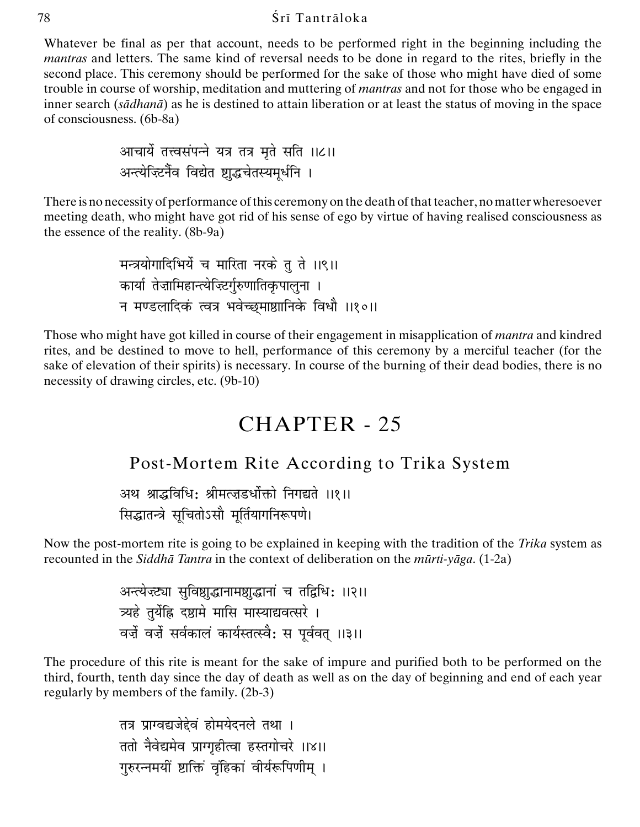#### Śrī Tantrāloka

Whatever be final as per that account, needs to be performed right in the beginning including the *mantras* and letters. The same kind of reversal needs to be done in regard to the rites, briefly in the second place. This ceremony should be performed for the sake of those who might have died of some trouble in course of worship, meditation and muttering of *mantras* and not for those who be engaged in inner search (sādhanā) as he is destined to attain liberation or at least the status of moving in the space of consciousness. (6b-8a)

> आचार्ये तत्त्वसंपन्ने यत्र तत्र मृते सति ॥८॥ अन्त्येज्टिनैव विद्येत ष्टाद्धचेतस्यमर्धनि ।

There is no necessity of performance of this ceremony on the death of that teacher, no matter wheresoever meeting death, who might have got rid of his sense of ego by virtue of having realised consciousness as the essence of the reality. (8b-9a)

> मन्त्रयोगादिभिर्ये च मारिता नरके त ते ।।९।। कार्या तेजामिहान्त्येज्टिर्गरुणातिकपालना । न मण्डलादिकं त्वत्र भवेच्छमाष्ठाानिके विधौ ॥१०॥

Those who might have got killed in course of their engagement in misapplication of *mantra* and kindred rites, and be destined to move to hell, performance of this ceremony by a merciful teacher (for the sake of elevation of their spirits) is necessary. In course of the burning of their dead bodies, there is no necessity of drawing circles, etc. (9b-10)

## **CHAPTER - 25**

Post-Mortem Rite According to Trika System

अथ श्राद्धविधि: श्रीमत्जडर्धोक्तो निगद्यते ॥१॥ सिद्धातन्त्रे सचितोऽसौ मर्तियागनिरूपणे।

Now the post-mortem rite is going to be explained in keeping with the tradition of the Trika system as recounted in the Siddhā Tantra in the context of deliberation on the mūrti-yāga. (1-2a)

> अन्त्येज्ट्या सविष्ठाद्धानामष्ठाद्धानां च तद्विधि: ॥२॥ त्र्यहे तुर्येहि दष्ठामे मासि मास्याद्यवत्सरे । वर्जे वर्जे सर्वकालं कार्यस्तत्स्वै: स पूर्ववत् ॥३॥

The procedure of this rite is meant for the sake of impure and purified both to be performed on the third, fourth, tenth day since the day of death as well as on the day of beginning and end of each year regularly by members of the family. (2b-3)

> तत्र प्राग्वद्यजेद्देवं होमयेदनले तथा । ततो नैवेद्यमेव प्राग्गहीत्वा हस्तगोचरे ।।४।। गुरुरन्नमयीं ष्टाक्तिं वृहिकां वीर्यरूपिणीम् ।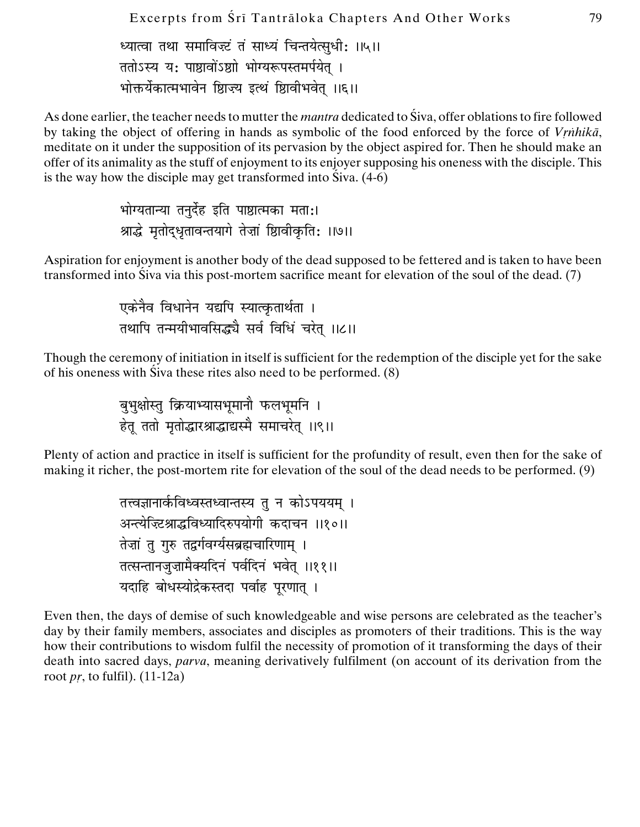ध्यात्वा तथा समाविज़्टं तं साध्यं चिन्तयेत्सुधी: ॥५॥ ततोऽस्य य: पाष्ठावोंऽष्ठाो भोग्यरूपस्तमर्पयेत् । भोक्तर्येकात्मभावेन ष्ठाज्य इत्थं ष्ठािवीभवेत ।।६।।

As done earlier, the teacher needs to mutter the *mantra* dedicated to Siva, offer oblations to fire followed by taking the object of offering in hands as symbolic of the food enforced by the force of Vrnhika, meditate on it under the supposition of its pervasion by the object aspired for. Then he should make an offer of its animality as the stuff of enjoyment to its enjoyer supposing his oneness with the disciple. This is the way how the disciple may get transformed into Siva.  $(4-6)$ 

> भोग्यतान्या तनर्देह इति पाष्ठात्मका मता:। श्राद्धे मृतोद्धृतावन्तयागे तेज़ां ष्ठिावीकृति: ।।७।।

Aspiration for enjoyment is another body of the dead supposed to be fettered and is taken to have been transformed into Siva via this post-mortem sacrifice meant for elevation of the soul of the dead. (7)

> एकेनैव विधानेन यद्यपि स्यात्कृतार्थता । तथापि तन्मयीभावसिद्ध्यै सर्व विधिं चरेत् ।।८।।

Though the ceremony of initiation in itself is sufficient for the redemption of the disciple yet for the sake of his oneness with Siva these rites also need to be performed.  $(8)$ 

> बुभुक्षोस्तु क्रियाभ्यासभूमानौ फलभूमनि । हेत ततो मतोद्धारश्राद्धाद्यस्मै समाचरेत ॥९॥

Plenty of action and practice in itself is sufficient for the profundity of result, even then for the sake of making it richer, the post-mortem rite for elevation of the soul of the dead needs to be performed. (9)

> तत्त्वज्ञानार्कविध्वस्तध्वान्तस्य तु न कोऽपययम् । अन्त्येज्टिश्राद्धविध्यादिरुपयोगी कदाचन ॥१०॥ तेजां तु गुरु तद्वर्गवर्ग्यसब्रह्मचारिणाम् । तत्सन्तानजुजामैक्यदिनं पर्वदिनं भवेत् ।।११।। यदाहि बोधस्योद्रेकस्तदा पर्वाह परणात ।

Even then, the days of demise of such knowledgeable and wise persons are celebrated as the teacher's day by their family members, associates and disciples as promoters of their traditions. This is the way how their contributions to wisdom fulfil the necessity of promotion of it transforming the days of their death into sacred days, *parva*, meaning derivatively fulfilment (on account of its derivation from the root *pr*, to fulfil).  $(11-12a)$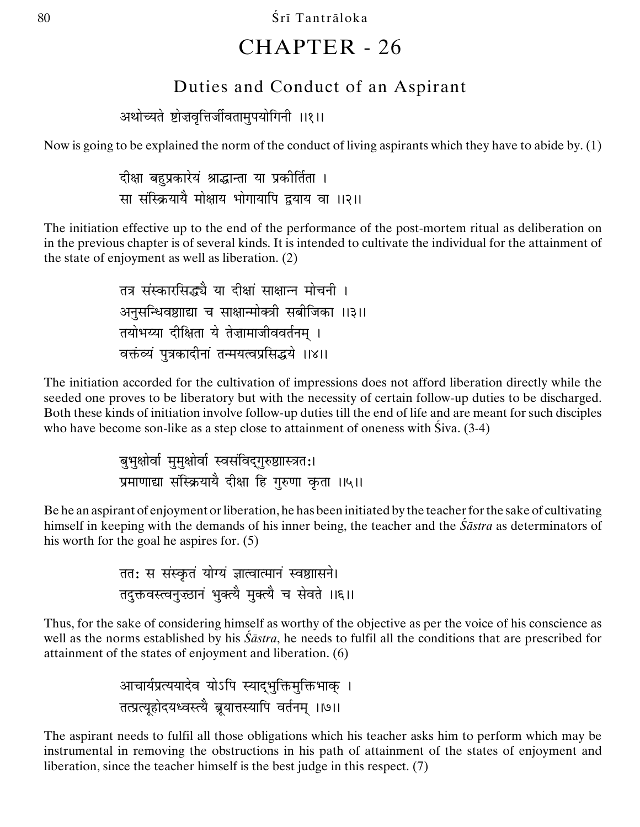Śrī Tantrāloka

# **CHAPTER - 26**

## Duties and Conduct of an Aspirant

अथोच्यते ष्टोजवत्तिर्जीवतामपयोगिनी ॥१॥

Now is going to be explained the norm of the conduct of living aspirants which they have to abide by. (1)

दीक्षा बहप्रकारेयं श्राद्धान्ता या प्रकीर्तिता । सा संस्क्रियायै मोक्षाय भोगायापि द्वयाय वा ।।२।।

The initiation effective up to the end of the performance of the post-mortem ritual as deliberation on in the previous chapter is of several kinds. It is intended to cultivate the individual for the attainment of the state of enjoyment as well as liberation. (2)

> तत्र संस्कारसिद्ध्यै या दीक्षां साक्षान्न मोचनी । अनुसन्धिवष्ठााद्या च साक्षान्मोक्त्री सबीजिका ।।३।। तयोभय्या दीक्षिता ये तेजामाजीववर्तनम् । वक्तंव्यं पुत्रकादीनां तन्मयत्वप्रसिद्धये ।।४।।

The initiation accorded for the cultivation of impressions does not afford liberation directly while the seeded one proves to be liberatory but with the necessity of certain follow-up duties to be discharged. Both these kinds of initiation involve follow-up duties till the end of life and are meant for such disciples who have become son-like as a step close to attainment of oneness with Siva. (3-4)

> बभक्षोर्वा ममक्षोर्वा स्वसंविदगरुष्ठाास्त्रत:। प्रमाणाद्या संस्क्रियायै दीक्षा हि गुरुणा कृता ।।५।।

Be he an aspirant of enjoyment or liberation, he has been initiated by the teacher for the sake of cultivating himself in keeping with the demands of his inner being, the teacher and the Sastra as determinators of his worth for the goal he aspires for.  $(5)$ 

> तत: स संस्कृतं योग्यं ज्ञात्वात्मानं स्वष्ठाासने। तदक्तवस्त्वनज्ठानं भक्त्यै मक्त्यै च सेवते ॥६॥

Thus, for the sake of considering himself as worthy of the objective as per the voice of his conscience as well as the norms established by his Sastra, he needs to fulfil all the conditions that are prescribed for attainment of the states of enjoyment and liberation. (6)

```
आचार्यप्रत्ययादेव योऽपि स्याद्भुक्तिमुक्तिभाकु ।
तत्प्रत्यूहोदयध्वस्त्यै ब्रूयात्तस्यापि वर्तनम् ।।७।।
```
The aspirant needs to fulfil all those obligations which his teacher asks him to perform which may be instrumental in removing the obstructions in his path of attainment of the states of enjoyment and liberation, since the teacher himself is the best judge in this respect. (7)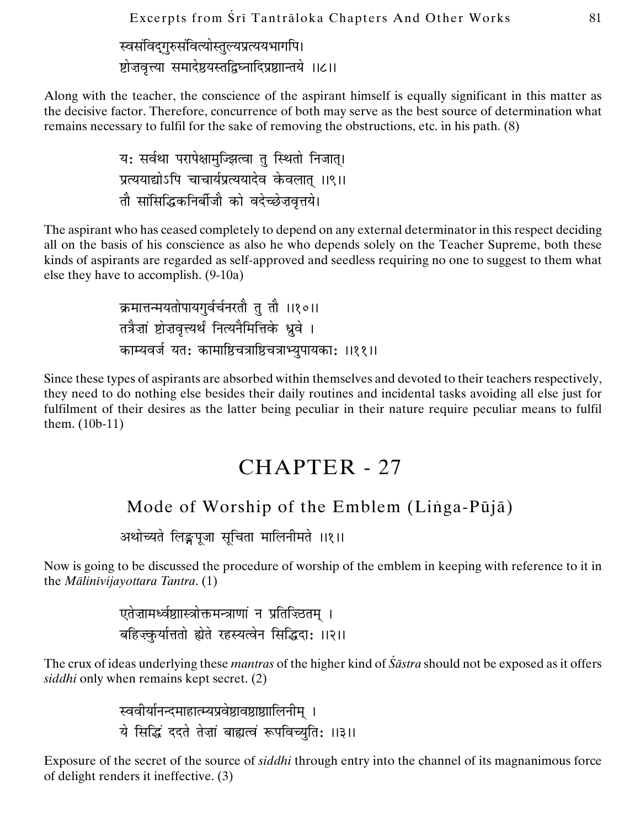स्वसंविदगुरुसंवित्योस्तुल्यप्रत्ययभागपि। ष्टोज़वृत्त्या समादेष्ठयस्तद्विघ्नादिप्रष्ठान्तये ।।८।।

Along with the teacher, the conscience of the aspirant himself is equally significant in this matter as the decisive factor. Therefore, concurrence of both may serve as the best source of determination what remains necessary to fulfil for the sake of removing the obstructions, etc. in his path. (8)

> य: सर्वथा परापेक्षामुज्झित्वा तु स्थितो निजातृ। ग्रत्ययाद्योऽपि चाचार्यप्रत्ययादेव केवलात ।।९।। तौ सांसिद्धिकनिर्बीजौ को वदेच्छेज़वृत्तये।

The aspirant who has ceased completely to depend on any external determinator in this respect deciding all on the basis of his conscience as also he who depends solely on the Teacher Supreme, both these kinds of aspirants are regarded as self-approved and seedless requiring no one to suggest to them what else they have to accomplish. (9-10a)

> क्रमात्तन्मयतोपायगुर्वर्चनरतौ तु तौ ॥१०॥ तत्रैज़ां ष्टोज़वृत्त्यर्थं नित्यनैमित्तिके ध्रुवे । काम्यवर्ज यत: कामाष्ठिचत्राष्ट्रिचत्राभ्युपायका: ॥११॥

Since these types of aspirants are absorbed within themselves and devoted to their teachers respectively, they need to do nothing else besides their daily routines and incidental tasks avoiding all else just for fulfilment of their desires as the latter being peculiar in their nature require peculiar means to fulfil them. (10b-11)

# CHAPTER - 27

## Mode of Worship of the Emblem (Linga-Pūjā)

अथोच्यते लिङ्गपूजा सूचिता मालिनीमते ॥१॥

Now is going to be discussed the procedure of worship of the emblem in keeping with reference to it in the *Mälinévijayottara Tantra*. (1)

> एतेज़ामर्ध्वष्ठाास्त्रोक्तमन्त्राणां न प्रतिज्ठितम् । बहिज़्कर्यात्ततो ह्येते रहस्यत्वेन सिद्धिदा: ॥२॥

The crux of ideas underlying these *mantras* of the higher kind of *Çästra* should not be exposed as it offers *siddhi* only when remains kept secret. (2)

> स्ववीर्यानन्दमाहात्म्यप्रवेष्ठावष्ठाष्ठाालिनीम् । ये सिद्धिं ददते तेज़ां बाह्यत्वं रूपविच्यति: ।।३।।

Exposure of the secret of the source of *siddhi* through entry into the channel of its magnanimous force of delight renders it ineffective. (3)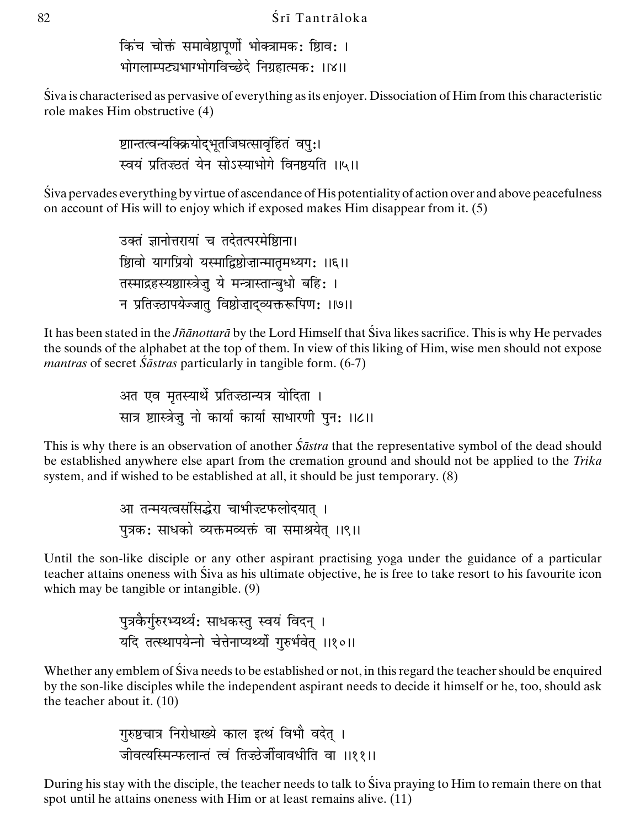किंच चोक्तं समावेष्ठापूर्णो भोक्त्रामक: ष्ठिाव: । भोगलाम्पट्यभाग्भोगविच्छेदे निग्रहात्मक: ।।४।।

Siva is characterised as pervasive of everything as its enjoyer. Dissociation of Him from this characteristic role makes Him obstructive (4)

> ष्ट्रान्तत्वन्यक्क्रियोद्भृतजिघत्सावृंहितं वपु:। स्वयं प्रतिज्ठतं येन सोऽस्याभोगे विनष्ठयति ।।५।।

Siva pervades everything by virtue of ascendance of His potentiality of action over and above peacefulness on account of His will to enjoy which if exposed makes Him disappear from it. (5)

> उक्तं ज्ञानोत्तरायां च तदेतत्परमेष्ठाना। ष्ठिावो यागप्रियो यस्माद्विष्ठोजान्मातृमध्यग: ॥६॥ तस्माद्रहस्यष्ठाास्त्रेज़ु ये मन्त्रास्तान्बुधो बहि: । न प्रतिज्ठापयेज्जात् विष्ठोजाद्व्यक्तरूपिण: ।।७।।

It has been stated in the *Jñānottarā* by the Lord Himself that Siva likes sacrifice. This is why He pervades the sounds of the alphabet at the top of them. In view of this liking of Him, wise men should not expose *mantras* of secret *Sastras* particularly in tangible form. (6-7)

> अत एव मतस्यार्थे प्रतिज्ठान्यत्र योदिता । सात्र ष्टास्त्रेज़ू नो कार्या कार्या साधारणी पुन: ।।८।।

This is why there is an observation of another Sastra that the representative symbol of the dead should be established anywhere else apart from the cremation ground and should not be applied to the Trika system, and if wished to be established at all, it should be just temporary. (8)

> आ तन्मयत्वसंसिद्धेरा चाभीज्टफलोदयात । पत्रक: साधको व्यक्तमव्यक्तं वा समाश्रयेत ॥९॥

Until the son-like disciple or any other aspirant practising yoga under the guidance of a particular teacher attains oneness with Siva as his ultimate objective, he is free to take resort to his favourite icon which may be tangible or intangible. (9)

> पुत्रकैर्गुरुरभ्यर्थ्य: साधकस्तु स्वयं विदन् । यदि तत्स्थापयेन्नो चेत्तेनाप्यर्थ्यो गुरुर्भवेत् ॥१०॥

Whether any emblem of Siva needs to be established or not, in this regard the teacher should be enquired by the son-like disciples while the independent aspirant needs to decide it himself or he, too, should ask the teacher about it.  $(10)$ 

> गुरुष्ठचात्र निरोधाख्ये काल इत्थं विभौ वदेत् । जीवर्त्यस्मिन्फलान्तं त्वं तिज्ठेर्जीवावधीति वा ॥११॥

During his stay with the disciple, the teacher needs to talk to Siva praying to Him to remain there on that spot until he attains oneness with Him or at least remains alive. (11)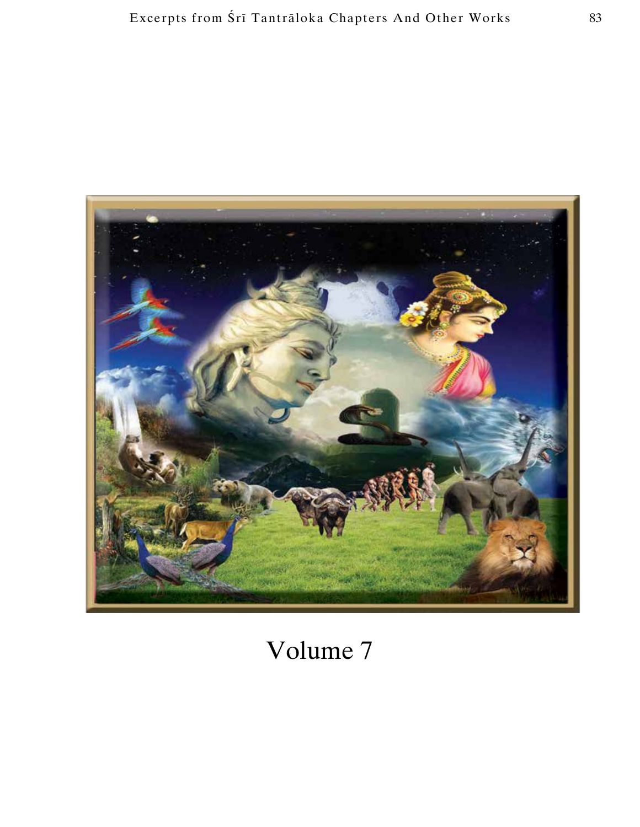

# Volume 7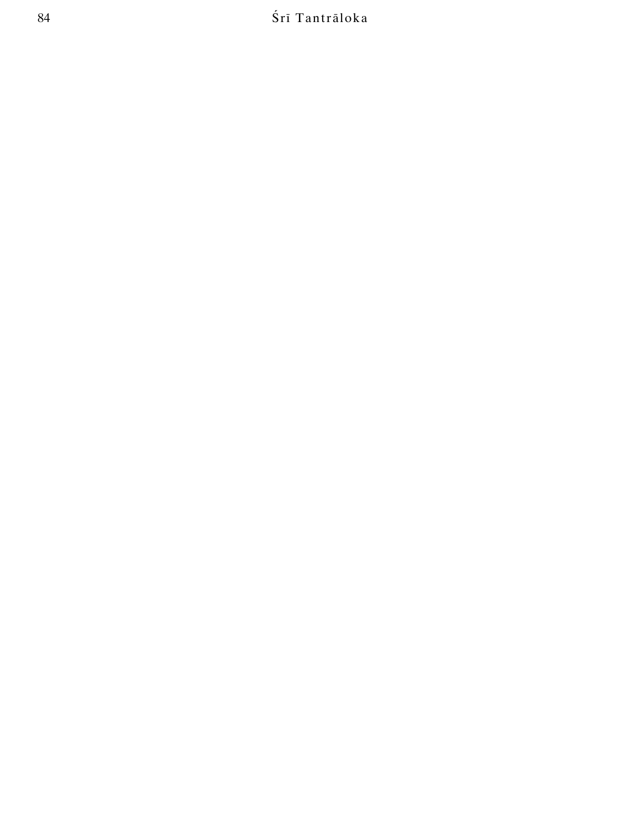.<br>Śrī Tantrāloka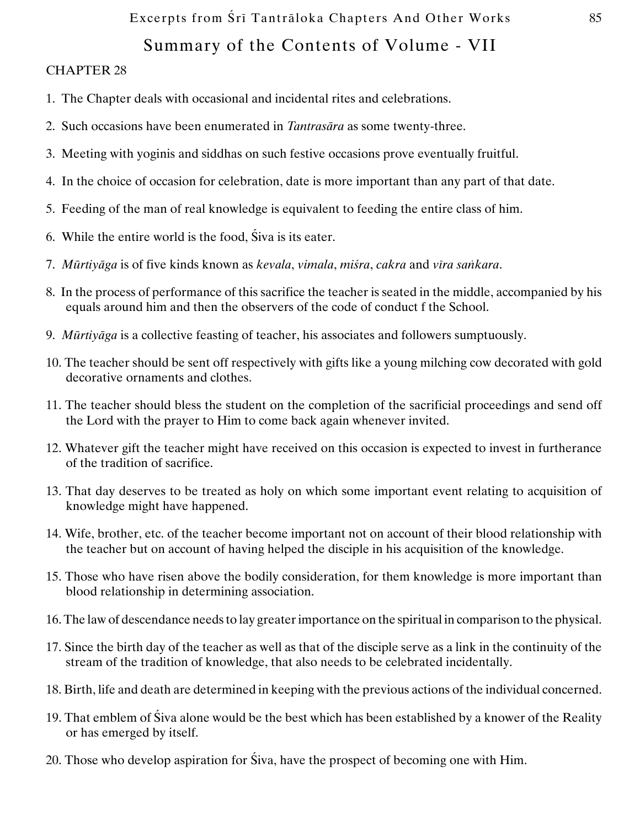### Summary of the Contents of Volume - VII

### CHAPTER 28

- 1. The Chapter deals with occasional and incidental rites and celebrations.
- 2. Such occasions have been enumerated in *Tantrasära* as some twenty-three.
- 3. Meeting with yoginis and siddhas on such festive occasions prove eventually fruitful.
- 4. In the choice of occasion for celebration, date is more important than any part of that date.
- 5. Feeding of the man of real knowledge is equivalent to feeding the entire class of him.
- 6. While the entire world is the food, Çiva is its eater.
- 7. *Mürtiyäga* is of five kinds known as *kevala*, *vimala*, *miçra*, *cakra* and *véra saìkara*.
- 8. In the process of performance of this sacrifice the teacher is seated in the middle, accompanied by his equals around him and then the observers of the code of conduct f the School.
- 9. *Mürtiyäga* is a collective feasting of teacher, his associates and followers sumptuously.
- 10. The teacher should be sent off respectively with gifts like a young milching cow decorated with gold decorative ornaments and clothes.
- 11. The teacher should bless the student on the completion of the sacrificial proceedings and send off the Lord with the prayer to Him to come back again whenever invited.
- 12. Whatever gift the teacher might have received on this occasion is expected to invest in furtherance of the tradition of sacrifice.
- 13. That day deserves to be treated as holy on which some important event relating to acquisition of knowledge might have happened.
- 14. Wife, brother, etc. of the teacher become important not on account of their blood relationship with the teacher but on account of having helped the disciple in his acquisition of the knowledge.
- 15. Those who have risen above the bodily consideration, for them knowledge is more important than blood relationship in determining association.
- 16. The law of descendance needs to lay greater importance on the spiritual in comparison to the physical.
- 17. Since the birth day of the teacher as well as that of the disciple serve as a link in the continuity of the stream of the tradition of knowledge, that also needs to be celebrated incidentally.
- 18. Birth, life and death are determined in keeping with the previous actions of the individual concerned.
- 19. That emblem of Çiva alone would be the best which has been established by a knower of the Reality or has emerged by itself.
- 20. Those who develop aspiration for Çiva, have the prospect of becoming one with Him.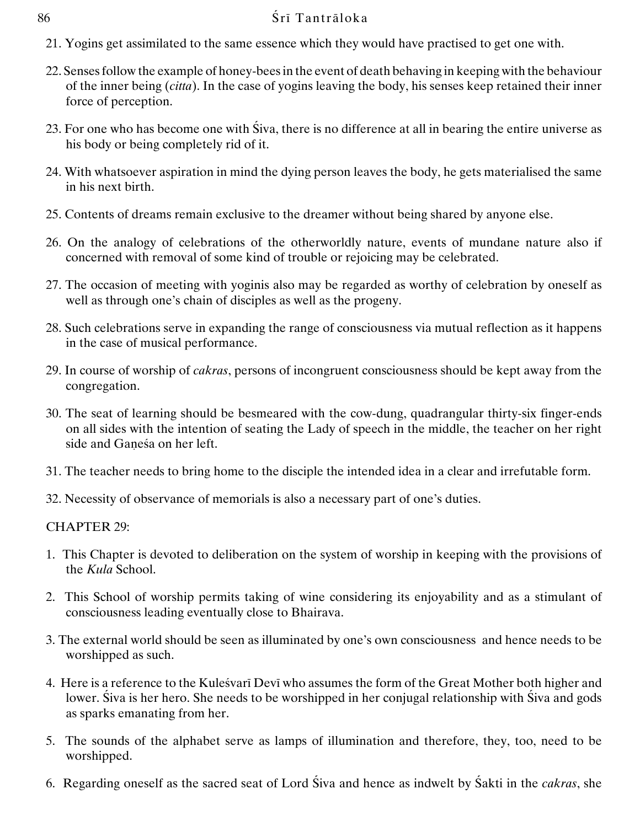### 86 Sri Tanträloka

- 21. Yogins get assimilated to the same essence which they would have practised to get one with.
- 22. Senses follow the example of honey-bees in the event of death behaving in keeping with the behaviour of the inner being (*citta*). In the case of yogins leaving the body, his senses keep retained their inner force of perception.
- 23. For one who has become one with Siva, there is no difference at all in bearing the entire universe as his body or being completely rid of it.
- 24. With whatsoever aspiration in mind the dying person leaves the body, he gets materialised the same in his next birth.
- 25. Contents of dreams remain exclusive to the dreamer without being shared by anyone else.
- 26. On the analogy of celebrations of the otherworldly nature, events of mundane nature also if concerned with removal of some kind of trouble or rejoicing may be celebrated.
- 27. The occasion of meeting with yoginis also may be regarded as worthy of celebration by oneself as well as through one's chain of disciples as well as the progeny.
- 28. Such celebrations serve in expanding the range of consciousness via mutual reflection as it happens in the case of musical performance.
- 29. In course of worship of *cakras*, persons of incongruent consciousness should be kept away from the congregation.
- 30. The seat of learning should be besmeared with the cow-dung, quadrangular thirty-six finger-ends on all sides with the intention of seating the Lady of speech in the middle, the teacher on her right side and Ganesa on her left.
- 31. The teacher needs to bring home to the disciple the intended idea in a clear and irrefutable form.
- 32. Necessity of observance of memorials is also a necessary part of one's duties.

#### CHAPTER 29:

- 1. This Chapter is devoted to deliberation on the system of worship in keeping with the provisions of the *Kula* School.
- 2. This School of worship permits taking of wine considering its enjoyability and as a stimulant of consciousness leading eventually close to Bhairava.
- 3. The external world should be seen as illuminated by one's own consciousness and hence needs to be worshipped as such.
- 4. Here is a reference to the Kulesvari Devi who assumes the form of the Great Mother both higher and lower. Siva is her hero. She needs to be worshipped in her conjugal relationship with Siva and gods as sparks emanating from her.
- 5. The sounds of the alphabet serve as lamps of illumination and therefore, they, too, need to be worshipped.
- 6. Regarding oneself as the sacred seat of Lord Çiva and hence as indwelt by Çakti in the *cakras*, she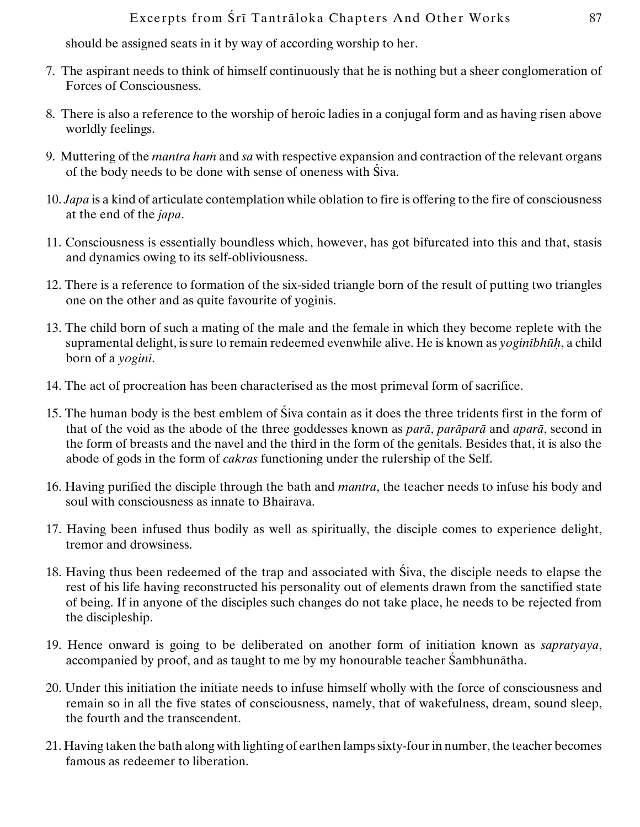should be assigned seats in it by way of according worship to her.

- 7. The aspirant needs to think of himself continuously that he is nothing but a sheer conglomeration of Forces of Consciousness.
- 8. There is also a reference to the worship of heroic ladies in a conjugal form and as having risen above worldly feelings.
- 9. Muttering of the *mantra ham* and *sa* with respective expansion and contraction of the relevant organs of the body needs to be done with sense of oneness with Çiva.
- 10. *Japa* is a kind of articulate contemplation while oblation to fire is offering to the fire of consciousness at the end of the *japa*.
- 11. Consciousness is essentially boundless which, however, has got bifurcated into this and that, stasis and dynamics owing to its self-obliviousness.
- 12. There is a reference to formation of the six-sided triangle born of the result of putting two triangles one on the other and as quite favourite of yoginis.
- 13. The child born of such a mating of the male and the female in which they become replete with the supramental delight, is sure to remain redeemed evenwhile alive. He is known as *yoginébhüù*, a child born of a *yoginé*.
- 14. The act of procreation has been characterised as the most primeval form of sacrifice.
- 15. The human body is the best emblem of Çiva contain as it does the three tridents first in the form of that of the void as the abode of the three goddesses known as *parä*, *paräparä* and *aparä*, second in the form of breasts and the navel and the third in the form of the genitals. Besides that, it is also the abode of gods in the form of *cakras* functioning under the rulership of the Self.
- 16. Having purified the disciple through the bath and *mantra*, the teacher needs to infuse his body and soul with consciousness as innate to Bhairava.
- 17. Having been infused thus bodily as well as spiritually, the disciple comes to experience delight, tremor and drowsiness.
- 18. Having thus been redeemed of the trap and associated with Çiva, the disciple needs to elapse the rest of his life having reconstructed his personality out of elements drawn from the sanctified state of being. If in anyone of the disciples such changes do not take place, he needs to be rejected from the discipleship.
- 19. Hence onward is going to be deliberated on another form of initiation known as *sapratyaya*, accompanied by proof, and as taught to me by my honourable teacher Sambhunātha.
- 20. Under this initiation the initiate needs to infuse himself wholly with the force of consciousness and remain so in all the five states of consciousness, namely, that of wakefulness, dream, sound sleep, the fourth and the transcendent.
- 21. Having taken the bath along with lighting of earthen lamps sixty-four in number, the teacher becomes famous as redeemer to liberation.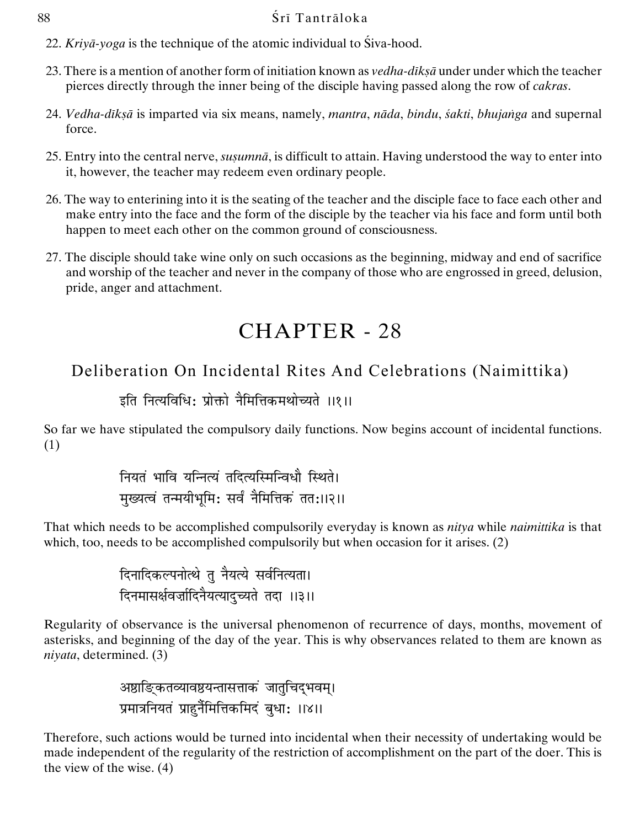### 88 Sri Tanträloka

- 22. *Kriyā-yoga* is the technique of the atomic individual to Siva-hood.
- 23. There is a mention of another form of initiation known as *vedha-dékñä* under under which the teacher pierces directly through the inner being of the disciple having passed along the row of *cakras*.
- 24. *Vedha-dékñä* is imparted via six means, namely, *mantra*, *näda*, *bindu*, *çakti*, *bhujaìga* and supernal force.
- 25. Entry into the central nerve, *susumnā*, is difficult to attain. Having understood the way to enter into it, however, the teacher may redeem even ordinary people.
- 26. The way to enterining into it is the seating of the teacher and the disciple face to face each other and make entry into the face and the form of the disciple by the teacher via his face and form until both happen to meet each other on the common ground of consciousness.
- 27. The disciple should take wine only on such occasions as the beginning, midway and end of sacrifice and worship of the teacher and never in the company of those who are engrossed in greed, delusion, pride, anger and attachment.

# CHAPTER - 28

### Deliberation On Incidental Rites And Celebrations (Naimittika)

इति नित्यविधि: प्रोक्तो नैमित्तिकमथोच्यते ॥१॥

So far we have stipulated the compulsory daily functions. Now begins account of incidental functions. (1)

> नियतं भावि यन्नित्यं तदित्यस्मिन्विधौ स्थिते। मुख्यत्वं तन्मयीभूमि: सर्वं नैमित्तिकं तत:॥२॥

That which needs to be accomplished compulsorily everyday is known as *nitya* while *naimittika* is that which, too, needs to be accomplished compulsorily but when occasion for it arises. (2)

> हिनादिकल्पनोत्थे त नैयत्ये सर्वनित्यता। दिनमासर्क्षवर्जादिनैयत्यादुच्यते तदा ॥३॥

Regularity of observance is the universal phenomenon of recurrence of days, months, movement of asterisks, and beginning of the day of the year. This is why observances related to them are known as *niyata*, determined. (3)

> अष्ठाङ्कितव्यावष्ठयन्तासत्ताकं जातुचिद्भवम्। प्रमात्रनियतं प्राहुर्नैमित्तिकमिदं बुधा: ।।४।।

Therefore, such actions would be turned into incidental when their necessity of undertaking would be made independent of the regularity of the restriction of accomplishment on the part of the doer. This is the view of the wise. (4)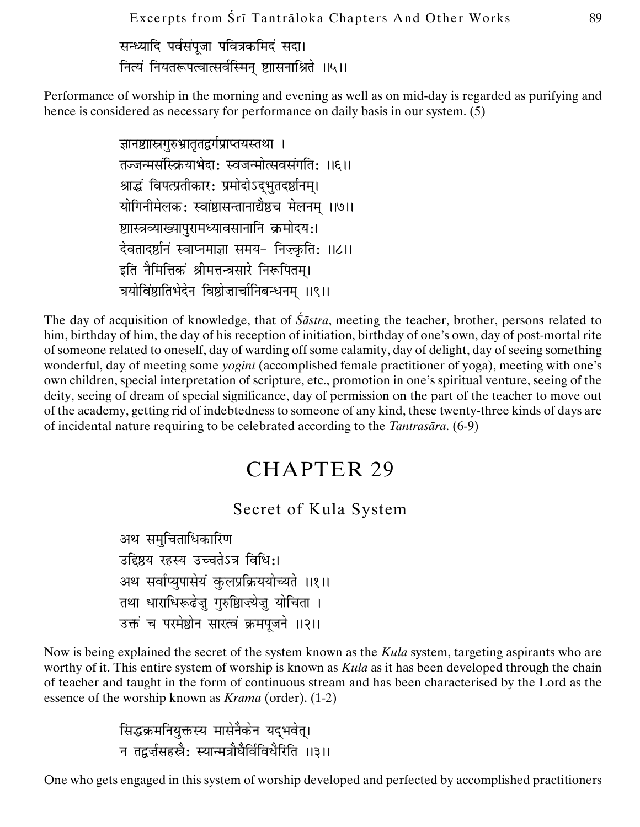सन्ध्यादि पर्वसंपूजा पवित्रकमिदं सदा। नित्यं नियतरूपत्वात्सर्वस्मिन् ष्टाासनाश्रिते ।।५।।

Performance of worship in the morning and evening as well as on mid-day is regarded as purifying and hence is considered as necessary for performance on daily basis in our system. (5)

> ज्ञानष्ठास्त्रगुरुभ्रातृतद्वर्गप्राप्तयस्तथा । तज्जन्मसंस्क्रियाभेदा: स्वजन्मोत्सवसंगति: ॥६॥ श्राद्धं विपत्प्रतीकार: प्रमोदोऽद्भृतदर्ष्ठानम्। योगिनीमेलक: स्वांष्ठासन्तानाद्यैष्ठच मेलनम् ।।७।। ष्टास्त्रव्याख्यापुरामध्यावसानानि क्रमोदय:। देवतादर्ष्ठानं स्वाप्नमाज्ञा समय- निज्कृति: ॥८॥ इति नैमित्तिकं श्रीमत्तन्त्रसारे निरूपितम्। त्रयोविंष्ठातिभेदेन विष्ठोजार्चानिबन्धनम् ॥९॥

The day of acquisition of knowledge, that of *Çästra*, meeting the teacher, brother, persons related to him, birthday of him, the day of his reception of initiation, birthday of one's own, day of post-mortal rite of someone related to oneself, day of warding off some calamity, day of delight, day of seeing something wonderful, day of meeting some *yoginé* (accomplished female practitioner of yoga), meeting with one's own children, special interpretation of scripture, etc., promotion in one's spiritual venture, seeing of the deity, seeing of dream of special significance, day of permission on the part of the teacher to move out of the academy, getting rid of indebtedness to someone of any kind, these twenty-three kinds of days are of incidental nature requiring to be celebrated according to the *Tantrasära*. (6-9)

# **CHAPTER 29**

### Secret of Kula System

अथ समुचिताधिकारिण उद्दिष्ठय रहस्य उच्चतेऽत्र विधि:। अथ सर्वाप्युपासेयं कुलप्रक्रिययोच्यते ॥१॥ तथा धाराधिरूढेज़ु गुरुष्ठिाज्येज़ु योचिता । उक्तं च परमेष्ठोन सारत्वं क्रमपूजने ॥२॥

Now is being explained the secret of the system known as the *Kula* system, targeting aspirants who are worthy of it. This entire system of worship is known as *Kula* as it has been developed through the chain of teacher and taught in the form of continuous stream and has been characterised by the Lord as the essence of the worship known as *Krama* (order). (1-2)

> सिद्धक्रमनियुक्तस्य मासेनैकेन यद्भवेत्। न तद्रर्जसहस्रै: स्यान्मत्रौघैर्विविधैरिति ॥३॥

One who gets engaged in this system of worship developed and perfected by accomplished practitioners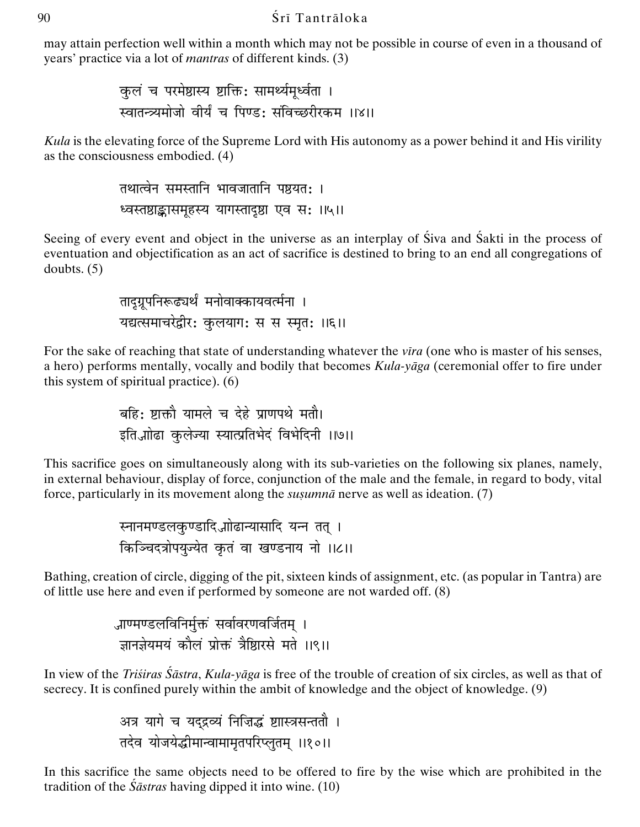may attain perfection well within a month which may not be possible in course of even in a thousand of years' practice via a lot of *mantras* of different kinds. (3)

```
कुलं च परमेष्ठास्य ष्टाक्ति: सामर्थ्यमृर्ध्वता ।
स्वातन्त्र्यमोजो वीर्यं च पिण्डः संविच्छरीरकम् ॥४॥
```
Kula is the elevating force of the Supreme Lord with His autonomy as a power behind it and His virility as the consciousness embodied. (4)

> तथात्वेन समस्तानि भावजातानि पष्ठयत: । ध्वस्तष्ठाङ्कासमूहस्य यागस्तादुष्ठा एव स: ॥५॥

Seeing of every event and object in the universe as an interplay of Siva and Sakti in the process of eventuation and objectification as an act of sacrifice is destined to bring to an end all congregations of doubts.  $(5)$ 

> तादुग्रूपनिरूढ्यर्थं मनोवाक्कायवर्त्मना । यद्यत्समाचरेद्वीर: कुलयाग: स स स्मृत: ॥६॥

For the sake of reaching that state of understanding whatever the *vira* (one who is master of his senses, a hero) performs mentally, vocally and bodily that becomes Kula-yāga (ceremonial offer to fire under this system of spiritual practice). (6)

> बहि: ष्टाक्तौ यामले च देहे प्राणपथे मतौ। इति जोढा कुलेज्या स्यात्प्रतिभेदं विभेदिनी ।।७।।

This sacrifice goes on simultaneously along with its sub-varieties on the following six planes, namely, in external behaviour, display of force, conjunction of the male and the female, in regard to body, vital force, particularly in its movement along the *susumna* nerve as well as ideation. (7)

> स्नानमण्डलकृण्डादिजाोढान्यासादि यन्न तत् । किञ्चिदत्रोपयज्येत कतं वा खण्डनाय नो ।।८।।

Bathing, creation of circle, digging of the pit, sixteen kinds of assignment, etc. (as popular in Tantra) are of little use here and even if performed by someone are not warded off. (8)

> जाण्मण्डलविनिर्मुक्तं सर्वावरणवर्जितम् । ज्ञानजेयमयं कौलं प्रोक्तं त्रैष्ठारसे मते ॥९॥

In view of the *Trisiras Sastra, Kula-yaga* is free of the trouble of creation of six circles, as well as that of secrecy. It is confined purely within the ambit of knowledge and the object of knowledge. (9)

> अत्र यागे च यदद्रव्यं निजिद्धं ष्ट्रास्त्रसन्ततौ । तदेव योजयेद्धीमान्वामामतपरिप्लतम ॥१०॥

In this sacrifice the same objects need to be offered to fire by the wise which are prohibited in the tradition of the  $\hat{S}$ *astras* having dipped it into wine. (10)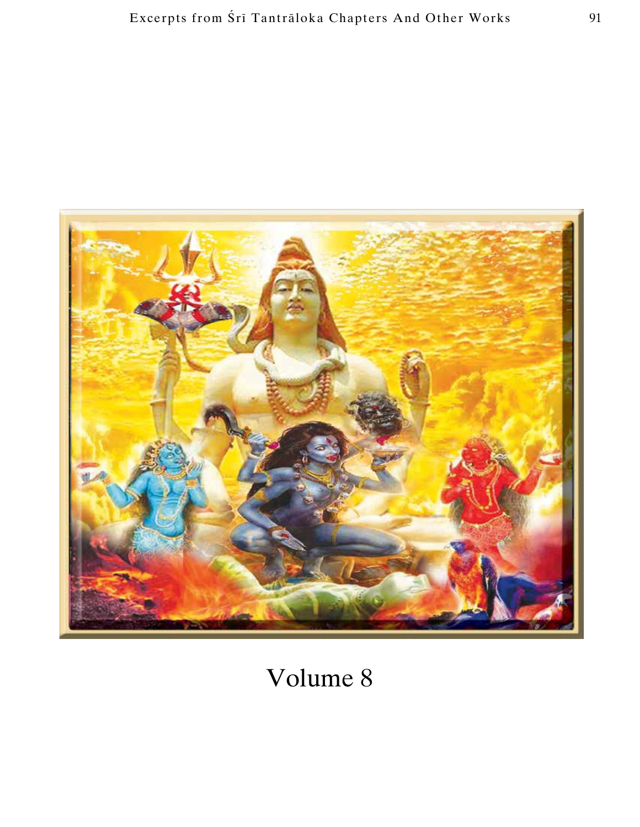

# Volume 8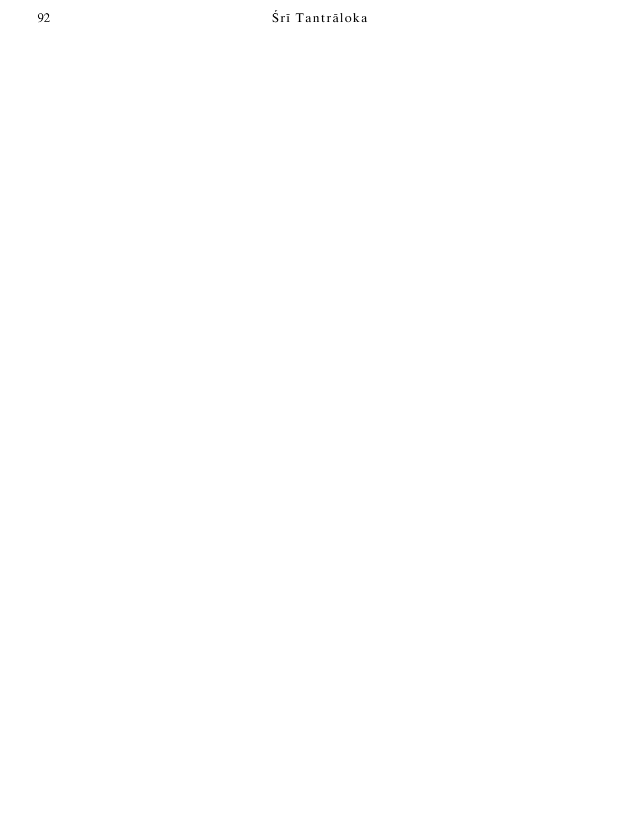## .<br>Śrī Tantrāloka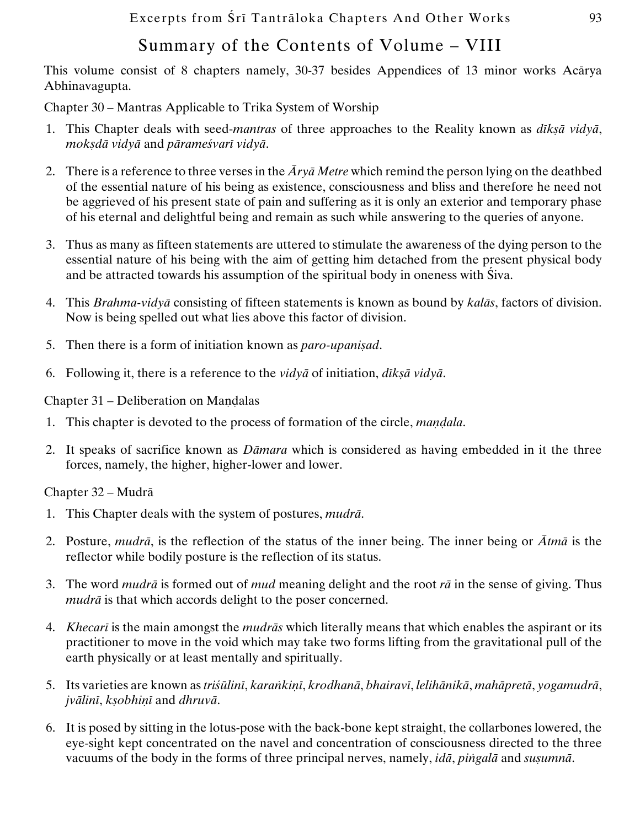### Summary of the Contents of Volume – VIII

This volume consist of 8 chapters namely, 30-37 besides Appendices of 13 minor works Acärya Abhinavagupta.

Chapter 30 – Mantras Applicable to Trika System of Worship

- 1. This Chapter deals with seed-*mantras* of three approaches to the Reality known as *diksa* vidya, *mokñdä vidyä* and *pärameçvaré vidyä*.
- 2. There is a reference to three verses in the *Äryä Metre* which remind the person lying on the deathbed of the essential nature of his being as existence, consciousness and bliss and therefore he need not be aggrieved of his present state of pain and suffering as it is only an exterior and temporary phase of his eternal and delightful being and remain as such while answering to the queries of anyone.
- 3. Thus as many as fifteen statements are uttered to stimulate the awareness of the dying person to the essential nature of his being with the aim of getting him detached from the present physical body and be attracted towards his assumption of the spiritual body in oneness with Siva.
- 4. This *Brahma-vidyä* consisting of fifteen statements is known as bound by *kaläs*, factors of division. Now is being spelled out what lies above this factor of division.
- 5. Then there is a form of initiation known as *paro-upanisad*.
- 6. Following it, there is a reference to the *vidyä* of initiation, *dékñä vidyä*.

Chapter 31 – Deliberation on Mandalas

- 1. This chapter is devoted to the process of formation of the circle, *mandala*.
- 2. It speaks of sacrifice known as *Dämara* which is considered as having embedded in it the three forces, namely, the higher, higher-lower and lower.

### Chapter 32 – Mudrä

- 1. This Chapter deals with the system of postures, *mudrä*.
- 2. Posture, *mudrä*, is the reflection of the status of the inner being. The inner being or *Ätmä* is the reflector while bodily posture is the reflection of its status.
- 3. The word *mudrä* is formed out of *mud* meaning delight and the root *rä* in the sense of giving. Thus *mudrä* is that which accords delight to the poser concerned.
- 4. *Khecaré* is the main amongst the *mudräs* which literally means that which enables the aspirant or its practitioner to move in the void which may take two forms lifting from the gravitational pull of the earth physically or at least mentally and spiritually.
- 5. Its varieties are known as *triçüliné*, *karaìkiëé*, *krodhanä*, *bhairavé*, *lelihänikä*, *mahäpretä*, *yogamudrä*, *jvālinī*, *kṣobhiṇī* and *dhruvā*.
- 6. It is posed by sitting in the lotus-pose with the back-bone kept straight, the collarbones lowered, the eye-sight kept concentrated on the navel and concentration of consciousness directed to the three vacuums of the body in the forms of three principal nerves, namely, *idā, pingalā* and *susumnā*.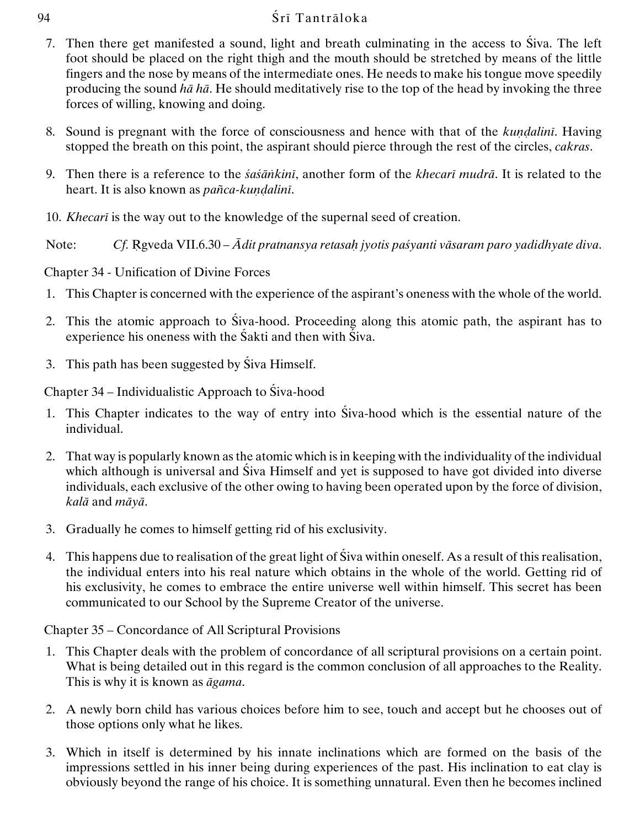### 94 Sri Tantrāloka

- 7. Then there get manifested a sound, light and breath culminating in the access to Çiva. The left foot should be placed on the right thigh and the mouth should be stretched by means of the little fingers and the nose by means of the intermediate ones. He needs to make his tongue move speedily producing the sound *hä hä*. He should meditatively rise to the top of the head by invoking the three forces of willing, knowing and doing.
- 8. Sound is pregnant with the force of consciousness and hence with that of the *kundalini*. Having stopped the breath on this point, the aspirant should pierce through the rest of the circles, *cakras*.
- 9. Then there is a reference to the *çaçäìkiné*, another form of the *khecaré mudrä*. It is related to the heart. It is also known as *pañca-kundalini*.
- 10. *Khecaré* is the way out to the knowledge of the supernal seed of creation.

Note: *Cf.* Ågveda VII.6.30 – *Ädit pratnansya retasaù jyotis paçyanti väsaram paro yadidhyate diva*.

Chapter 34 - Unification of Divine Forces

- 1. This Chapter is concerned with the experience of the aspirant's oneness with the whole of the world.
- 2. This the atomic approach to Çiva-hood. Proceeding along this atomic path, the aspirant has to experience his oneness with the Sakti and then with Siva.
- 3. This path has been suggested by Çiva Himself.

Chapter 34 – Individualistic Approach to Śiva-hood

- 1. This Chapter indicates to the way of entry into Çiva-hood which is the essential nature of the individual.
- 2. That way is popularly known as the atomic which is in keeping with the individuality of the individual which although is universal and Siva Himself and yet is supposed to have got divided into diverse individuals, each exclusive of the other owing to having been operated upon by the force of division, *kalä* and *mäyä*.
- 3. Gradually he comes to himself getting rid of his exclusivity.
- 4. This happens due to realisation of the great light of Çiva within oneself. As a result of this realisation, the individual enters into his real nature which obtains in the whole of the world. Getting rid of his exclusivity, he comes to embrace the entire universe well within himself. This secret has been communicated to our School by the Supreme Creator of the universe.

Chapter 35 – Concordance of All Scriptural Provisions

- 1. This Chapter deals with the problem of concordance of all scriptural provisions on a certain point. What is being detailed out in this regard is the common conclusion of all approaches to the Reality. This is why it is known as *ägama*.
- 2. A newly born child has various choices before him to see, touch and accept but he chooses out of those options only what he likes.
- 3. Which in itself is determined by his innate inclinations which are formed on the basis of the impressions settled in his inner being during experiences of the past. His inclination to eat clay is obviously beyond the range of his choice. It is something unnatural. Even then he becomes inclined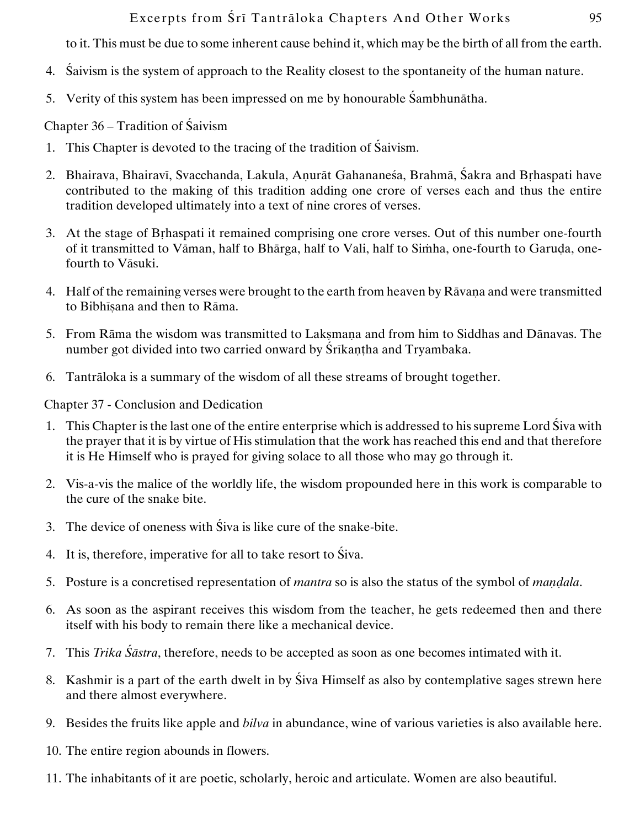### Excerpts from Sri Tanträloka Chapters And Other Works 95

to it. This must be due to some inherent cause behind it, which may be the birth of all from the earth.

- 4. Saivism is the system of approach to the Reality closest to the spontaneity of the human nature.
- 5. Verity of this system has been impressed on me by honourable Çambhunätha.

Chapter 36 – Tradition of Śaivism

- 1. This Chapter is devoted to the tracing of the tradition of Çaivism.
- 2. Bhairava, Bhairavī, Svacchanda, Lakula, Anurāt Gahananesa, Brahmā, Šakra and Brhaspati have contributed to the making of this tradition adding one crore of verses each and thus the entire tradition developed ultimately into a text of nine crores of verses.
- 3. At the stage of Brhaspati it remained comprising one crore verses. Out of this number one-fourth of it transmitted to Vāman, half to Bhārga, half to Vali, half to Simha, one-fourth to Garuda, onefourth to Väsuki.
- 4. Half of the remaining verses were brought to the earth from heaven by Rāvana and were transmitted to Bibhisana and then to Rāma.
- 5. From Rāma the wisdom was transmitted to Laksmana and from him to Siddhas and Dānavas. The number got divided into two carried onward by Srikantha and Tryambaka.
- 6. Tanträloka is a summary of the wisdom of all these streams of brought together.

Chapter 37 - Conclusion and Dedication

- 1. This Chapter is the last one of the entire enterprise which is addressed to his supreme Lord Çiva with the prayer that it is by virtue of His stimulation that the work has reached this end and that therefore it is He Himself who is prayed for giving solace to all those who may go through it.
- 2. Vis-a-vis the malice of the worldly life, the wisdom propounded here in this work is comparable to the cure of the snake bite.
- 3. The device of oneness with Çiva is like cure of the snake-bite.
- 4. It is, therefore, imperative for all to take resort to Siva.
- 5. Posture is a concretised representation of *mantra* so is also the status of the symbol of *mandala*.
- 6. As soon as the aspirant receives this wisdom from the teacher, he gets redeemed then and there itself with his body to remain there like a mechanical device.
- 7. This *Trika Çästra*, therefore, needs to be accepted as soon as one becomes intimated with it.
- 8. Kashmir is a part of the earth dwelt in by Çiva Himself as also by contemplative sages strewn here and there almost everywhere.
- 9. Besides the fruits like apple and *bilva* in abundance, wine of various varieties is also available here.
- 10. The entire region abounds in flowers.
- 11. The inhabitants of it are poetic, scholarly, heroic and articulate. Women are also beautiful.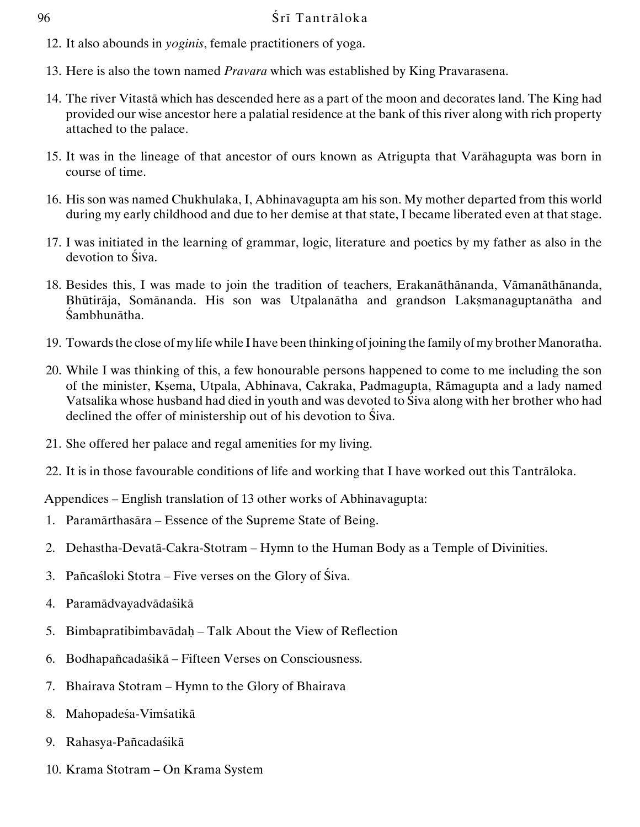#### 96 Sri Tantrāloka

- 12. It also abounds in *yoginis*, female practitioners of yoga.
- 13. Here is also the town named *Pravara* which was established by King Pravarasena.
- 14. The river Vitastä which has descended here as a part of the moon and decorates land. The King had provided our wise ancestor here a palatial residence at the bank of this river along with rich property attached to the palace.
- 15. It was in the lineage of that ancestor of ours known as Atrigupta that Varähagupta was born in course of time.
- 16. His son was named Chukhulaka, I, Abhinavagupta am his son. My mother departed from this world during my early childhood and due to her demise at that state, I became liberated even at that stage.
- 17. I was initiated in the learning of grammar, logic, literature and poetics by my father as also in the devotion to Siva.
- 18. Besides this, I was made to join the tradition of teachers, Erakanäthänanda, Vämanäthänanda, Bhūtirāja, Somānanda. His son was Utpalanātha and grandson Lakṣmanaguptanātha and Çambhunätha.
- 19. Towards the close of my life while I have been thinking of joining the family of my brother Manoratha.
- 20. While I was thinking of this, a few honourable persons happened to come to me including the son of the minister, Kṣema, Utpala, Abhinava, Cakraka, Padmagupta, Rāmagupta and a lady named Vatsalika whose husband had died in youth and was devoted to Çiva along with her brother who had declined the offer of ministership out of his devotion to Siva.
- 21. She offered her palace and regal amenities for my living.
- 22. It is in those favourable conditions of life and working that I have worked out this Tanträloka.

Appendices – English translation of 13 other works of Abhinavagupta:

- 1. Paramärthasära Essence of the Supreme State of Being.
- 2. Dehastha-Devatä-Cakra-Stotram Hymn to the Human Body as a Temple of Divinities.
- 3. Pañcaśloki Stotra Five verses on the Glory of Siva.
- 4. Paramädvayadvädaçikä
- 5. Bimbapratibimbavädaù Talk About the View of Reflection
- 6. Bodhapaïcadaçikä Fifteen Verses on Consciousness.
- 7. Bhairava Stotram Hymn to the Glory of Bhairava
- 8. Mahopadeśa-Vimśatikā
- 9. Rahasya-Pañcadaśikā
- 10. Krama Stotram On Krama System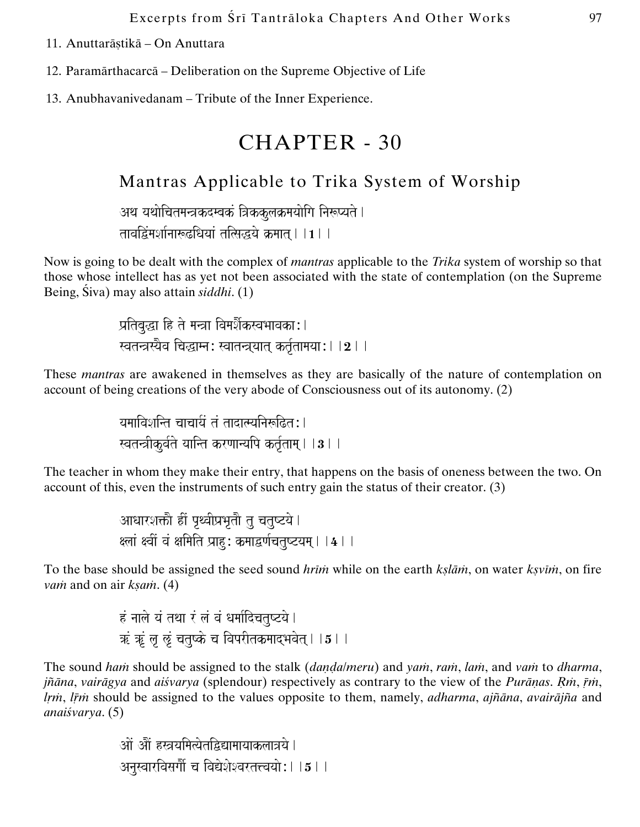- 11. Anuttarāstikā On Anuttara
- 12. Paramārthacarcā Deliberation on the Supreme Objective of Life
- 13. Anubhavanivedanam Tribute of the Inner Experience.

# $CHAPTER - 30$

## Mantras Applicable to Trika System of Worship

अथ यथोचितमन्त्रकदम्बकं त्रिककलक्रमयोगि निरूप्यते । तावद्विंमर्शानारूढधियां तत्सिद्धये क्रमात । । 1 । ।

Now is going to be dealt with the complex of *mantras* applicable to the *Trika* system of worship so that those whose intellect has as yet not been associated with the state of contemplation (on the Supreme Being, Siva) may also attain siddhi. (1)

> प्रतिबुद्धा हि ते मन्त्रा विमर्शेकस्वभावका:। खतन्त्रस्यैव चिद्धाम: स्वातन्त्र्यात् कर्तृतामया: | |2 | |

These mantras are awakened in themselves as they are basically of the nature of contemplation on account of being creations of the very abode of Consciousness out of its autonomy. (2)

> यमाविशन्ति चाचार्य तं तादात्म्यनिरूदित:। खतन्त्रीकुर्वते यान्ति करणान्यपि कर्तृताम् । । 3 । ।

The teacher in whom they make their entry, that happens on the basis of oneness between the two. On account of this, even the instruments of such entry gain the status of their creator. (3)

> आधारशक्तौ हीं पृथ्वीप्रभृतौ तु चतुष्टये। क्लां क्ष्वीं वं क्षमिति प्राह: कमाद्वर्णचतुष्टयम् । । 4 । ।

To the base should be assigned the seed sound *hrim* while on the earth *kslām*, on water *ksvīm*, on fire vam and on air ksam. (4)

> हं नाले यं तथा रं लं वं धर्मादिचतुष्टये । ऋं ऋं लृ ऌं चतुष्के च विपरीतकमादभवेत् । । 5 । ।

The sound ham should be assigned to the stalk *(danda/meru)* and *yam, ram, lam, and vam to dharma,* jñāna, vairāgya and aiśvarya (splendour) respectively as contrary to the view of the Purāņas. Rm, rm, lrm, līm should be assigned to the values opposite to them, namely, *adharma*, *ajñāna*, *avairājña* and anaisvarya. $(5)$ 

> ओं औं हस्त्रयमित्येतद्विद्यामायाकलात्रये । अनुस्वारविसर्गो च विद्येशेश्वरतत्त्वयो:। । 5। ।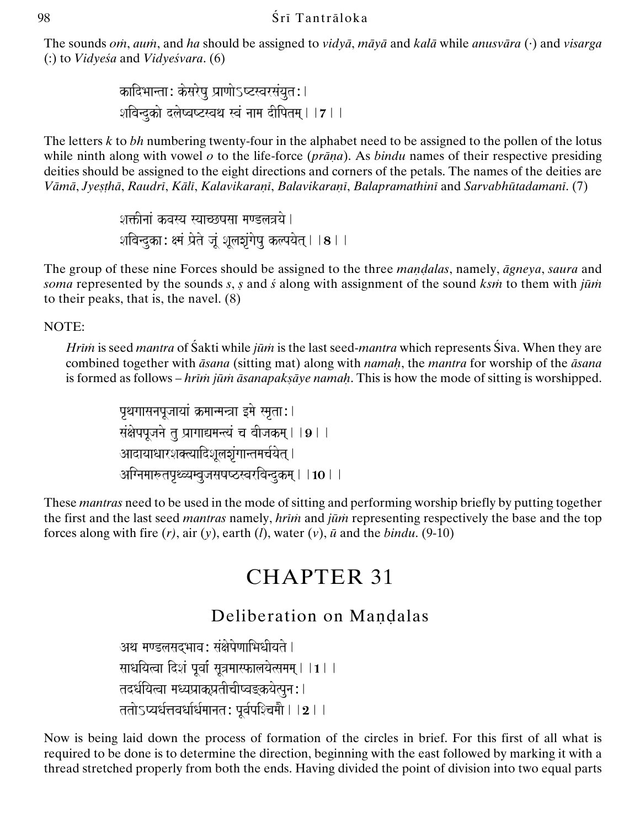The sounds *om*, *aum*, and *ha* should be assigned to *vidyā*, *māyā* and *kalā* while *anusvāra* (·) and *visarga* (:) to *Vidyeça* and *Vidyeçvara*. (6)

```
कादिभान्ता: केसरेषु प्राणोऽष्टस्वरसंयुत: ।
शबिन्दुको दलेष्वष्टस्वथ स्वं नाम दीपितम् । ।7। ।
```
The letters *k* to *bh* numbering twenty-four in the alphabet need to be assigned to the pollen of the lotus while ninth along with vowel  $\sigma$  to the life-force (*prāna*). As *bindu* names of their respective presiding deities should be assigned to the eight directions and corners of the petals. The names of the deities are *Vämä*, *Jyeñöhä*, *Raudré*, *Kälé*, *Kalavikaraëé*, *Balavikaraëé*, *Balapramathiné* and *Sarvabhütadamané*. (7)

> शक्तीनां कवस्य स्याच्छषसा मण्डलत्रये | शबिन्दुका: क्ष्मं प्रेते जूं शूलञ्चंगेषु कल्पयेत् । । $\boldsymbol{8}$  । ।

The group of these nine Forces should be assigned to the three *mandalas*, namely, *āgneya*, *saura* and *soma* represented by the sounds *s*, *s* and *s* along with assignment of the sound *ksm* to them with *jūm* to their peaks, that is, the navel. (8)

NOTE:

*Hrim* is seed *mantra* of Sakti while *jūm* is the last seed-*mantra* which represents Siva. When they are combined together with *äsana* (sitting mat) along with *namaù*, the *mantra* for worship of the *äsana* is formed as follows – *hrīm jūm āsanapakṣāye namaḥ*. This is how the mode of sitting is worshipped.

```
प्रथगासनपूजायां क्रमान्मन्त्रा इमे स्मृता:।
संक्षेपपूजने तु प्रागाद्यमन्त्यं च बीजकम् । ।9। ।
आदायाधारशक्त्यादिशलशंगान्तमर्चयेत ।
अग्निमारुतपृथ्व्यम्बुजसषष्ठस्वरबिन्दुकम् । ।10।।
```
These *mantras* need to be used in the mode of sitting and performing worship briefly by putting together the first and the last seed *mantras* namely, *hrim* and *jūm* representing respectively the base and the top forces along with fire (*r)*, air (*y*), earth (*l*), water (*v*), *ü* and the *bindu*. (9-10)

# CHAPTER 31

## Deliberation on Mandalas

अथ मण्डलसदभाव: संक्षेपेणाभिधीयते । साधयित्वा दिशं पूर्वा सूत्रमास्फालयेत्समम् । । 1 । । तदर्धयित्वा मध्यप्राक्**प्रतीचीष्व**ङ्कयेत्पुन:। ततोऽप्यर्धत्तवर्धार्धमानत: पूर्वपश्चिमौ । । $2$ ।।

Now is being laid down the process of formation of the circles in brief. For this first of all what is required to be done is to determine the direction, beginning with the east followed by marking it with a thread stretched properly from both the ends. Having divided the point of division into two equal parts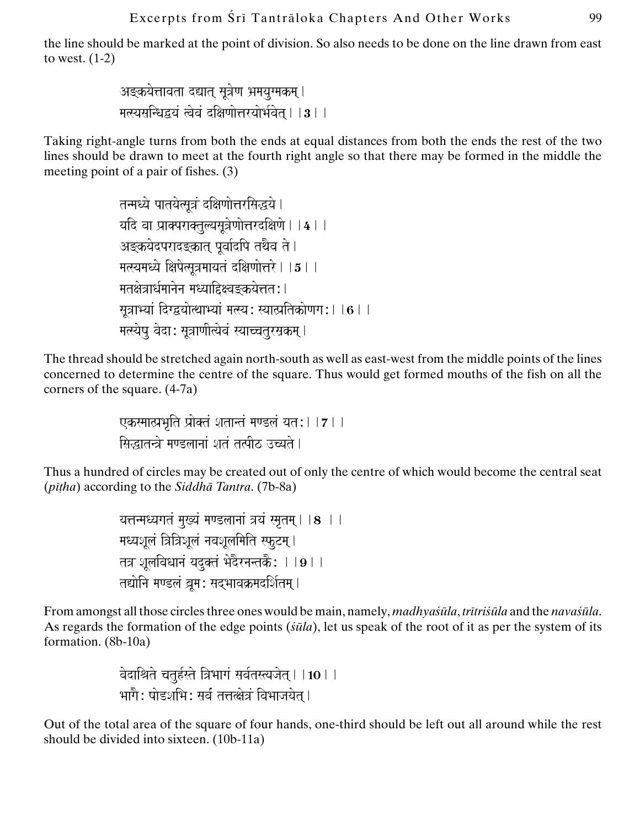the line should be marked at the point of division. So also needs to be done on the line drawn from east to west. (1-2)

```
अङ्कयेत्तावता दद्यात् सुत्रेण भ्रमयुग्मकम् ।
मत्स्यसन्धिद्वयं त्वेवं दक्षिणोत्तरयोर्भवेत । । 3। ।
```
Taking right-angle turns from both the ends at equal distances from both the ends the rest of the two lines should be drawn to meet at the fourth right angle so that there may be formed in the middle the meeting point of a pair of fishes. (3)

```
तन्मध्ये पातयेत्सत्रं दक्षिणोत्तरसिद्धये ।
यदि वा प्राक्पराक्तुल्यसूत्रेणोत्तरदक्षिणे । । 4 । ।
अङ्कयेदपरादङ्कात् पूर्वादपि तथैव ते ।
मत्स्यमध्ये क्षिपेत्सूत्रमायतं दक्षिणोत्तरे । । 5। ।
मतक्षेत्रार्धमानेन मध्याद्दिक्ष्वङ्कयेत्तत: ।
सूत्राभ्यां दिग्द्वयोत्थाभ्यां मत्स्य: स्यात्प्रतिकोणग: \mid \mid 6 \mid \midमत्स्येषु वेदा: सूत्राणीत्येवं स्याच्चतुरस्रकम् ।
```
The thread should be stretched again north-south as well as east-west from the middle points of the lines concerned to determine the centre of the square. Thus would get formed mouths of the fish on all the corners of the square. (4-7a)

> एकस्मात्प्रभृति प्रोक्तं शतान्तं मण्डलं यत:।।7।। <u>सिद्धातन्त्रे मण्डलानां शतं तत्पीठ उच्यते ।</u>

Thus a hundred of circles may be created out of only the centre of which would become the central seat (*péöha*) according to the *Siddhä Tantra*. (7b-8a)

> यत्तन्मध्यगतं मुख्यं मण्डलानां त्रयं स्मृतम् । । $\bf 8$  । । मध्यशूलं त्रित्रिशुलं नवशुलमिति स्फुटम् । तत्र शूलविधानं यदुक्तं भेदैरनन्तकै: ।। $9$ ।। तद्योनि मण्डलं ब्रुम: सदभावक्रमदर्शितम् ।

From amongst all those circles three ones would be main, namely, *madhyaçüla*, *trétriçüla* and the *navaçüla*. As regards the formation of the edge points (*çüla*), let us speak of the root of it as per the system of its formation. (8b-10a)

> वेदाश्रिते चतुर्हस्ते त्रिभागं सर्वतस्त्यजेत् । । 10 । । भागै: षोडशभि: सर्व तत्तत्क्षेत्रं विभाजयेत ।

Out of the total area of the square of four hands, one-third should be left out all around while the rest should be divided into sixteen. (10b-11a)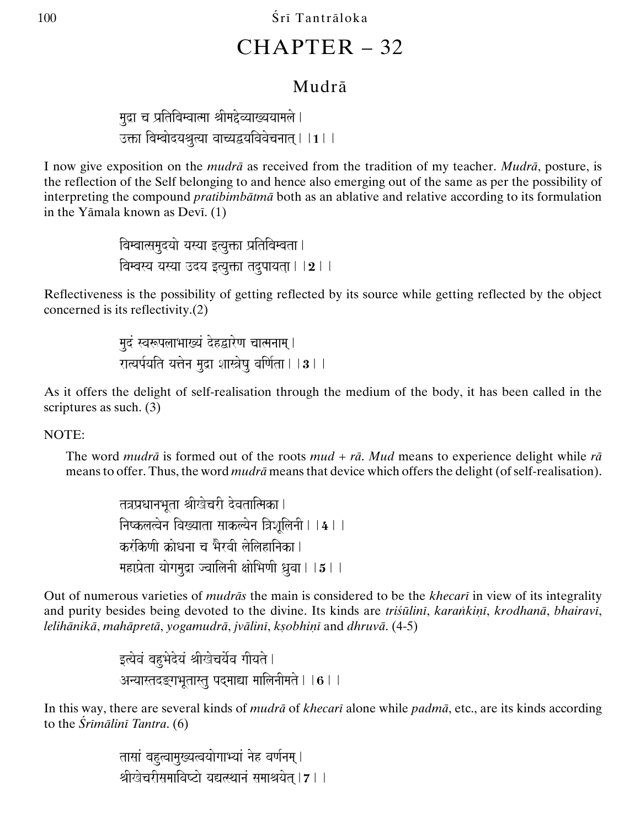# $CHAPTER - 32$

## Mudrā

मुद्रा च प्रतिबिम्वात्मा श्रीमद्देव्याख्ययामले । उक्ता बिम्बोदयश्रत्या वाच्यद्वयविवेचनात् । । 1 । ।

I now give exposition on the *mudra* as received from the tradition of my teacher. *Mudra*, posture, is the reflection of the Self belonging to and hence also emerging out of the same as per the possibility of interpreting the compound *pratibimbatma* both as an ablative and relative according to its formulation in the Yāmala known as Devī. (1)

> बिम्बात्समुदयो यस्या इत्युक्ता प्रतिबिम्बता । बिम्बस्य यस्या उदय इत्युक्ता तदुपायता । । 2। ।

Reflectiveness is the possibility of getting reflected by its source while getting reflected by the object concerned is its reflectivity.(2)

> मुदं स्वरूपलाभाख्यं देहद्वारेण चात्मनाम् । रात्यर्पयति यत्तेन मुद्रा शास्त्रेषु वर्णिता । । 3 । ।

As it offers the delight of self-realisation through the medium of the body, it has been called in the scriptures as such.  $(3)$ 

NOTE:

The word *mudra* is formed out of the roots *mud* + *ra*. *Mud* means to experience delight while *ra* means to offer. Thus, the word *mudrā* means that device which offers the delight (of self-realisation).

तत्रप्रधानभूता श्रीखेचरी देवतात्मिका । निष्कलत्वेन विख्याता साकल्येन त्रिशुलिनी । । 4 । । करंकिणी क्रोधना च भैरवी लेलिहानिका । महाप्रेता योगमुद्रा ज्वालिनी क्षोभिणी ध्रुवा । । 5 । ।

Out of numerous varieties of *mudras* the main is considered to be the *khecari* in view of its integrality and purity besides being devoted to the divine. Its kinds are trisulini, karankini, krodhanā, bhairavī, lelihānikā, mahāpretā, yogamudrā, jvālinī, kṣobhiṇī and dhruvā. (4-5)

> इत्येवं बहुभेदेयं श्रीखेचर्येव गीयते । अन्यास्तदङ्गभूतास्तु पद्माद्या मालिनीमते । । 6 । ।

In this way, there are several kinds of *mudra* of *khecari* alone while *padma*, etc., are its kinds according to the *Srimalini Tantra*.  $(6)$ 

> तासां बहुत्वामुख्यत्वयोगाभ्यां नेह वर्णनम् । श्रीखेचरीसमाविष्टो यद्यत्स्थानं समाश्रयेत । 7 । ।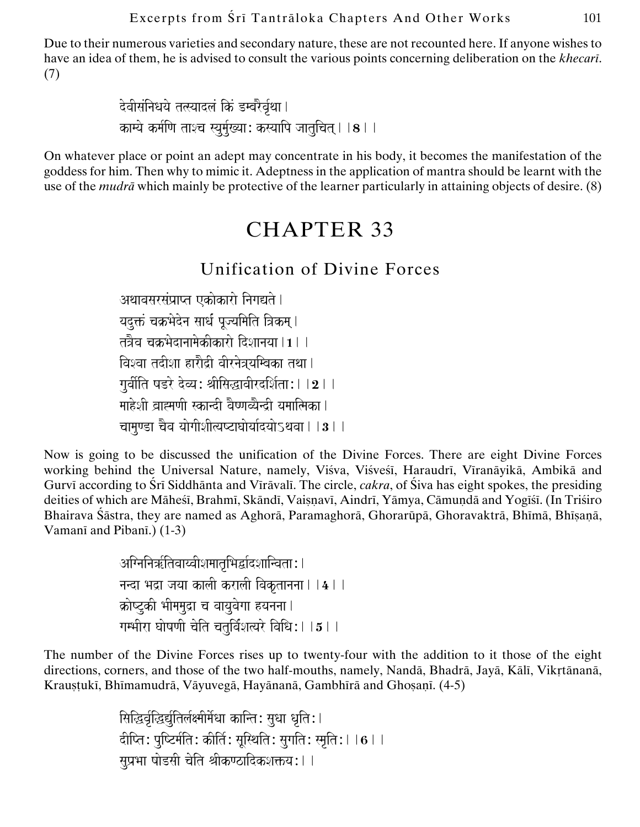Due to their numerous varieties and secondary nature, these are not recounted here. If anyone wishes to have an idea of them, he is advised to consult the various points concerning deliberation on the *khecaré*. (7)

```
देवीसंनिधये तत्स्यादलं किं डम्बरैर्वृथा ।
काम्ये कर्मणि ताश्च स्युर्मुख्या: कस्यापि जातुचित् । ।\boldsymbol{8} । ।
```
On whatever place or point an adept may concentrate in his body, it becomes the manifestation of the goddess for him. Then why to mimic it. Adeptness in the application of mantra should be learnt with the use of the *mudrä* which mainly be protective of the learner particularly in attaining objects of desire. (8)

# CHAPTER 33

### Unification of Divine Forces

अथावसरसंप्राप्त एकोकारो निगद्यते । यदुक्तं चक्रभेदेन सार्ध पूज्यमिति त्रिकम् ।  $\overline{d}$ व चक्रभेदानामेकीकारो दिशानया । 1 विश्वा तदीशा हारौद्री वीरनेत्रयम्बिका तथा। गुर्वीति षडरे देव्य: श्रीसिद्धावीरदर्शिता:। ।2।। \_<br>माहेशी ब्राह्मणी स्कान्दी वैष्णव्यैन्द्री यमालिका। चामुण्डा चैव योगीशीत्यष्टाघोर्यादयोऽथवा। । $3$ । ।

Now is going to be discussed the unification of the Divine Forces. There are eight Divine Forces working behind the Universal Nature, namely, Visva, Visvesi, Haraudri, Viranäyikä, Ambikä and Gurvi according to Sri Siddhänta and Virāvali. The circle, *cakra*, of Siva has eight spokes, the presiding deities of which are Māhesī, Brahmī, Skāndī, Vaisnavī, Aindrī, Yāmya, Cāmundā and Yogīsī. (In Trisiro Bhairava Śāstra, they are named as Aghorā, Paramaghorā, Ghorarūpā, Ghoravaktrā, Bhīmā, Bhīsaṇā, Vamani and Pibani.) (1-3)

> अग्निनिर्ऋतिवाय्वीशमातृभिर्द्यादशान्विता:। नन्दा भद्रा जया काली कराली विकृतानना । । 4 । । क्रोष्टुकी भीममुद्रा च वायुवेगा हयनना । गम्भीरा घोषणी चेति चतुर्विंशत्यरे विधि:  $\vert\,\vert$ 5 | |

The number of the Divine Forces rises up to twenty-four with the addition to it those of the eight directions, corners, and those of the two half-mouths, namely, Nandā, Bhadrā, Jayā, Kālī, Vikŗtānanā, Krauștuki, Bhimamudrā, Vāyuvegā, Hayānanā, Gambhirā and Ghoșaņi. (4-5)

> सिद्धिर्वृद्धिर्द्युतिर्लक्ष्मीर्मेधा कान्ति: सुधा धृति: । दीप्ति: पुष्टिर्मति: कीर्ति: सूस्थिति: सुगति: स्मृति:। । 6।। सुप्रभा षोडसी चेति श्रीकण्ठादिकशक्तय:।।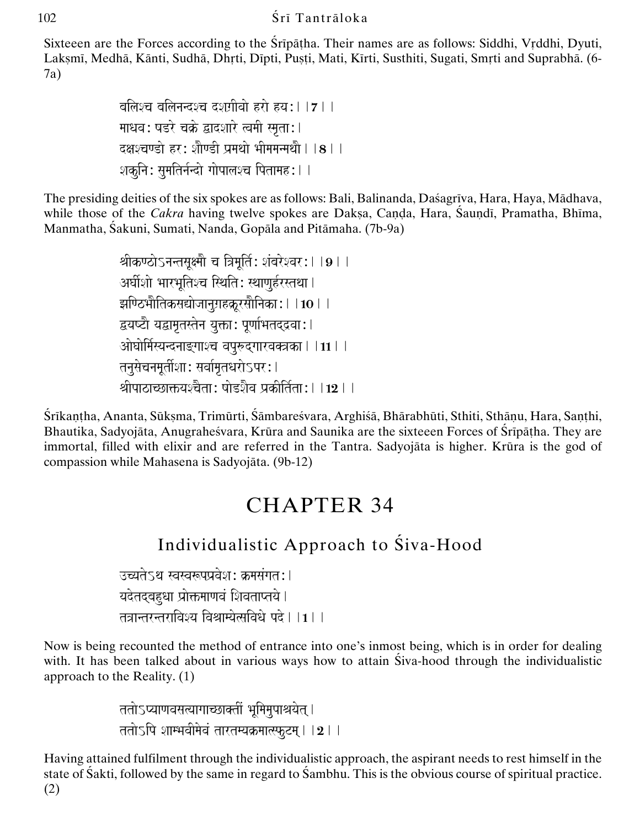Sixteeen are the Forces according to the Srīpātha. Their names are as follows: Siddhi, Vrddhi, Dyuti, Laksmī, Medhā, Kānti, Sudhā, Dhrti, Dīpti, Pusti, Mati, Kīrti, Susthiti, Sugati, Smrti and Suprabhā. (6- $7a)$ 

> बलिश्च बलिनन्दश्च दशगीवो हरो हय: | |7 | | माधव: षडरे चक्रे द्वादशारे त्वमी स्मृता: । दक्षश्चण्डो हर: शौण्डी प्रमथो भीममन्मथौ । । 8 । । शकुनि: सुमतिर्नन्दो गोपालश्च पितामह:।।

The presiding deities of the six spokes are as follows: Bali, Balinanda, Dasagrīva, Hara, Haya, Mādhava, while those of the *Cakra* having twelve spokes are Daksa, Canda, Hara, Saundi, Pramatha, Bhima, Manmatha, Śakuni, Sumati, Nanda, Gopāla and Pitāmaha. (7b-9a)

```
श्रीकण्ठोऽनन्तसूक्ष्मौ च त्रिमूर्ति: शंबरेश्वर:। ।9।।
अर्घीशो भारभुतिश्च स्थिति: स्थाणर्हरस्तथा ।
झण्ठिभौतिकसद्योजानुगृहक्रूरसौनिका:। । 10 । ।
द्वयष्टौ यद्वामृतस्तेन युक्ता: पूर्णाभतद्द्ववा:।
ओघोर्मिस्यन्दनाङ्गाश्च वपुरुद्गारवक्त्रका । । 11 । ।
तनुसेचनमूर्तीशा: सर्वामृतधरोऽपर: ।
श्रीपाठाच्छाक्तयश्चैता: षोडशैव प्रकीर्तिता:। । 12 | ।
```
Śrīkaņtha, Ananta, Sūksma, Trimūrti, Śāmbareśvara, Arghiśā, Bhārabhūti, Sthiti, Sthāņu, Hara, Saņthi, Bhautika, Sadyojāta, Anugrahesvara, Krūra and Saunika are the sixteeen Forces of Srīpātha. They are immortal, filled with elixir and are referred in the Tantra. Sadyojāta is higher. Krūra is the god of compassion while Mahasena is Sadyojāta. (9b-12)

# CHAPTER 34

## Individualistic Approach to Siva-Hood

```
उच्यतेऽथ स्वस्वरूपप्रवेश: क्रमसंगत: ।
यदेतदबहुधा प्रोक्तमाणवं शिवताप्तये ।
तत्रान्तरन्तराविश्य विश्राम्येत्सविधे पदे । । 1 । ।
```
Now is being recounted the method of entrance into one's inmost being, which is in order for dealing with. It has been talked about in various ways how to attain Siva-hood through the individualistic approach to the Reality.  $(1)$ 

> ततोऽप्याणवसत्यागाच्छाक्तीं भूमिमूपाश्रयेत् । ततोऽपि शाम्भवीमेवं तारतम्यक्रमात्स्फुटम् । । 2 । ।

Having attained fulfilment through the individualistic approach, the aspirant needs to rest himself in the state of Sakti, followed by the same in regard to Sambhu. This is the obvious course of spiritual practice.  $(2)$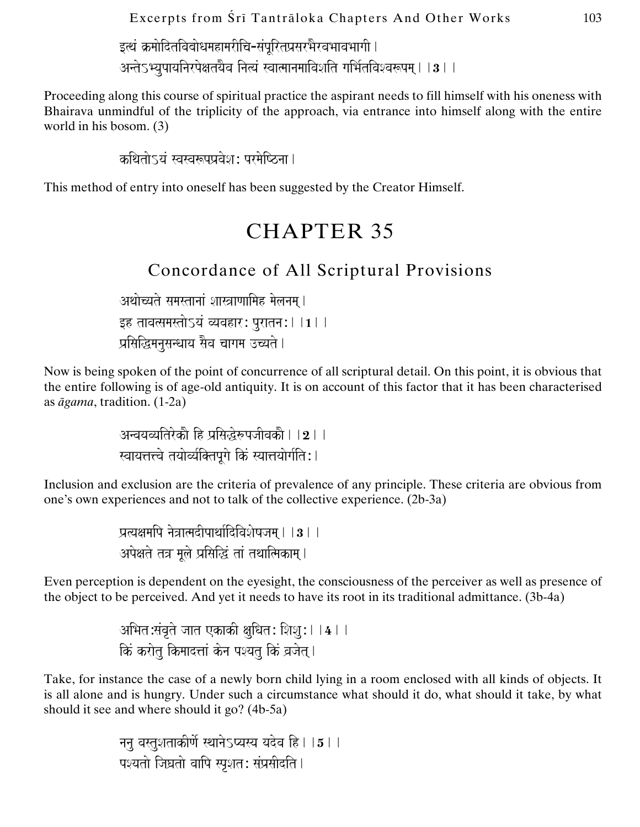इत्थं क्रमोदितविबोधमहामरीचि-संपुरितप्रसरभैरवभावभागी । अन्तेऽभ्युपायनिरपेक्षतयैव नित्यं स्वात्मानमाविशति गर्भितविश्वरूपम् । । $\bf{3}$ । ।

Proceeding along this course of spiritual practice the aspirant needs to fill himself with his oneness with Bhairava unmindful of the triplicity of the approach, via entrance into himself along with the entire world in his bosom. (3)

कथितोऽयं स्वस्वरूपप्रवेश: परमेष्ठिना ।

This method of entry into oneself has been suggested by the Creator Himself.

# CHAPTER 35

## Concordance of All Scriptural Provisions

```
अथोच्यते समस्तानां शास्त्राणामिह मेलनम् ।
इह तावत्समस्तोऽयं व्यवहार: पुरातन:।।1।।
प्रसिद्धिमनुसन्धाय सैव चागम उच्यते ।
```
Now is being spoken of the point of concurrence of all scriptural detail. On this point, it is obvious that the entire following is of age-old antiquity. It is on account of this factor that it has been characterised as *ägama*, tradition. (1-2a)

> अन्वयव्यतिरेकौ हि प्रसिद्धेरुपजीवकौ  $\Box$ । । रवायत्तत्त्वे तयोर्व्यक्तिपुगे किं स्यात्तयोर्गति:।

Inclusion and exclusion are the criteria of prevalence of any principle. These criteria are obvious from one's own experiences and not to talk of the collective experience. (2b-3a)

> प्रत्यक्षमपि नेत्रात्मदीपार्थादिविशेषजम $+1$ ।  $3+1$ अपेक्षते तत्र मुले प्रसिद्धिं तां तथात्मिकाम् ।

Even perception is dependent on the eyesight, the consciousness of the perceiver as well as presence of the object to be perceived. And yet it needs to have its root in its traditional admittance. (3b-4a)

> अभित:संवृते जात एकाकी क्षुधित: शिशु:। । 4। ।  $\hat{\mathsf{a}}$ कं करोत किमादत्तां केन पश्यत किं व्रजेत।

Take, for instance the case of a newly born child lying in a room enclosed with all kinds of objects. It is all alone and is hungry. Under such a circumstance what should it do, what should it take, by what should it see and where should it go? (4b-5a)

> नन् वस्तुशताकीर्णे स्थानेऽप्यस्य यदेव हि। । $5$ । । पश्यतो जिघ्रतो वापि स्पृशत: संप्रसीदति ।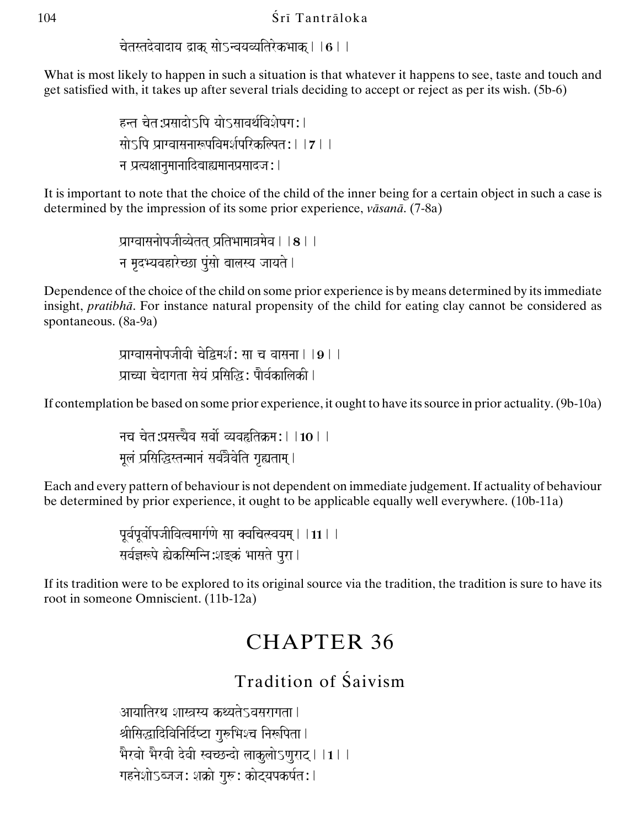चेतस्तदेवादाय द्राक् सोऽन्वयव्यतिरेकभाक् । । $\bf 6$  । ।

What is most likely to happen in such a situation is that whatever it happens to see, taste and touch and get satisfied with, it takes up after several trials deciding to accept or reject as per its wish. (5b-6)

```
\overline{\text{5}}न्त चेत:प्रसादो\overline{\text{5}}पि यो\overline{\text{5}}सावर्थविशेषग: \vdash\overline{3}सोऽपि प्राग्वासनारूपविमर्शपरिकल्पित: \overline{1}। \overline{7}।
न प्रत्यक्षानुमानादिबाह्यमानप्रसादज:।
```
It is important to note that the choice of the child of the inner being for a certain object in such a case is determined by the impression of its some prior experience, *väsanä*. (7-8a)

> प्राग्वासनोपजीव्येतत प्रतिभामात्रमेव  $\Box$ । 8 न मृदभ्यवहारेच्छा पुंसो बालस्य जायते ।

Dependence of the choice of the child on some prior experience is by means determined by its immediate insight, *pratibhä*. For instance natural propensity of the child for eating clay cannot be considered as spontaneous. (8a-9a)

> प्राग्वासनोपजीवी चेद्रिमर्श: सा च वासना | |9 | | पाच्या चेदागता सेयं प्रसिद्धि $\cdot$  पौर्वकालिकी |

If contemplation be based on some prior experience, it ought to have its source in prior actuality. (9b-10a)

नच चेत:प्रसत्त्यैव सर्वो व्यवहतिक्रम:। । $10$ । । मूलं प्रसिद्धिस्तन्मानं सर्वत्रैवेति गृह्यताम् ।

Each and every pattern of behaviour is not dependent on immediate judgement. If actuality of behaviour be determined by prior experience, it ought to be applicable equally well everywhere. (10b-11a)

> पूर्वपूर्वोपजीवित्वमार्गणे सा क्वचित्स्वयम् । । 11 । । सर्वज्ञरूपे ह्येकस्मिन्नि:शङ्कं भासते पूरा।

If its tradition were to be explored to its original source via the tradition, the tradition is sure to have its root in someone Omniscient. (11b-12a)

# **CHAPTER 36**

## Tradition of Śaivism

आयातिरथ शास्त्रस्य कथ्यतेऽवसरागता | श्रीसिद्धादिविनिर्दिष्टा गुरुभिश्च निरूपिता । भैरवो भैरवी देवी स्वच्छन्दो लाकुलोऽणुराट् । ।1। । गहनेशोऽब्जज: शक्रो गुरु: कोट्यपकर्षत:।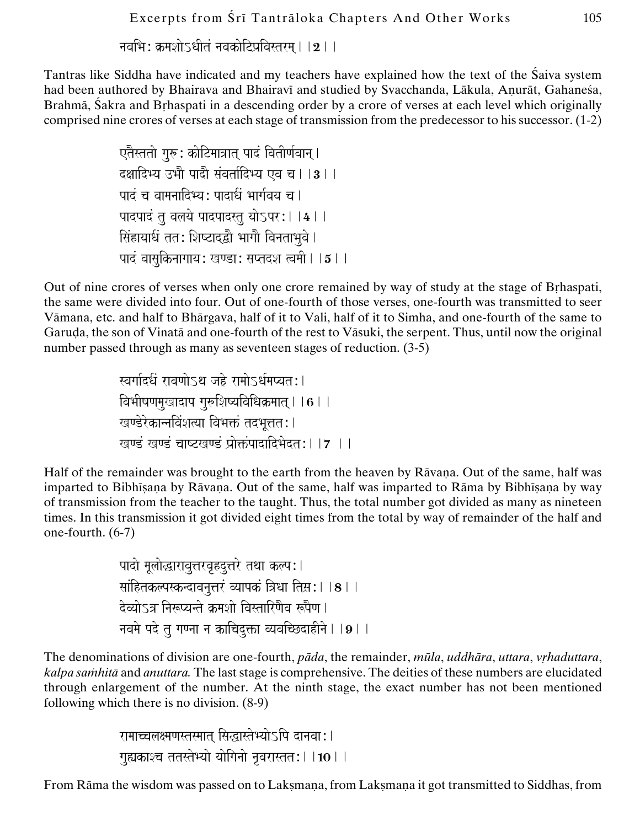नवभि: क्रमशोऽधीतं नवकोटिप्रविस्तरम् । । $2$ । ।

Tantras like Siddha have indicated and my teachers have explained how the text of the Çaiva system had been authored by Bhairava and Bhairavī and studied by Svacchanda, Lākula, Anurāt, Gahanesa, Brahmā, Sakra and Brhaspati in a descending order by a crore of verses at each level which originally comprised nine crores of verses at each stage of transmission from the predecessor to his successor. (1-2)

```
एतैस्ततो गुरु: कोटिमात्रात् पादं वितीर्णवान् ।
दक्षादिभ्य उभौ पादौ संवर्तादिभ्य एव च। |3|।
पादं च वामनादिभ्य: पादार्ध भार्गवय च।
पादपादं तु वलये पादपादस्तु योऽपर:। । 4। ।
सिंहायार्ध तत: शिष्टाद्द्यौ भागौ विनताभुवे ।
पादं वासुकिनागाय: खण्डा: सप्तदश त्वमी । । 5। ।
```
Out of nine crores of verses when only one crore remained by way of study at the stage of Brhaspati, the same were divided into four. Out of one-fourth of those verses, one-fourth was transmitted to seer Vämana, etc. and half to Bhärgava, half of it to Vali, half of it to Simha, and one-fourth of the same to Garuda, the son of Vinatā and one-fourth of the rest to Vāsuki, the serpent. Thus, until now the original number passed through as many as seventeen stages of reduction.  $(3-5)$ 

```
स्वर्गादर्ध रावणोऽथ जहे रामोऽर्धमप्यत:।
विभीषणमुखादाप गुरुशिष्यविधिक्रमात् । 1611खण्डेरेकान्नविंशत्या विभक्तं तदभुत्तत:।
खण्डं खण्डं चाष्टखण्डं प्रोक्तंपादादिभेदत:।।7 ।।
```
Half of the remainder was brought to the earth from the heaven by Rāvana. Out of the same, half was imparted to Bibhisana by Rāvaņa. Out of the same, half was imparted to Rāma by Bibhisana by way of transmission from the teacher to the taught. Thus, the total number got divided as many as nineteen times. In this transmission it got divided eight times from the total by way of remainder of the half and one-fourth. (6-7)

> पादो मूलोद्धारावुत्तरवृहदुत्तरे तथा कल्प: I सांहितकल्पस्कन्दावनत्तरं व्यापकं त्रिधा तिस:  $\vert \hspace{0.1 cm} \vert$  8  $\vert \hspace{0.1 cm} \vert$ .<br>देव्योऽत्र निरूप्यन्ते क्रमशो विस्तारिणैव रूपैण I नवमे पदे तु गण्ना न काचिदुक्ता व्यवच्छिदाहीने । । $9$ । ।

The denominations of division are one-fourth, *pāda*, the remainder, *mūla*, *uddhāra*, *uttara*, *vrhaduttara*, *kalpa saàhitä* and *anuttara.* The last stage is comprehensive. The deities of these numbers are elucidated through enlargement of the number. At the ninth stage, the exact number has not been mentioned following which there is no division. (8-9)

```
रामाच्चलक्ष्मणस्तस्मात सिद्धास्तेभ्योऽपि दानवा: ।
गुह्यकाश्च ततस्तेभ्यो योगिनो नृवरास्तत:।।10।।
```
From Rāma the wisdom was passed on to Laksmana, from Laksmana it got transmitted to Siddhas, from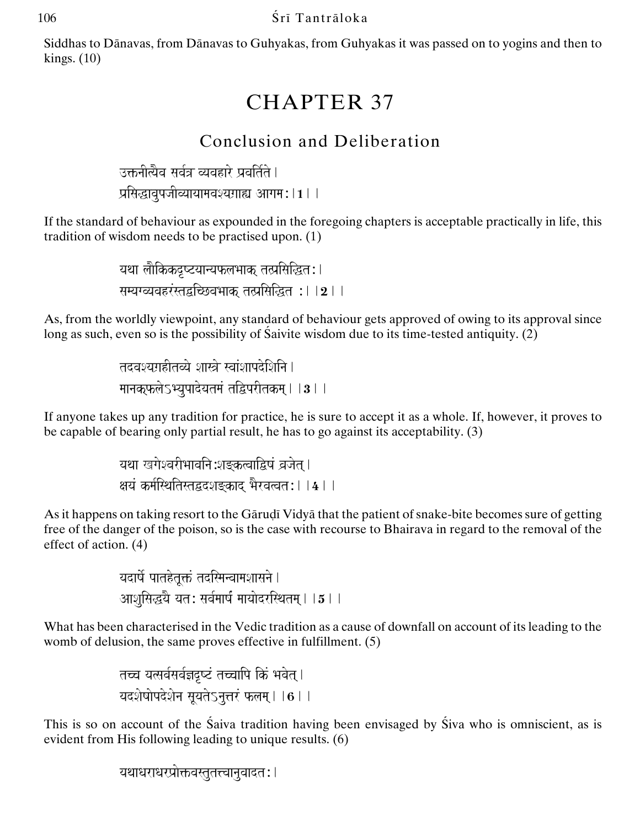Siddhas to Dānavas, from Dānavas to Guhyakas, from Guhyakas it was passed on to yogins and then to kings.  $(10)$ 

# **CHAPTER 37**

### Conclusion and Deliberation

उक्तनीत्यैव सर्वत्र व्यवहारे प्रवर्तिते । प्रसिद्धावूपजीव्यायामवश्यगाह्य आगम:।1।।

If the standard of behaviour as expounded in the foregoing chapters is acceptable practically in life, this tradition of wisdom needs to be practised upon. (1)

> यथा लौकिकदृष्टयान्यफलभाक् तत्प्रसिद्धित:। सम्यग्व्यवहरंस्तद्रच्छिवभाकं तत्प्रसिद्धितः । । $2$ । ।

As, from the worldly viewpoint, any standard of behaviour gets approved of owing to its approval since long as such, even so is the possibility of Saivite wisdom due to its time-tested antiquity. (2)

> तदवश्यगृहीतव्ये शास्त्रे स्वांशापदेशिनि । मानकफलेऽभ्युपादेयतमं तद्विपरीतकम् । । 3 । ।

If anyone takes up any tradition for practice, he is sure to accept it as a whole. If, however, it proves to be capable of bearing only partial result, he has to go against its acceptability. (3)

> यथा खगेश्वरीभावनि:शङ्कत्वाद्विषं व्रजेत् । क्षयं कर्मस्थितिस्तद्धदशङ्काद् भैरवत्वत:।।4।।

As it happens on taking resort to the Gārudī Vidyā that the patient of snake-bite becomes sure of getting free of the danger of the poison, so is the case with recourse to Bhairava in regard to the removal of the effect of action.  $(4)$ 

> यदार्षे पातहेतूक्तं तदस्मिन्वामशासने । आशुसिद्धयै यत: सर्वमार्ष मायोदरस्थितम् । । 5 । ।

What has been characterised in the Vedic tradition as a cause of downfall on account of its leading to the womb of delusion, the same proves effective in fulfillment.  $(5)$ 

> तच्च यत्सर्वसर्वज्ञदृष्टं तच्चापि किं भवेत् । यदशेषोपदेशेन सूयतेऽनुत्तरं फलम् । । 6 । ।

This is so on account of the Saiva tradition having been envisaged by Siva who is omniscient, as is evident from His following leading to unique results. (6)

यथाधराधरप्रोक्तवस्तुतत्त्वानुवादत:।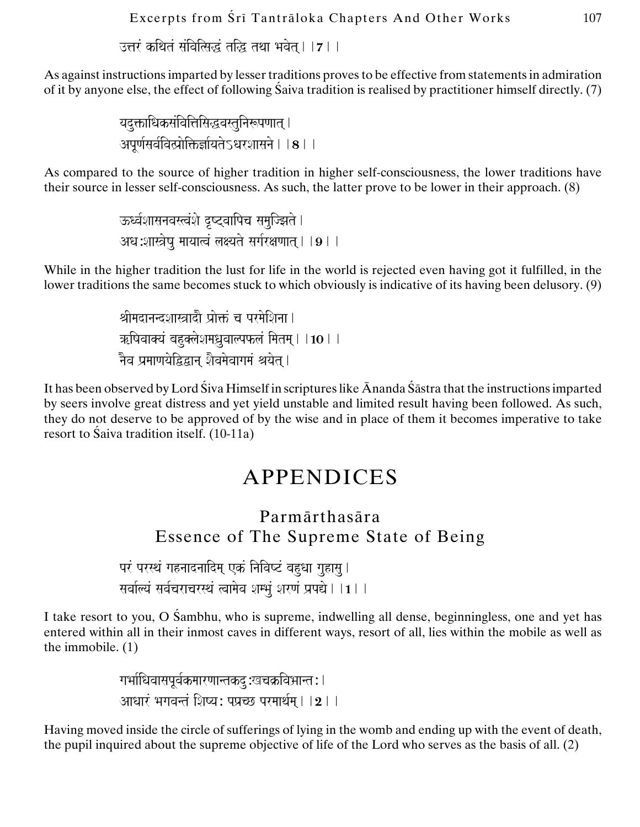Excerpts from Śrī Tantrāloka Chapters And Other Works 107

उत्तरं कथितं संवित्सिद्धं तद्धि तथा भवेत् । । $\mathsf{z}$ ।।

As against instructions imparted by lesser traditions proves to be effective from statements in admiration of it by anyone else, the effect of following Saiva tradition is realised by practitioner himself directly. (7)

> यदुक्ताधिकसंवित्तिसिद्धवस्तुनिरूपणात् । अपूर्णसर्ववित्प्रोक्तिर्ज्ञायतेऽधरशासने । । $8$ । ।

As compared to the source of higher tradition in higher self-consciousness, the lower traditions have their source in lesser self-consciousness. As such, the latter prove to be lower in their approach. (8)

> ऊर्ध्वशासनवस्त्वंशे दृष्ट्वापिच समुज्झिते । अध:शास्त्रेषु मायात्वं लक्ष्यते सर्गरक्षणात् । । $9$ । ।

While in the higher tradition the lust for life in the world is rejected even having got it fulfilled, in the lower traditions the same becomes stuck to which obviously is indicative of its having been delusory. (9)

> श्रीमदानन्दशास्त्रादौ पोक्तं च परमेशिना । ऋषिवाक्यं बहक्लेशमध्रवाल्पफलं मितम् । । $10$  । । नैव प्रमाणयेदिद्वान शैवमेवागमं श्रयेत ।

It has been observed by Lord Çiva Himself in scriptures like Änanda Çästra that the instructions imparted by seers involve great distress and yet yield unstable and limited result having been followed. As such, they do not deserve to be approved of by the wise and in place of them it becomes imperative to take resort to Saiva tradition itself. (10-11a)

# APPENDICES

### Parmärthasära Essence of The Supreme State of Being

परं परस्थं गहनादनादिम् एकं निविष्टं बहुधा गुहासु । सर्वाल्यं सर्वचराचरस्थं त्वामेव शम्भुं शरणं प्रपद्ये । ।1। ।

I take resort to you, O Çambhu, who is supreme, indwelling all dense, beginningless, one and yet has entered within all in their inmost caves in different ways, resort of all, lies within the mobile as well as the immobile. (1)

> गर्भाधिवासपूर्वकमारणान्तकद् :खचक्रविभान्त: । आधारं भगवन्तं शिष्य: पप्रच्छ परमार्थम् । । $2$ । ।

Having moved inside the circle of sufferings of lying in the womb and ending up with the event of death, the pupil inquired about the supreme objective of life of the Lord who serves as the basis of all. (2)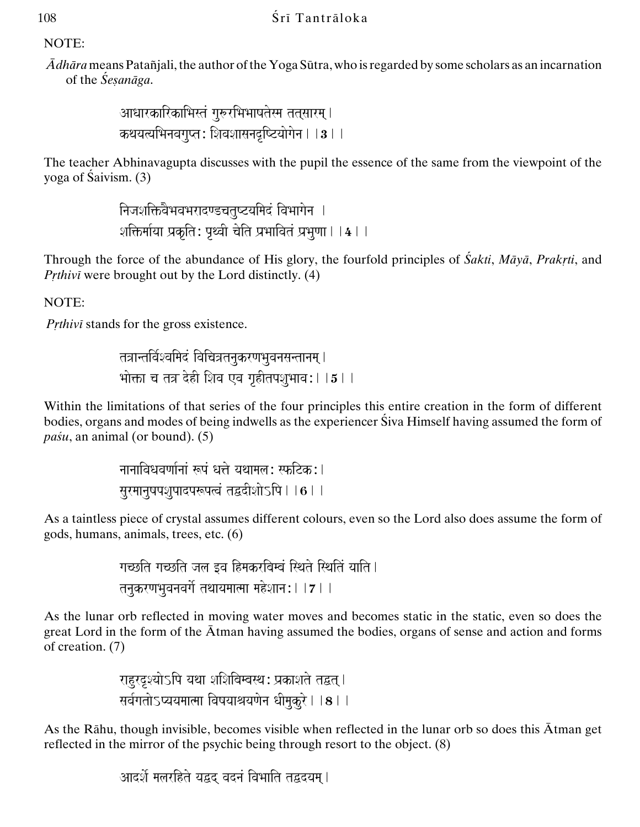NOTE:

*Ädhära* means Pataïjali, the author of the Yoga Sütra, who is regarded by some scholars as an incarnation of the *Çeñanäga*.

```
आधारकारिकाभिस्तं गुरुरभिभाषतेस्म तत्सारम् ।
कथयत्यभिनवगप्त: शिवशासनदुष्टियोगेन \vert\,\,\vert3 | |
```
The teacher Abhinavagupta discusses with the pupil the essence of the same from the viewpoint of the yoga of Çaivism. (3)

> निजशक्तिवैभवभरादण्डचतुष्टयमिदं विभागेन । शक्तिर्माया प्रकृति: पृथ्वी चेति प्रभावितं प्रभुणा । । 4 । ।

Through the force of the abundance of His glory, the fourfold principles of *Sakti*, *Māyā*, *Prakrti*, and *Prthivi* were brought out by the Lord distinctly. (4)

NOTE:

*Prthivi* stands for the gross existence.

तत्रान्तर्विश्वमिदं विचित्रतनुकरणभूवनसन्तानम् । भोक्ता च तत्र देही शिव एव गृहीतपशुभाव:।। $5$ ।।

Within the limitations of that series of the four principles this entire creation in the form of different bodies, organs and modes of being indwells as the experiencer Çiva Himself having assumed the form of *paçu*, an animal (or bound). (5)

> नानाविधवर्णानां रूपं धत्ते यथामल: स्फटिक:  $\vdash$ सुरमानुषपशुपादपरूपत्वं तद्वदीशोऽपि । । 6। ।

As a taintless piece of crystal assumes different colours, even so the Lord also does assume the form of gods, humans, animals, trees, etc. (6)

> गच्छति गच्छति जल इव हिमकरविम्बं स्थिते स्थितिं याति । तनुकरणभुवनवर्गे तथायमात्मा महेशान:।।7।।

As the lunar orb reflected in moving water moves and becomes static in the static, even so does the great Lord in the form of the Ätman having assumed the bodies, organs of sense and action and forms of creation. (7)

> राहुरदृश्योऽपि यथा शशिबिम्बस्थ: प्रकाशते तद्वत् । सर्वगतोऽप्ययमात्मा विषयाश्रयणेन धीमकुरे।  $|8|$  |

As the Rähu, though invisible, becomes visible when reflected in the lunar orb so does this Ätman get reflected in the mirror of the psychic being through resort to the object. (8)

आदर्शे मलरहिते यद्वद् वदनं विभाति तद्वदयम् ।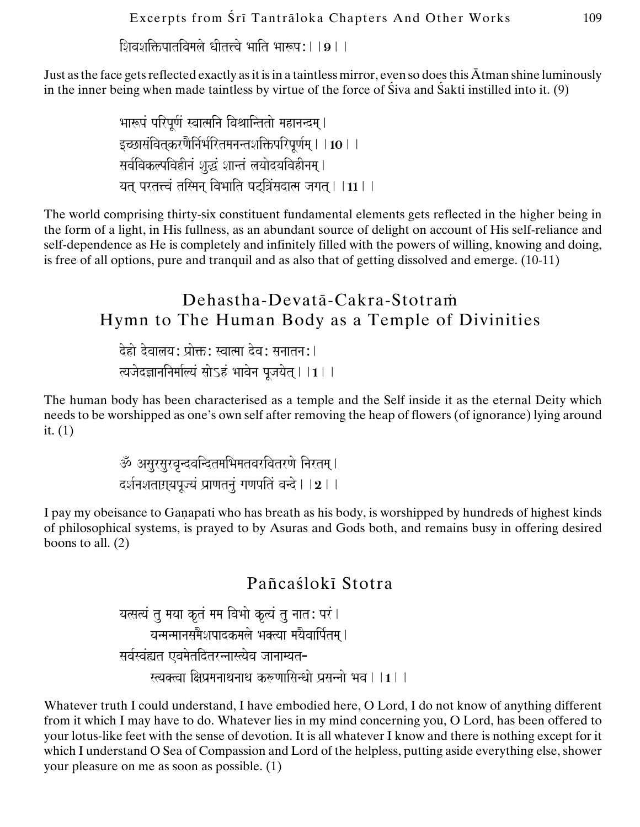शिवशक्तिपातविमले धीतत्त्वे भाति भारूप:। ।9 । ।

Just as the face gets reflected exactly as it is in a taintless mirror, even so does this Ätman shine luminously in the inner being when made taintless by virtue of the force of Siva and Sakti instilled into it. (9)

> भारूपं परिपूर्ण स्वात्मनि विश्रान्तितो महानन्दम् ।  $\frac{1}{2}$ इच्छासंवित्करणैर्निर्भरितमनन्तशक्तिपरिपूर्णम् । ।  $\overline{10}$ । । सर्वविकल्पविहीनं शुद्धं शान्तं लयोदयविहीनम् । यत परतत्त्वं तस्मिन् विभाति षट्त्रिंसदात्म जगत् । । 11 । ।

The world comprising thirty-six constituent fundamental elements gets reflected in the higher being in the form of a light, in His fullness, as an abundant source of delight on account of His self-reliance and self-dependence as He is completely and infinitely filled with the powers of willing, knowing and doing, is free of all options, pure and tranquil and as also that of getting dissolved and emerge. (10-11)

### Dehastha-Devatā-Cakra-Stotram Hymn to The Human Body as a Temple of Divinities

देहो देवालय: प्रोक्त: स्वात्मा देव: सनातन: ا  $\alpha$ जेदज्ञाननिर्माल्यं सोऽहं भावेन पूजयेत् । ।1।

The human body has been characterised as a temple and the Self inside it as the eternal Deity which needs to be worshipped as one's own self after removing the heap of flowers (of ignorance) lying around it. (1)

> ॐ असुरसुरवृन्दवन्दितमभिमतवरवितरणे निरतम् । दर्शनशताग्रसपुज्यं प्राणतनुं गणपतिं वन्दे । । $2$ । ।

I pay my obeisance to Ganapati who has breath as his body, is worshipped by hundreds of highest kinds of philosophical systems, is prayed to by Asuras and Gods both, and remains busy in offering desired boons to all. (2)

### Pañcaśloki Stotra

यत्सत्यं तू मया कृतं मम विभो कृत्यं तू नात: परं। यन्मन्मानसमैशपादकमले भक्त्या मयैवार्पितम् । सर्वस्वंह्यत एवमेतदितरन्नास्त्येव जानाम्यत-रत्यक्त्वा क्षिप्रमनाथनाथ करूणासिन्धो प्रसन्नो भव | |1 | |

Whatever truth I could understand, I have embodied here, O Lord, I do not know of anything different from it which I may have to do. Whatever lies in my mind concerning you, O Lord, has been offered to your lotus-like feet with the sense of devotion. It is all whatever I know and there is nothing except for it which I understand O Sea of Compassion and Lord of the helpless, putting aside everything else, shower your pleasure on me as soon as possible. (1)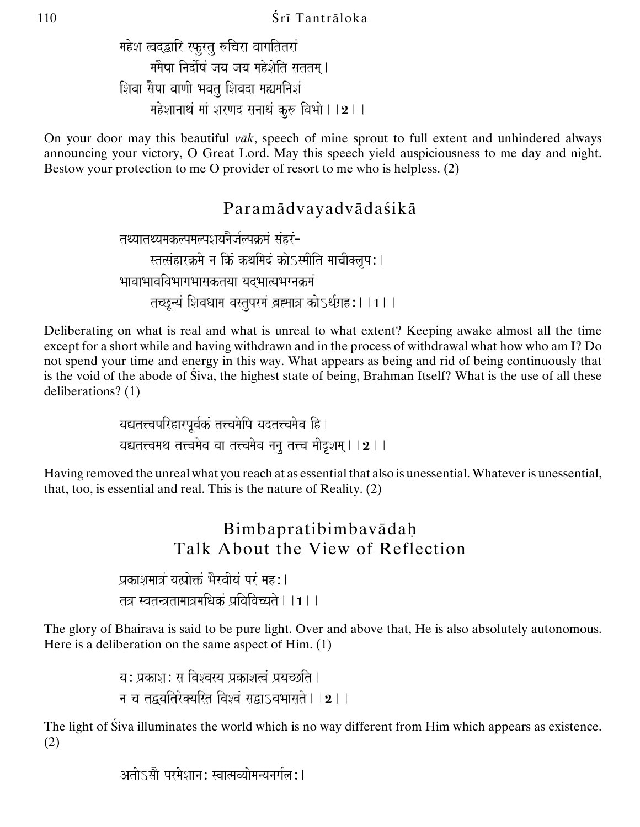महेश त्वदद्वारि स्फुरतु रुचिरा वागतितरां ममैषा निर्दोषं जय जय महेशेति सततम् । शिवा सैषा वाणी भवतु शिवदा मह्यमनिशं महेशानाथं मां शरणद सनाथं करू विभो। । 2। ।

On your door may this beautiful vāk, speech of mine sprout to full extent and unhindered always announcing your victory, O Great Lord. May this speech yield auspiciousness to me day and night. Bestow your protection to me O provider of resort to me who is helpless. (2)

### Paramādvayadvādaśikā

तथ्यातथ्यमकल्पमल्पशयनैर्जल्पक्रमं संहरं-स्तत्संहारक्रमे न किं कथमिदं कोऽस्मीति माचीक्लुप:। भावाभावविभागभासकतया यदभात्यभग्नक्रमं तच्छून्यं शिवधाम वस्तुपरमं ब्रह्मात्र कोऽर्थग्रह:।।1।।

Deliberating on what is real and what is unreal to what extent? Keeping awake almost all the time except for a short while and having withdrawn and in the process of withdrawal what how who am I? Do not spend your time and energy in this way. What appears as being and rid of being continuously that is the void of the abode of Siva, the highest state of being, Brahman Itself? What is the use of all these deliberations? (1)

> यद्यतत्त्वपरिहारपूर्वकं तत्त्वमेषि यदतत्त्वमेव हि । यद्यतत्त्वमथ तत्त्वमेव वा तत्त्वमेव ननु तत्त्व मीद्रशम् । । 2 । ।

Having removed the unreal what you reach at as essential that also is unessential. Whatever is unessential, that, too, is essential and real. This is the nature of Reality. (2)

### Bimbapratibimbavādaḥ Talk About the View of Reflection

```
प्रकाशमात्रं यत्प्रोक्तं भैरवीयं परं मह:।
तत्र स्वतन्त्रतामात्रमधिकं प्रविविच्यते । । 1 । ।
```
The glory of Bhairava is said to be pure light. Over and above that, He is also absolutely autonomous. Here is a deliberation on the same aspect of Him.  $(1)$ 

> य: प्रकाश: स विश्वस्य प्रकाशत्वं प्रयच्छति । न च तद्वयतिरेक्यस्ति विश्वं सद्वाऽवभासते । । 2 । ।

The light of Siva illuminates the world which is no way different from Him which appears as existence.  $(2)$ 

अतोऽसौ परमेशान: स्वात्मव्योमन्यनर्गल: ।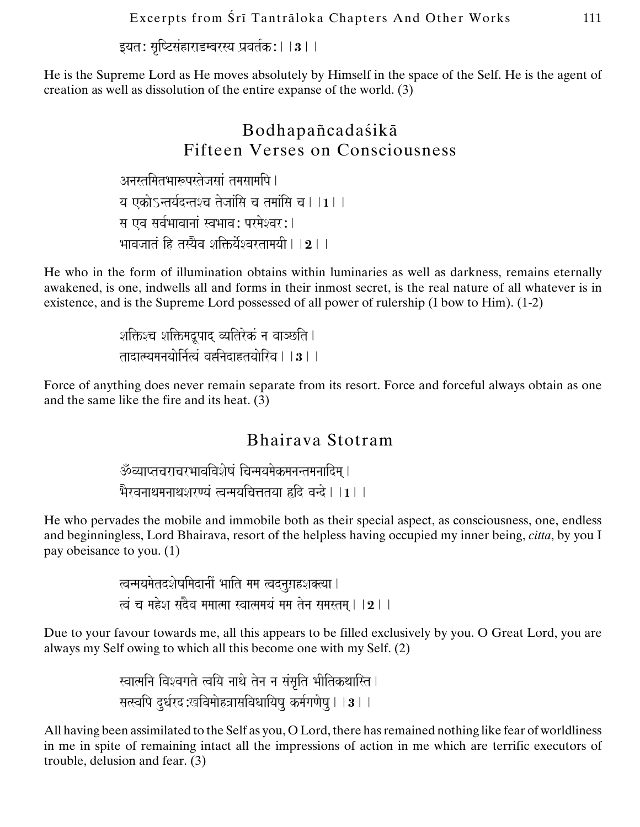Excerpts from Śrī Tantrāloka Chapters And Other Works

इयत: सृष्टिसंहाराडम्बरस्य प्रवर्तक:।।3।।

He is the Supreme Lord as He moves absolutely by Himself in the space of the Self. He is the agent of creation as well as dissolution of the entire expanse of the world. (3)

### Bodhapañcadaśikā Fifteen Verses on Consciousness

अनस्तमितभारूपस्तेजसां तमसामपि । य एकोऽन्तर्यदन्तश्च तेजांसि च तमांसि च । ।1। । स एव सर्वभावानां स्वभाव: परमेश्वर:। भावजातं हि तस्यैव शक्तिर्येश्वरतामयी । । 2 । ।

He who in the form of illumination obtains within luminaries as well as darkness, remains eternally awakened, is one, indwells all and forms in their inmost secret, is the real nature of all whatever is in existence, and is the Supreme Lord possessed of all power of rulership (I bow to Him). (1-2)

> शक्तिश्च शक्तिमद्रपाद व्यतिरेकं न वाञ्छति । तादात्म्यमनयोर्नित्यं वर्हनेदाहतयोरिव । । 3 । ।

Force of anything does never remain separate from its resort. Force and forceful always obtain as one and the same like the fire and its heat. (3)

### Bhairaya Stotram

ॐव्याप्तचराचरभावविशेषं चिन्मयमेकमनन्तमनादिम् । भैरवनाथमनाथशरण्यं त्वन्मयचित्ततया हृदि वन्दे । । 1 । ।

He who pervades the mobile and immobile both as their special aspect, as consciousness, one, endless and beginningless, Lord Bhairava, resort of the helpless having occupied my inner being, citta, by you I pay obeisance to you. (1)

> त्वन्मयमेतदशेषमिदानीं भाति मम त्वदनगृहशक्त्या । त्वं च महेश संदैव ममात्मा स्वात्ममयं मम तेन समस्तम | |2 | |

Due to your favour towards me, all this appears to be filled exclusively by you. O Great Lord, you are always my Self owing to which all this become one with my Self. (2)

> स्वात्मनि विश्वगते त्वयि नाथे तेन न संसृति भीतिकथास्ति । सत्स्वपि दुर्धरद:खविमोहत्रासविधायिषु कर्मगणेषु । । 3 । ।

All having been assimilated to the Self as you, O Lord, there has remained nothing like fear of worldliness in me in spite of remaining intact all the impressions of action in me which are terrific executors of trouble, delusion and fear.  $(3)$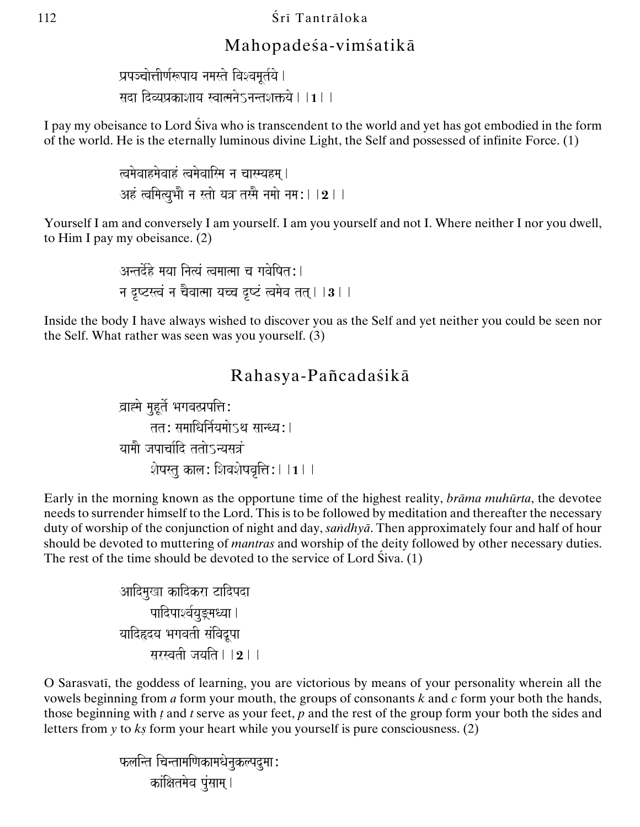### Mahopadeśa-vimśatikā

प्रपञ्चोत्तीर्णरूपाय नमस्ते विश्वमूर्तये । सदा दिव्यप्रकाशाय स्वात्मनेऽनन्तशक्तये । । 1 । ।

I pay my obeisance to Lord Siva who is transcendent to the world and yet has got embodied in the form of the world. He is the eternally luminous divine Light, the Self and possessed of infinite Force. (1)

> त्वमेवाहमेवाहं त्वमेवास्मि न चास्म्यहम । अहं त्वमित्युभौ न स्तो यत्र तस्मै नमो नम:। ।2 । ।

Yourself I am and conversely I am yourself. I am you yourself and not I. Where neither I nor you dwell, to Him I pay my obeisance. (2)

> अन्तर्देहे मया नित्यं त्वमात्मा च गवेषित:। न दृष्टस्त्वं न चैवाला यच्च दृष्टं त्वमेव तत् । । 3 । ।

Inside the body I have always wished to discover you as the Self and yet neither you could be seen nor the Self. What rather was seen was you yourself. (3)

### Rahasya-Pañcadaśikā

ब्राह्मे मुहूर्ते भगवत्प्रपत्ति: तत: समाधिर्नियमोऽथ सान्ध्य: । यामौ जपार्चादि ततोऽन्यसत्रं शेषस्तु काल: शिवशेषवृत्ति:। ।1।।

Early in the morning known as the opportune time of the highest reality, *brāma muhūrta*, the devotee needs to surrender himself to the Lord. This is to be followed by meditation and thereafter the necessary duty of worship of the conjunction of night and day, *sandhya*. Then approximately four and half of hour should be devoted to muttering of *mantras* and worship of the deity followed by other necessary duties. The rest of the time should be devoted to the service of Lord Siva. (1)

> आदिमुखा कादिकरा टादिपदा पादिपार्श्वयुङ्गध्या । यादिहृदय भगवती संविद्रूपा सरस्वती जयति । । १ । ।

O Sarasvati, the goddess of learning, you are victorious by means of your personality wherein all the vowels beginning from  $a$  form your mouth, the groups of consonants  $k$  and  $c$  form your both the hands, those beginning with  $t$  and  $t$  serve as your feet,  $p$  and the rest of the group form your both the sides and letters from y to  $k<sub>s</sub>$  form your heart while you yourself is pure consciousness. (2)

> फलन्ति चिन्तामणिकामधेनुकल्पदुमा: कांक्षितमेव पुंसाम् ।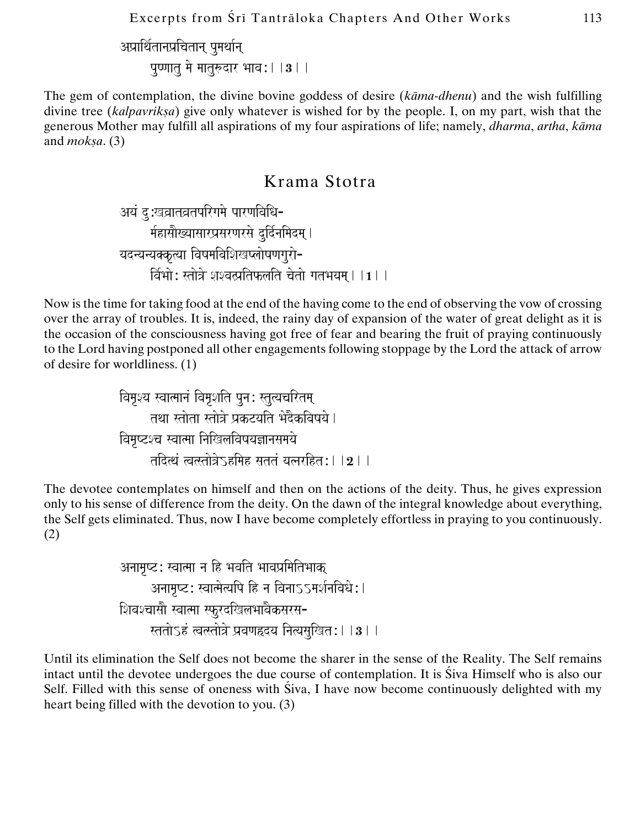अप्रार्थितानप्रचितान् पुमर्थान्

पुष्णातु मे मातुरुदार भाव:। । 3 । ।

The gem of contemplation, the divine bovine goddess of desire (*käma-dhenu*) and the wish fulfilling divine tree *(kalpavriksa)* give only whatever is wished for by the people. I, on my part, wish that the generous Mother may fulfill all aspirations of my four aspirations of life; namely, *dharma*, *artha*, *käma* and *moksa*. (3)

### Krama Stotra

अयं दु:खब्रातव्रतपरिगमे पारणविधि-र्महासौख्यासारप्रसरणरसे दुर्दिनमिदम् । यदन्यन्यक्कृत्या विषमविशिखप्लोषणगुरो-विभो: स्तोत्रे शश्वस्प्रतिफलति चेतो गतभयम्  $\Box$ 1

Now is the time for taking food at the end of the having come to the end of observing the vow of crossing over the array of troubles. It is, indeed, the rainy day of expansion of the water of great delight as it is the occasion of the consciousness having got free of fear and bearing the fruit of praying continuously to the Lord having postponed all other engagements following stoppage by the Lord the attack of arrow of desire for worldliness. (1)

> विमृश्य स्वात्मानं विमृशति पुन: स्तुत्यचरितम् तथा स्तोता स्तोत्रे प्रकटयति भेंदैकविषये | विमृष्टश्च स्वात्मा निखिलविषयज्ञानसमये तदित्थं त्वत्स्तोत्रेऽहमिह सततं यत्नरहित:। । $2 \cup$

The devotee contemplates on himself and then on the actions of the deity. Thus, he gives expression only to his sense of difference from the deity. On the dawn of the integral knowledge about everything, the Self gets eliminated. Thus, now I have become completely effortless in praying to you continuously. (2)

> अनामृष्ट: स्वात्मा न हि भवति भावप्रमितिभाक् अनामृष्ट: स्वालेत्यपि हि न विनाऽऽमर्शनविधे: । शिवश्चासौ स्वात्मा स्फुरदखिलभावैकसरस $k$ सतोऽहं त्वरस्तोत्रे प्रवणहृदय नित्यसुखित:। । $3$ । ।

Until its elimination the Self does not become the sharer in the sense of the Reality. The Self remains intact until the devotee undergoes the due course of contemplation. It is Siva Himself who is also our Self. Filled with this sense of oneness with Siva, I have now become continuously delighted with my heart being filled with the devotion to you. (3)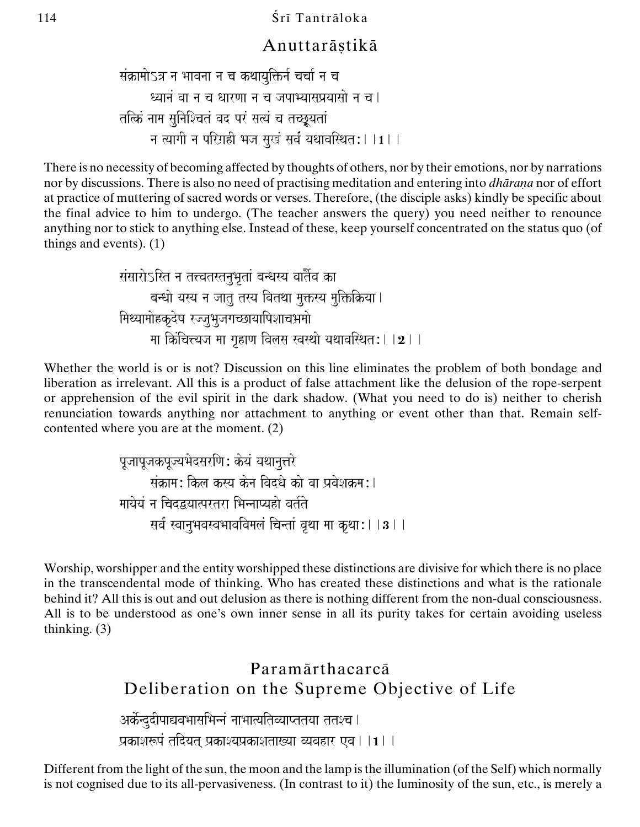### Anuttarästikä

संक्रामोऽत्र न भावना न च कथायुक्तिर्न चर्चा न च <u>ध्यानं वा न च धारणा न च जपाभ्यासप्रयासो न च l</u> तत्किं नाम सुनिश्चितं वद परं सत्यं च तच्छूयतां न त्यागी न परिग्रही भज सुखं सर्व यथावस्थित:। ।1।।

There is no necessity of becoming affected by thoughts of others, nor by their emotions, nor by narrations nor by discussions. There is also no need of practising meditation and entering into *dhārana* nor of effort at practice of muttering of sacred words or verses. Therefore, (the disciple asks) kindly be specific about the final advice to him to undergo. (The teacher answers the query) you need neither to renounce anything nor to stick to anything else. Instead of these, keep yourself concentrated on the status quo (of things and events). (1)

> संसारोऽस्ति न तत्त्वतस्तनूभृतां बन्धस्य वार्तेव का बन्धो यस्य न जातु तस्य वितथा मुक्तस्य मुक्तिक्रिया । मिथ्यामोहकृदेष रज्जुभुजगच्छायापिशाचभ्रमो मा किंचित्त्यज मा गृहाण विलस स्वस्थो यथावस्थित:  $\mid$  | 2 | |

Whether the world is or is not? Discussion on this line eliminates the problem of both bondage and liberation as irrelevant. All this is a product of false attachment like the delusion of the rope-serpent or apprehension of the evil spirit in the dark shadow. (What you need to do is) neither to cherish renunciation towards anything nor attachment to anything or event other than that. Remain selfcontented where you are at the moment. (2)

> पूजापूजकपूज्यभेदसरणि: केयं यथानृत्तरे  $\frac{1}{2}$ संकाम : किल कस्य केन विदधे को वा प्रवेशकम $\pm$ <u>मायेयं न चिटद्वयात्परतरा भिन्नाप्यहो वर्तते</u> सर्व स्वानुभवस्वभावविमलं चिन्तां वृथा मा कृथा:।  $|3|$

Worship, worshipper and the entity worshipped these distinctions are divisive for which there is no place in the transcendental mode of thinking. Who has created these distinctions and what is the rationale behind it? All this is out and out delusion as there is nothing different from the non-dual consciousness. All is to be understood as one's own inner sense in all its purity takes for certain avoiding useless thinking. (3)

### Paramärthacarcä Deliberation on the Supreme Objective of Life

अर्केन्दुदीपाद्यवभासभिन्नं नाभात्यतिव्याप्ततया ततश्च । प्रकाशरूपं तदियत् प्रकाश्यप्रकाशताख्या व्यवहार एव  $\Box$ । ।

Different from the light of the sun, the moon and the lamp is the illumination (of the Self) which normally is not cognised due to its all-pervasiveness. (In contrast to it) the luminosity of the sun, etc., is merely a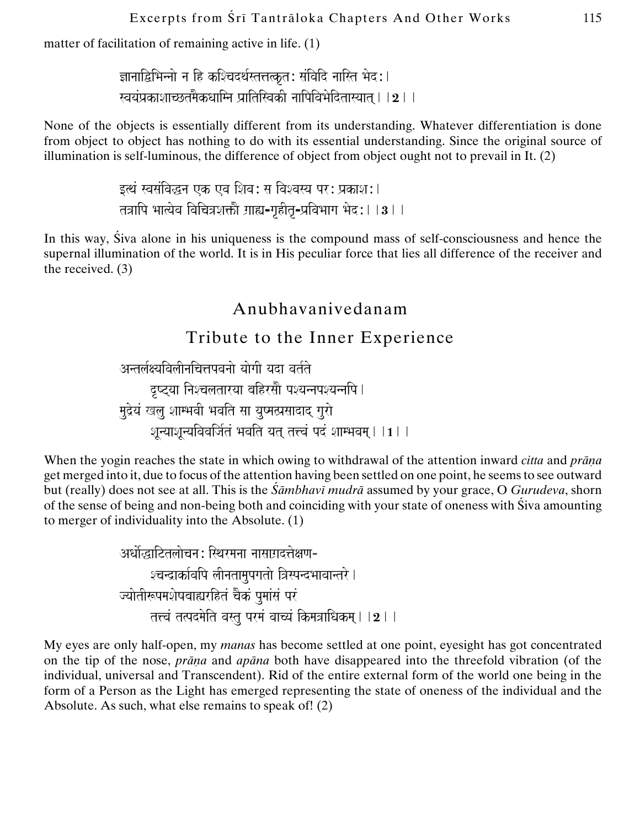matter of facilitation of remaining active in life. (1)

ज्ञानाद्विभिन्नो न हि कश्चिदर्थस्तत्तत्कृत: संविदि नास्ति भेद:। स्वयंप्रकाशाच्छतमैकधाम्नि प्रातिस्विकी नापिविभेदितास्यात । । $2$ । ।

None of the objects is essentially different from its understanding. Whatever differentiation is done from object to object has nothing to do with its essential understanding. Since the original source of illumination is self-luminous, the difference of object from object ought not to prevail in It. (2)

> इत्थं स्वसंविद्धन एक एव शिव: स विश्वस्य पर: प्रकाश: I तत्रापि भात्येव विचित्रशक्तौ गाह्य-गृहीतृ-प्रविभाग भेद:। । 3 । ।

In this way, Çiva alone in his uniqueness is the compound mass of self-consciousness and hence the supernal illumination of the world. It is in His peculiar force that lies all difference of the receiver and the received. (3)

### Anubhavanivedanam

### Tribute to the Inner Experience

अन्तर्लक्ष्यविलीनचित्तपवनो योगी यदा वर्तते दृष्ट्या निश्चलतारया बहिरसौ पश्यन्नपश्यन्नपि । मुद्रेयं खल शाम्भवी भवति सा युष्मत्प्रसादाद गुरो शन्याशन्यविवर्जितं भवति यत् तत्त्वं पदं शाम्भवम् । ।1। ।

When the yogin reaches the state in which owing to withdrawal of the attention inward *citta* and *prāna* get merged into it, due to focus of the attention having been settled on one point, he seems to see outward but (really) does not see at all. This is the *Çämbhavé mudrä* assumed by your grace, O *Gurudeva*, shorn of the sense of being and non-being both and coinciding with your state of oneness with Çiva amounting to merger of individuality into the Absolute. (1)

> अर्धाद्धाटितलोचन: स्थिरमना नासाग़दत्तेक्षण-श्चन्द्राकविपि लीनतामुपगतो त्रिस्पन्दभावान्तरे । ज्योतीरूपमशेषबाह्यरहितं चैकं पुमांसं परं तत्त्वं तत्पदमेति वस्तु परमं वाच्यं किमत्राधिकम् । ।2 । ।

My eyes are only half-open, my *manas* has become settled at one point, eyesight has got concentrated on the tip of the nose, *präëa* and *apäna* both have disappeared into the threefold vibration (of the individual, universal and Transcendent). Rid of the entire external form of the world one being in the form of a Person as the Light has emerged representing the state of oneness of the individual and the Absolute. As such, what else remains to speak of! (2)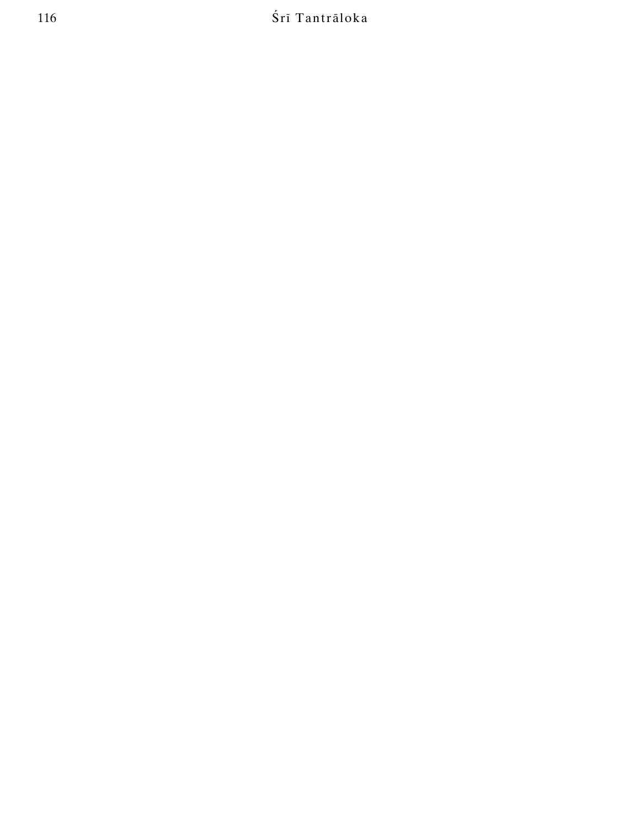# .<br>Śrī Tantrāloka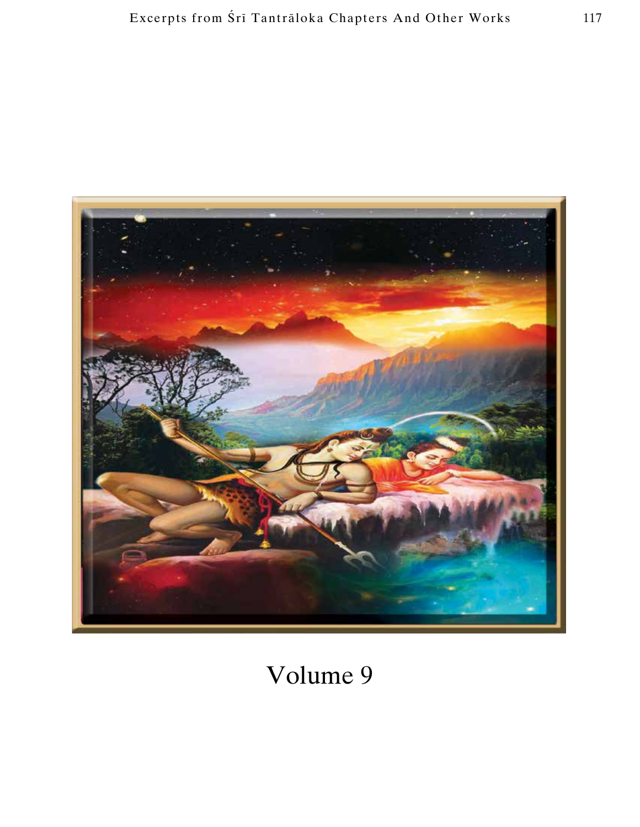

# Volume 9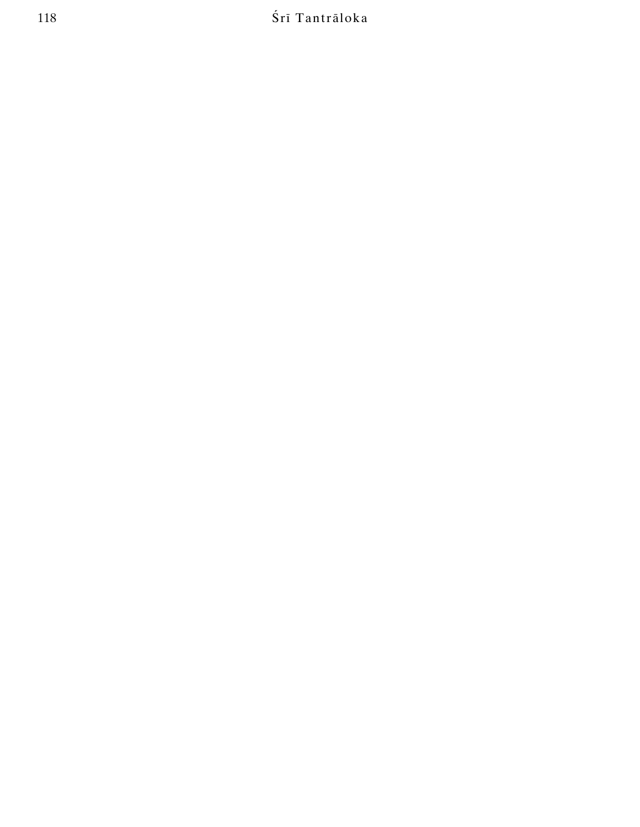### .<br>Śrī Tantrāloka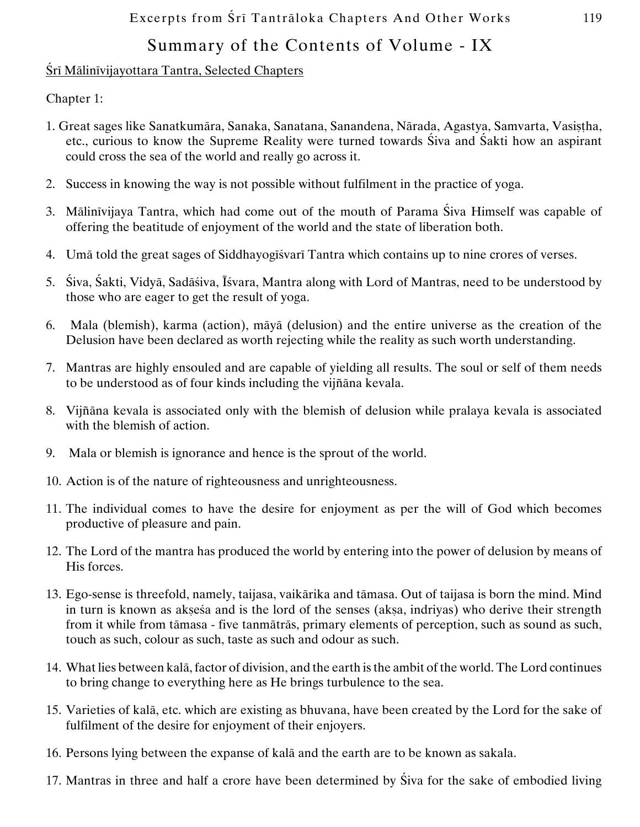### Summary of the Contents of Volume - IX

#### Srī Mālinīvijayottara Tantra, Selected Chapters

Chapter 1:

- 1. Great sages like Sanatkumāra, Sanaka, Sanatana, Sanandena, Nārada, Agastya, Samvarta, Vasistha, etc., curious to know the Supreme Reality were turned towards Siva and Sakti how an aspirant could cross the sea of the world and really go across it.
- 2. Success in knowing the way is not possible without fulfilment in the practice of yoga.
- 3. Mālinīvijaya Tantra, which had come out of the mouth of Parama Siva Himself was capable of offering the beatitude of enjoyment of the world and the state of liberation both.
- 4. Umā told the great sages of Siddhayogī svarī Tantra which contains up to nine crores of verses.
- 5. Siva, Šakti, Vidyā, Sadāśiva, Īśvara, Mantra along with Lord of Mantras, need to be understood by those who are eager to get the result of yoga.
- 6. Mala (blemish), karma (action), mäyä (delusion) and the entire universe as the creation of the Delusion have been declared as worth rejecting while the reality as such worth understanding.
- 7. Mantras are highly ensouled and are capable of yielding all results. The soul or self of them needs to be understood as of four kinds including the vijñāna kevala.
- 8. Vijïäna kevala is associated only with the blemish of delusion while pralaya kevala is associated with the blemish of action.
- 9. Mala or blemish is ignorance and hence is the sprout of the world.
- 10. Action is of the nature of righteousness and unrighteousness.
- 11. The individual comes to have the desire for enjoyment as per the will of God which becomes productive of pleasure and pain.
- 12. The Lord of the mantra has produced the world by entering into the power of delusion by means of His forces.
- 13. Ego-sense is threefold, namely, taijasa, vaikärika and tämasa. Out of taijasa is born the mind. Mind in turn is known as aksesa and is the lord of the senses (aksa, indriyas) who derive their strength from it while from tämasa - five tanmäträs, primary elements of perception, such as sound as such, touch as such, colour as such, taste as such and odour as such.
- 14. What lies between kalä, factor of division, and the earth is the ambit of the world. The Lord continues to bring change to everything here as He brings turbulence to the sea.
- 15. Varieties of kalä, etc. which are existing as bhuvana, have been created by the Lord for the sake of fulfilment of the desire for enjoyment of their enjoyers.
- 16. Persons lying between the expanse of kalä and the earth are to be known as sakala.
- 17. Mantras in three and half a crore have been determined by Çiva for the sake of embodied living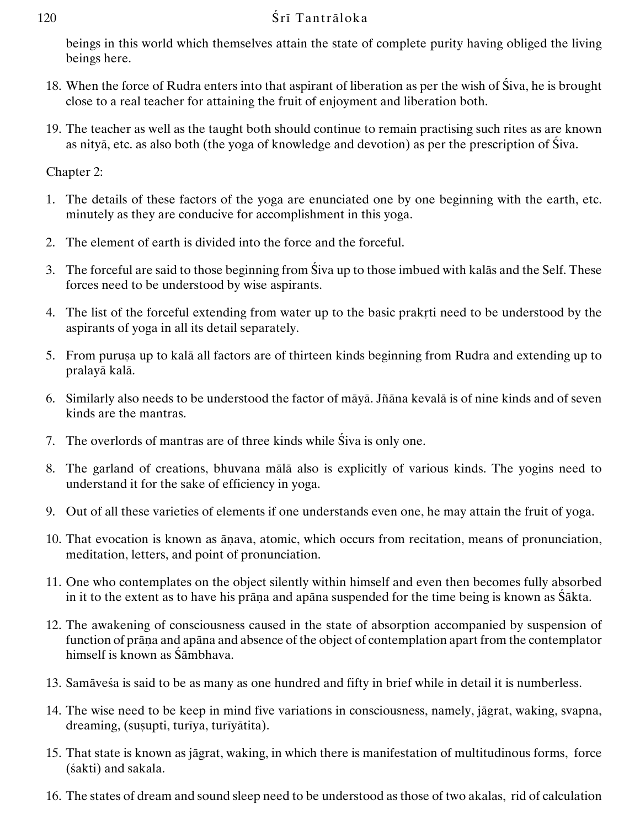#### 120 Sri Tanträloka

beings in this world which themselves attain the state of complete purity having obliged the living beings here.

- 18. When the force of Rudra enters into that aspirant of liberation as per the wish of Çiva, he is brought close to a real teacher for attaining the fruit of enjoyment and liberation both.
- 19. The teacher as well as the taught both should continue to remain practising such rites as are known as nityā, etc. as also both (the yoga of knowledge and devotion) as per the prescription of Siva.

Chapter 2:

- 1. The details of these factors of the yoga are enunciated one by one beginning with the earth, etc. minutely as they are conducive for accomplishment in this yoga.
- 2. The element of earth is divided into the force and the forceful.
- 3. The forceful are said to those beginning from Çiva up to those imbued with kaläs and the Self. These forces need to be understood by wise aspirants.
- 4. The list of the forceful extending from water up to the basic prakrti need to be understood by the aspirants of yoga in all its detail separately.
- 5. From purusa up to kalā all factors are of thirteen kinds beginning from Rudra and extending up to pralayä kalä.
- 6. Similarly also needs to be understood the factor of mäyä. Jïäna kevalä is of nine kinds and of seven kinds are the mantras.
- 7. The overlords of mantras are of three kinds while Çiva is only one.
- 8. The garland of creations, bhuvana mälä also is explicitly of various kinds. The yogins need to understand it for the sake of efficiency in yoga.
- 9. Out of all these varieties of elements if one understands even one, he may attain the fruit of yoga.
- 10. That evocation is known as anava, atomic, which occurs from recitation, means of pronunciation, meditation, letters, and point of pronunciation.
- 11. One who contemplates on the object silently within himself and even then becomes fully absorbed in it to the extent as to have his prāņa and apāna suspended for the time being is known as Śākta.
- 12. The awakening of consciousness caused in the state of absorption accompanied by suspension of function of prāņa and apāna and absence of the object of contemplation apart from the contemplator himself is known as Śāmbhava.
- 13. Samäveça is said to be as many as one hundred and fifty in brief while in detail it is numberless.
- 14. The wise need to be keep in mind five variations in consciousness, namely, jägrat, waking, svapna, dreaming, (sușupti, turiya, turiyātita).
- 15. That state is known as jägrat, waking, in which there is manifestation of multitudinous forms, force (çakti) and sakala.
- 16. The states of dream and sound sleep need to be understood as those of two akalas, rid of calculation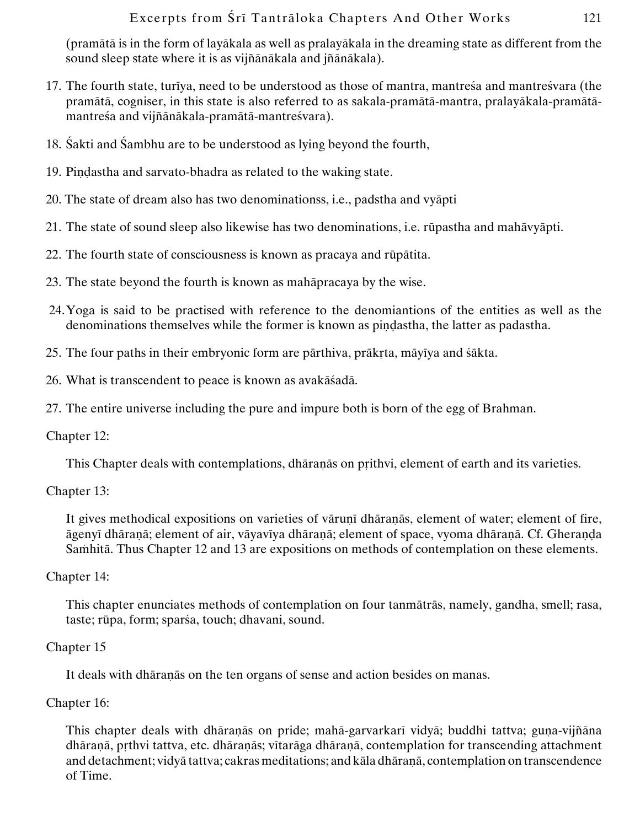(pramätä is in the form of layäkala as well as pralayäkala in the dreaming state as different from the sound sleep state where it is as vijñānākala and jñānākala).

- 17. The fourth state, turiya, need to be understood as those of mantra, mantrest a and mantrest vara (the pramätä, cogniser, in this state is also referred to as sakala-pramätä-mantra, pralayäkala-pramätämantreśa and vijñānākala-pramātā-mantreśvara).
- 18. Çakti and Çambhu are to be understood as lying beyond the fourth,
- 19. Pindastha and sarvato-bhadra as related to the waking state.
- 20. The state of dream also has two denominationss, i.e., padstha and vyäpti
- 21. The state of sound sleep also likewise has two denominations, i.e. rüpastha and mahävyäpti.
- 22. The fourth state of consciousness is known as pracaya and rüpätita.
- 23. The state beyond the fourth is known as mahäpracaya by the wise.
- 24.Yoga is said to be practised with reference to the denomiantions of the entities as well as the denominations themselves while the former is known as pindastha, the latter as padastha.
- 25. The four paths in their embryonic form are pärthiva, präkrta, mäyiya and säkta.
- 26. What is transcendent to peace is known as avakäçadä.
- 27. The entire universe including the pure and impure both is born of the egg of Brahman.

#### Chapter 12:

This Chapter deals with contemplations, dhāranās on prithvi, element of earth and its varieties.

#### Chapter 13:

It gives methodical expositions on varieties of vārunī dhāranās, element of water; element of fire, āgenyī dhāranā; element of air, vāyavīya dhāranā; element of space, vyoma dhāranā. Cf. Gheranda Samhitā. Thus Chapter 12 and 13 are expositions on methods of contemplation on these elements.

#### Chapter 14:

This chapter enunciates methods of contemplation on four tanmäträs, namely, gandha, smell; rasa, taste; rūpa, form; sparśa, touch; dhavani, sound.

#### Chapter 15

It deals with dhāranās on the ten organs of sense and action besides on manas.

#### Chapter 16:

This chapter deals with dhāranās on pride; mahā-garvarkarī vidyā; buddhi tattva; guna-vijñāna dhäranä, prthvi tattva, etc. dhäranäs; vītaräga dhäranä, contemplation for transcending attachment and detachment; vidyā tattva; cakras meditations; and kāla dhāraṇā, contemplation on transcendence of Time.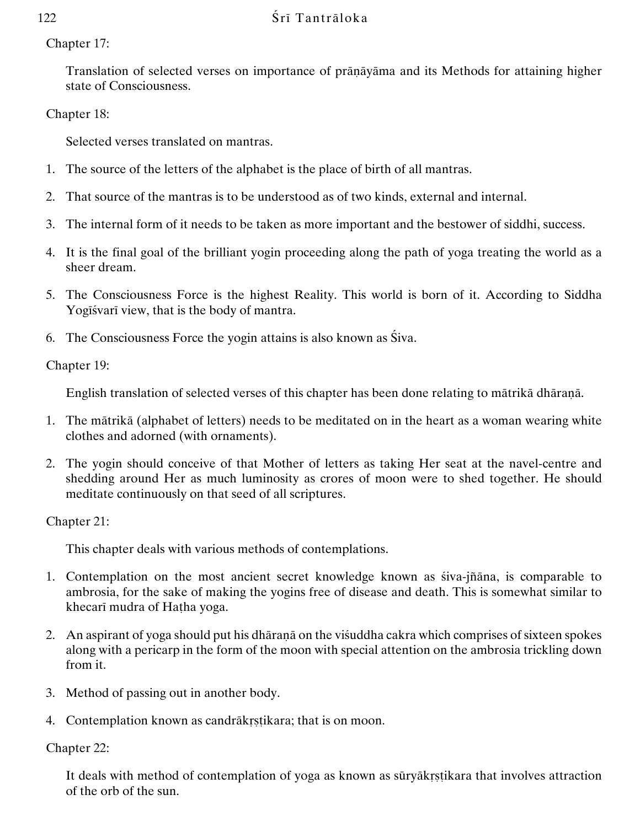Chapter 17:

Translation of selected verses on importance of pränäyäma and its Methods for attaining higher state of Consciousness.

Chapter 18:

Selected verses translated on mantras.

- 1. The source of the letters of the alphabet is the place of birth of all mantras.
- 2. That source of the mantras is to be understood as of two kinds, external and internal.
- 3. The internal form of it needs to be taken as more important and the bestower of siddhi, success.
- 4. It is the final goal of the brilliant yogin proceeding along the path of yoga treating the world as a sheer dream.
- 5. The Consciousness Force is the highest Reality. This world is born of it. According to Siddha Yogisvari view, that is the body of mantra.
- 6. The Consciousness Force the yogin attains is also known as Siva.

Chapter 19:

English translation of selected verses of this chapter has been done relating to mātrikā dhāranā.

- 1. The mätrikä (alphabet of letters) needs to be meditated on in the heart as a woman wearing white clothes and adorned (with ornaments).
- 2. The yogin should conceive of that Mother of letters as taking Her seat at the navel-centre and shedding around Her as much luminosity as crores of moon were to shed together. He should meditate continuously on that seed of all scriptures.

Chapter 21:

This chapter deals with various methods of contemplations.

- 1. Contemplation on the most ancient secret knowledge known as siva-jñāna, is comparable to ambrosia, for the sake of making the yogins free of disease and death. This is somewhat similar to khecari mudra of Hatha yoga.
- 2. An aspirant of yoga should put his dhāranā on the visuddha cakra which comprises of sixteen spokes along with a pericarp in the form of the moon with special attention on the ambrosia trickling down from it.
- 3. Method of passing out in another body.
- 4. Contemplation known as candrākrstikara; that is on moon.

Chapter 22:

It deals with method of contemplation of yoga as known as süryäkrstikara that involves attraction of the orb of the sun.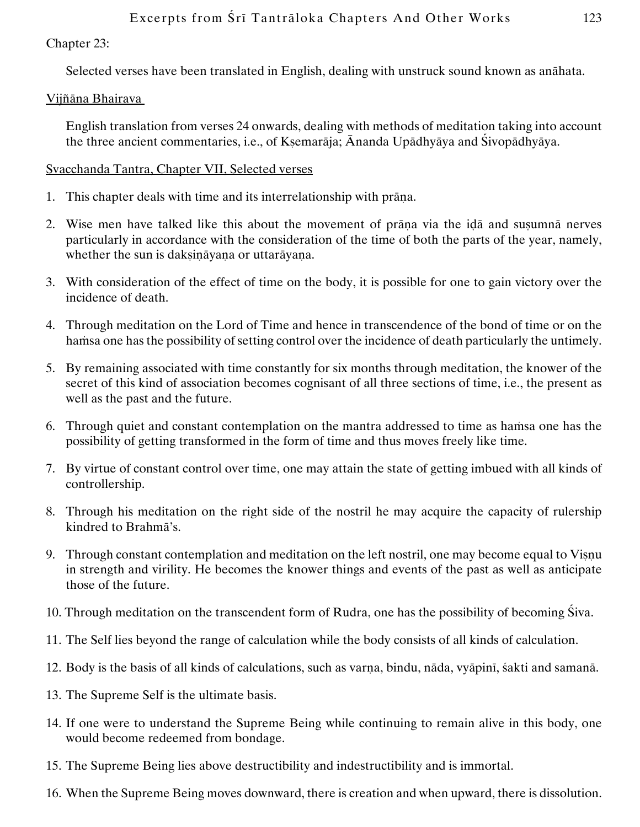#### Chapter 23:

Selected verses have been translated in English, dealing with unstruck sound known as anähata.

#### Vijïäna Bhairava

English translation from verses 24 onwards, dealing with methods of meditation taking into account the three ancient commentaries, i.e., of Kṣemarāja; Ānanda Upādhyāya and Śivopādhyāya.

#### Svacchanda Tantra, Chapter VII, Selected verses

- 1. This chapter deals with time and its interrelationship with prāņa.
- 2. Wise men have talked like this about the movement of präna via the idä and susumnä nerves particularly in accordance with the consideration of the time of both the parts of the year, namely, whether the sun is daksināyana or uttarāyana.
- 3. With consideration of the effect of time on the body, it is possible for one to gain victory over the incidence of death.
- 4. Through meditation on the Lord of Time and hence in transcendence of the bond of time or on the hams a one has the possibility of setting control over the incidence of death particularly the untimely.
- 5. By remaining associated with time constantly for six months through meditation, the knower of the secret of this kind of association becomes cognisant of all three sections of time, i.e., the present as well as the past and the future.
- 6. Through quiet and constant contemplation on the mantra addressed to time as hamsa one has the possibility of getting transformed in the form of time and thus moves freely like time.
- 7. By virtue of constant control over time, one may attain the state of getting imbued with all kinds of controllership.
- 8. Through his meditation on the right side of the nostril he may acquire the capacity of rulership kindred to Brahmä's.
- 9. Through constant contemplation and meditation on the left nostril, one may become equal to Visnu in strength and virility. He becomes the knower things and events of the past as well as anticipate those of the future.
- 10. Through meditation on the transcendent form of Rudra, one has the possibility of becoming Çiva.
- 11. The Self lies beyond the range of calculation while the body consists of all kinds of calculation.
- 12. Body is the basis of all kinds of calculations, such as varna, bindu, näda, vyäpini, śakti and samanä.
- 13. The Supreme Self is the ultimate basis.
- 14. If one were to understand the Supreme Being while continuing to remain alive in this body, one would become redeemed from bondage.
- 15. The Supreme Being lies above destructibility and indestructibility and is immortal.
- 16. When the Supreme Being moves downward, there is creation and when upward, there is dissolution.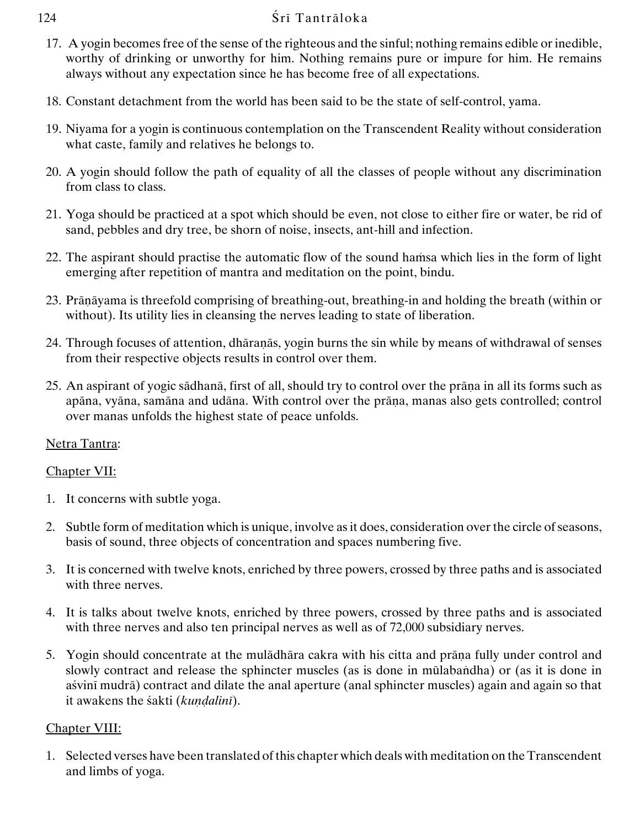#### 124 Sri Tanträloka

- 17. A yogin becomes free of the sense of the righteous and the sinful; nothing remains edible or inedible, worthy of drinking or unworthy for him. Nothing remains pure or impure for him. He remains always without any expectation since he has become free of all expectations.
- 18. Constant detachment from the world has been said to be the state of self-control, yama.
- 19. Niyama for a yogin is continuous contemplation on the Transcendent Reality without consideration what caste, family and relatives he belongs to.
- 20. A yogin should follow the path of equality of all the classes of people without any discrimination from class to class.
- 21. Yoga should be practiced at a spot which should be even, not close to either fire or water, be rid of sand, pebbles and dry tree, be shorn of noise, insects, ant-hill and infection.
- 22. The aspirant should practise the automatic flow of the sound hamsa which lies in the form of light emerging after repetition of mantra and meditation on the point, bindu.
- 23. Pränäyama is threefold comprising of breathing-out, breathing-in and holding the breath (within or without). Its utility lies in cleansing the nerves leading to state of liberation.
- 24. Through focuses of attention, dhāranās, yogin burns the sin while by means of withdrawal of senses from their respective objects results in control over them.
- 25. An aspirant of yogic sädhanä, first of all, should try to control over the präna in all its forms such as apäna, vyäna, samäna and udäna. With control over the präna, manas also gets controlled; control over manas unfolds the highest state of peace unfolds.

#### Netra Tantra:

#### Chapter VII:

- 1. It concerns with subtle yoga.
- 2. Subtle form of meditation which is unique, involve as it does, consideration over the circle of seasons, basis of sound, three objects of concentration and spaces numbering five.
- 3. It is concerned with twelve knots, enriched by three powers, crossed by three paths and is associated with three nerves.
- 4. It is talks about twelve knots, enriched by three powers, crossed by three paths and is associated with three nerves and also ten principal nerves as well as of 72,000 subsidiary nerves.
- 5. Yogin should concentrate at the muladhara cakra with his citta and prana fully under control and slowly contract and release the sphincter muscles (as is done in mūlabandha) or (as it is done in asvini mudrā) contract and dilate the anal aperture (anal sphincter muscles) again and again so that it awakens the *sakti (kundalini)*.

#### Chapter VIII:

1. Selected verses have been translated of this chapter which deals with meditation on the Transcendent and limbs of yoga.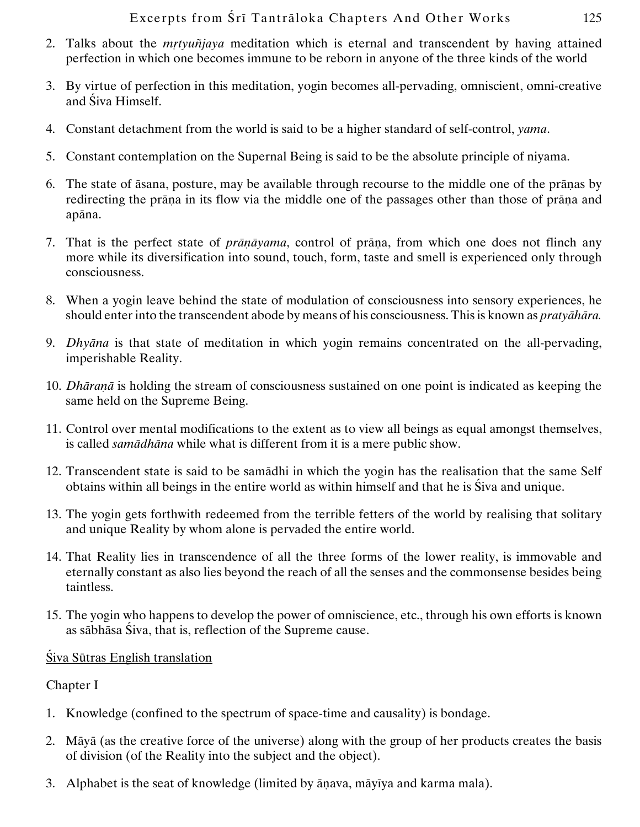- 2. Talks about the *mrtyuñjaya* meditation which is eternal and transcendent by having attained perfection in which one becomes immune to be reborn in anyone of the three kinds of the world
- 3. By virtue of perfection in this meditation, yogin becomes all-pervading, omniscient, omni-creative and Siva Himself.
- 4. Constant detachment from the world is said to be a higher standard of self-control, *yama*.
- 5. Constant contemplation on the Supernal Being is said to be the absolute principle of niyama.
- 6. The state of asana, posture, may be available through recourse to the middle one of the pranas by redirecting the prāņa in its flow via the middle one of the passages other than those of prāņa and apäna.
- 7. That is the perfect state of *prānāyama*, control of prāna, from which one does not flinch any more while its diversification into sound, touch, form, taste and smell is experienced only through consciousness.
- 8. When a yogin leave behind the state of modulation of consciousness into sensory experiences, he should enter into the transcendent abode by means of his consciousness. This is known as *pratyähära.*
- 9. *Dhyäna* is that state of meditation in which yogin remains concentrated on the all-pervading, imperishable Reality.
- 10. *Dhäraëä* is holding the stream of consciousness sustained on one point is indicated as keeping the same held on the Supreme Being.
- 11. Control over mental modifications to the extent as to view all beings as equal amongst themselves, is called *samädhäna* while what is different from it is a mere public show.
- 12. Transcendent state is said to be samädhi in which the yogin has the realisation that the same Self obtains within all beings in the entire world as within himself and that he is Çiva and unique.
- 13. The yogin gets forthwith redeemed from the terrible fetters of the world by realising that solitary and unique Reality by whom alone is pervaded the entire world.
- 14. That Reality lies in transcendence of all the three forms of the lower reality, is immovable and eternally constant as also lies beyond the reach of all the senses and the commonsense besides being taintless.
- 15. The yogin who happens to develop the power of omniscience, etc., through his own efforts is known as säbhäsa Çiva, that is, reflection of the Supreme cause.

#### Çiva Sütras English translation

#### Chapter I

- 1. Knowledge (confined to the spectrum of space-time and causality) is bondage.
- 2. Mäyä (as the creative force of the universe) along with the group of her products creates the basis of division (of the Reality into the subject and the object).
- 3. Alphabet is the seat of knowledge (limited by anava, may iya and karma mala).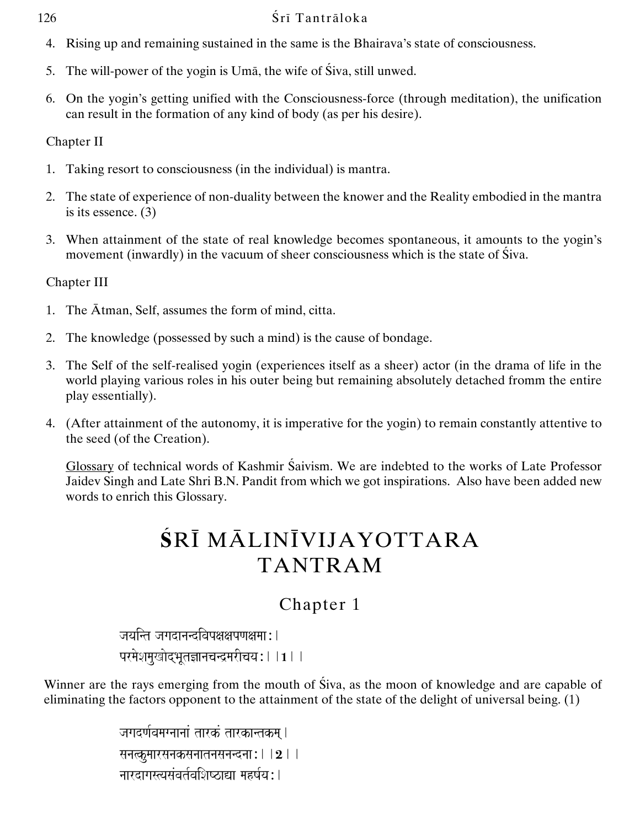#### Śrī Tantrāloka

- 4. Rising up and remaining sustained in the same is the Bhairava's state of consciousness.
- 5. The will-power of the yogin is Uma, the wife of Siva, still unwed.
- 6. On the yogin's getting unified with the Consciousness-force (through meditation), the unification can result in the formation of any kind of body (as per his desire).

Chapter II

- 1. Taking resort to consciousness (in the individual) is mantra.
- 2. The state of experience of non-duality between the knower and the Reality embodied in the mantra is its essence.  $(3)$
- 3. When attainment of the state of real knowledge becomes spontaneous, it amounts to the yogin's movement (inwardly) in the vacuum of sheer consciousness which is the state of Siva.

Chapter III

- 1. The Atman, Self, assumes the form of mind, citta.
- The knowledge (possessed by such a mind) is the cause of bondage. 2.
- 3. The Self of the self-realised yogin (experiences itself as a sheer) actor (in the drama of life in the world playing various roles in his outer being but remaining absolutely detached fromm the entire play essentially).
- 4. (After attainment of the autonomy, it is imperative for the yogin) to remain constantly attentive to the seed (of the Creation).

Glossary of technical words of Kashmir Saivism. We are indebted to the works of Late Professor Jaidev Singh and Late Shri B.N. Pandit from which we got inspirations. Also have been added new words to enrich this Glossary.

# ŚRĪ MĀLINĪVIJAYOTTARA **TANTRAM**

### Chapter 1

जयन्ति जगदानन्दविपक्षक्षपणक्षमा:। परमेशमुखोद्भुतज्ञानचन्द्रमरीचय: | |1 | |

Winner are the rays emerging from the mouth of Siva, as the moon of knowledge and are capable of eliminating the factors opponent to the attainment of the state of the delight of universal being. (1)

> जगदर्णवमग्नानां तारकं तारकान्तकम् । सनत्कूमारसनकसनातनसनन्दना: | | 2 | | नारदागस्त्यसंवर्तवशिष्ठाद्या महर्षय:।

#### 126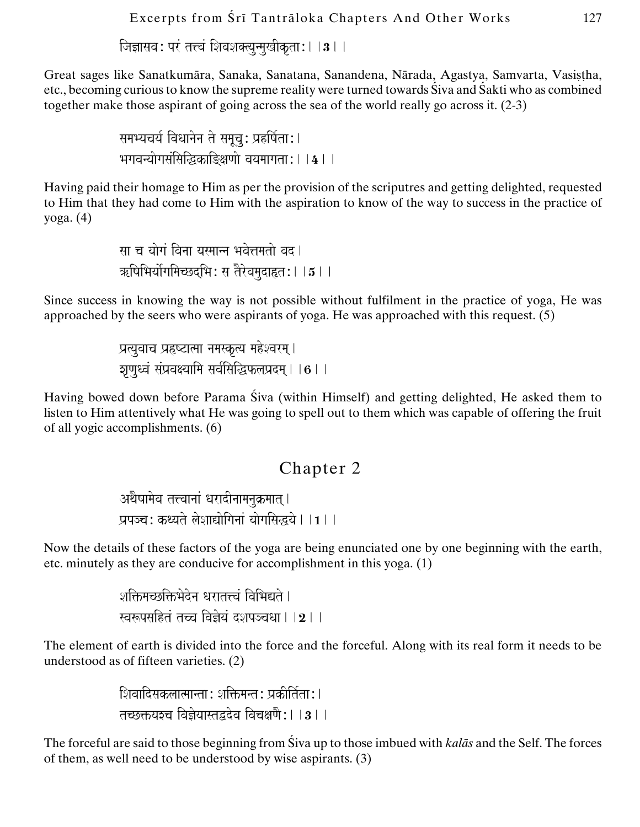जिज्ञासव: परं तत्त्वं शिवशक्त्युन्मुखीकृता:। ।3।।

Great sages like Sanatkumāra, Sanaka, Sanatana, Sanandena, Nārada, Agastya, Samvarta, Vasistha, etc., becoming curious to know the supreme reality were turned towards Siva and Sakti who as combined together make those aspirant of going across the sea of the world really go across it. (2-3)

> समभ्यचर्य विधानेन ते समुच्: प्रहर्षिता: । भगवन्योगसंसिद्धिकाङिक्षणो वयमागता:।  $\vert 4 \vert$  ।

Having paid their homage to Him as per the provision of the scriputres and getting delighted, requested to Him that they had come to Him with the aspiration to know of the way to success in the practice of yoga. (4)

> $\overline{a}$  सा त योगं विना यस्मान्त भवेतमतो वट $\overline{a}$ ऋषिभिर्योगमिच्छदभि: स तैरेवमदाहृत:  $\vert\,\,\vert$ 5 | |

Since success in knowing the way is not possible without fulfilment in the practice of yoga, He was approached by the seers who were aspirants of yoga. He was approached with this request. (5)

> प्रत्युवाच प्रहृष्टात्मा नमस्कृत्य महेश्वरम् ।  $\overline{z}$ युणध्वं संप्रवक्ष्यामि सर्वसिद्धिफलप्रदम् । । 6 । ।

Having bowed down before Parama Siva (within Himself) and getting delighted, He asked them to listen to Him attentively what He was going to spell out to them which was capable of offering the fruit of all yogic accomplishments. (6)

## Chapter 2

अथैषामेव तत्त्वानां धरादीनामनुक्रमात् । प्रपञ्च: कथ्यते लेशाद्योगिनां योगसिद्धये । । 1 । ।

Now the details of these factors of the yoga are being enunciated one by one beginning with the earth, etc. minutely as they are conducive for accomplishment in this yoga. (1)

> $\mathfrak A$ क्तिमच्छक्तिभेदेन धरातत्त्वं विभिद्यते । स्वरूपसहितं तच्च विज्ञेयं दशपञ्चधा ।  $|2|$  ।

The element of earth is divided into the force and the forceful. Along with its real form it needs to be understood as of fifteen varieties. (2)

> $\mathsf{S}$ ावादिसकलात्मान्ता $\cdot$  अक्तिमन्त $\cdot$  प्रकीर्तिता $\cdot$ । तच्छक्तयञ्च विज्ञेयास्तद्वदेव विचक्षणै:। । $3$ । ।

The forceful are said to those beginning from Çiva up to those imbued with *kaläs* and the Self. The forces of them, as well need to be understood by wise aspirants. (3)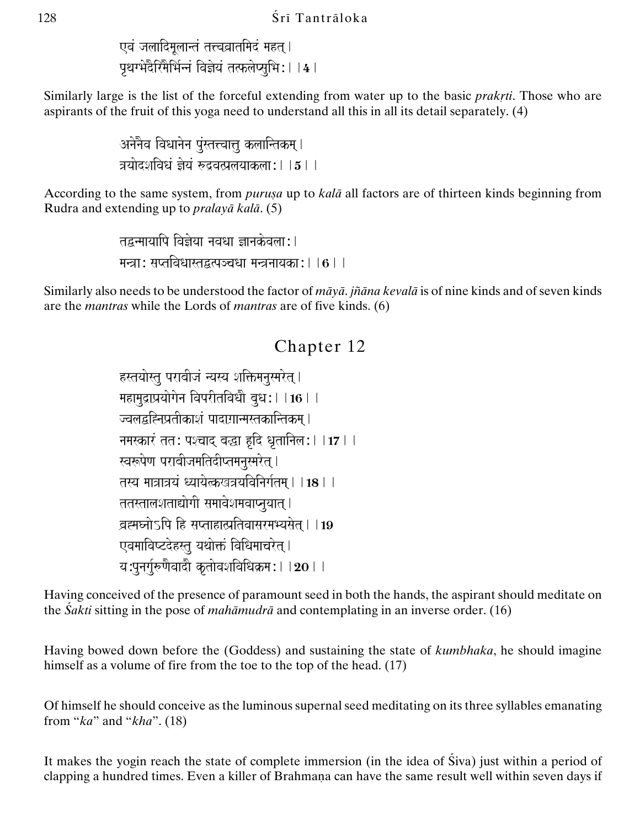एवं जलादिमूलान्तं तत्त्वव्रातमिदं महत् । पृथग्भेदैरिमैर्भिन्नं विज्ञेयं तत्फलेप्युभि:। । 4।

Similarly large is the list of the forceful extending from water up to the basic *prakfti*. Those who are aspirants of the fruit of this yoga need to understand all this in all its detail separately. (4)

> अनेनैव विधानेन पुंस्तत्त्वात्तू कलान्तिकम् । त्रयोदशविधं ज्ञेयं रूदवत्प्रलयाकला:  $\vert \hspace{0.5mm} \vert$  5  $\vert \hspace{0.5mm} \vert$

According to the same system, from *purusa* up to *kalā* all factors are of thirteen kinds beginning from Rudra and extending up to *pralayä kalä*. (5)

```
\piतद्रन्मायापि विज्ञेया नवधा ज्ञानकेवला:।
मन्त्रा: सप्तविधास्तद्वत्पञ्चधा मन्त्रनायका:। |6|
```
Similarly also needs to be understood the factor of *mäyä*. *jïäna kevalä* is of nine kinds and of seven kinds are the *mantras* while the Lords of *mantras* are of five kinds. (6)

### Chapter 12

हस्तयोस्तु पराबीजं न्यस्य शक्तिमनुस्मरेत् ।  $n = \frac{1}{16}$  महामुद्राप्रयोगेन विपरीतविधौ बृध:  $\frac{1}{16}$ ज्वलद्वह्निप्रतीकाशं पादाग्रान्मस्तकान्तिकम् । नमस्कारं तत: पश्चाद् बद्धा हृदि धृतानिल:  $\vert\,\,\vert$ 17  $\vert\,\,\vert$ रवरूपेण पराबीजमतिदीप्तमनुस्मरेत् । तस्य मात्रात्रयं ध्यायेत्कखत्रयविनिर्गतम् । । $18$ । । ततस्तालशताद्योगी समावेशमवाप्नुयात् । ब्रह्मघ्नोऽपि हि सप्ताहात्प्रतिवासरमभ्यसेत । ।19 एवमाविष्टदेहस्तु यथोक्तं विधिमाचरेत् । य:पुनर्गुरुणैवादौ कृतोवशविधिक्रम:। । 20। ।

Having conceived of the presence of paramount seed in both the hands, the aspirant should meditate on the *Çakti* sitting in the pose of *mahämudrä* and contemplating in an inverse order. (16)

Having bowed down before the (Goddess) and sustaining the state of *kumbhaka*, he should imagine himself as a volume of fire from the toe to the top of the head. (17)

Of himself he should conceive as the luminous supernal seed meditating on its three syllables emanating from "*ka*" and "*kha*". (18)

It makes the yogin reach the state of complete immersion (in the idea of Siva) just within a period of clapping a hundred times. Even a killer of Brahmana can have the same result well within seven days if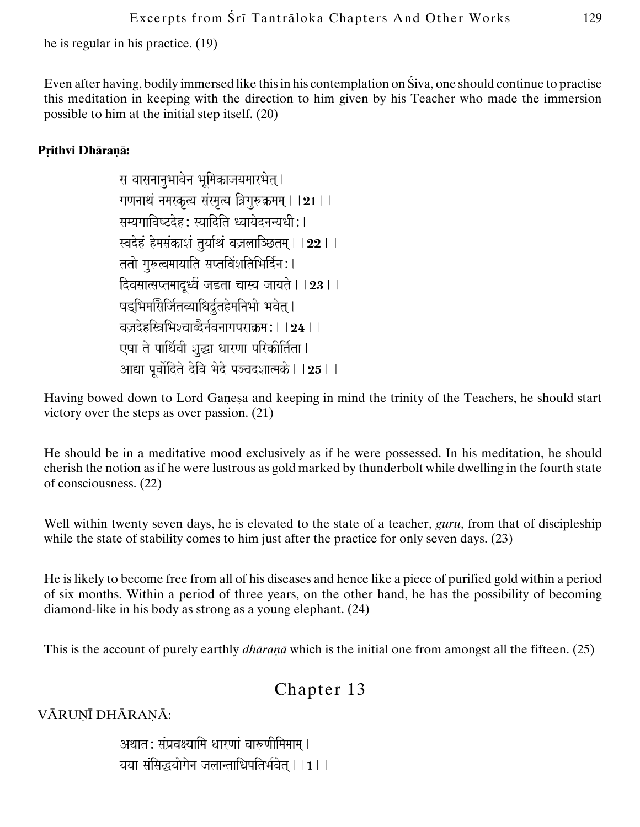he is regular in his practice. (19)

Even after having, bodily immersed like this in his contemplation on Çiva, one should continue to practise this meditation in keeping with the direction to him given by his Teacher who made the immersion possible to him at the initial step itself. (20)

#### **Prithvi Dhāranā:**

स वासनानुभावेन भूमिकाजयमारभेत् । गणनाथं नमस्कृत्य संस्मृत्य त्रिगुरुक्रमम् ।  $|21|$  ।  $\overline{u}$ सम्यगाविष्टदेह: स्यादिति ध्यायेदनन्यधी:  $\overline{u}$ स्वदेहं हेमसंकाशं तुर्याश्रं वज्रलाञ्छितम् । । 22 । । ततो गुरुत्वमायाति सप्तविंशतिभिर्दिन:। दिवसात्सप्तमादूर्ध्वं जडता चास्य जायते । । 23 । । पड्भिमसिजितव्याधिर्द्रतहेमनिभो भवेत् । वजदेहस्त्रिभिश्चाब्दैर्नवनागपराक्रम:।  $|24|$ एषा ते पार्थिवी शुद्धा धारणा परिकीर्तिता । आद्या पूर्वोदिते देवि भेदे पञ्चदशात्मके । । $25$  । ।

Having bowed down to Lord Ganesa and keeping in mind the trinity of the Teachers, he should start victory over the steps as over passion. (21)

He should be in a meditative mood exclusively as if he were possessed. In his meditation, he should cherish the notion as if he were lustrous as gold marked by thunderbolt while dwelling in the fourth state of consciousness. (22)

Well within twenty seven days, he is elevated to the state of a teacher, *guru*, from that of discipleship while the state of stability comes to him just after the practice for only seven days. (23)

He is likely to become free from all of his diseases and hence like a piece of purified gold within a period of six months. Within a period of three years, on the other hand, he has the possibility of becoming diamond-like in his body as strong as a young elephant. (24)

This is the account of purely earthly *dhāraṇā* which is the initial one from amongst all the fifteen. (25)

### Chapter 13

VĀRUŅĪ DHĀRAŅĀ:

अथात: संप्रवक्ष्यामि धारणां वारुणीमिमाम् । यया संसिद्धयोगेन जलान्ताधिपतिर्भवेत  $\Box$ 1 | |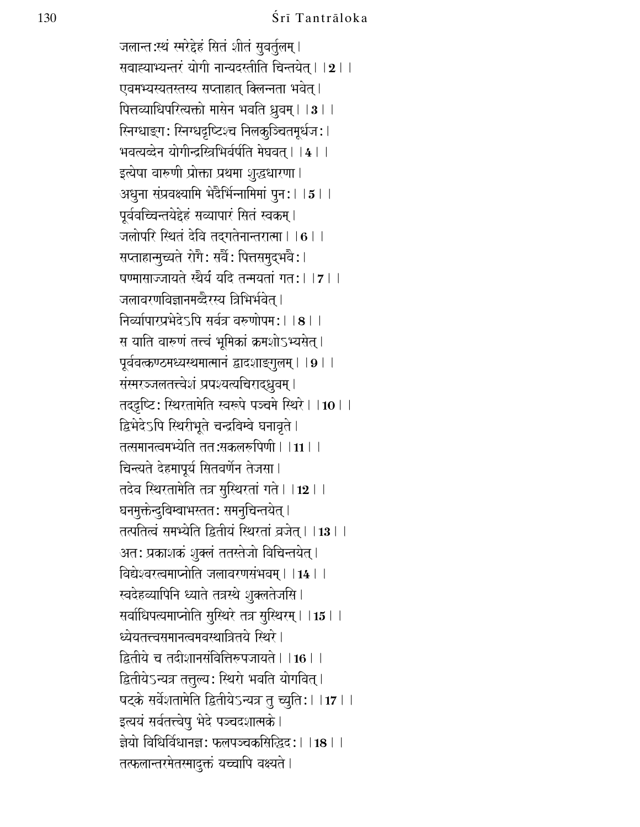जलान्त:स्थं स्मरेद्देहं सितं शीतं सुवर्तुलम् । सबाह्याभ्यन्तरं योगी नान्यदस्तीति चिन्तयेत् । । $2$ ।। एवमभ्यस्यतस्तस्य सप्ताहात् क्लिन्नता भवेत् । पित्तव्याधिपरित्यक्तो मासेन भवति ध्रुवम् । । $\bf{3}$  । । स्निग्धाङ्ग: स्निग्धदृष्टिश्च निलकुञ्चितमुर्धज: । भवत्यब्देन योगीन्द्रस्त्रिभिर्वर्षति मेघवत् । । $4$  । । इत्येषा वारुणी प्रोक्ता प्रथमा शुद्धधारणा | अधुना संप्रवक्ष्यामि भेदैर्भिन्नामिमां पुन $: \mid \mid 5 \mid \mid$ पूर्ववच्चिन्तयेद्देहं सव्यापारं सितं स्वकम् । जलोपरि स्थितं देवि तद्गतेनान्तरात्मा ।  $\vert 6 \vert \vert$  । सप्ताहान्मुच्यते रोगै: सर्वै: पित्तसमुद्भवै: । षण्मासाज्जायते स्थैर्य यदि तन्मयतां गत:। ।7। । जलावरणविज्ञानमब्दैरस्य त्रिभिर्भवेत । निर्व्यापारप्रभेदेऽपि सर्वत्र वरुणोपम:  $|s|$ । स याति वारुणं तत्त्वं भूमिकां क्रमशोऽभ्यसेत् । पूर्ववत्कण्ठमध्यस्थमात्मानं द्वादशाङ्गुलम् । । 9 । । संस्मरञ्जलतत्त्वेशं प्रपश्यत्यचिरादध्रुवम् । तद्दृष्टि: स्थिरतामेति स्वरूपे पञ्चमे स्थिरे । । 10 । । द्विभेदेऽपि स्थिरीभूते चन्द्रबिम्बे घनावृते । तत्समानत्वमभ्येति तत:सकलरुपिणी । । $11$ । चिन्त्यते देहमापूर्य सितवर्णेन तेजसा । तदेव स्थिरतामेति तत्र सुस्थिरतां गते । । $12$  । । घनमुक्तेन्दुबिम्बाभस्तत: समनुचिन्तयेत् । तत्पतित्वं समभ्येति द्वितीयं स्थिरतां व्रजेत् । । 13 । । अत: प्रकाशकं शुक्लं ततस्तेजो विचिन्तयेत् । विद्येश्वरत्वमाप्नोति जलावरणसंभवम् । । 14 । । रवदेहव्यापिनि ध्याते तत्रस्थे शुक्लतेजसि । सर्वाधिपत्यमाप्नोति सुस्थिरे तत्र सुस्थिरम् । । 15 । । ध्येयतत्त्वसमानत्वमवस्थात्रितये स्थिरे । द्वितीये च तदीशानसंवित्तिरुपजायते । ।16 । । द्वितीयेऽन्यत्र तत्तुल्य: स्थिरो भवति योगवित् । षट्के सर्वेशतामेति द्वितीयेऽन्यत्र तु च्युति:। । 17 । । इत्ययं सर्वतत्त्वेषु भेदे पञ्चदशात्मके । ज्ञेयो विधिर्विधानज्ञ: फलपञ्चकसिद्धिद:। ।18 । । तत्फलान्तरमेतस्मादुक्तं यच्चापि वक्ष्यते ।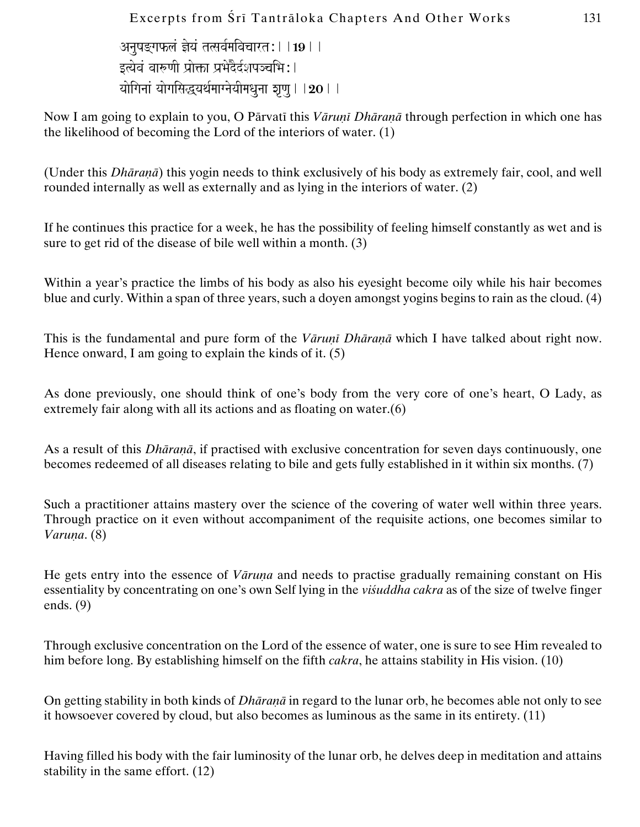अनुषङ्गफलं ज्ञेयं तत्सर्वमविचारत:।।19।। इत्येवं वारुणी प्रोक्ता प्रभेदैर्दशपञ्चभि:। योगिनां योगसिद्धयर्थमाग्नेयीमधुना ञ्चणु । । 20 । ।

Now I am going to explain to you, O Pārvatī this *Vārunī Dhāranā* through perfection in which one has the likelihood of becoming the Lord of the interiors of water. (1)

(Under this *Dhāraṇā*) this yogin needs to think exclusively of his body as extremely fair, cool, and well rounded internally as well as externally and as lying in the interiors of water. (2)

If he continues this practice for a week, he has the possibility of feeling himself constantly as wet and is sure to get rid of the disease of bile well within a month. (3)

Within a year's practice the limbs of his body as also his eyesight become oily while his hair becomes blue and curly. Within a span of three years, such a doyen amongst yogins begins to rain as the cloud. (4)

This is the fundamental and pure form of the *Vāruṇī Dhāraṇā* which I have talked about right now. Hence onward, I am going to explain the kinds of it. (5)

As done previously, one should think of one's body from the very core of one's heart, O Lady, as extremely fair along with all its actions and as floating on water.(6)

As a result of this *Dhāraṇā*, if practised with exclusive concentration for seven days continuously, one becomes redeemed of all diseases relating to bile and gets fully established in it within six months. (7)

Such a practitioner attains mastery over the science of the covering of water well within three years. Through practice on it even without accompaniment of the requisite actions, one becomes similar to *Varuna.* (8)

He gets entry into the essence of *Vāruna* and needs to practise gradually remaining constant on His essentiality by concentrating on one's own Self lying in the *viçuddha cakra* as of the size of twelve finger ends. (9)

Through exclusive concentration on the Lord of the essence of water, one is sure to see Him revealed to him before long. By establishing himself on the fifth *cakra*, he attains stability in His vision. (10)

On getting stability in both kinds of *Dhāraṇā* in regard to the lunar orb, he becomes able not only to see it howsoever covered by cloud, but also becomes as luminous as the same in its entirety. (11)

Having filled his body with the fair luminosity of the lunar orb, he delves deep in meditation and attains stability in the same effort. (12)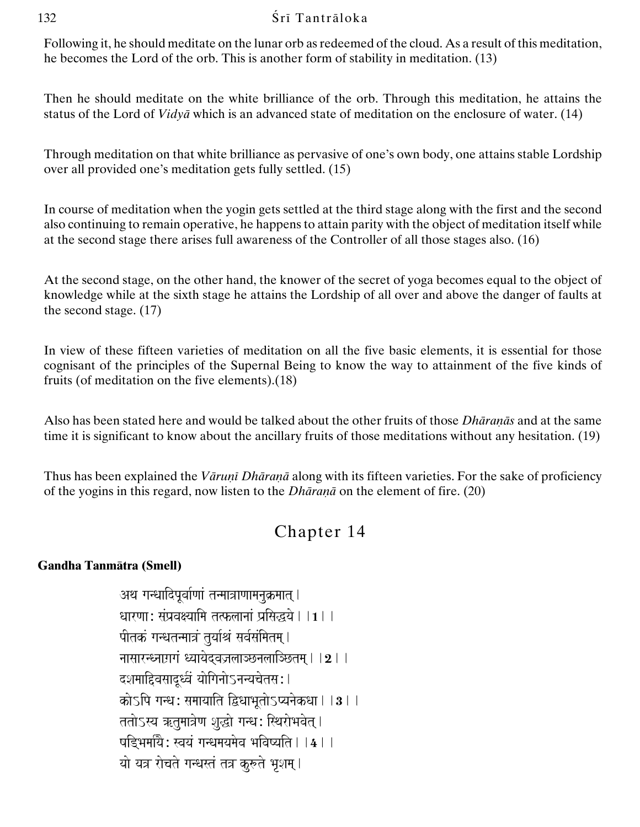#### 132 Sri Tantrāloka

Following it, he should meditate on the lunar orb as redeemed of the cloud. As a result of this meditation, he becomes the Lord of the orb. This is another form of stability in meditation. (13)

Then he should meditate on the white brilliance of the orb. Through this meditation, he attains the status of the Lord of *Vidyä* which is an advanced state of meditation on the enclosure of water. (14)

Through meditation on that white brilliance as pervasive of one's own body, one attains stable Lordship over all provided one's meditation gets fully settled. (15)

In course of meditation when the yogin gets settled at the third stage along with the first and the second also continuing to remain operative, he happens to attain parity with the object of meditation itself while at the second stage there arises full awareness of the Controller of all those stages also. (16)

At the second stage, on the other hand, the knower of the secret of yoga becomes equal to the object of knowledge while at the sixth stage he attains the Lordship of all over and above the danger of faults at the second stage. (17)

In view of these fifteen varieties of meditation on all the five basic elements, it is essential for those cognisant of the principles of the Supernal Being to know the way to attainment of the five kinds of fruits (of meditation on the five elements).(18)

Also has been stated here and would be talked about the other fruits of those *Dhāranās* and at the same time it is significant to know about the ancillary fruits of those meditations without any hesitation. (19)

Thus has been explained the *Vāruņī Dhāraņā* along with its fifteen varieties. For the sake of proficiency of the yogins in this regard, now listen to the *Dhāranā* on the element of fire. (20)

### Chapter 14

#### **Gandha Tanmätra (Smell)**

अथ गन्धादिपूर्वाणां तन्मात्राणामनूक्रमात् । धारणा: संप्रवक्ष्यामि तत्फलानां प्रसिद्धये  $\Box$   $\Box$ पीतकं गन्धतन्मात्रं तुर्याश्रं सर्वसंमितम् । नासारन्ध्नाग्रागं ध्यायेदवज्रलाञ्छनलाञ्छितम् । । $2$ । । दशमाद्दिवसादृर्ध्वं योगिनोऽनन्यचेतस:। कोऽपि गन्धः समायाति द्विधाभूतोऽप्यनेकधा । । $3$ । । ततोऽस्य ऋतुमात्रेण शुद्धो गन्ध: स्थिरोभवेत् । पडिभमयि: स्वयं गन्धमयमेव भविष्यति । । $4$ । । यो यत्र रोचते गन्धस्तं तत्र कुरुते भृशम् ।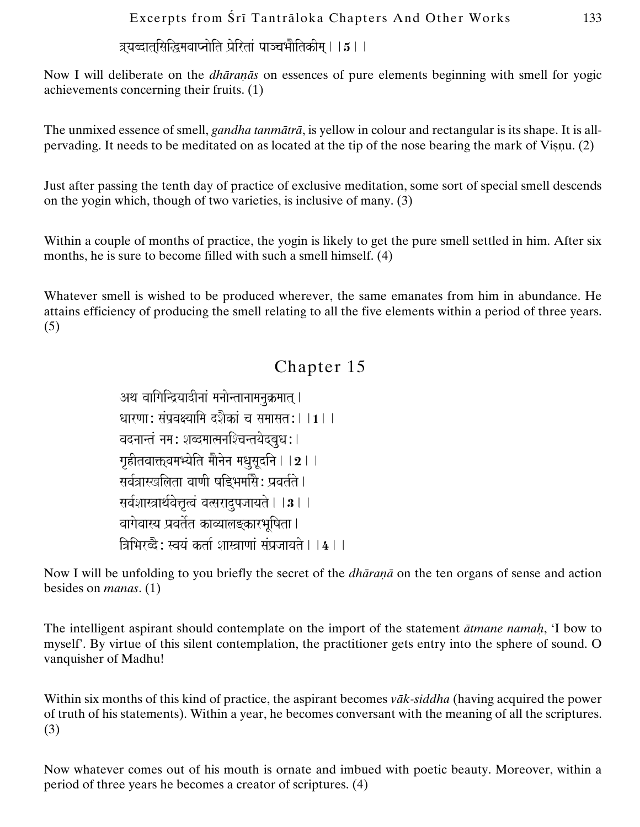#### त्रयब्दातुसिद्धिमवाप्नोति प्रेरितां पाञ्चभौतिकीम् । । $\mathbf{5}$ । ।

Now I will deliberate on the *dhāranās* on essences of pure elements beginning with smell for yogic achievements concerning their fruits. (1)

The unmixed essence of smell, *gandha tanmäträ*, is yellow in colour and rectangular is its shape. It is allpervading. It needs to be meditated on as located at the tip of the nose bearing the mark of Visnu. (2)

Just after passing the tenth day of practice of exclusive meditation, some sort of special smell descends on the yogin which, though of two varieties, is inclusive of many. (3)

Within a couple of months of practice, the yogin is likely to get the pure smell settled in him. After six months, he is sure to become filled with such a smell himself. (4)

Whatever smell is wished to be produced wherever, the same emanates from him in abundance. He attains efficiency of producing the smell relating to all the five elements within a period of three years. (5)

## Chapter 15

अथ वागिन्द्रियादीनां मनोन्तानामनुक्रमात् । धारणा: संपवक्ष्यामि दशैकां च समासत: $\Box$ । वदनान्तं नम: शब्दमात्मनश्चिन्तयेदबुध: । गहीतवाक्तवमभ्येति मौनेन मधसदनि । । $2$ । । सर्वत्रास्खलिता वाणी षड्भिर्मासै: प्रवर्तते । सर्वशास्त्रार्थवेत्तृत्वं वत्सरादुपजायते । । $\mathbf{3}$ । । वागेवास्य प्रवर्तेत काव्यालङ्कारभूषिता । त्रिभिरब्दै : स्वयं कर्ता शास्त्राणां संप्रजायते । । 4 । ।

Now I will be unfolding to you briefly the secret of the *dhāranā* on the ten organs of sense and action besides on *manas*. (1)

The intelligent aspirant should contemplate on the import of the statement *ätmane namaù*, 'I bow to myself'. By virtue of this silent contemplation, the practitioner gets entry into the sphere of sound. O vanquisher of Madhu!

Within six months of this kind of practice, the aspirant becomes *väk-siddha* (having acquired the power of truth of his statements). Within a year, he becomes conversant with the meaning of all the scriptures. (3)

Now whatever comes out of his mouth is ornate and imbued with poetic beauty. Moreover, within a period of three years he becomes a creator of scriptures. (4)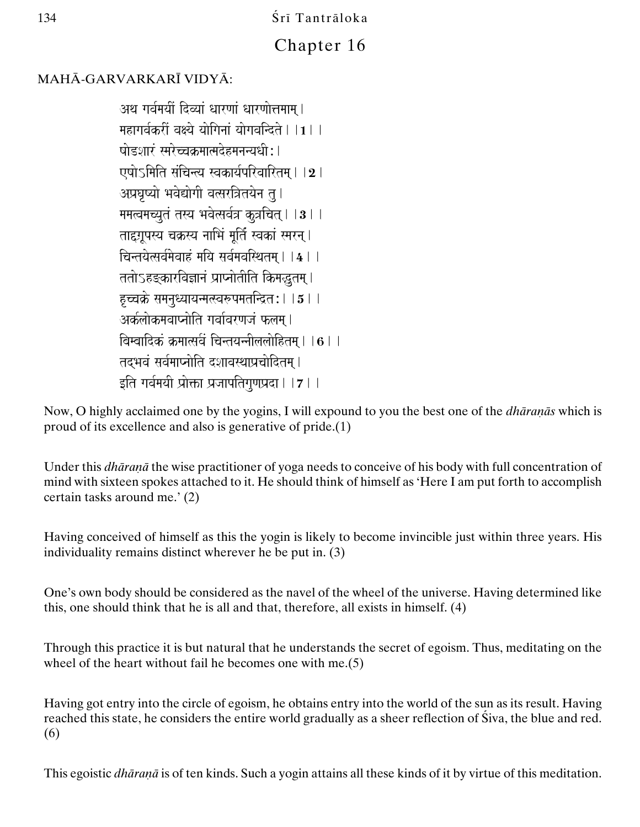#### 134 Sri Tantrāloka

### Chapter 16

#### MAHÄ-GARVARKARÉ VIDYÄ:

अथ गर्वमयीं दिव्यां धारणां धारणोत्तमाम् । महागर्वकरीं वक्ष्ये योगिनां योगवन्दिते । ।1 । । पोडशारं स्मरेच्चक्रमात्मदेहमनन्यधी:  $\vdash$ एषोऽमिति संचिन्त्य स्वकार्यपरिवारितम् । । $2$ । अप्रघृष्यो भवेद्योगी वत्सरत्रितयेन त् । ममत्वमच्युतं तस्य भवेत्सर्वत्र कुत्रचित् । । $\mathbf{3}$  । । ताद्दगुपस्य चक्रस्य नाभिं मूर्तिं स्वकां स्मरन् । चिन्तयेत्सर्वमेवाहं मयि सर्वमवस्थितम् ।  $\vert$  4  $\vert$  । ततोऽहङ्कारविज्ञानं प्राप्नोतीति किमद्धतम् । हच्चक्रे समनृध्यायन्मत्स्वरूपमतन्द्रित:।। $5$ ।। अर्कलोकमवाप्नोति गर्वावरणजं फलम $\,$ । विम्बादिकं क्रमात्सर्व चिन्तयन्नीललोहितम् ।  $\vert 6 \vert \vert$  | तदभवं सर्वमाप्नोति दशावस्थाप्रचोदितम् ।  $56$  गर्वमयी प्रोक्ता प्रजापतिगुणप्रदा  $|1711$ 

Now, O highly acclaimed one by the yogins, I will expound to you the best one of the *dhāranās* which is proud of its excellence and also is generative of pride.(1)

Under this *dhāraṇā* the wise practitioner of yoga needs to conceive of his body with full concentration of mind with sixteen spokes attached to it. He should think of himself as 'Here I am put forth to accomplish certain tasks around me.' (2)

Having conceived of himself as this the yogin is likely to become invincible just within three years. His individuality remains distinct wherever he be put in. (3)

One's own body should be considered as the navel of the wheel of the universe. Having determined like this, one should think that he is all and that, therefore, all exists in himself. (4)

Through this practice it is but natural that he understands the secret of egoism. Thus, meditating on the wheel of the heart without fail he becomes one with me.(5)

Having got entry into the circle of egoism, he obtains entry into the world of the sun as its result. Having reached this state, he considers the entire world gradually as a sheer reflection of Siva, the blue and red. (6)

This egoistic *dhāranā* is of ten kinds. Such a yogin attains all these kinds of it by virtue of this meditation.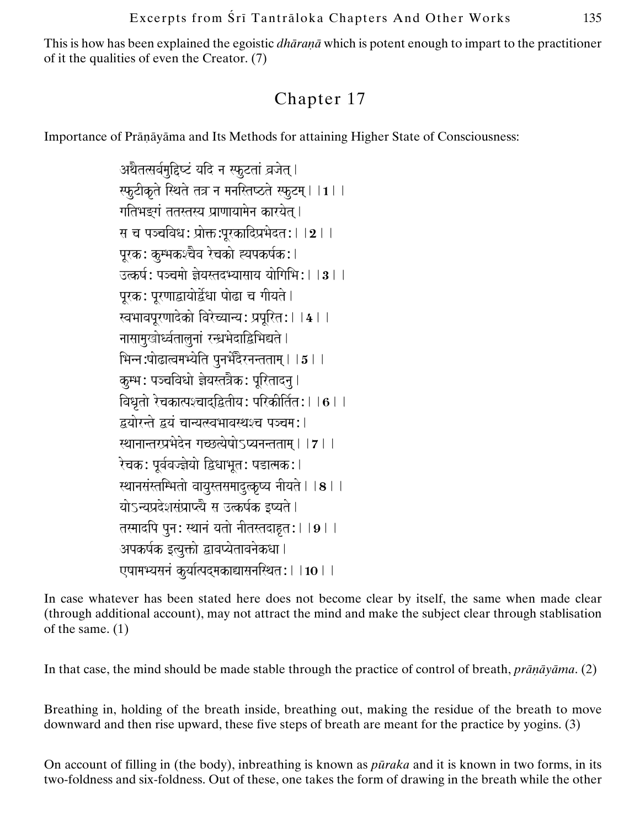This is how has been explained the egoistic *dhāraṇā* which is potent enough to impart to the practitioner of it the qualities of even the Creator. (7)

### Chapter 17

Importance of Prāņāyāma and Its Methods for attaining Higher State of Consciousness:

अथैतत्सर्वमुद्दिष्टं यदि न स्फुटतां व्रजेत् । स्फुटीकृते स्थिते तत्र न मनस्तिष्ठते स्फुटम् । । $1$ । । गतिभङ्गं ततस्तस्य प्राणायामेन कारयेत् । स च पञ्चविध: प्रोक्त:पुरकादिप्रभेदत:। ।2।। परक: कम्भकश्चैव रेचको स्यपकर्षक:। उत्कर्ष: पञ्चमो ज्ञेयस्तदभ्यासाय योगिभि: | |3 | | पूरक: पूरणाद्वायोर्द्वेधा षोढा च गीयते । रवभावपूरणादेको विरेच्यान्य: प्रपूरित:।।4।। नासामुखोर्ध्वतालुनां रन्ध्रभेदाद्विभिद्यते । भिन्न:षोढात्वमभ्येति पुनर्भेदैरनन्तताम् । । $\mathbf{5}$ । । कृम्भ: पञ्चविधो ज्ञेयस्तत्रैक: पूरितादन् । विधृतो रेचकात्पश्चाद्द्वितीय: परिकीर्तित:  $\vert\,\,\vert$ 6 | | द्वयोरन्ते द्वयं चान्यत्स्वभावस्थश्च पञ्चम:। रथानान्तरप्रभेदेन गच्छत्येषोऽप्यनन्तताम् । ।7।। रेचक: पूर्ववज्ज्ञेयो द्विधाभूत: षडात्मक:। स्थानसंस्तम्भितो वायुस्तसमादुत्कृष्य नीयते । । 8 । । योऽन्यप्रदेशसंप्राप्त्यै स उत्कर्षक इष्यते । तस्मादपि पुन: स्थानं यतो नीतस्तदाहृत:।।9।। अपकर्षक इत्युक्तो द्वावप्येतावनेकधा । एषामभ्यसनं कुर्यात्पदमकाद्यासनस्थित: | |10 | |

In case whatever has been stated here does not become clear by itself, the same when made clear (through additional account), may not attract the mind and make the subject clear through stablisation of the same. (1)

In that case, the mind should be made stable through the practice of control of breath, *prāņāyāma*. (2)

Breathing in, holding of the breath inside, breathing out, making the residue of the breath to move downward and then rise upward, these five steps of breath are meant for the practice by yogins. (3)

On account of filling in (the body), inbreathing is known as *püraka* and it is known in two forms, in its two-foldness and six-foldness. Out of these, one takes the form of drawing in the breath while the other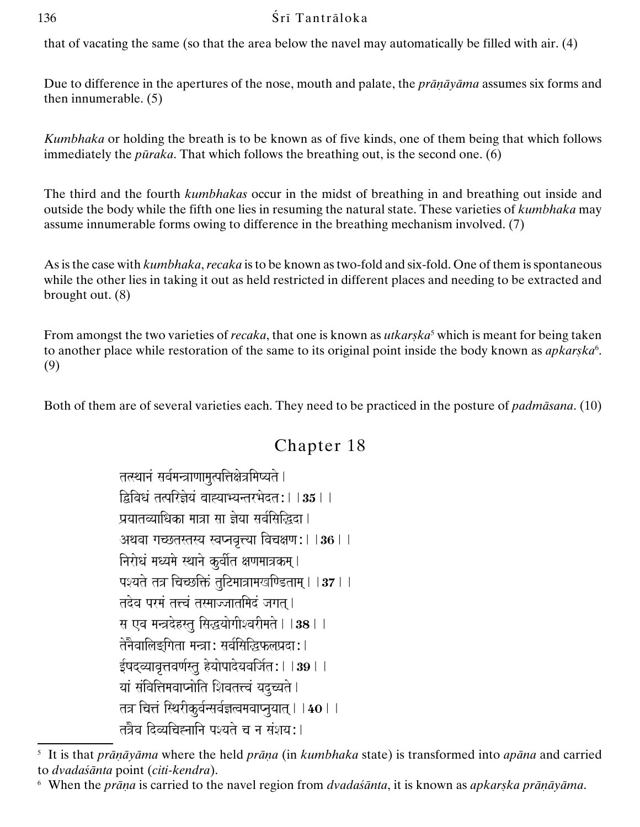that of vacating the same (so that the area below the navel may automatically be filled with air. (4)

Due to difference in the apertures of the nose, mouth and palate, the *prāņāyāma* assumes six forms and then innumerable. (5)

*Kumbhaka* or holding the breath is to be known as of five kinds, one of them being that which follows immediately the *püraka*. That which follows the breathing out, is the second one. (6)

The third and the fourth *kumbhakas* occur in the midst of breathing in and breathing out inside and outside the body while the fifth one lies in resuming the natural state. These varieties of *kumbhaka* may assume innumerable forms owing to difference in the breathing mechanism involved. (7)

As is the case with *kumbhaka*, *recaka* is to be known as two-fold and six-fold. One of them is spontaneous while the other lies in taking it out as held restricted in different places and needing to be extracted and brought out. (8)

From amongst the two varieties of *recaka*, that one is known as *utkarska*<sup>5</sup> which is meant for being taken to another place while restoration of the same to its original point inside the body known as *apkarska*<sup>6</sup>. (9)

Both of them are of several varieties each. They need to be practiced in the posture of *padmäsana*. (10)

### Chapter 18

तत्स्थानं सर्वमन्त्राणामुत्पत्तिक्षेत्रमिष्यते । द्विविधं तत्परिज्ञेयं बाह्याभ्यन्तरभेदत:  $\vert \hspace{0.5mm} \vert$  35  $\vert \hspace{0.5mm} \vert$ प्रयातव्याधिका मात्रा सा ज्ञेया सर्वसिद्धिदा । अथवा गच्छतस्तस्य स्वप्नवृत्त्या विचक्षण:।  $136$  | | निरोधं मध्यमे स्थाने कुर्वीत क्षणमात्रकम् । पश्यते तत्र चिच्छक्तिं तटिमात्रामखण्डिताम् । । 37 । । तदेव परमं तत्त्वं तस्माज्जातमिदं जगत। स एव मन्त्रदेहस्तु सिद्धयोगीश्वरीमते । ।  $38$  । । तेनैवालिङगिता मन्त्रा: सर्वसिद्धिफलप्रदा: ।  $\frac{1}{2}$ प्रद्व्यावृत्तवर्णस्तु हेयोपादेयवर्जित: । । 39। । यां संवित्तिमवाप्नोति शिवतत्त्वं यदुच्यते । तत्र चित्तं स्थिरीकूर्वन्सर्वज्ञत्वमवाप्नुयात् । ।  $40$  । । तत्रैव दिव्यचिह्नानि पश्यते च न संशय $: \mathsf{I}$ 

<sup>&</sup>lt;sup>5</sup> It is that *prāņāyāma* where the held *prāņa* (in *kumbhaka* state) is transformed into *apāņa* and carried to *dvadaçänta* point (*citi-kendra*).

<sup>&</sup>lt;sup>6</sup> When the *prāņa* is carried to the navel region from *dvadasānta*, it is known as *apkarska prāņāyāma*.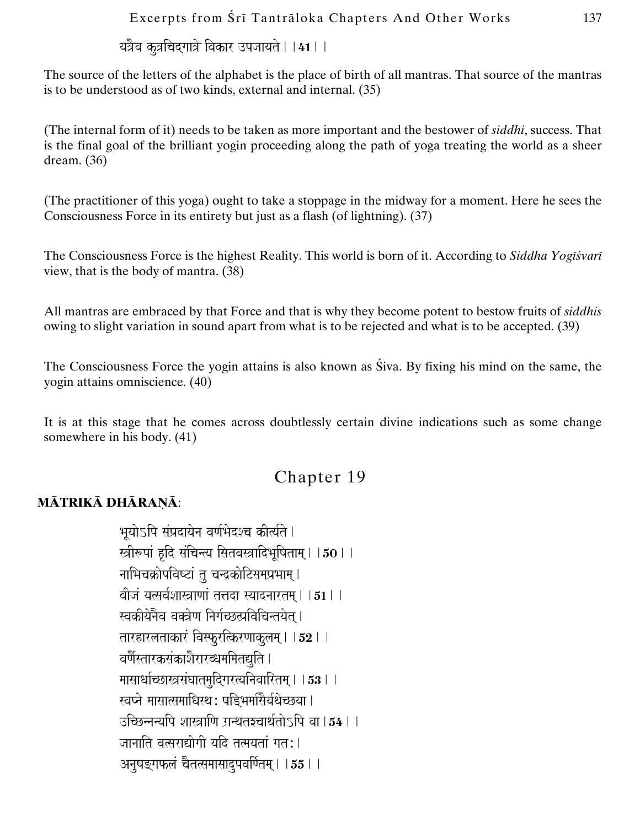#### Excerpts from Śrī Tantrāloka Chapters And Other Works 137

#### यत्रैव कुत्रचिदगात्रे विकार उपजायते । । $41$  । ।

The source of the letters of the alphabet is the place of birth of all mantras. That source of the mantras is to be understood as of two kinds, external and internal. (35)

(The internal form of it) needs to be taken as more important and the bestower of *siddhi*, success. That is the final goal of the brilliant yogin proceeding along the path of yoga treating the world as a sheer dream. (36)

(The practitioner of this yoga) ought to take a stoppage in the midway for a moment. Here he sees the Consciousness Force in its entirety but just as a flash (of lightning). (37)

The Consciousness Force is the highest Reality. This world is born of it. According to *Siddha Yogéçvaré* view, that is the body of mantra. (38)

All mantras are embraced by that Force and that is why they become potent to bestow fruits of *siddhis* owing to slight variation in sound apart from what is to be rejected and what is to be accepted. (39)

The Consciousness Force the yogin attains is also known as Siva. By fixing his mind on the same, the yogin attains omniscience. (40)

It is at this stage that he comes across doubtlessly certain divine indications such as some change somewhere in his body. (41)

### Chapter 19

#### **MÄTRIKÄ DHÄRAŅÄ:**

भूयोऽपि संप्रदायेन वर्णभेदश्च कीर्त्यते । स्त्रीरूपां हृदि संचिन्त्य सितवस्त्रादिभूषिताम् । । ${\bf 50}$  । । नाभिचक्रोपविष्टां तु चन्द्रकोटिसमप्रभाम् । बीजं यत्सर्वशास्त्राणां तत्तदा स्यादनारतम् ।  $\vert$  51  $\vert$   $\vert$ स्वकीयेनैव वक्त्रेण निर्गच्छत्प्रविचिन्तयेत । तारहारलताकारं विस्फुरत्किरणाकुलम् । । 52 । । वर्णैस्तारकसंकाशैरारब्धममितद्युति । मासार्धाच्छास्त्रसंघातमुदिगरत्यनिवारितम् । । 53 । । रवप्ने मासात्समाधिस्थ: षड्भिर्मासैर्यथेच्छ्या । उच्छिन्नन्यपि शास्त्राणि ग्रन्थतञ्चार्थतोऽपि वा । $\bf 54$  । । जानाति वत्सराद्योगी यदि तत्मयतां गत:। अनुषङ्गफलं चैतत्समासादुपवर्ण्तिम् । । ${\bf 55}$ । ।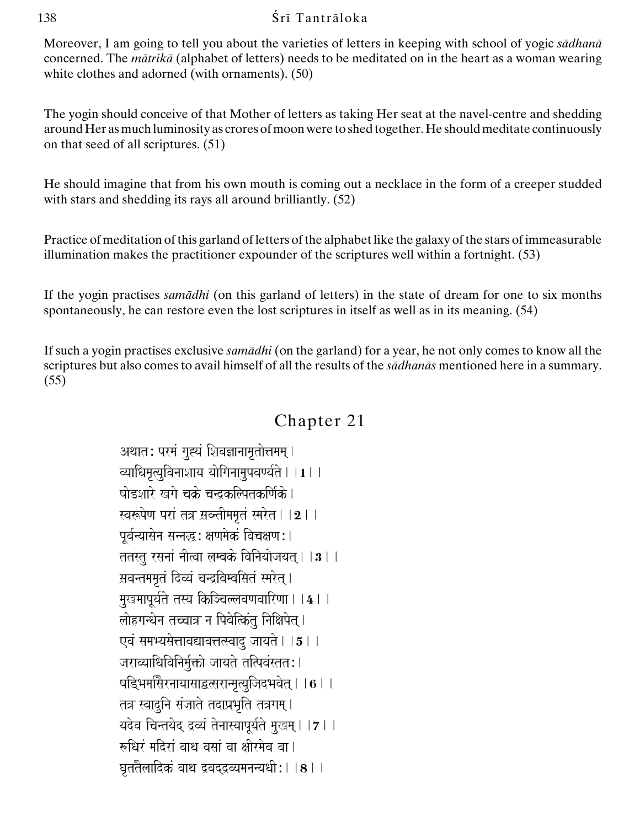#### Śrī Tantrāloka

Moreover, I am going to tell you about the varieties of letters in keeping with school of yogic sādhanā concerned. The mātrikā (alphabet of letters) needs to be meditated on in the heart as a woman wearing white clothes and adorned (with ornaments). (50)

The yogin should conceive of that Mother of letters as taking Her seat at the navel-centre and shedding around Her as much luminosity as crores of moon were to shed together. He should meditate continuously on that seed of all scriptures. (51)

He should imagine that from his own mouth is coming out a necklace in the form of a creeper studded with stars and shedding its rays all around brilliantly. (52)

Practice of meditation of this garland of letters of the alphabet like the galaxy of the stars of immeasurable illumination makes the practitioner expounder of the scriptures well within a fortnight. (53)

If the yogin practises *samadhi* (on this garland of letters) in the state of dream for one to six months spontaneously, he can restore even the lost scriptures in itself as well as in its meaning. (54)

If such a yogin practises exclusive *samadhi* (on the garland) for a year, he not only comes to know all the scriptures but also comes to avail himself of all the results of the *sadhanas* mentioned here in a summary.  $(55)$ 

### Chapter 21

अथात: परमं गुह्यं शिवज्ञानामृतोत्तमम् । व्याधिमृत्युविनाशाय योगिनामुपवर्ण्यते । । 1 । । षोडशारे खगे चक्रे चन्द्रकल्पितकर्णिके । खरूपेण परां तत्र सञ्तीममृतं स्मरेत । । 2 । । पूर्वन्यासेन सन्नद्ध: क्षणमेकं विचक्षण: । ततस्त रसनां नीत्वा लम्बके विनियोजयत् । । 3 । । स्रवन्तममृतं दिव्यं चन्द्रबिम्बसितं स्मरेत् । मुखमापूर्यते तस्य किञ्चिल्लवणवारिणा । । 4 । । लोहगन्धेन तच्चात्र न पिबेल्किंत निक्षिपेत् । एवं समभ्यसेत्तावद्यावत्तत्स्वाद् जायते । । 5 । । जराव्याधिविनिर्मुक्तो जायते तत्पिवंस्तत:। षड्भिमसिरनायासाद्वत्सरान्मृत्यूजिदभवेत् । । 6 । । तत्र स्वादुनि संजाते तदाप्रभृति तत्रगम् । यदेव चिन्तयेद् द्रव्यं तेनास्यापूर्यते मुखम् । । 7 । । रुधिरं मंदिरां वाथ वसां वा क्षीरमेव वा । घृततैलादिकं वाथ द्रवद्द्रव्यमनन्यधी: | |8 | |

#### 138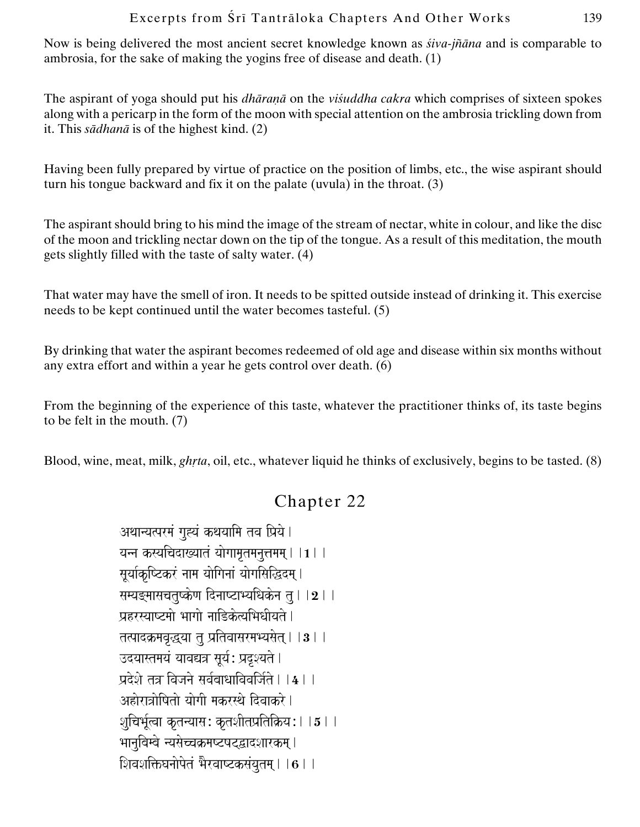Now is being delivered the most ancient secret knowledge known as *çiva-jïäna* and is comparable to ambrosia, for the sake of making the yogins free of disease and death. (1)

The aspirant of yoga should put his *dhāranā* on the *visuddha cakra* which comprises of sixteen spokes along with a pericarp in the form of the moon with special attention on the ambrosia trickling down from it. This *sädhanä* is of the highest kind. (2)

Having been fully prepared by virtue of practice on the position of limbs, etc., the wise aspirant should turn his tongue backward and fix it on the palate (uvula) in the throat. (3)

The aspirant should bring to his mind the image of the stream of nectar, white in colour, and like the disc of the moon and trickling nectar down on the tip of the tongue. As a result of this meditation, the mouth gets slightly filled with the taste of salty water. (4)

That water may have the smell of iron. It needs to be spitted outside instead of drinking it. This exercise needs to be kept continued until the water becomes tasteful. (5)

By drinking that water the aspirant becomes redeemed of old age and disease within six months without any extra effort and within a year he gets control over death. (6)

From the beginning of the experience of this taste, whatever the practitioner thinks of, its taste begins to be felt in the mouth. (7)

Blood, wine, meat, milk, *ghrta*, oil, etc., whatever liquid he thinks of exclusively, begins to be tasted. (8)

### Chapter 22

अथान्यत्परमं गृह्यं कथयामि तव प्रिये। यन्न कस्यचिदाख्यातं योगामृतमनृत्तमम् । । 1। । सूर्याकृष्टिकरं नाम योगिनां योगसिद्धिदम् । सम्यङ्मासचतुष्केण दिनाष्टाभ्यधिकेन तु । । $2$ । । प्रहरस्याष्टमो भागो नाडिकेत्यभिधीयते । तत्पादक्रमवृद्धया तु प्रतिवासरमभ्यसेत् । ।  $\mathbf{3}$ । । उदयास्तमयं यावद्यत्र सूर्य: प्रदृश्यते । प्रदेशे तत्र विजने सर्वबाधाविवर्जिते । । $4$ ।। अहोरात्रोषितो योगी मकरस्थे दिवाकरे । शुचिर्भूत्वा कृतन्यास: कृतशीतप्रतिक्रिय:। ।5।। भानुविम्बे न्यसेच्चक्रमष्टषट्द्वादशारकम् । शिवशक्तिघनोपेतं भैरवाष्टकसंयुतम् ।  $1611$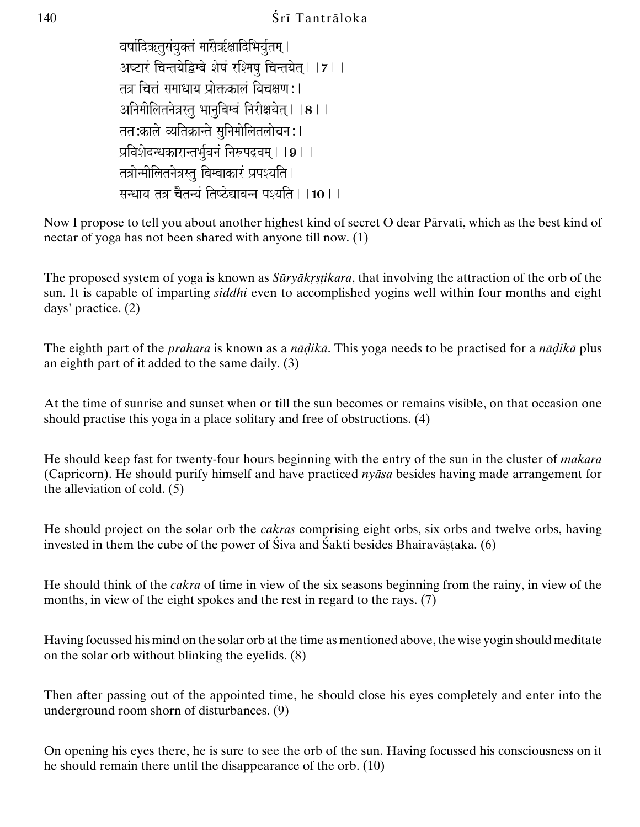वर्षादिऋतुसंयुक्तं मासैर्ऋक्षादिभिर्युतम् । अष्टारं चिन्तयेद्विम्बे शेषं रश्मिषु चिन्तयेत् । । $7$ । । तत्र चित्तं समाधाय प्रोक्तकालं विचक्षण:  $\vdash$ अनिमीलितनेत्रस्त भानबिम्बं निरीक्षयेत् । । $\bf 8$  । । तत:काले व्यतिक्रान्ते सुनिमोलितलोचन:। प्रविशेदन्धकारान्तर्भुवनं निरुपद्रवम् । । $\mathbf{9}$ । । तत्रोन्मीलितनेत्रस्त बिम्बाकारं प्रपश्यति । सन्धाय तत्र चैतन्यं तिष्ठेद्यावन्त पश्यति । । $10 \perp$ 

Now I propose to tell you about another highest kind of secret O dear Pārvatī, which as the best kind of nectar of yoga has not been shared with anyone till now. (1)

The proposed system of yoga is known as *Sūryākrstikara*, that involving the attraction of the orb of the sun. It is capable of imparting *siddhi* even to accomplished yogins well within four months and eight days' practice. (2)

The eighth part of the *prahara* is known as a *nādikā*. This yoga needs to be practised for a *nādikā* plus an eighth part of it added to the same daily. (3)

At the time of sunrise and sunset when or till the sun becomes or remains visible, on that occasion one should practise this yoga in a place solitary and free of obstructions. (4)

He should keep fast for twenty-four hours beginning with the entry of the sun in the cluster of *makara* (Capricorn). He should purify himself and have practiced *nyäsa* besides having made arrangement for the alleviation of cold. (5)

He should project on the solar orb the *cakras* comprising eight orbs, six orbs and twelve orbs, having invested in them the cube of the power of Siva and Sakti besides Bhairavāṣṭaka.  $(6)$ 

He should think of the *cakra* of time in view of the six seasons beginning from the rainy, in view of the months, in view of the eight spokes and the rest in regard to the rays. (7)

Having focussed his mind on the solar orb at the time as mentioned above, the wise yogin should meditate on the solar orb without blinking the eyelids. (8)

Then after passing out of the appointed time, he should close his eyes completely and enter into the underground room shorn of disturbances. (9)

On opening his eyes there, he is sure to see the orb of the sun. Having focussed his consciousness on it he should remain there until the disappearance of the orb. (10)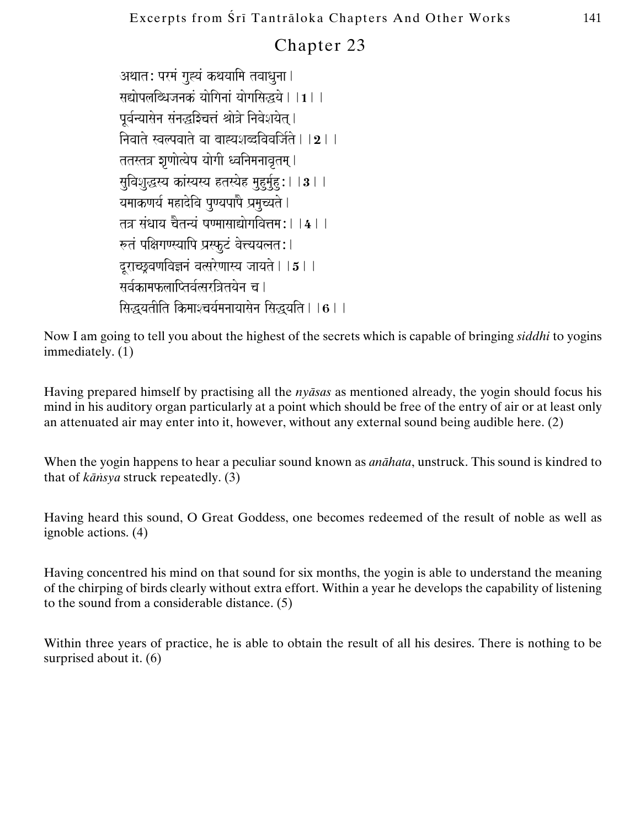## Chapter 23

अथात: परमं गह्यं कथयामि तवाधना। सद्योपलब्धिजनकं योगिनां योगसिद्धये । । $1$ । पूर्वन्यासेन संनद्धश्चित्तं श्रोत्रे निवेशयेत् । निवाते स्वल्पवाते वा बाह्यशब्दविवर्जिते ।  $|2|$  । ततस्तत्र शुणोत्येष योगी ध्वनिमनावृतम् । सुविशुद्धस्य कांस्यस्य हतस्येह मुहुर्मुहुः। । 3।। यमाकणर्य महादेवि पुण्यपापै प्रमुच्यते । तत्र संधाय चैतन्यं षण्मासाद्योगवित्तम:  $||4||$ रुतं पक्षिगण्स्यापि प्रस्फुटं वेत्त्ययलत:। दुराच्छुवणविज्ञनं वत्सरेणास्य जायते । ।  $5$ । । सर्वकामफलाप्तिर्वत्सरत्रितयेन च। सिद्धयतीति किमाश्चर्यमनायासेन सिद्धयति ।  $\vert 6 \vert \vert$ 

Now I am going to tell you about the highest of the secrets which is capable of bringing *siddhi* to yogins immediately. (1)

Having prepared himself by practising all the *nyäsas* as mentioned already, the yogin should focus his mind in his auditory organ particularly at a point which should be free of the entry of air or at least only an attenuated air may enter into it, however, without any external sound being audible here. (2)

When the yogin happens to hear a peculiar sound known as *anähata*, unstruck. This sound is kindred to that of *käìsya* struck repeatedly. (3)

Having heard this sound, O Great Goddess, one becomes redeemed of the result of noble as well as ignoble actions. (4)

Having concentred his mind on that sound for six months, the yogin is able to understand the meaning of the chirping of birds clearly without extra effort. Within a year he develops the capability of listening to the sound from a considerable distance. (5)

Within three years of practice, he is able to obtain the result of all his desires. There is nothing to be surprised about it. (6)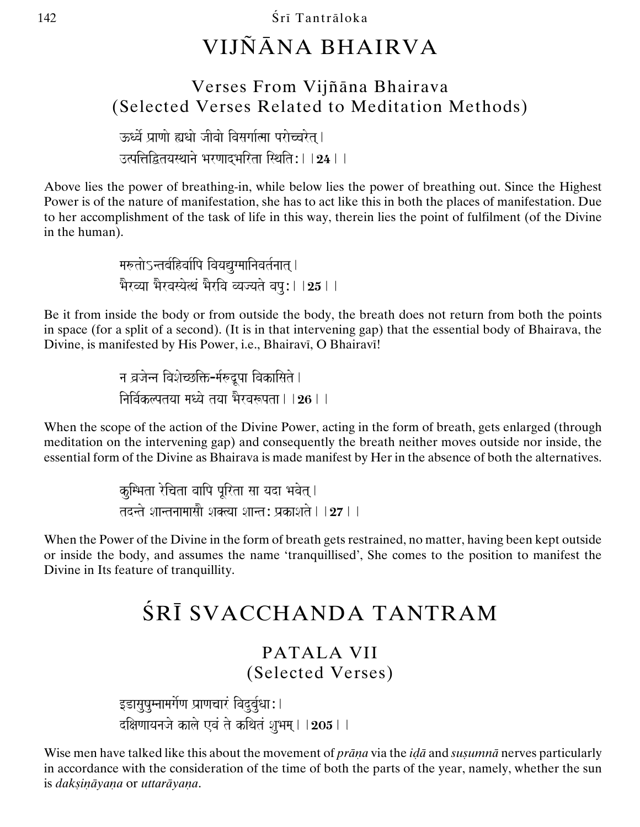# VIJÑĀNA BHAIRVA

#### Verses From Vijñāna Bhairava (Selected Verses Related to Meditation Methods)

### ऊर्ध्वे प्राणो ह्यधो जीवो विसर्गात्मा परोच्चरेत । उत्पत्तिद्वितयस्थाने भरणादभरिता स्थिति: | | 24 | |

Above lies the power of breathing-in, while below lies the power of breathing out. Since the Highest Power is of the nature of manifestation, she has to act like this in both the places of manifestation. Due to her accomplishment of the task of life in this way, therein lies the point of fulfilment (of the Divine in the human).

> मरुतोऽन्तर्बहिर्वापि वियद्यग्मानिवर्तनात् । भैरव्या भैरवस्येत्थं भैरवि व्यज्यते वपु:। । 25 । ।

Be it from inside the body or from outside the body, the breath does not return from both the points in space (for a split of a second). (It is in that intervening gap) that the essential body of Bhairava, the Divine, is manifested by His Power, i.e., Bhairavī, O Bhairavī!

> न व्रजेन्न विशेच्छक्ति-र्मरुद्रूपा विकासिते । निर्विकल्पतया मध्ये तया भैरवरूपता । ।  $96 \mid$  ।

When the scope of the action of the Divine Power, acting in the form of breath, gets enlarged (through meditation on the intervening gap) and consequently the breath neither moves outside nor inside, the essential form of the Divine as Bhairava is made manifest by Her in the absence of both the alternatives.

> कुम्भिता रेचिता वापि पुरिता सा यदा भवेत् । तदन्ते शान्तनामासौ शक्त्या शान्त: प्रकाशते । । 27 । ।

When the Power of the Divine in the form of breath gets restrained, no matter, having been kept outside or inside the body, and assumes the name 'tranquillised', She comes to the position to manifest the Divine in Its feature of tranquillity.

# ŚRĪ SVACCHANDA TANTRAM

PATALA VII (Selected Verses)

इडासुषुम्नामर्गेण प्राणचारं विदुर्बुधा:। दक्षिणायनजे काले एवं ते कथितं शुभम् । । 205 । ।

Wise men have talked like this about the movement of *prāņa* via the *idā* and *susumnā* nerves particularly in accordance with the consideration of the time of both the parts of the year, namely, whether the sun is daksināyana or uttarāyana.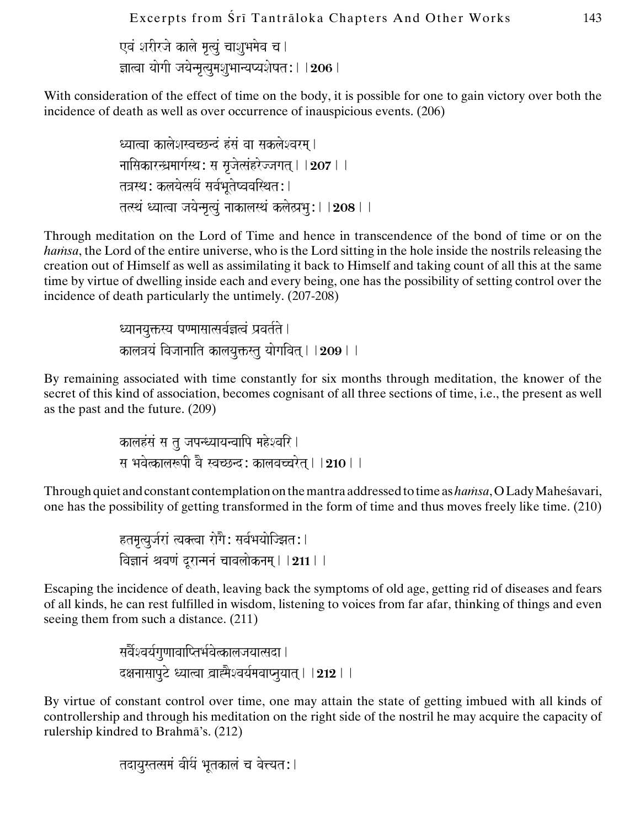Excerpts from Śrī Tantrāloka Chapters And Other Works 143

एवं शरीरजे काले मृत्यूं चाशुभमेव च । ज्ञात्वा योगी जयेन्मृत्युमशुभान्यप्यशेषत: | | 206 |

With consideration of the effect of time on the body, it is possible for one to gain victory over both the incidence of death as well as over occurrence of inauspicious events. (206)

> ध्यात्वा कालेशस्वच्छन्दं हंसं वा सकलेश्वरम् । नासिकारन्ध्रमार्गस्थ: स सृजेत्संहरेज्जगत् । । 207 । । तत्रस्थ: कलयेत्सर्वं सर्वभतेष्ववस्थित:  $\mid$ तत्स्थं ध्यात्वा जयेन्मत्यं नाकालस्थं कलेत्प्रभ:।।208।।

Through meditation on the Lord of Time and hence in transcendence of the bond of time or on the *hamsa*, the Lord of the entire universe, who is the Lord sitting in the hole inside the nostrils releasing the creation out of Himself as well as assimilating it back to Himself and taking count of all this at the same time by virtue of dwelling inside each and every being, one has the possibility of setting control over the incidence of death particularly the untimely. (207-208)

> ध्यानयुक्तस्य षण्मासात्सर्वज्ञत्वं प्रवर्तते । कालत्रयं विजानाति कालयक्तस्त योगवित् । । 209 । ।

By remaining associated with time constantly for six months through meditation, the knower of the secret of this kind of association, becomes cognisant of all three sections of time, i.e., the present as well as the past and the future. (209)

> कालहंसं स त जपन्ध्यायन्वापि महेश्वरि । स भवेत्कालरूपी वै स्वच्छन्द: कालवच्चरेत ।  $|210|$  | |

Through quiet and constant contemplation on the mantra addressed to time as *hamsa*, O Lady Mahes<sup>a</sup>vari, one has the possibility of getting transformed in the form of time and thus moves freely like time. (210)

> हतमृत्युर्जरां त्यक्त्वा रोगै: सर्वभयोज्झित: । विज्ञानं श्रवणं दूरान्मनं चावलोकनम् ।  $|211|$

Escaping the incidence of death, leaving back the symptoms of old age, getting rid of diseases and fears of all kinds, he can rest fulfilled in wisdom, listening to voices from far afar, thinking of things and even seeing them from such a distance. (211)

> सर्वेश्वर्यगुणावाप्तिर्भवेत्कालजयात्सदा । दक्षनासापुटे ध्यात्वा ब्राह्मैश्वर्यमवाप्नुयात् । । 212 । ।

By virtue of constant control over time, one may attain the state of getting imbued with all kinds of controllership and through his meditation on the right side of the nostril he may acquire the capacity of rulership kindred to Brahmä's. (212)

```
तदायुस्तत्समं वीर्य भूतकालं च वेत्त्यत:।
```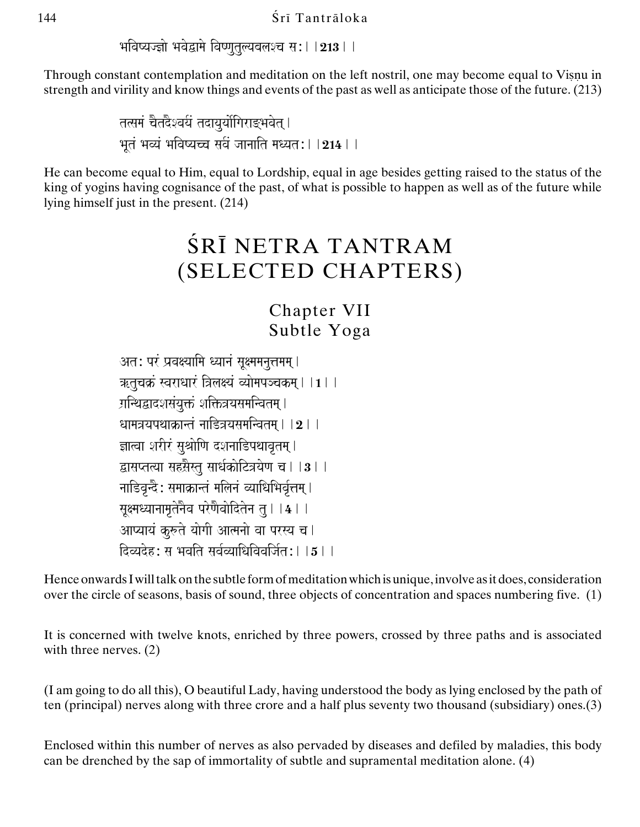भविष्यज्ज्ञो भवेद्वामे विष्णुतुल्यबलश्च स:। 1213 । ।

Through constant contemplation and meditation on the left nostril, one may become equal to Visnu in strength and virility and know things and events of the past as well as anticipate those of the future. (213)

> तत्समं चैतदैश्वर्यं तदायुर्योगिराङ्भवेत् । भूतं भव्यं भविष्यच्च सर्वं जानाति मध्यत: | | 214 | |

He can become equal to Him, equal to Lordship, equal in age besides getting raised to the status of the king of yogins having cognisance of the past, of what is possible to happen as well as of the future while lying himself just in the present. (214)

# ŚRĪ NETRA TANTRAM (SELECTED CHAPTERS)

Chapter VII Subtle Yoga

अत: परं प्रवक्ष्यामि ध्यानं सूक्ष्ममनुत्तमम् । ऋतुचक्रं स्वराधारं त्रिलक्ष्यं व्योमपञ्चकम् । । 1 । । ग्रन्थिद्वादशसंयुक्तं शक्तित्रयसमन्वितम् । धामत्रयपथाक्रान्तं नाडित्रयसमन्वितम् । । 2 । । ज्ञात्वा शरीरं सुश्रोणि दशनाडिपथावृतम् । द्वासप्तत्या सहसैस्तु सार्धकोटित्रयेण च । । 3 । । नाडिवृन्दै: समाक्रान्तं मलिनं व्याधिभिर्वृत्तम् । सूक्ष्मध्यानामृतेनैव परेणैवोदितेन त् । । 4 । । आप्यायं कुरुते योगी आत्मनो वा परस्य च । <u> दिव्यदेह: स भवति सर्वव्याधिविवर्जित: | |5 | |</u>

Hence onwards I will talk on the subtle form of meditation which is unique, involve as it does, consideration over the circle of seasons, basis of sound, three objects of concentration and spaces numbering five. (1)

It is concerned with twelve knots, enriched by three powers, crossed by three paths and is associated with three nerves.  $(2)$ 

(I am going to do all this), O beautiful Lady, having understood the body as lying enclosed by the path of ten (principal) nerves along with three crore and a half plus seventy two thousand (subsidiary) ones.(3)

Enclosed within this number of nerves as also pervaded by diseases and defiled by maladies, this body can be drenched by the sap of immortality of subtle and supramental meditation alone. (4)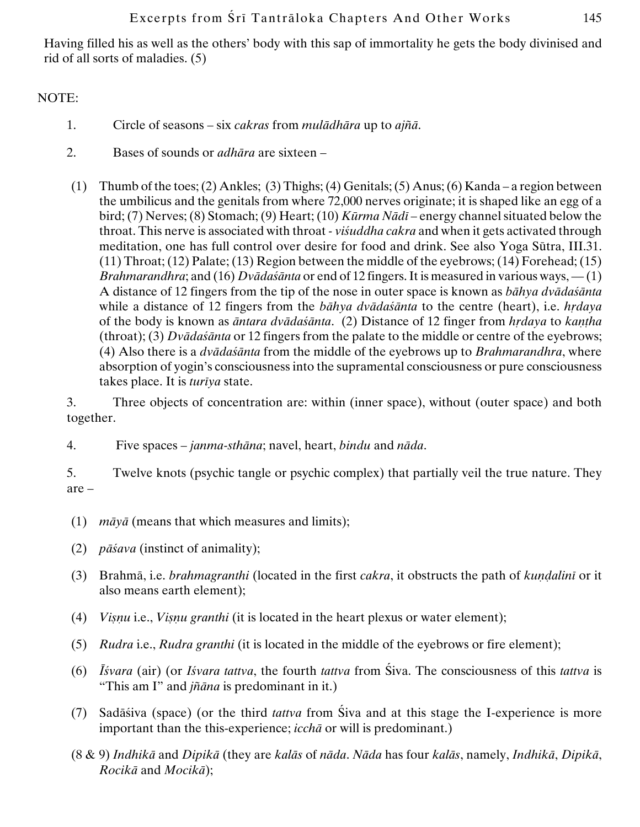Having filled his as well as the others' body with this sap of immortality he gets the body divinised and rid of all sorts of maladies. (5)

# NOTE:

- 1. Circle of seasons six *cakras* from *mulädhära* up to *ajïä*.
- 2. Bases of sounds or *adhära* are sixteen –
- (1) Thumb of the toes; (2) Ankles; (3) Thighs; (4) Genitals; (5) Anus; (6) Kanda a region between the umbilicus and the genitals from where 72,000 nerves originate; it is shaped like an egg of a bird; (7) Nerves; (8) Stomach; (9) Heart; (10) *Kürma Nädé* – energy channel situated below the throat. This nerve is associated with throat *- viçuddha cakra* and when it gets activated through meditation, one has full control over desire for food and drink. See also Yoga Sütra, III.31. (11) Throat; (12) Palate; (13) Region between the middle of the eyebrows; (14) Forehead; (15) *Brahmarandhra*; and (16) *Dvädaçänta* or end of 12 fingers. It is measured in various ways, — (1) A distance of 12 fingers from the tip of the nose in outer space is known as *bähya dvädaçänta* while a distance of 12 fingers from the *bāhya dvādasānta* to the centre (heart), i.e. *hrdaya* of the body is known as *āntara dvādasanta*. (2) Distance of 12 finger from *hrdaya* to *kantha* (throat); (3) *Dvädaçänta* or 12 fingers from the palate to the middle or centre of the eyebrows; (4) Also there is a *dvädaçänta* from the middle of the eyebrows up to *Brahmarandhra*, where absorption of yogin's consciousness into the supramental consciousness or pure consciousness takes place. It is *turiya* state.

3. Three objects of concentration are: within (inner space), without (outer space) and both together.

4. Five spaces – *janma-sthäna*; navel, heart, *bindu* and *näda*.

5. Twelve knots (psychic tangle or psychic complex) that partially veil the true nature. They are –

- (1) *mäyä* (means that which measures and limits);
- (2) *päçava* (instinct of animality);
- (3) Brahmā, i.e. *brahmagranthi* (located in the first *cakra*, it obstructs the path of *kundalini* or it also means earth element);
- (4) *Viñëu* i.e., *Viñëu granthi* (it is located in the heart plexus or water element);
- (5) *Rudra* i.e., *Rudra granthi* (it is located in the middle of the eyebrows or fire element);
- (6) *Éçvara* (air) (or *Içvara tattva*, the fourth *tattva* from Çiva. The consciousness of this *tattva* is "This am I" and *jïäna* is predominant in it.)
- (7) Sadäçiva (space) (or the third *tattva* from Çiva and at this stage the I-experience is more important than the this-experience; *icchä* or will is predominant.)
- (8 & 9) *Indhikä* and *Dipikä* (they are *kaläs* of *näda*. *Näda* has four *kaläs*, namely, *Indhikä*, *Dipikä*, *Rocikä* and *Mocikä*);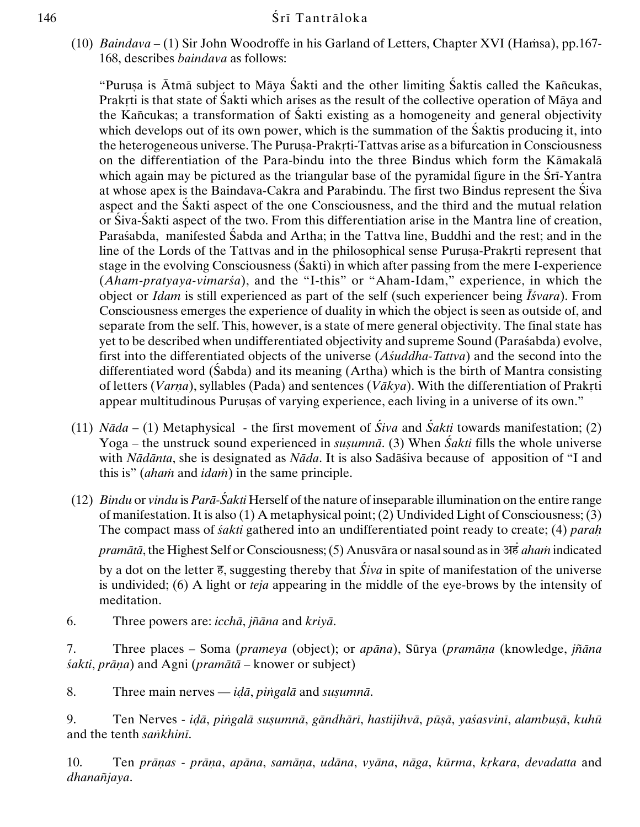#### 146 Sri Tantrāloka

(10) *Baindava* – (1) Sir John Woodroffe in his Garland of Letters, Chapter XVI (Hamsa), pp.167-168, describes *baindava* as follows:

"Purusa is Ātmā subject to Māya Śakti and the other limiting Śaktis called the Kañcukas, Prakrti is that state of Sakti which arises as the result of the collective operation of Māya and the Kañcukas; a transformation of Sakti existing as a homogeneity and general objectivity which develops out of its own power, which is the summation of the Saktis producing it, into the heterogeneous universe. The Purusa-Prakrti-Tattvas arise as a bifurcation in Consciousness on the differentiation of the Para-bindu into the three Bindus which form the Kämakalä which again may be pictured as the triangular base of the pyramidal figure in the Sri-Yantra at whose apex is the Baindava-Cakra and Parabindu. The first two Bindus represent the Siva aspect and the Çakti aspect of the one Consciousness, and the third and the mutual relation or Çiva-Çakti aspect of the two. From this differentiation arise in the Mantra line of creation, Parasabda, manifested Sabda and Artha; in the Tattva line, Buddhi and the rest; and in the line of the Lords of the Tattvas and in the philosophical sense Purusa-Prakti represent that stage in the evolving Consciousness (Sakti) in which after passing from the mere I-experience (*Aham*-*pratyaya-vimarça*), and the "I-this" or "Aham-Idam," experience, in which the object or *Idam* is still experienced as part of the self (such experiencer being *Éçvara*). From Consciousness emerges the experience of duality in which the object is seen as outside of, and separate from the self. This, however, is a state of mere general objectivity. The final state has yet to be described when undifferentiated objectivity and supreme Sound (Paraçabda) evolve, first into the differentiated objects of the universe (*Açuddha-Tattva*) and the second into the differentiated word (Çabda) and its meaning (Artha) which is the birth of Mantra consisting of letters (*Varna*), syllables (Pada) and sentences (*Vākya*). With the differentiation of Prakrti appear multitudinous Purusas of varying experience, each living in a universe of its own."

- (11) *Näda*  (1) Metaphysical the first movement of *Çiva* and *Çakti* towards manifestation; (2) Yoga – the unstruck sound experienced in *susumnā*. (3) When *Sakti* fills the whole universe with *Nädänta*, she is designated as *Näda*. It is also Sadäçiva because of apposition of "I and this is" *(aham and idam)* in the same principle.
- (12) *Bindu* or *vindu* is *Parä-Çakti* Herself of the nature of inseparable illumination on the entire range of manifestation. It is also (1) A metaphysical point; (2) Undivided Light of Consciousness; (3) The compact mass of *çakti* gathered into an undifferentiated point ready to create; (4) *paraù pramātā*, the Highest Self or Consciousness; (5) Anusvāra or nasal sound as in अहं *aham* indicated by a dot on the letter  $\bar{\epsilon}$ , suggesting thereby that *Śiva* in spite of manifestation of the universe is undivided; (6) A light or *teja* appearing in the middle of the eye-brows by the intensity of meditation.
- 6. Three powers are: *icchä*, *jïäna* and *kriyä*.

7. Three places – Soma (*prameya* (object); or *apāna*), Sūrya (*pramāņa* (knowledge, *jñāna sakti, prāna*) and Agni (*pramātā* – knower or subject)

8. Three main nerves — *idā*, *pingalā* and *susumnā*.

9. Ten Nerves - *iòä*, *piìgalä suñumnä*, *gändhäré*, *hastijihvä*, *püñä*, *yaçasviné*, *alambuñä*, *kuhü* and the tenth *saìkhiné*.

10. Ten *präëas* - *präëa*, *apäna*, *samäëa*, *udäna*, *vyäna*, *näga*, *kürma*, *kåkara*, *devadatta* and *dhanaïjaya*.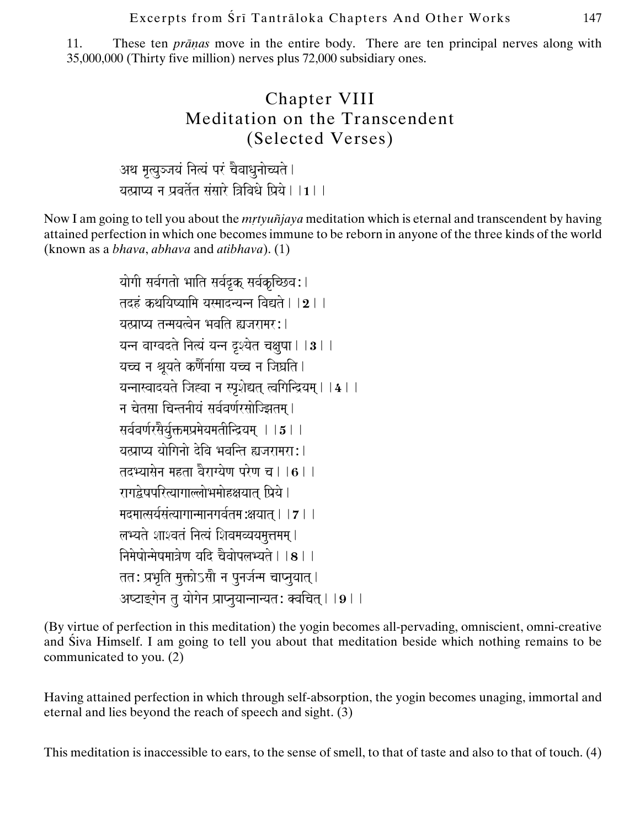Excerpts from Śrī Tantrāloka Chapters And Other Works 147

11. These ten *prāņas* move in the entire body. There are ten principal nerves along with 35,000,000 (Thirty five million) nerves plus 72,000 subsidiary ones.

# Chapter VIII Meditation on the Transcendent (Selected Verses)

अथ मृत्युञ्जयं नित्यं परं चैवाधुनोच्यते । यत्प्राप्य न प्रवर्तेत संसारे त्रिविधे प्रिये | |1 | |

Now I am going to tell you about the *mrtyun*iaya meditation which is eternal and transcendent by having attained perfection in which one becomes immune to be reborn in anyone of the three kinds of the world (known as a *bhava*, *abhava* and *atibhava*). (1)

> योगी सर्वगतो भाति सर्वदृक् सर्वकृच्छिव $:$   $\vdash$ तदहं कथयिष्यामि यस्मादन्यन्न विद्यते । । $2 \perp$ ।  $a$ द्याप्य तन्मयत्वेन भवति ह्यजरामरः । यन्न वाग्वदते नित्यं यन्न दृश्येत चक्षषा ।  $|3|$  । यच्च न श्रूयते कर्णैर्नासा यच्च न जिघ्रति । यन्नास्वादयते जिह्वा न स्पृशेद्यत् त्वगिन्द्रियम् । । $4$ । । न चेतसा चिन्तनीयं सर्ववर्णरसोज्झितम् । सर्ववर्णरसैर्युक्तमप्रमेयमतीन्द्रियम् । ।  $5$ । । यत्प्राप्य योगिनो देवि भवन्ति ह्यजरामरा: | तदभ्यासेन महता वैराग्येण परेण च $||6||$ रागद्वेषपरित्यागाल्लोभमोहक्षयात् प्रिये ।  $\overline{a}$ मदमात्सर्यसंत्यागान्मानगर्वतम:क्षयात् । । $\overline{a}$ । । लभ्यते शाश्वतं नित्यं शिवमव्ययमृत्तमम् । निमेषोन्मेषमात्रेण यदि चैवोपलभ्यते ।  $|8|$  | तत: प्रभृति मुक्तोऽसौ न पुनर्जन्म चाप्नुयात् । अष्टाङ्गेन तु योगेन प्राप्नुयान्नान्यत: क्वचित् । । $\mathbf{9}$ । ।

(By virtue of perfection in this meditation) the yogin becomes all-pervading, omniscient, omni-creative and Çiva Himself. I am going to tell you about that meditation beside which nothing remains to be communicated to you. (2)

Having attained perfection in which through self-absorption, the yogin becomes unaging, immortal and eternal and lies beyond the reach of speech and sight. (3)

This meditation is inaccessible to ears, to the sense of smell, to that of taste and also to that of touch. (4)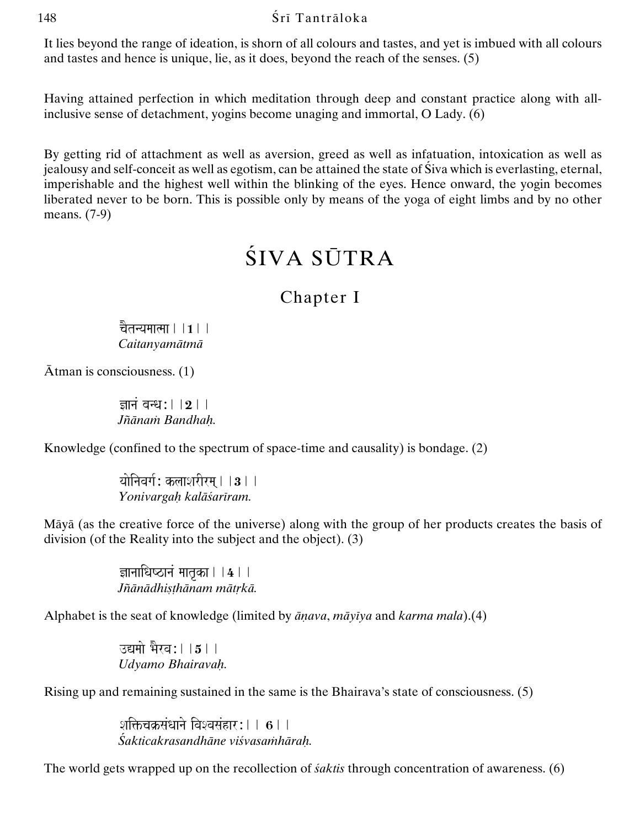## 148 Sri Tantrāloka

It lies beyond the range of ideation, is shorn of all colours and tastes, and yet is imbued with all colours and tastes and hence is unique, lie, as it does, beyond the reach of the senses. (5)

Having attained perfection in which meditation through deep and constant practice along with allinclusive sense of detachment, yogins become unaging and immortal, O Lady. (6)

By getting rid of attachment as well as aversion, greed as well as infatuation, intoxication as well as jealousy and self-conceit as well as egotism, can be attained the state of Çiva which is everlasting, eternal, imperishable and the highest well within the blinking of the eyes. Hence onward, the yogin becomes liberated never to be born. This is possible only by means of the yoga of eight limbs and by no other means. (7-9)

# ŚIVA SŪTRA

# Chapter I

चैतन्यमात्मा । । $1 \perp$ *Caitanyamätmä*

Ätman is consciousness. (1)

ज्ञानं बन्ध $: 1211$ *Jïänaà Bandhaù.*

Knowledge (confined to the spectrum of space-time and causality) is bondage. (2)

योनिवर्ग: कलाशरीरम् । । $\mathbf{3}$  । । *Yonivargaù kaläçaréram.* 

Mäyä (as the creative force of the universe) along with the group of her products creates the basis of division (of the Reality into the subject and the object). (3)

> ज्ञानाधिष्ठानं मातृका । । 4 । । *Jïänädhiñöhänam mätåkä.*

Alphabet is the seat of knowledge (limited by *äëava*, *mäyéya* and *karma mala*).(4)

उद्यमो भैरव:।। $5$ ।। *Udyamo Bhairavaù.*

Rising up and remaining sustained in the same is the Bhairava's state of consciousness. (5)

शक्तिचक्रसंधाने विश्वसंहार: $\Box$  6.1.1 *Çakticakrasandhäne viçvasaàhäraù.*

The world gets wrapped up on the recollection of *çaktis* through concentration of awareness. (6)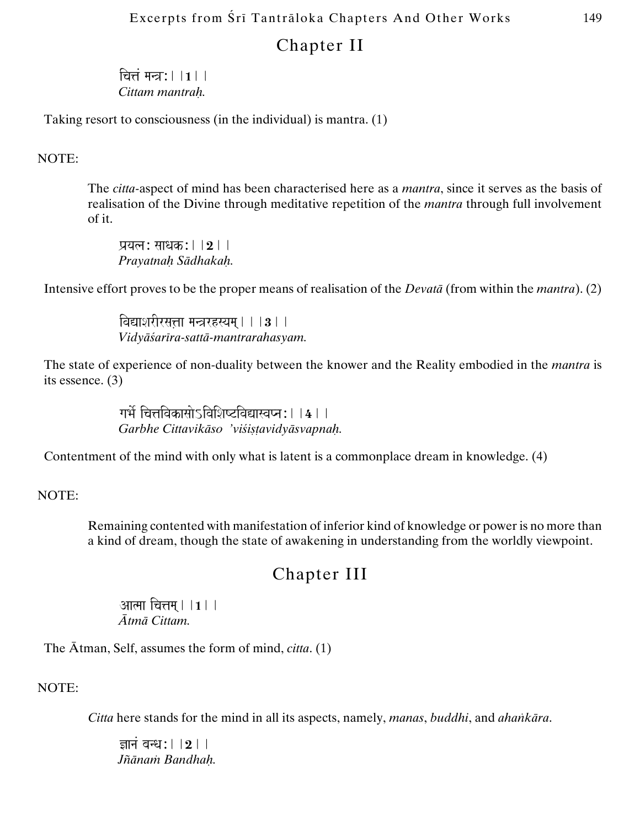# Chapter II

 $\overline{a}$ तं मन्त्र:  $\Box a \Box$ *Cittam mantraù.*

Taking resort to consciousness (in the individual) is mantra. (1)

## NOTE:

The *citta-*aspect of mind has been characterised here as a *mantra*, since it serves as the basis of realisation of the Divine through meditative repetition of the *mantra* through full involvement of it.

प्रयत्न: साधक:  $\vert \vert 2 \vert \vert$ *Prayatnaù Sädhakaù.*

Intensive effort proves to be the proper means of realisation of the *Devatä* (from within the *mantra*). (2)

विद्याशरीरसत्ता मन्त्ररहस्यम्  $| \cdot | \cdot | \cdot |$ *Vidyäçaréra-sattä-mantrarahasyam.*

The state of experience of non-duality between the knower and the Reality embodied in the *mantra* is its essence. (3)

> गर्भे चित्तविकासोऽविशिष्टविद्यास्वप्न:। । 4 । । Garbhe Cittavikāso 'viśistavidyāsvapnah.

Contentment of the mind with only what is latent is a commonplace dream in knowledge. (4)

### NOTE:

Remaining contented with manifestation of inferior kind of knowledge or power is no more than a kind of dream, though the state of awakening in understanding from the worldly viewpoint.

# Chapter III

आत्मा चित्तम । । $1 \perp$ *Ätmä Cittam.*

The Ätman, Self, assumes the form of mind, *citta*. (1)

NOTE:

*Citta* here stands for the mind in all its aspects, namely, *manas*, *buddhi*, and *ahaìkära*.

ज्ञानं बन्ध $: 11211$ *Jïänaà Bandhaù.*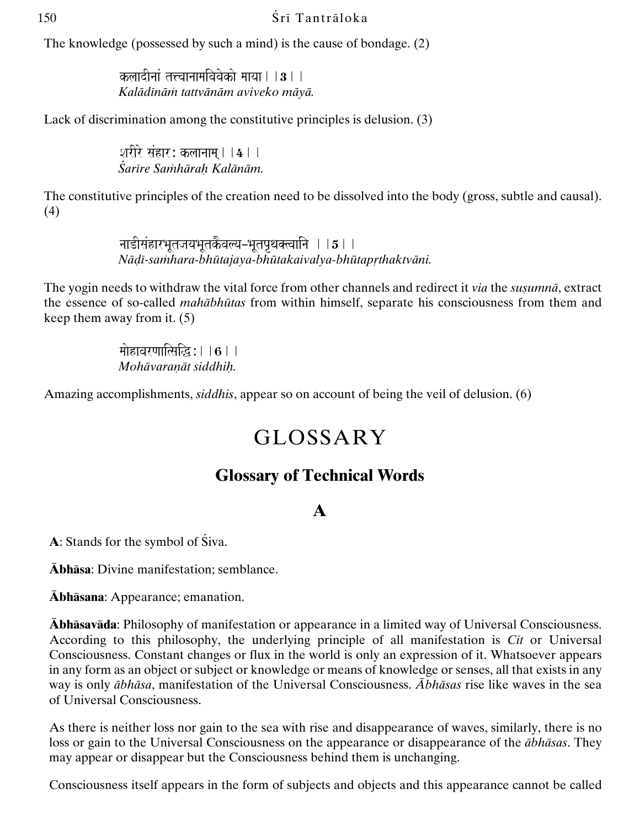The knowledge (possessed by such a mind) is the cause of bondage. (2)

कलादीनां तत्त्वानामविवेको माया । । $\mathbf{3}$  । । *Kalädénäà tattvänäm aviveko mäyä.*

Lack of discrimination among the constitutive principles is delusion. (3)

शरीरे संहार $:$  कलानाम् । । $\bf 4$  । । *Çarére Saàhäraù Kalänäm.*

The constitutive principles of the creation need to be dissolved into the body (gross, subtle and causal). (4)

> नाडीसंहारभृतजयभृतकैवल्य–भृतपृथक्त्वानि । । $\mathbf{5}$  । । *Nādī-samhara-bhūtajaya-bhūtakaivalya-bhūtaprthaktvāni.*

The yogin needs to withdraw the vital force from other channels and redirect it *via* the *susumna*, extract the essence of so-called *mahäbhütas* from within himself, separate his consciousness from them and keep them away from it. (5)

> मोहावरणात्सिद्धिः । । $6 \mid$  ।  $M$ ohāvaranāt siddhih.

Amazing accomplishments, *siddhis*, appear so on account of being the veil of delusion. (6)

# **GLOSSARY**

# **Glossary of Technical Words**

# **A**

A: Stands for the symbol of Siva.

**Äbhäsa**: Divine manifestation; semblance.

**Äbhäsana**: Appearance; emanation.

**Äbhäsaväda**: Philosophy of manifestation or appearance in a limited way of Universal Consciousness. According to this philosophy, the underlying principle of all manifestation is *Cit* or Universal Consciousness. Constant changes or flux in the world is only an expression of it. Whatsoever appears in any form as an object or subject or knowledge or means of knowledge or senses, all that exists in any way is only *äbhäsa*, manifestation of the Universal Consciousness. *Äbhäsas* rise like waves in the sea of Universal Consciousness.

As there is neither loss nor gain to the sea with rise and disappearance of waves, similarly, there is no loss or gain to the Universal Consciousness on the appearance or disappearance of the *äbhäsas*. They may appear or disappear but the Consciousness behind them is unchanging.

Consciousness itself appears in the form of subjects and objects and this appearance cannot be called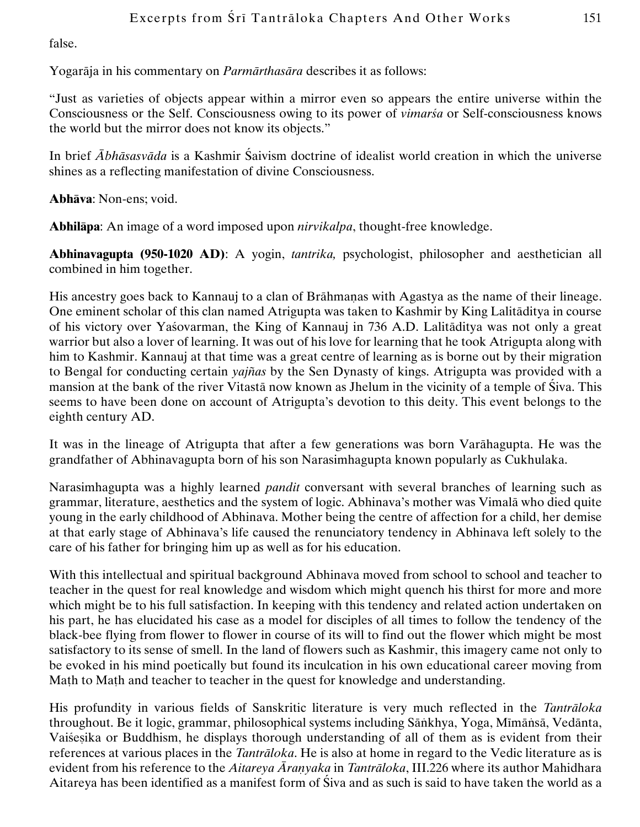false.

Yogaräja in his commentary on *Parmärthasära* describes it as follows:

"Just as varieties of objects appear within a mirror even so appears the entire universe within the Consciousness or the Self. Consciousness owing to its power of *vimarça* or Self-consciousness knows the world but the mirror does not know its objects."

In brief *Äbhäsasväda* is a Kashmir Çaivism doctrine of idealist world creation in which the universe shines as a reflecting manifestation of divine Consciousness.

**Abhäva**: Non-ens; void.

**Abhiläpa**: An image of a word imposed upon *nirvikalpa*, thought-free knowledge.

**Abhinavagupta (950-1020 AD)**: A yogin, *tantrika,* psychologist, philosopher and aesthetician all combined in him together.

His ancestry goes back to Kannauj to a clan of Brāhmanas with Agastya as the name of their lineage. One eminent scholar of this clan named Atrigupta was taken to Kashmir by King Lalitäditya in course of his victory over Yaçovarman, the King of Kannauj in 736 A.D. Lalitäditya was not only a great warrior but also a lover of learning. It was out of his love for learning that he took Atrigupta along with him to Kashmir. Kannauj at that time was a great centre of learning as is borne out by their migration to Bengal for conducting certain *yajïas* by the Sen Dynasty of kings. Atrigupta was provided with a mansion at the bank of the river Vitastä now known as Jhelum in the vicinity of a temple of Çiva. This seems to have been done on account of Atrigupta's devotion to this deity. This event belongs to the eighth century AD.

It was in the lineage of Atrigupta that after a few generations was born Varähagupta. He was the grandfather of Abhinavagupta born of his son Narasimhagupta known popularly as Cukhulaka.

Narasimhagupta was a highly learned *pandit* conversant with several branches of learning such as grammar, literature, aesthetics and the system of logic. Abhinava's mother was Vimalä who died quite young in the early childhood of Abhinava. Mother being the centre of affection for a child, her demise at that early stage of Abhinava's life caused the renunciatory tendency in Abhinava left solely to the care of his father for bringing him up as well as for his education.

With this intellectual and spiritual background Abhinava moved from school to school and teacher to teacher in the quest for real knowledge and wisdom which might quench his thirst for more and more which might be to his full satisfaction. In keeping with this tendency and related action undertaken on his part, he has elucidated his case as a model for disciples of all times to follow the tendency of the black-bee flying from flower to flower in course of its will to find out the flower which might be most satisfactory to its sense of smell. In the land of flowers such as Kashmir, this imagery came not only to be evoked in his mind poetically but found its inculcation in his own educational career moving from Math to Math and teacher to teacher in the quest for knowledge and understanding.

His profundity in various fields of Sanskritic literature is very much reflected in the *Tanträloka* throughout. Be it logic, grammar, philosophical systems including Sānkhya, Yoga, Mīmānsā, Vedānta, Vaisesika or Buddhism, he displays thorough understanding of all of them as is evident from their references at various places in the *Tanträloka*. He is also at home in regard to the Vedic literature as is evident from his reference to the *Aitareya Āraṇyaka* in *Tantrāloka*, III.226 where its author Mahidhara Aitareya has been identified as a manifest form of Çiva and as such is said to have taken the world as a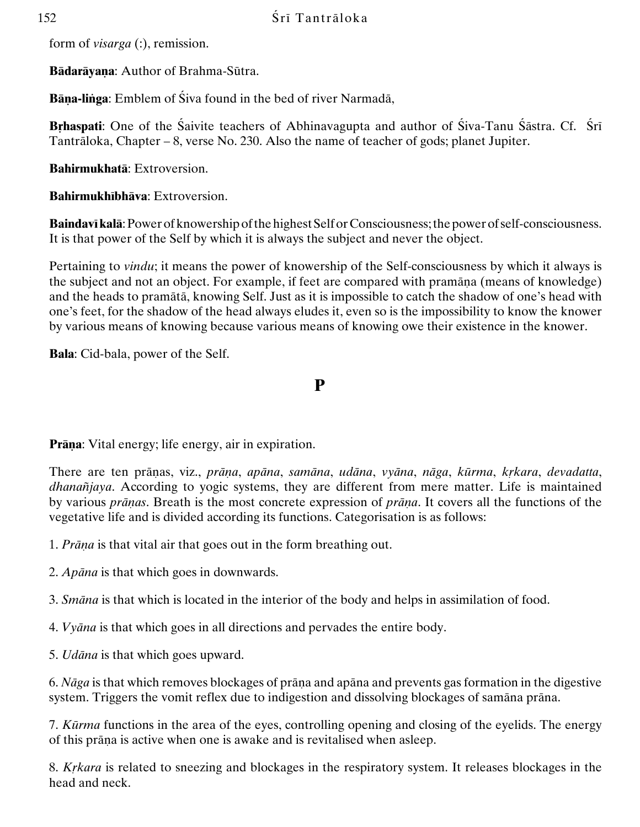form of *visarga* (:), remission.

**Bādarāyana:** Author of Brahma-Sūtra.

**Bāna-linga:** Emblem of Śiva found in the bed of river Narmadā,

**Brhaspati**: One of the Saivite teachers of Abhinavagupta and author of Siva-Tanu Sastra. Cf. Sri Tanträloka, Chapter – 8, verse No. 230. Also the name of teacher of gods; planet Jupiter.

**Bahirmukhatä**: Extroversion.

**Bahirmukhibhāva:** Extroversion.

**Baindavī kalā:** Power of knowership of the highest Self or Consciousness; the power of self-consciousness. It is that power of the Self by which it is always the subject and never the object.

Pertaining to *vindu*; it means the power of knowership of the Self-consciousness by which it always is the subject and not an object. For example, if feet are compared with pramatic (means of knowledge) and the heads to pramätä, knowing Self. Just as it is impossible to catch the shadow of one's head with one's feet, for the shadow of the head always eludes it, even so is the impossibility to know the knower by various means of knowing because various means of knowing owe their existence in the knower.

**Bala**: Cid-bala, power of the Self.

**P**

**Prāņa:** Vital energy; life energy, air in expiration.

There are ten präëas, viz., *präëa*, *apäna*, *samäna*, *udäna*, *vyäna*, *näga*, *kürma*, *kåkara*, *devadatta*, *dhanaïjaya*. According to yogic systems, they are different from mere matter. Life is maintained by various *prānas*. Breath is the most concrete expression of *prāna*. It covers all the functions of the vegetative life and is divided according its functions. Categorisation is as follows:

1. *Prāņa* is that vital air that goes out in the form breathing out.

2. *Apäna* is that which goes in downwards.

3. *Smäna* is that which is located in the interior of the body and helps in assimilation of food.

4. *Vyäna* is that which goes in all directions and pervades the entire body.

5. *Udäna* is that which goes upward.

6. *Nāga* is that which removes blockages of prāņa and apāna and prevents gas formation in the digestive system. Triggers the vomit reflex due to indigestion and dissolving blockages of samäna präna.

7. *Kürma* functions in the area of the eyes, controlling opening and closing of the eyelids. The energy of this prāna is active when one is awake and is revitalised when asleep.

8. *Krkara* is related to sneezing and blockages in the respiratory system. It releases blockages in the head and neck.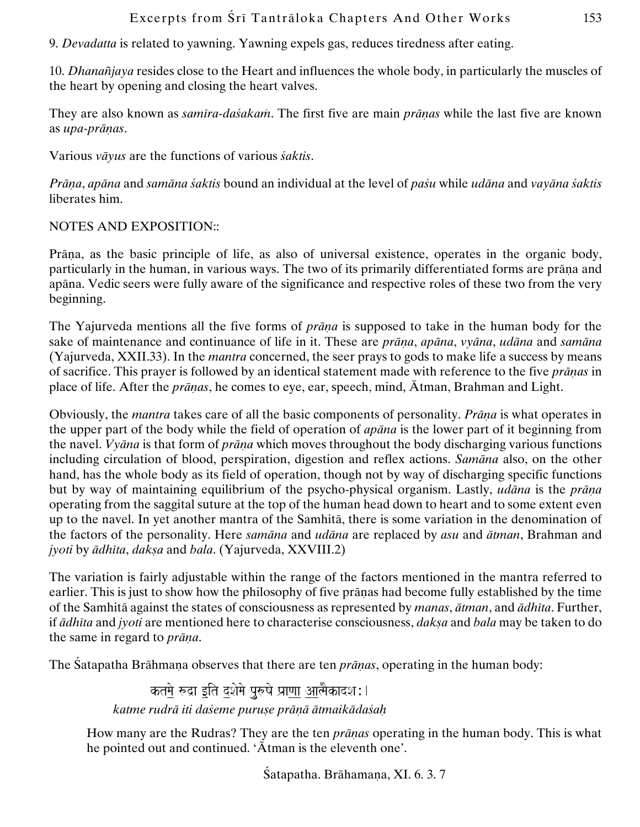9. *Devadatta* is related to yawning. Yawning expels gas, reduces tiredness after eating.

10. *Dhanaïjaya* resides close to the Heart and influences the whole body, in particularly the muscles of the heart by opening and closing the heart valves.

They are also known as *samira-dasakam*. The first five are main *prānas* while the last five are known as *upa-prānas*.

Various *väyus* are the functions of various *çaktis*.

*Präëa*, *apäna* and *samäna çaktis* bound an individual at the level of *paçu* while *udäna* and *vayäna çaktis* liberates him.

# NOTES AND EXPOSITION::

Prāna, as the basic principle of life, as also of universal existence, operates in the organic body, particularly in the human, in various ways. The two of its primarily differentiated forms are prana and apäna. Vedic seers were fully aware of the significance and respective roles of these two from the very beginning.

The Yajurveda mentions all the five forms of *prāna* is supposed to take in the human body for the sake of maintenance and continuance of life in it. These are *präëa*, *apäna*, *vyäna*, *udäna* and *samäna* (Yajurveda, XXII.33). In the *mantra* concerned, the seer prays to gods to make life a success by means of sacrifice. This prayer is followed by an identical statement made with reference to the five *prānas* in place of life. After the *prānas*, he comes to eye, ear, speech, mind, Ātman, Brahman and Light.

Obviously, the *mantra* takes care of all the basic components of personality. *Prāna* is what operates in the upper part of the body while the field of operation of *apäna* is the lower part of it beginning from the navel. *Vyāna* is that form of *prāna* which moves throughout the body discharging various functions including circulation of blood, perspiration, digestion and reflex actions. *Samäna* also, on the other hand, has the whole body as its field of operation, though not by way of discharging specific functions but by way of maintaining equilibrium of the psycho-physical organism. Lastly, *udāna* is the *prāņa* operating from the saggital suture at the top of the human head down to heart and to some extent even up to the navel. In yet another mantra of the Samhitä, there is some variation in the denomination of the factors of the personality. Here *samäna* and *udäna* are replaced by *asu* and *ätman*, Brahman and *jyoti* by *ädhéta*, *dakña* and *bala*. (Yajurveda, XXVIII.2)

The variation is fairly adjustable within the range of the factors mentioned in the mantra referred to earlier. This is just to show how the philosophy of five pranas had become fully established by the time of the Samhitä against the states of consciousness as represented by *manas*, *ätman*, and *ädhéta*. Further, if *ādhīta* and *jyoti* are mentioned here to characterise consciousness, *daksa* and *bala* may be taken to do the same in regard to *prāņa*.

The Satapatha Brāhmana observes that there are ten *prāņas*, operating in the human body:

कतमे रुद्रा इति दशेमे पुरुषे प्राणा आलैकादश:। katme rudrā iti daseme purușe prāņā ātmaikādasah

How many are the Rudras? They are the ten *prāņas* operating in the human body. This is what he pointed out and continued. 'Ätman is the eleventh one'.

Šatapatha. Brāhamana, XI. 6. 3. 7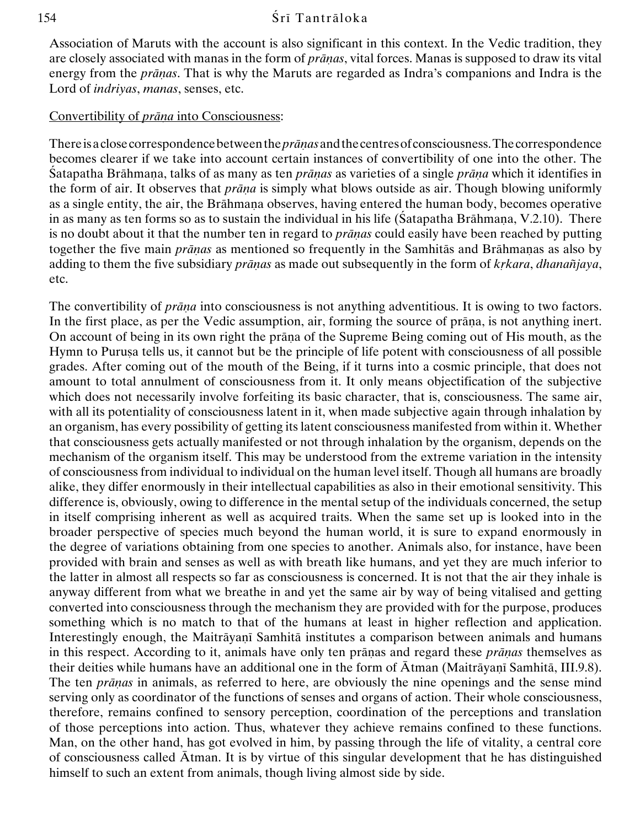Association of Maruts with the account is also significant in this context. In the Vedic tradition, they are closely associated with manas in the form of *prānas*, vital forces. Manas is supposed to draw its vital energy from the *prānas*. That is why the Maruts are regarded as Indra's companions and Indra is the Lord of *indriyas*, *manas*, senses, etc.

### Convertibility of *prāņa* into Consciousness:

There is a close correspondence between the *prānas* and the centres of consciousness. The correspondence becomes clearer if we take into account certain instances of convertibility of one into the other. The Satapatha Brāhmaņa, talks of as many as ten *prāņas* as varieties of a single *prāņa* which it identifies in the form of air. It observes that *prāņa* is simply what blows outside as air. Though blowing uniformly as a single entity, the air, the Brāhmana observes, having entered the human body, becomes operative in as many as ten forms so as to sustain the individual in his life (Satapatha Brāhmana, V.2.10). There is no doubt about it that the number ten in regard to *prāņas* could easily have been reached by putting together the five main *prāņas* as mentioned so frequently in the Samhitās and Brāhmaņas as also by adding to them the five subsidiary *prānas* as made out subsequently in the form of *krkara*, *dhanañjaya*, etc.

The convertibility of *prāņa* into consciousness is not anything adventitious. It is owing to two factors. In the first place, as per the Vedic assumption, air, forming the source of prāna, is not anything inert. On account of being in its own right the prāņa of the Supreme Being coming out of His mouth, as the Hymn to Purusa tells us, it cannot but be the principle of life potent with consciousness of all possible grades. After coming out of the mouth of the Being, if it turns into a cosmic principle, that does not amount to total annulment of consciousness from it. It only means objectification of the subjective which does not necessarily involve forfeiting its basic character, that is, consciousness. The same air, with all its potentiality of consciousness latent in it, when made subjective again through inhalation by an organism, has every possibility of getting its latent consciousness manifested from within it. Whether that consciousness gets actually manifested or not through inhalation by the organism, depends on the mechanism of the organism itself. This may be understood from the extreme variation in the intensity of consciousness from individual to individual on the human level itself. Though all humans are broadly alike, they differ enormously in their intellectual capabilities as also in their emotional sensitivity. This difference is, obviously, owing to difference in the mental setup of the individuals concerned, the setup in itself comprising inherent as well as acquired traits. When the same set up is looked into in the broader perspective of species much beyond the human world, it is sure to expand enormously in the degree of variations obtaining from one species to another. Animals also, for instance, have been provided with brain and senses as well as with breath like humans, and yet they are much inferior to the latter in almost all respects so far as consciousness is concerned. It is not that the air they inhale is anyway different from what we breathe in and yet the same air by way of being vitalised and getting converted into consciousness through the mechanism they are provided with for the purpose, produces something which is no match to that of the humans at least in higher reflection and application. Interestingly enough, the Maitrāyanī Samhitā institutes a comparison between animals and humans in this respect. According to it, animals have only ten pränas and regard these *prānas* themselves as their deities while humans have an additional one in the form of Atman (Maitrāyanī Samhitā, III.9.8). The ten *prāņas* in animals, as referred to here, are obviously the nine openings and the sense mind serving only as coordinator of the functions of senses and organs of action. Their whole consciousness, therefore, remains confined to sensory perception, coordination of the perceptions and translation of those perceptions into action. Thus, whatever they achieve remains confined to these functions. Man, on the other hand, has got evolved in him, by passing through the life of vitality, a central core of consciousness called Ätman. It is by virtue of this singular development that he has distinguished himself to such an extent from animals, though living almost side by side.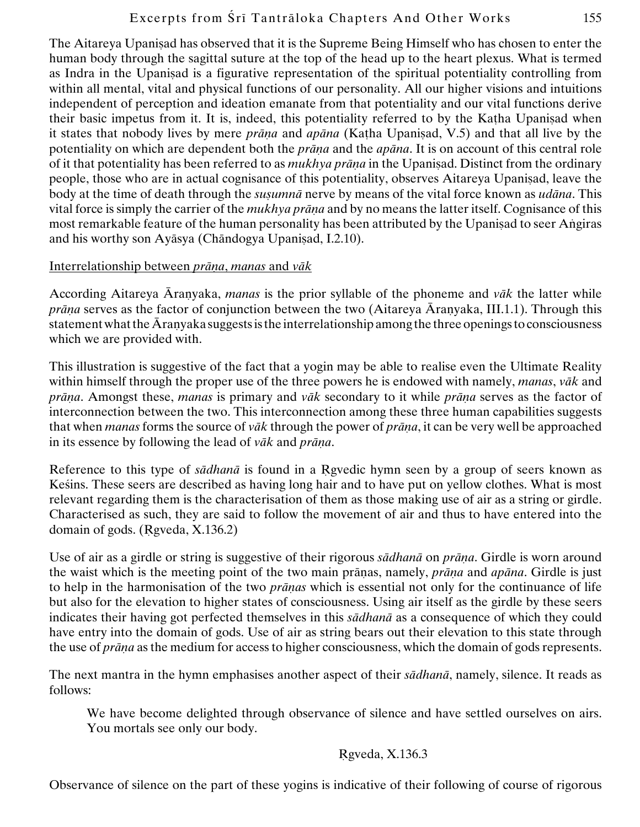# Excerpts from Sri Tantrāloka Chapters And Other Works 155

The Aitareya Upanisad has observed that it is the Supreme Being Himself who has chosen to enter the human body through the sagittal suture at the top of the head up to the heart plexus. What is termed as Indra in the Upanisad is a figurative representation of the spiritual potentiality controlling from within all mental, vital and physical functions of our personality. All our higher visions and intuitions independent of perception and ideation emanate from that potentiality and our vital functions derive their basic impetus from it. It is, indeed, this potentiality referred to by the Katha Upanisad when it states that nobody lives by mere *prāna* and *apāna* (Katha Upanisad, V.5) and that all live by the potentiality on which are dependent both the *prāņa* and the *apāna*. It is on account of this central role of it that potentiality has been referred to as *mukhya prāna* in the Upanisad. Distinct from the ordinary people, those who are in actual cognisance of this potentiality, observes Aitareya Upanisad, leave the body at the time of death through the *susumna* nerve by means of the vital force known as *udana*. This vital force is simply the carrier of the *mukhya prāna* and by no means the latter itself. Cognisance of this most remarkable feature of the human personality has been attributed by the Upanisad to seer Angiras and his worthy son Ayāsya (Chāndogya Upanisad, I.2.10).

### Interrelationship between *präëa*, *manas* and *väk*

According Aitareya Āranyaka, *manas* is the prior syllable of the phoneme and *vāk* the latter while *prāņa* serves as the factor of conjunction between the two (Aitareya Āraṇyaka, III.1.1). Through this statement what the  $\bar{A}$ ranyaka suggests is the interrelationship among the three openings to consciousness which we are provided with.

This illustration is suggestive of the fact that a yogin may be able to realise even the Ultimate Reality within himself through the proper use of the three powers he is endowed with namely, *manas*, *väk* and *prāna.* Amongst these, *manas* is primary and *vāk* secondary to it while *prāna* serves as the factor of interconnection between the two. This interconnection among these three human capabilities suggests that when *manas* forms the source of *vāk* through the power of *prāna*, it can be very well be approached in its essence by following the lead of *vāk* and *prāņa*.

Reference to this type of *sādhanā* is found in a Rgvedic hymn seen by a group of seers known as Keçins. These seers are described as having long hair and to have put on yellow clothes. What is most relevant regarding them is the characterisation of them as those making use of air as a string or girdle. Characterised as such, they are said to follow the movement of air and thus to have entered into the domain of gods.  $(Rgveda, X.136.2)$ 

Use of air as a girdle or string is suggestive of their rigorous *sādhanā* on *prāna*. Girdle is worn around the waist which is the meeting point of the two main präëas, namely, *präëa* and *apäna*. Girdle is just to help in the harmonisation of the two *prānas* which is essential not only for the continuance of life but also for the elevation to higher states of consciousness. Using air itself as the girdle by these seers indicates their having got perfected themselves in this *sädhanä* as a consequence of which they could have entry into the domain of gods. Use of air as string bears out their elevation to this state through the use of *prāņa* as the medium for access to higher consciousness, which the domain of gods represents.

The next mantra in the hymn emphasises another aspect of their *sädhanä*, namely, silence. It reads as follows:

We have become delighted through observance of silence and have settled ourselves on airs. You mortals see only our body.

### Ågveda, X.136.3

Observance of silence on the part of these yogins is indicative of their following of course of rigorous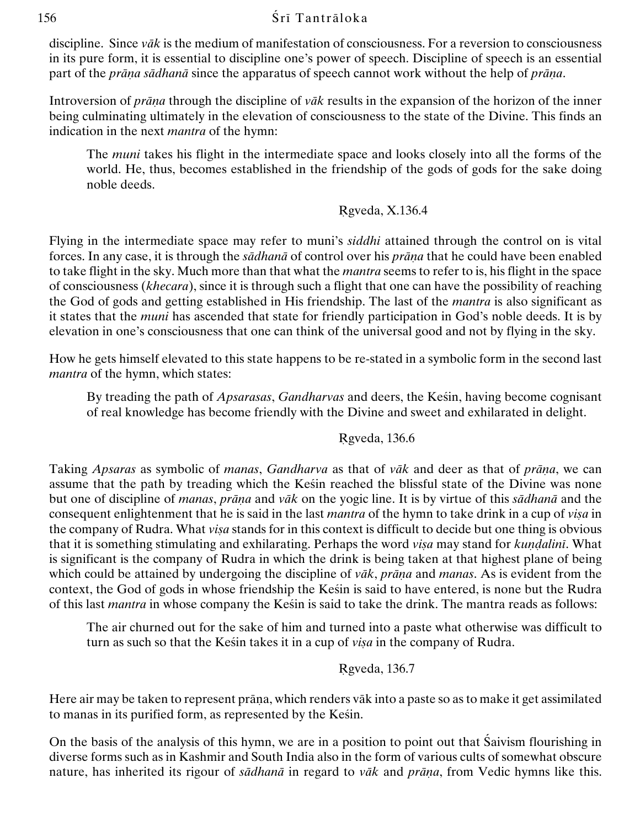## 156 Sri Tanträloka

discipline. Since *väk* is the medium of manifestation of consciousness. For a reversion to consciousness in its pure form, it is essential to discipline one's power of speech. Discipline of speech is an essential part of the *prāņa sādhanā* since the apparatus of speech cannot work without the help of *prāņa*.

Introversion of *prāņa* through the discipline of *vāk* results in the expansion of the horizon of the inner being culminating ultimately in the elevation of consciousness to the state of the Divine. This finds an indication in the next *mantra* of the hymn:

The *muni* takes his flight in the intermediate space and looks closely into all the forms of the world. He, thus, becomes established in the friendship of the gods of gods for the sake doing noble deeds.

## Ågveda, X.136.4

Flying in the intermediate space may refer to muni's *siddhi* attained through the control on is vital forces. In any case, it is through the *sādhanā* of control over his *prāna* that he could have been enabled to take flight in the sky. Much more than that what the *mantra* seems to refer to is, his flight in the space of consciousness (*khecara*), since it is through such a flight that one can have the possibility of reaching the God of gods and getting established in His friendship. The last of the *mantra* is also significant as it states that the *muni* has ascended that state for friendly participation in God's noble deeds. It is by elevation in one's consciousness that one can think of the universal good and not by flying in the sky.

How he gets himself elevated to this state happens to be re-stated in a symbolic form in the second last *mantra* of the hymn, which states:

By treading the path of *Apsarasas*, *Gandharvas* and deers, the Keçin, having become cognisant of real knowledge has become friendly with the Divine and sweet and exhilarated in delight.

### Ågveda, 136.6

Taking *Apsaras* as symbolic of *manas*, *Gandharva* as that of *vāk* and deer as that of *prāna*, we can assume that the path by treading which the Keçin reached the blissful state of the Divine was none but one of discipline of *manas*, *präëa* and *väk* on the yogic line. It is by virtue of this *sädhanä* and the consequent enlightenment that he is said in the last *mantra* of the hymn to take drink in a cup of *visa* in the company of Rudra. What *visa* stands for in this context is difficult to decide but one thing is obvious that it is something stimulating and exhilarating. Perhaps the word *visa* may stand for *kundalini*. What is significant is the company of Rudra in which the drink is being taken at that highest plane of being which could be attained by undergoing the discipline of *vāk*, *prāņa* and *manas*. As is evident from the context, the God of gods in whose friendship the Keçin is said to have entered, is none but the Rudra of this last *mantra* in whose company the Keçin is said to take the drink. The mantra reads as follows:

The air churned out for the sake of him and turned into a paste what otherwise was difficult to turn as such so that the Kesin takes it in a cup of *visa* in the company of Rudra.

### Ågveda, 136.7

Here air may be taken to represent prāņa, which renders vāk into a paste so as to make it get assimilated to manas in its purified form, as represented by the Keçin.

On the basis of the analysis of this hymn, we are in a position to point out that Çaivism flourishing in diverse forms such as in Kashmir and South India also in the form of various cults of somewhat obscure nature, has inherited its rigour of *sādhanā* in regard to *vāk* and *prāņa*, from Vedic hymns like this.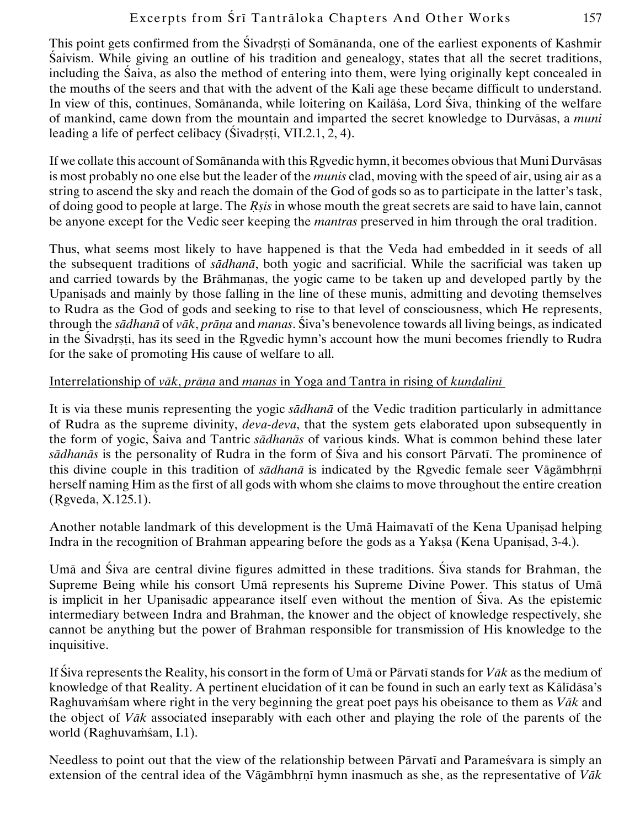# Excerpts from Sri Tantrāloka Chapters And Other Works 157

This point gets confirmed from the Sivadrsti of Somānanda, one of the earliest exponents of Kashmir Saivism. While giving an outline of his tradition and genealogy, states that all the secret traditions, including the Çaiva, as also the method of entering into them, were lying originally kept concealed in the mouths of the seers and that with the advent of the Kali age these became difficult to understand. In view of this, continues, Somänanda, while loitering on Kailäça, Lord Çiva, thinking of the welfare of mankind, came down from the mountain and imparted the secret knowledge to Durväsas, a *muni* leading a life of perfect celibacy (Sivadrsti, VII.2.1, 2, 4).

If we collate this account of Somananda with this Rgvedic hymn, it becomes obvious that Muni Durvāsas is most probably no one else but the leader of the *munis* clad, moving with the speed of air, using air as a string to ascend the sky and reach the domain of the God of gods so as to participate in the latter's task, of doing good to people at large. The *Åñis* in whose mouth the great secrets are said to have lain, cannot be anyone except for the Vedic seer keeping the *mantras* preserved in him through the oral tradition.

Thus, what seems most likely to have happened is that the Veda had embedded in it seeds of all the subsequent traditions of *sädhanä*, both yogic and sacrificial. While the sacrificial was taken up and carried towards by the Brāhmanas, the yogic came to be taken up and developed partly by the Upanisads and mainly by those falling in the line of these munis, admitting and devoting themselves to Rudra as the God of gods and seeking to rise to that level of consciousness, which He represents, through the *sādhanā* of *vāk*, *prāna* and *manas*. Šiva's benevolence towards all living beings, as indicated in the Sivadrsti, has its seed in the Rgvedic hymn's account how the muni becomes friendly to Rudra for the sake of promoting His cause of welfare to all.

# Interrelationship of *vāk*, *prāņa* and *manas* in Yoga and Tantra in rising of *kundalini*

It is via these munis representing the yogic *sädhanä* of the Vedic tradition particularly in admittance of Rudra as the supreme divinity, *deva-deva*, that the system gets elaborated upon subsequently in the form of yogic, Çaiva and Tantric *sädhanäs* of various kinds. What is common behind these later *sädhanäs* is the personality of Rudra in the form of Çiva and his consort Pärvaté. The prominence of this divine couple in this tradition of *sādhanā* is indicated by the Rgvedic female seer Vāgāmbhrnī herself naming Him as the first of all gods with whom she claims to move throughout the entire creation (Ågveda, X.125.1).

Another notable landmark of this development is the Umā Haimavatī of the Kena Upanisad helping Indra in the recognition of Brahman appearing before the gods as a Yakṣa (Kena Upaniṣad, 3-4.).

Umä and Çiva are central divine figures admitted in these traditions. Çiva stands for Brahman, the Supreme Being while his consort Umä represents his Supreme Divine Power. This status of Umä is implicit in her Upanisadic appearance itself even without the mention of Siva. As the epistemic intermediary between Indra and Brahman, the knower and the object of knowledge respectively, she cannot be anything but the power of Brahman responsible for transmission of His knowledge to the inquisitive.

If Çiva represents the Reality, his consort in the form of Umä or Pärvaté stands for *Väk* as the medium of knowledge of that Reality. A pertinent elucidation of it can be found in such an early text as Kālīdāsa's Raghuvamsam where right in the very beginning the great poet pays his obeisance to them as *Vāk* and the object of *Väk* associated inseparably with each other and playing the role of the parents of the world (Raghuvamsam, I.1).

Needless to point out that the view of the relationship between Parvati and Parames vara is simply an extension of the central idea of the Vägämbhrni hymn inasmuch as she, as the representative of *Vāk*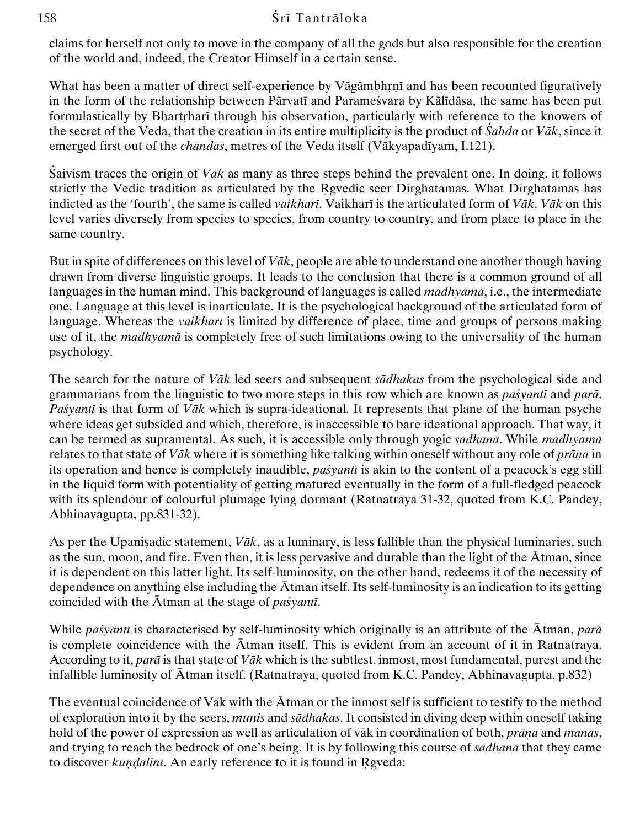## 158 Sri Tanträloka

claims for herself not only to move in the company of all the gods but also responsible for the creation of the world and, indeed, the Creator Himself in a certain sense.

What has been a matter of direct self-experience by Vāgāmbhrnī and has been recounted figuratively in the form of the relationship between Pārvatī and Parames vara by Kālīdāsa, the same has been put formulastically by Bhartrhari through his observation, particularly with reference to the knowers of the secret of the Veda, that the creation in its entire multiplicity is the product of *Çabda* or *Väk*, since it emerged first out of the *chandas*, metres of the Veda itself (Vākyapadīyam, I.121).

Saivism traces the origin of *Vāk* as many as three steps behind the prevalent one. In doing, it follows strictly the Vedic tradition as articulated by the Rgvedic seer Dirghatamas. What Dirghatamas has indicted as the 'fourth', the same is called *vaikhari*. Vaikhari is the articulated form of *Vāk*. *Vāk* on this level varies diversely from species to species, from country to country, and from place to place in the same country.

But in spite of differences on this level of *Väk*, people are able to understand one another though having drawn from diverse linguistic groups. It leads to the conclusion that there is a common ground of all languages in the human mind. This background of languages is called *madhyamä*, i.e., the intermediate one. Language at this level is inarticulate. It is the psychological background of the articulated form of language. Whereas the *vaikhari* is limited by difference of place, time and groups of persons making use of it, the *madhyamä* is completely free of such limitations owing to the universality of the human psychology.

The search for the nature of *Väk* led seers and subsequent *sädhakas* from the psychological side and grammarians from the linguistic to two more steps in this row which are known as *paçyanté* and *parä*. *Paçyanté* is that form of *Väk* which is supra-ideational. It represents that plane of the human psyche where ideas get subsided and which, therefore, is inaccessible to bare ideational approach. That way, it can be termed as supramental. As such, it is accessible only through yogic *sädhanä*. While *madhyamä* relates to that state of *Vāk* where it is something like talking within oneself without any role of *prāna* in its operation and hence is completely inaudible, *pasyanti* is akin to the content of a peacock's egg still in the liquid form with potentiality of getting matured eventually in the form of a full-fledged peacock with its splendour of colourful plumage lying dormant (Ratnatraya 31-32, quoted from K.C. Pandey, Abhinavagupta, pp.831-32).

As per the Upanisadic statement, *Vāk*, as a luminary, is less fallible than the physical luminaries, such as the sun, moon, and fire. Even then, it is less pervasive and durable than the light of the Ätman, since it is dependent on this latter light. Its self-luminosity, on the other hand, redeems it of the necessity of dependence on anything else including the Ätman itself. Its self-luminosity is an indication to its getting coincided with the Ätman at the stage of *paçyanté*.

While *paçyanté* is characterised by self-luminosity which originally is an attribute of the Ätman, *parä* is complete coincidence with the Ätman itself. This is evident from an account of it in Ratnatraya. According to it, *parä* is that state of *Väk* which is the subtlest, inmost, most fundamental, purest and the infallible luminosity of Ätman itself. (Ratnatraya, quoted from K.C. Pandey, Abhinavagupta, p.832)

The eventual coincidence of Väk with the Ätman or the inmost self is sufficient to testify to the method of exploration into it by the seers, *munis* and *sädhakas*. It consisted in diving deep within oneself taking hold of the power of expression as well as articulation of vāk in coordination of both, *prāna* and *manas*, and trying to reach the bedrock of one's being. It is by following this course of *sädhanä* that they came to discover *kundalini*. An early reference to it is found in Rgveda: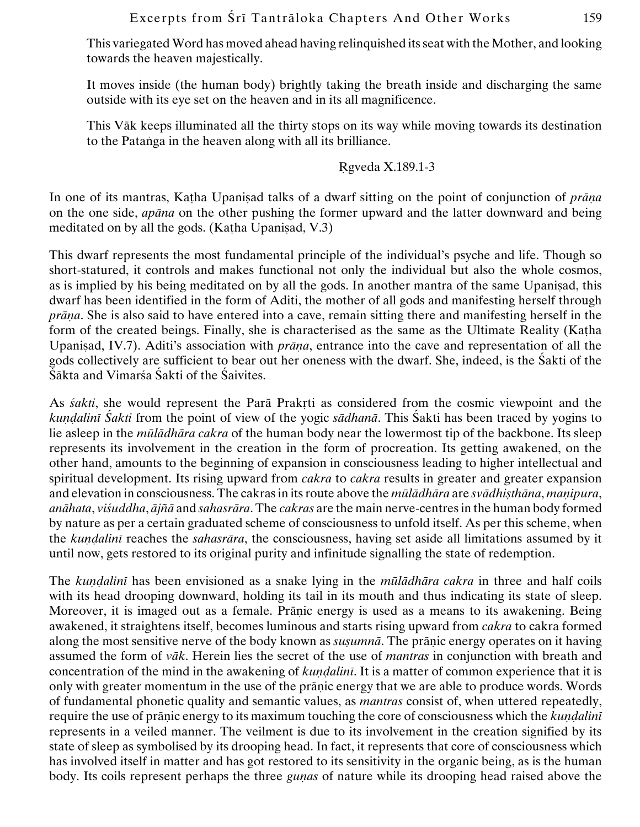This variegated Word has moved ahead having relinquished its seat with the Mother, and looking towards the heaven majestically.

It moves inside (the human body) brightly taking the breath inside and discharging the same outside with its eye set on the heaven and in its all magnificence.

This Väk keeps illuminated all the thirty stops on its way while moving towards its destination to the Patanga in the heaven along with all its brilliance.

## Ågveda X.189.1-3

In one of its mantras, Katha Upanisad talks of a dwarf sitting on the point of conjunction of *prāna* on the one side, *apäna* on the other pushing the former upward and the latter downward and being meditated on by all the gods. (Katha Upanisad,  $V(3)$ )

This dwarf represents the most fundamental principle of the individual's psyche and life. Though so short-statured, it controls and makes functional not only the individual but also the whole cosmos, as is implied by his being meditated on by all the gods. In another mantra of the same Upanisad, this dwarf has been identified in the form of Aditi, the mother of all gods and manifesting herself through *prāņa*. She is also said to have entered into a cave, remain sitting there and manifesting herself in the form of the created beings. Finally, she is characterised as the same as the Ultimate Reality (Katha Upanisad, IV.7). Aditi's association with *prāna*, entrance into the cave and representation of all the gods collectively are sufficient to bear out her oneness with the dwarf. She, indeed, is the Çakti of the Sākta and Vimarsa Šakti of the Šaivites.

As *sakti*, she would represent the Para Prakrti as considered from the cosmic viewpoint and the *kundalini Sakti* from the point of view of the yogic *sādhanā*. This Sakti has been traced by yogins to lie asleep in the *mülädhära cakra* of the human body near the lowermost tip of the backbone. Its sleep represents its involvement in the creation in the form of procreation. Its getting awakened, on the other hand, amounts to the beginning of expansion in consciousness leading to higher intellectual and spiritual development. Its rising upward from *cakra* to *cakra* results in greater and greater expansion and elevation in consciousness. The cakras in its route above the *mūlādhāra* are *svādhisthāna*, *manipura*, *anähata*, *viçuddha*, *äjïä* and *sahasrära*. The *cakras* are the main nerve-centres in the human body formed by nature as per a certain graduated scheme of consciousness to unfold itself. As per this scheme, when the *kundalini* reaches the *sahasrāra*, the consciousness, having set aside all limitations assumed by it until now, gets restored to its original purity and infinitude signalling the state of redemption.

The *kundalini* has been envisioned as a snake lying in the *mūlādhāra cakra* in three and half coils with its head drooping downward, holding its tail in its mouth and thus indicating its state of sleep. Moreover, it is imaged out as a female. Pränic energy is used as a means to its awakening. Being awakened, it straightens itself, becomes luminous and starts rising upward from *cakra* to cakra formed along the most sensitive nerve of the body known as *susumna*. The pranic energy operates on it having assumed the form of *väk*. Herein lies the secret of the use of *mantras* in conjunction with breath and concentration of the mind in the awakening of *kundalini*. It is a matter of common experience that it is only with greater momentum in the use of the pranic energy that we are able to produce words. Words of fundamental phonetic quality and semantic values, as *mantras* consist of, when uttered repeatedly, require the use of prānic energy to its maximum touching the core of consciousness which the *kundalini* represents in a veiled manner. The veilment is due to its involvement in the creation signified by its state of sleep as symbolised by its drooping head. In fact, it represents that core of consciousness which has involved itself in matter and has got restored to its sensitivity in the organic being, as is the human body. Its coils represent perhaps the three *gunas* of nature while its drooping head raised above the